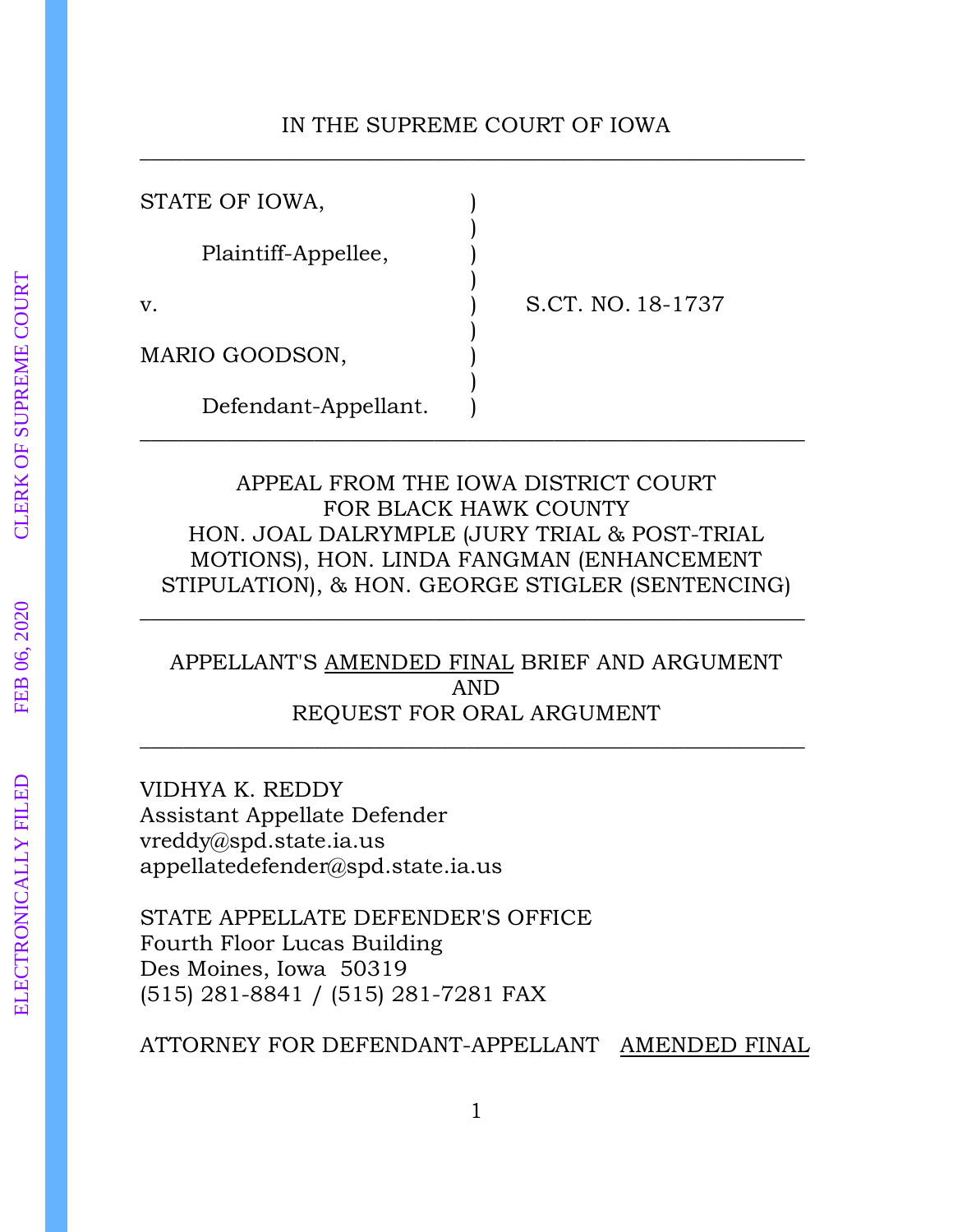### IN THE SUPREME COURT OF IOWA \_\_\_\_\_\_\_\_\_\_\_\_\_\_\_\_\_\_\_\_\_\_\_\_\_\_\_\_\_\_\_\_\_\_\_\_\_\_\_\_\_\_\_\_\_\_\_\_\_\_\_\_\_\_\_\_\_\_\_\_\_

| STATE OF IOWA,       |                   |
|----------------------|-------------------|
| Plaintiff-Appellee,  |                   |
| v.                   | S.CT. NO. 18-1737 |
| MARIO GOODSON,       |                   |
| Defendant-Appellant. |                   |

## APPEAL FROM THE IOWA DISTRICT COURT FOR BLACK HAWK COUNTY HON. JOAL DALRYMPLE (JURY TRIAL & POST-TRIAL MOTIONS), HON. LINDA FANGMAN (ENHANCEMENT STIPULATION), & HON. GEORGE STIGLER (SENTENCING)

\_\_\_\_\_\_\_\_\_\_\_\_\_\_\_\_\_\_\_\_\_\_\_\_\_\_\_\_\_\_\_\_\_\_\_\_\_\_\_\_\_\_\_\_\_\_\_\_\_\_\_\_\_\_\_\_\_\_\_\_\_

## APPELLANT'S AMENDED FINAL BRIEF AND ARGUMENT AND REQUEST FOR ORAL ARGUMENT

 $\overline{\phantom{a}}$  , and the contract of the contract of the contract of the contract of the contract of the contract of the contract of the contract of the contract of the contract of the contract of the contract of the contrac

VIDHYA K. REDDY Assistant Appellate Defender vreddy@spd.state.ia.us appellatedefender@spd.state.ia.us

STATE APPELLATE DEFENDER'S OFFICE Fourth Floor Lucas Building Des Moines, Iowa 50319 (515) 281-8841 / (515) 281-7281 FAX

ATTORNEY FOR DEFENDANT-APPELLANT AMENDED FINAL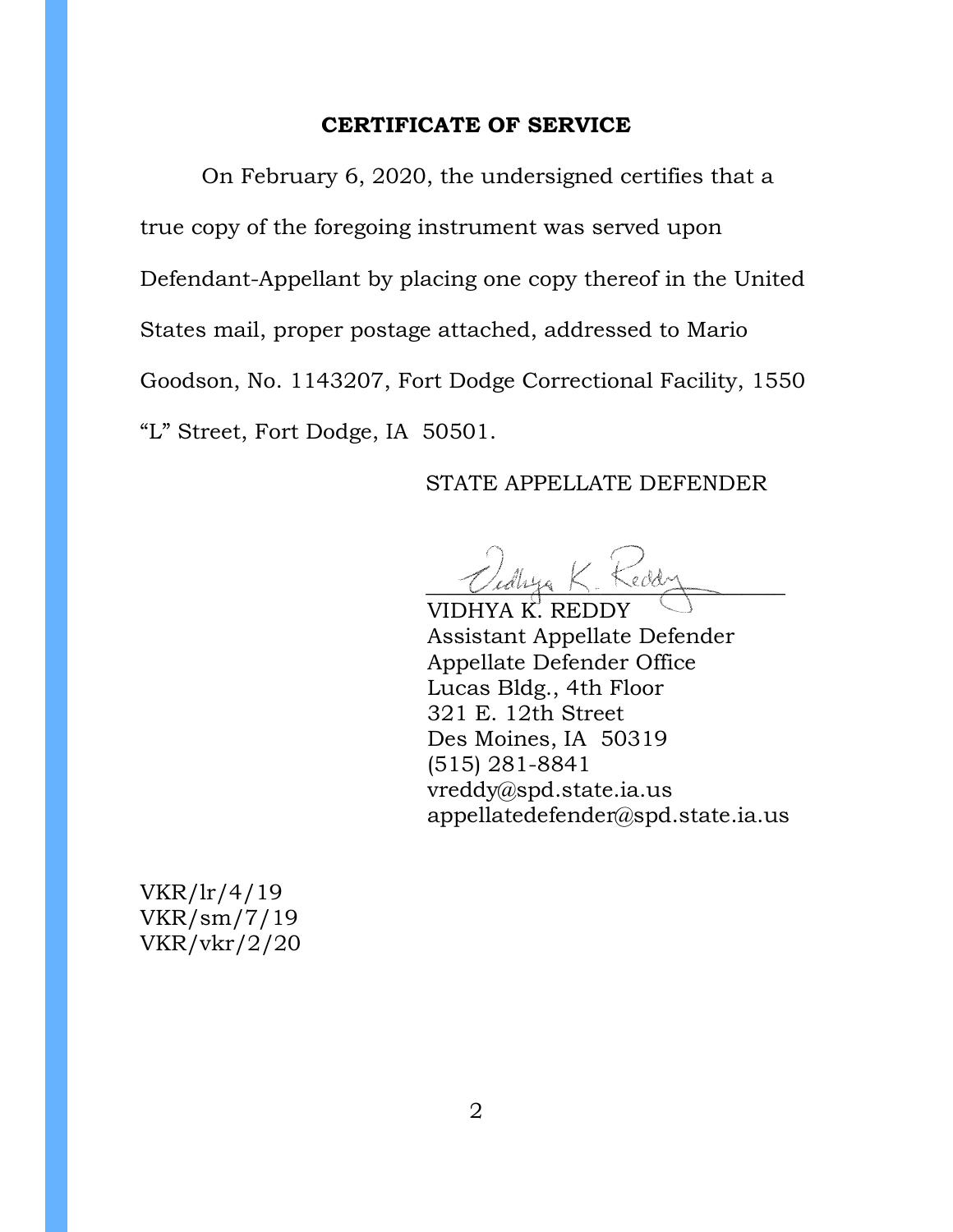#### **CERTIFICATE OF SERVICE**

On February 6, 2020, the undersigned certifies that a true copy of the foregoing instrument was served upon Defendant-Appellant by placing one copy thereof in the United States mail, proper postage attached, addressed to Mario Goodson, No. 1143207, Fort Dodge Correctional Facility, 1550 "L" Street, Fort Dodge, IA 50501.

#### STATE APPELLATE DEFENDER

Vidnya K. Reddy

VIDHYA K. REDDY Assistant Appellate Defender Appellate Defender Office Lucas Bldg., 4th Floor 321 E. 12th Street Des Moines, IA 50319 (515) 281-8841 vreddy@spd.state.ia.us appellatedefender@spd.state.ia.us

VKR/lr/4/19 VKR/sm/7/19 VKR/vkr/2/20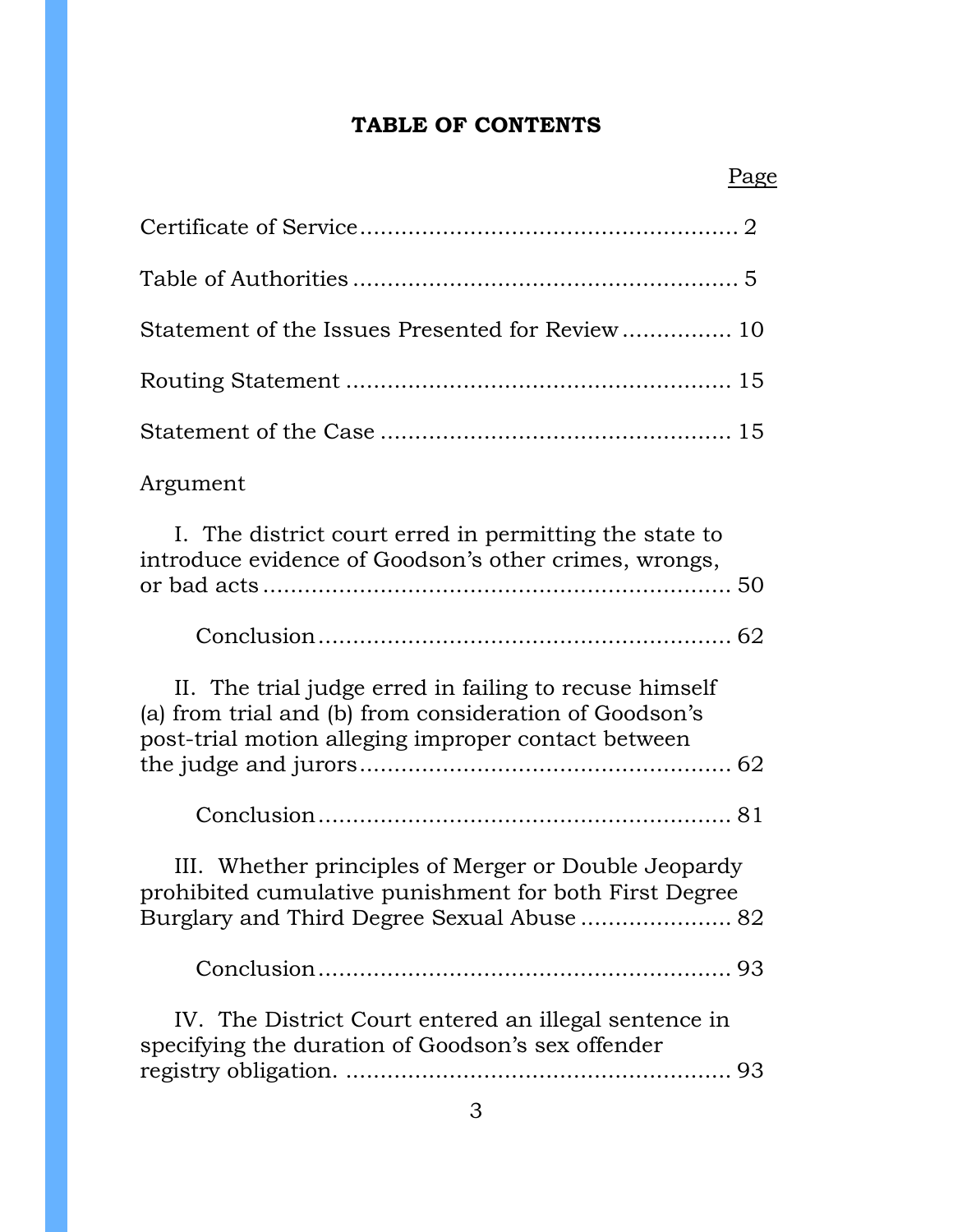# **TABLE OF CONTENTS**

| Statement of the Issues Presented for Review 10                                                                                                                         |
|-------------------------------------------------------------------------------------------------------------------------------------------------------------------------|
|                                                                                                                                                                         |
|                                                                                                                                                                         |
| Argument                                                                                                                                                                |
| I. The district court erred in permitting the state to<br>introduce evidence of Goodson's other crimes, wrongs,                                                         |
|                                                                                                                                                                         |
| II. The trial judge erred in failing to recuse himself<br>(a) from trial and (b) from consideration of Goodson's<br>post-trial motion alleging improper contact between |
|                                                                                                                                                                         |
| III. Whether principles of Merger or Double Jeopardy<br>prohibited cumulative punishment for both First Degree<br>Burglary and Third Degree Sexual Abuse  82            |
|                                                                                                                                                                         |
| IV. The District Court entered an illegal sentence in<br>specifying the duration of Goodson's sex offender                                                              |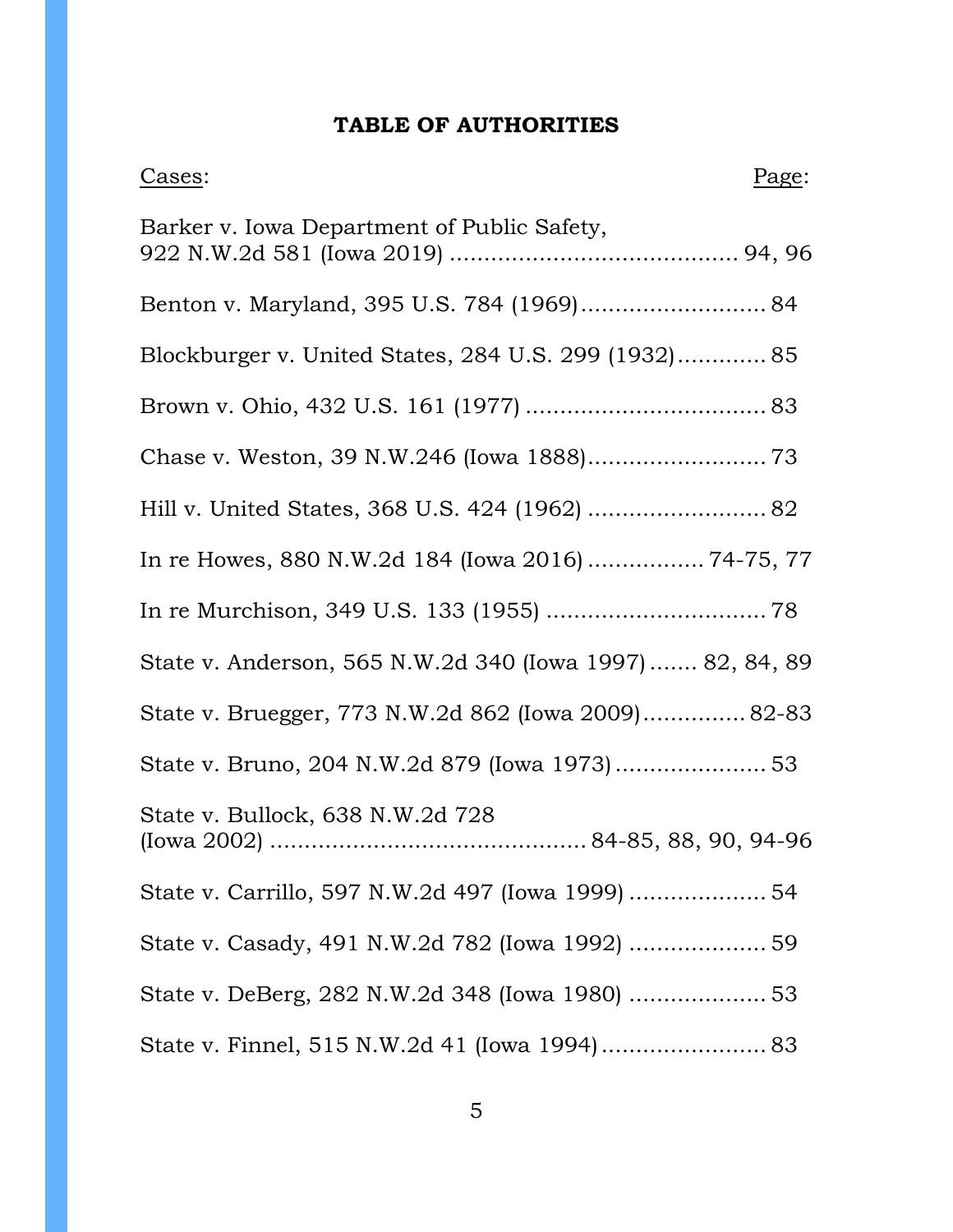## **TABLE OF AUTHORITIES**

| Cases:                                                   | Page: |
|----------------------------------------------------------|-------|
| Barker v. Iowa Department of Public Safety,              |       |
| Benton v. Maryland, 395 U.S. 784 (1969) 84               |       |
| Blockburger v. United States, 284 U.S. 299 (1932) 85     |       |
|                                                          |       |
|                                                          |       |
| Hill v. United States, 368 U.S. 424 (1962)  82           |       |
| In re Howes, 880 N.W.2d 184 (Iowa 2016)  74-75, 77       |       |
|                                                          |       |
| State v. Anderson, 565 N.W.2d 340 (Iowa 1997) 82, 84, 89 |       |
| State v. Bruegger, 773 N.W.2d 862 (Iowa 2009) 82-83      |       |
|                                                          |       |
| State v. Bullock, 638 N.W.2d 728                         |       |
| State v. Carrillo, 597 N.W.2d 497 (Iowa 1999)  54        |       |
| State v. Casady, 491 N.W.2d 782 (Iowa 1992)  59          |       |
| State v. DeBerg, 282 N.W.2d 348 (Iowa 1980)  53          |       |
| State v. Finnel, 515 N.W.2d 41 (Iowa 1994) 83            |       |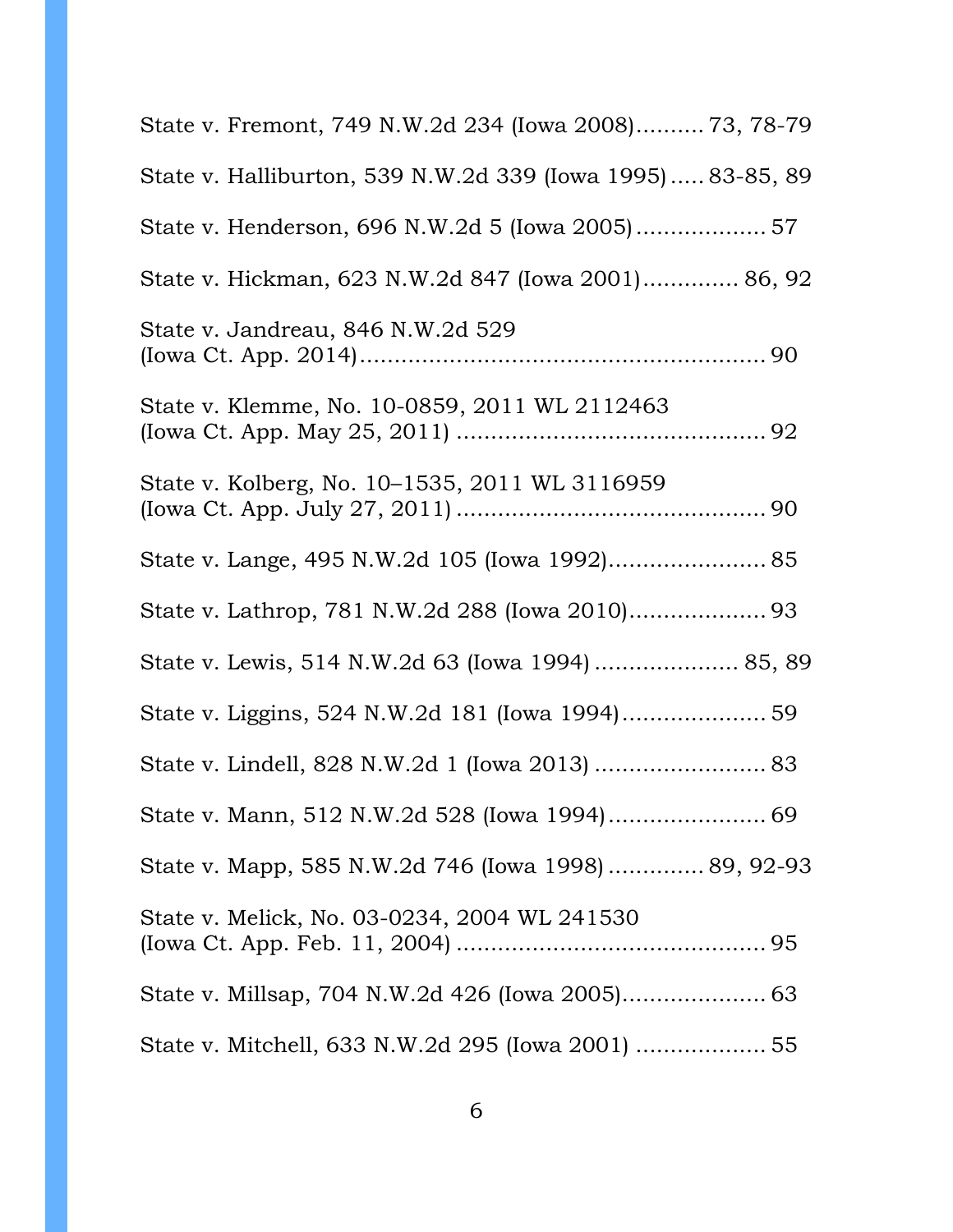| State v. Fremont, 749 N.W.2d 234 (Iowa 2008) 73, 78-79     |
|------------------------------------------------------------|
| State v. Halliburton, 539 N.W.2d 339 (Iowa 1995) 83-85, 89 |
| State v. Henderson, 696 N.W.2d 5 (Iowa 2005) 57            |
| State v. Hickman, 623 N.W.2d 847 (Iowa 2001) 86, 92        |
| State v. Jandreau, 846 N.W.2d 529                          |
| State v. Klemme, No. 10-0859, 2011 WL 2112463              |
| State v. Kolberg, No. 10–1535, 2011 WL 3116959             |
|                                                            |
|                                                            |
| State v. Lewis, 514 N.W.2d 63 (Iowa 1994)  85, 89          |
|                                                            |
|                                                            |
|                                                            |
| State v. Mapp, 585 N.W.2d 746 (Iowa 1998)  89, 92-93       |
| State v. Melick, No. 03-0234, 2004 WL 241530               |
|                                                            |
| State v. Mitchell, 633 N.W.2d 295 (Iowa 2001)  55          |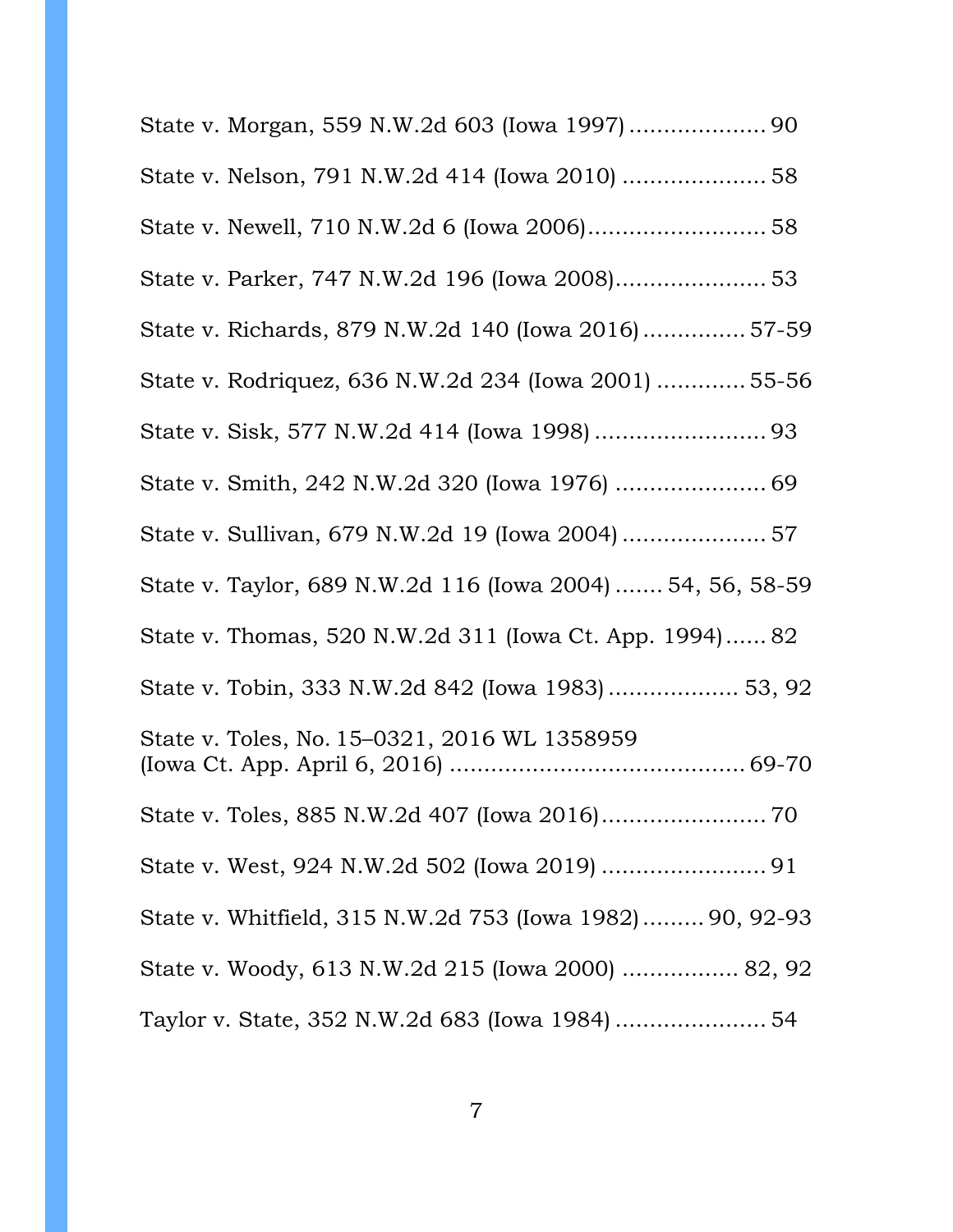| State v. Nelson, 791 N.W.2d 414 (Iowa 2010)  58            |
|------------------------------------------------------------|
|                                                            |
|                                                            |
| State v. Richards, 879 N.W.2d 140 (Iowa 2016) 57-59        |
| State v. Rodriquez, 636 N.W.2d 234 (Iowa 2001)  55-56      |
|                                                            |
|                                                            |
| State v. Sullivan, 679 N.W.2d 19 (Iowa 2004)  57           |
| State v. Taylor, 689 N.W.2d 116 (Iowa 2004)  54, 56, 58-59 |
| State v. Thomas, 520 N.W.2d 311 (Iowa Ct. App. 1994) 82    |
| State v. Tobin, 333 N.W.2d 842 (Iowa 1983) 53, 92          |
| State v. Toles, No. 15-0321, 2016 WL 1358959               |
|                                                            |
|                                                            |
| State v. Whitfield, 315 N.W.2d 753 (Iowa 1982)  90, 92-93  |
| State v. Woody, 613 N.W.2d 215 (Iowa 2000)  82, 92         |
| Taylor v. State, 352 N.W.2d 683 (Iowa 1984)  54            |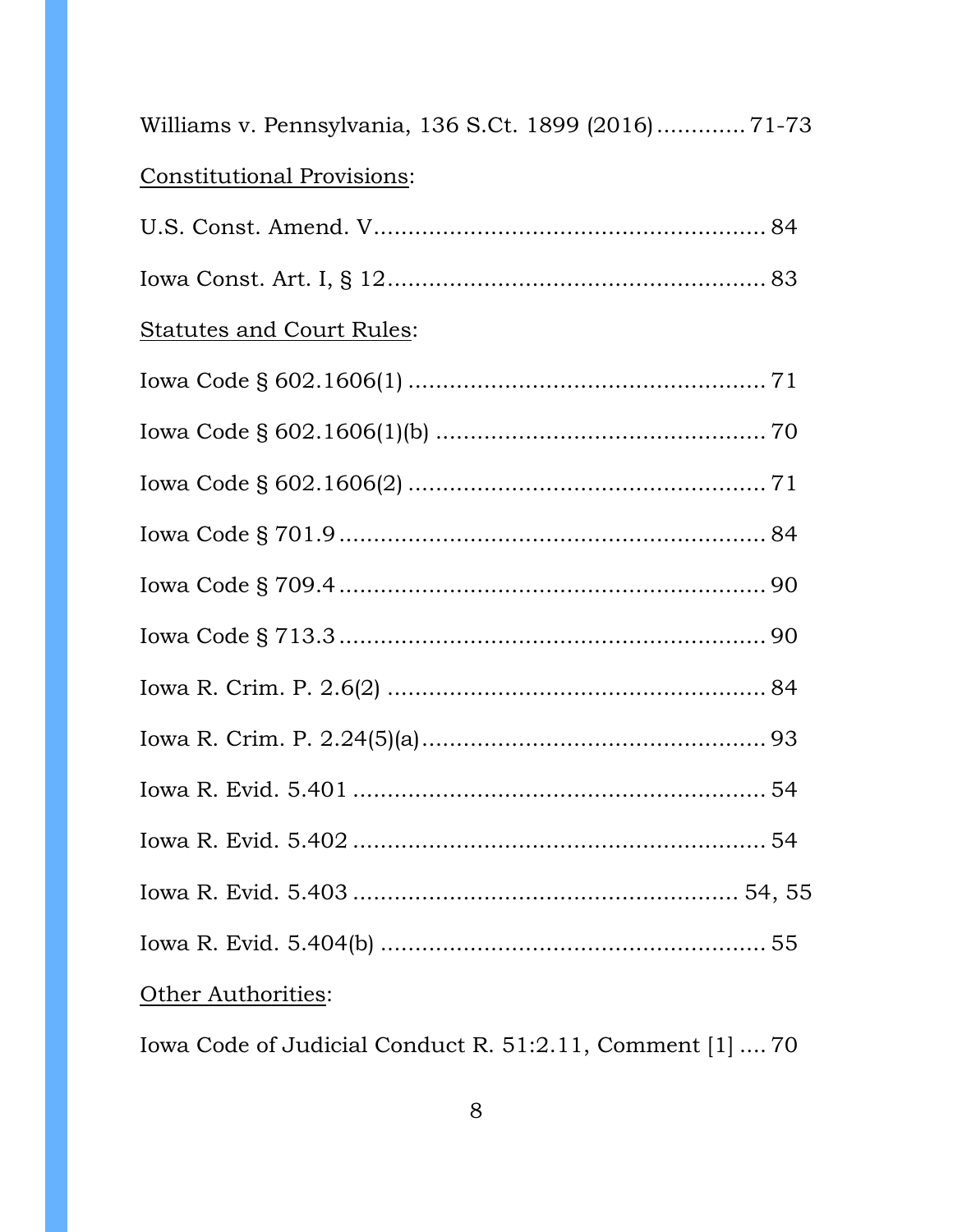| Williams v. Pennsylvania, 136 S.Ct. 1899 (2016) 71-73 |
|-------------------------------------------------------|
| <b>Constitutional Provisions:</b>                     |
|                                                       |
|                                                       |
| <b>Statutes and Court Rules:</b>                      |
|                                                       |
|                                                       |
|                                                       |
|                                                       |
|                                                       |
|                                                       |
|                                                       |
|                                                       |
|                                                       |
|                                                       |
|                                                       |
|                                                       |
| Other Authorities:                                    |

Iowa Code of Judicial Conduct R. 51:2.11, Comment [1] .... 70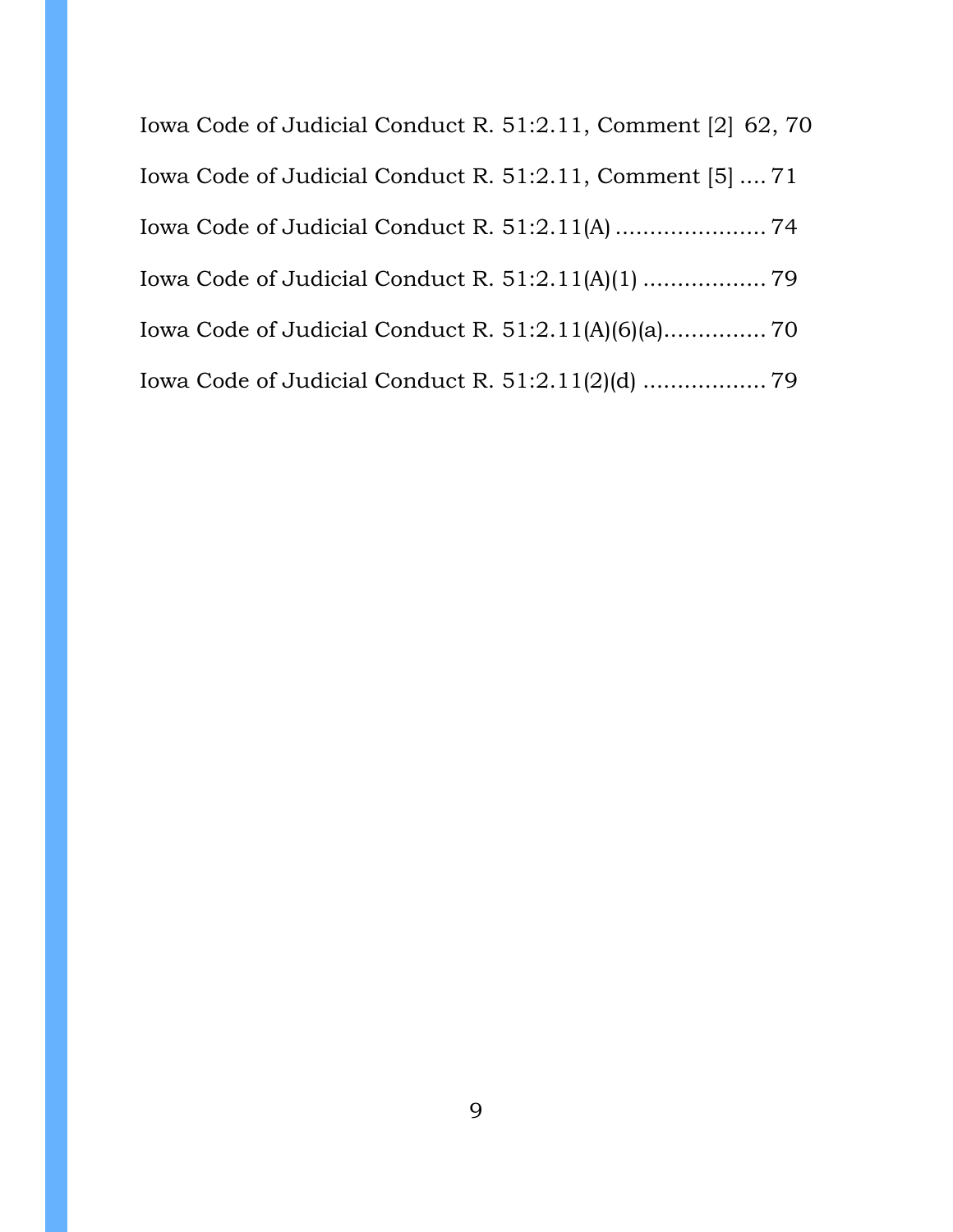Iowa Code of Judicial Conduct R. 51:2.11, Comment [2] 62, 70 Iowa Code of Judicial Conduct R. 51:2.11, Comment [5] .... 71 Iowa Code of Judicial Conduct R. 51:2.11(A) ...................... 74 Iowa Code of Judicial Conduct R. 51:2.11(A)(1) .................. 79 Iowa Code of Judicial Conduct R. 51:2.11(A)(6)(a)............... 70 Iowa Code of Judicial Conduct R. 51:2.11(2)(d) .................. 79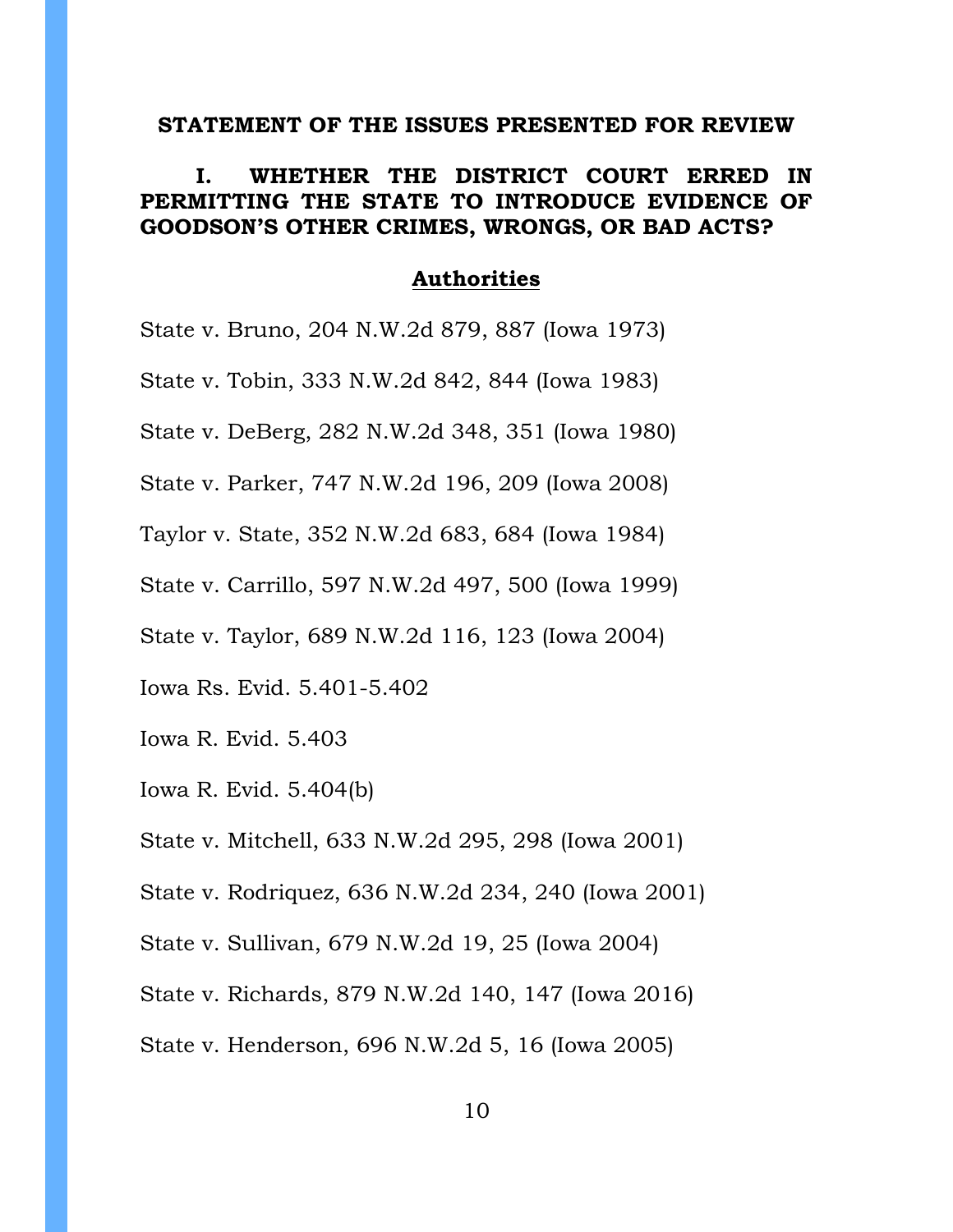#### **STATEMENT OF THE ISSUES PRESENTED FOR REVIEW**

### **I. WHETHER THE DISTRICT COURT ERRED IN PERMITTING THE STATE TO INTRODUCE EVIDENCE OF GOODSON'S OTHER CRIMES, WRONGS, OR BAD ACTS?**

#### **Authorities**

State v. Bruno, 204 N.W.2d 879, 887 (Iowa 1973)

State v. Tobin, 333 N.W.2d 842, 844 (Iowa 1983)

State v. DeBerg, 282 N.W.2d 348, 351 (Iowa 1980)

State v. Parker, 747 N.W.2d 196, 209 (Iowa 2008)

Taylor v. State, 352 N.W.2d 683, 684 (Iowa 1984)

State v. Carrillo, 597 N.W.2d 497, 500 (Iowa 1999)

State v. Taylor, 689 N.W.2d 116, 123 (Iowa 2004)

Iowa Rs. Evid. 5.401-5.402

Iowa R. Evid. 5.403

Iowa R. Evid. 5.404(b)

State v. Mitchell, 633 N.W.2d 295, 298 (Iowa 2001)

State v. Rodriquez, 636 N.W.2d 234, 240 (Iowa 2001)

State v. Sullivan, 679 N.W.2d 19, 25 (Iowa 2004)

State v. Richards, 879 N.W.2d 140, 147 (Iowa 2016)

State v. Henderson, 696 N.W.2d 5, 16 (Iowa 2005)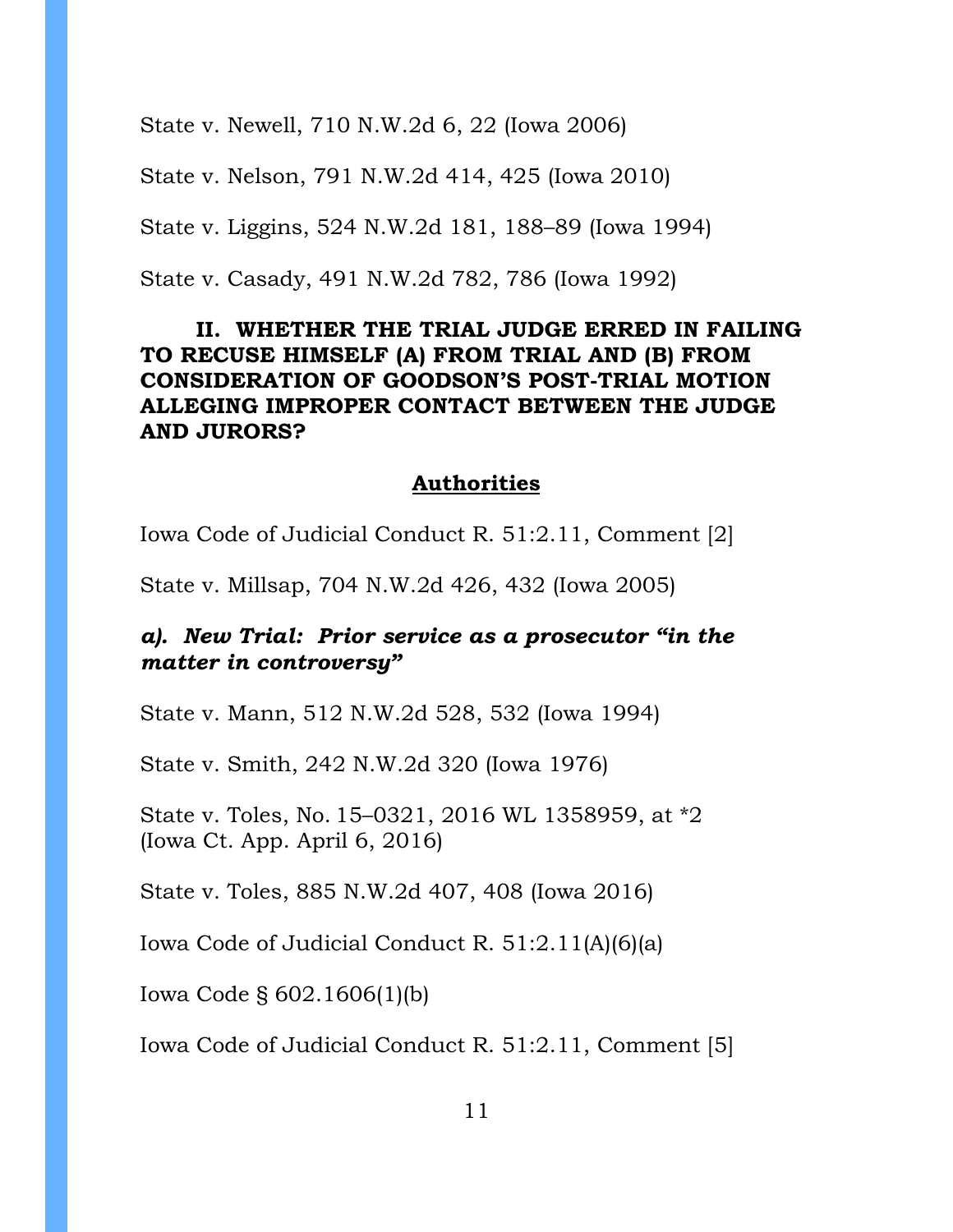State v. Newell, 710 N.W.2d 6, 22 (Iowa 2006)

State v. Nelson, 791 N.W.2d 414, 425 (Iowa 2010)

State v. Liggins, 524 N.W.2d 181, 188–89 (Iowa 1994)

State v. Casady, 491 N.W.2d 782, 786 (Iowa 1992)

## **II. WHETHER THE TRIAL JUDGE ERRED IN FAILING TO RECUSE HIMSELF (A) FROM TRIAL AND (B) FROM CONSIDERATION OF GOODSON'S POST-TRIAL MOTION ALLEGING IMPROPER CONTACT BETWEEN THE JUDGE AND JURORS?**

### **Authorities**

Iowa Code of Judicial Conduct R. 51:2.11, Comment [2]

State v. Millsap, 704 N.W.2d 426, 432 (Iowa 2005)

### *a). New Trial: Prior service as a prosecutor "in the matter in controversy"*

State v. Mann, 512 N.W.2d 528, 532 (Iowa 1994)

State v. Smith, 242 N.W.2d 320 (Iowa 1976)

State v. Toles, No. 15–0321, 2016 WL 1358959, at \*2 (Iowa Ct. App. April 6, 2016)

State v. Toles, 885 N.W.2d 407, 408 (Iowa 2016)

Iowa Code of Judicial Conduct R. 51:2.11(A)(6)(a)

Iowa Code § 602.1606(1)(b)

Iowa Code of Judicial Conduct R. 51:2.11, Comment [5]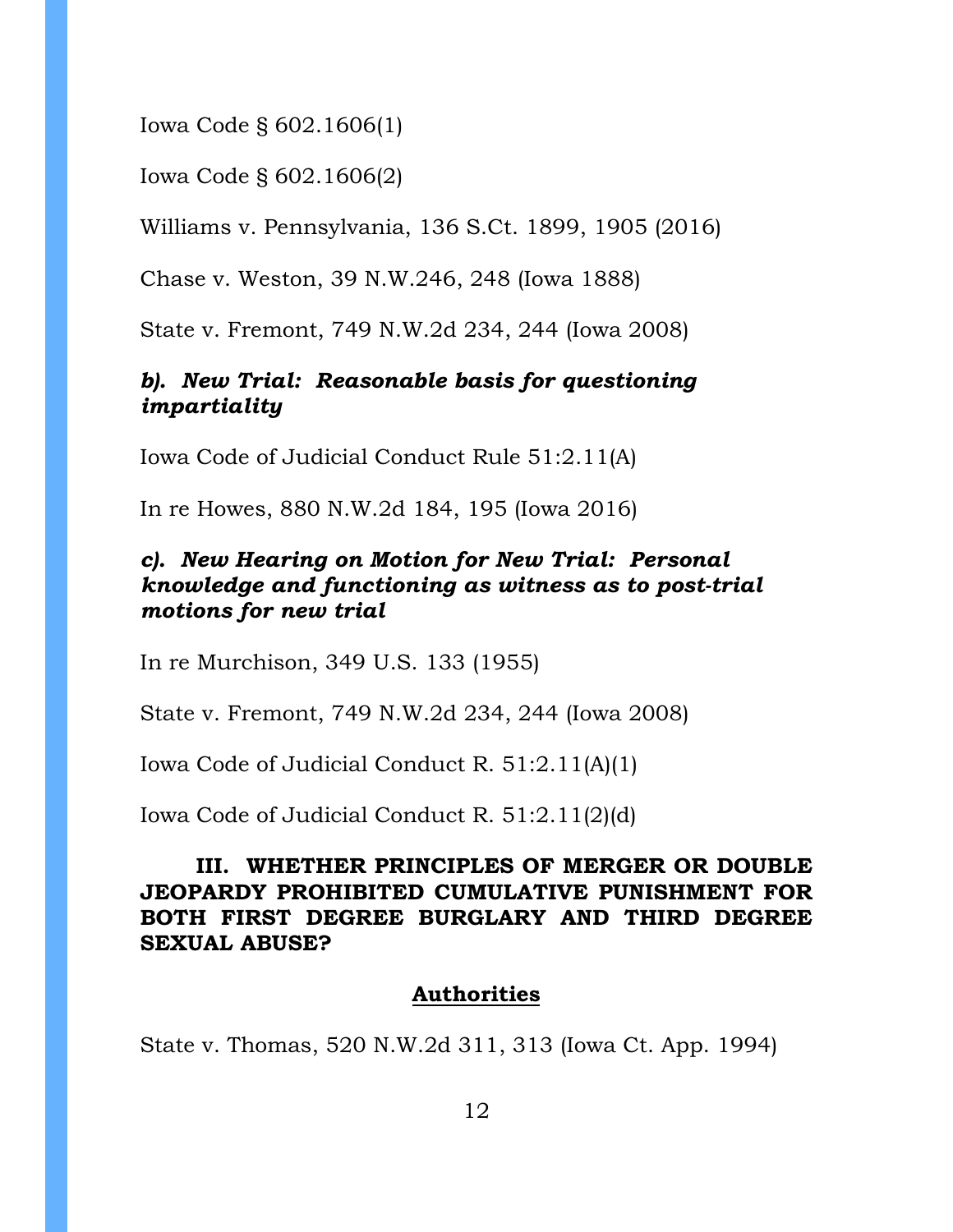Iowa Code § 602.1606(1)

Iowa Code § 602.1606(2)

Williams v. Pennsylvania, 136 S.Ct. 1899, 1905 (2016)

Chase v. Weston, 39 N.W.246, 248 (Iowa 1888)

State v. Fremont, 749 N.W.2d 234, 244 (Iowa 2008)

## *b). New Trial: Reasonable basis for questioning impartiality*

Iowa Code of Judicial Conduct Rule 51:2.11(A)

In re Howes, 880 N.W.2d 184, 195 (Iowa 2016)

## *c). New Hearing on Motion for New Trial: Personal knowledge and functioning as witness as to post-trial motions for new trial*

In re Murchison, 349 U.S. 133 (1955)

State v. Fremont, 749 N.W.2d 234, 244 (Iowa 2008)

Iowa Code of Judicial Conduct R. 51:2.11(A)(1)

Iowa Code of Judicial Conduct R. 51:2.11(2)(d)

## **III. WHETHER PRINCIPLES OF MERGER OR DOUBLE JEOPARDY PROHIBITED CUMULATIVE PUNISHMENT FOR BOTH FIRST DEGREE BURGLARY AND THIRD DEGREE SEXUAL ABUSE?**

# **Authorities**

State v. Thomas, 520 N.W.2d 311, 313 (Iowa Ct. App. 1994)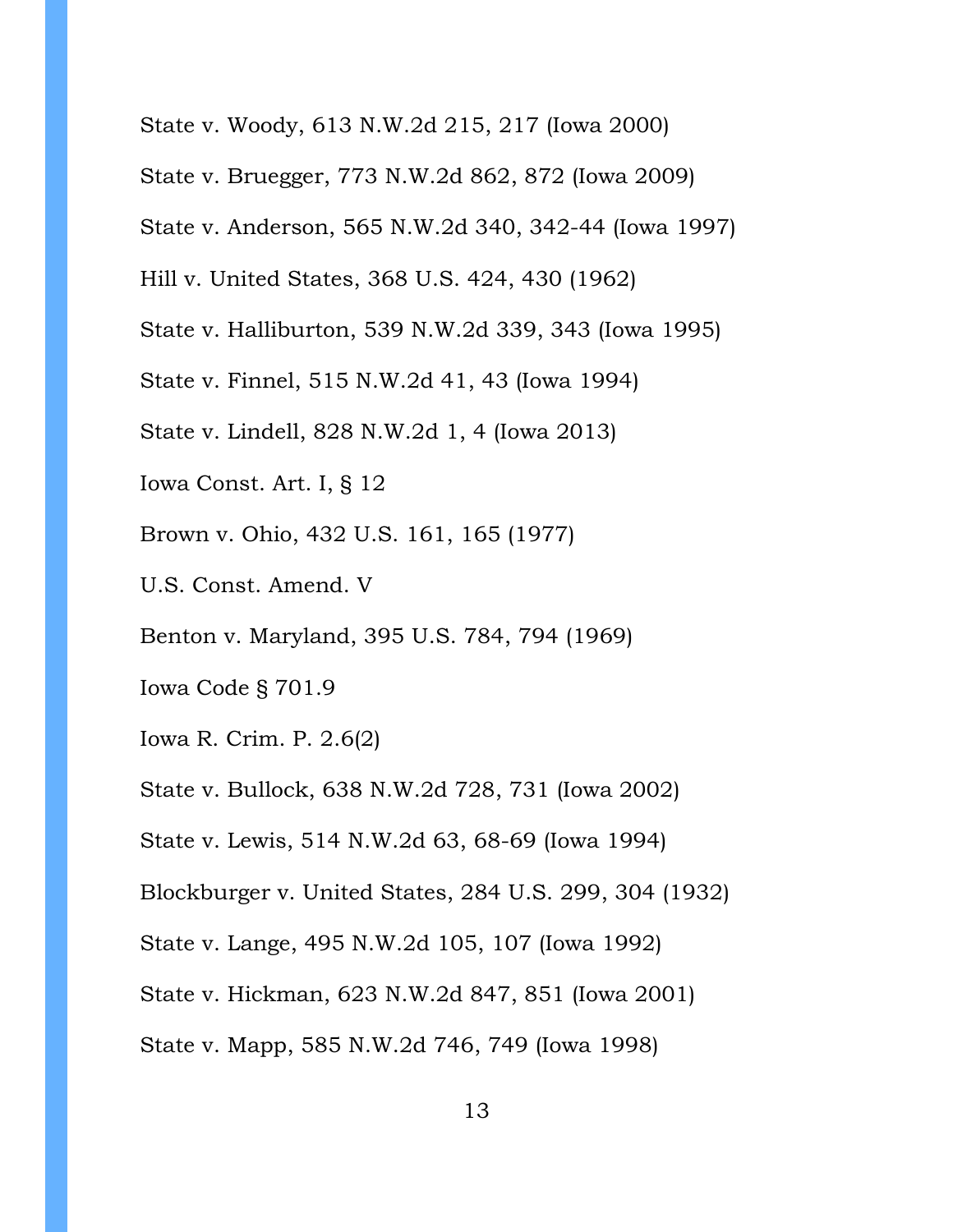- State v. Woody, 613 N.W.2d 215, 217 (Iowa 2000)
- State v. Bruegger, 773 N.W.2d 862, 872 (Iowa 2009)
- State v. Anderson, 565 N.W.2d 340, 342-44 (Iowa 1997)
- Hill v. United States, 368 U.S. 424, 430 (1962)
- State v. Halliburton, 539 N.W.2d 339, 343 (Iowa 1995)
- State v. Finnel, 515 N.W.2d 41, 43 (Iowa 1994)
- State v. Lindell, 828 N.W.2d 1, 4 (Iowa 2013)
- Iowa Const. Art. I, § 12
- Brown v. Ohio, 432 U.S. 161, 165 (1977)
- U.S. Const. Amend. V
- Benton v. Maryland, 395 U.S. 784, 794 (1969)
- Iowa Code § 701.9
- Iowa R. Crim. P. 2.6(2)
- State v. Bullock, 638 N.W.2d 728, 731 (Iowa 2002)
- State v. Lewis, 514 N.W.2d 63, 68-69 (Iowa 1994)
- Blockburger v. United States, 284 U.S. 299, 304 (1932)
- State v. Lange, 495 N.W.2d 105, 107 (Iowa 1992)
- State v. Hickman, 623 N.W.2d 847, 851 (Iowa 2001)
- State v. Mapp, 585 N.W.2d 746, 749 (Iowa 1998)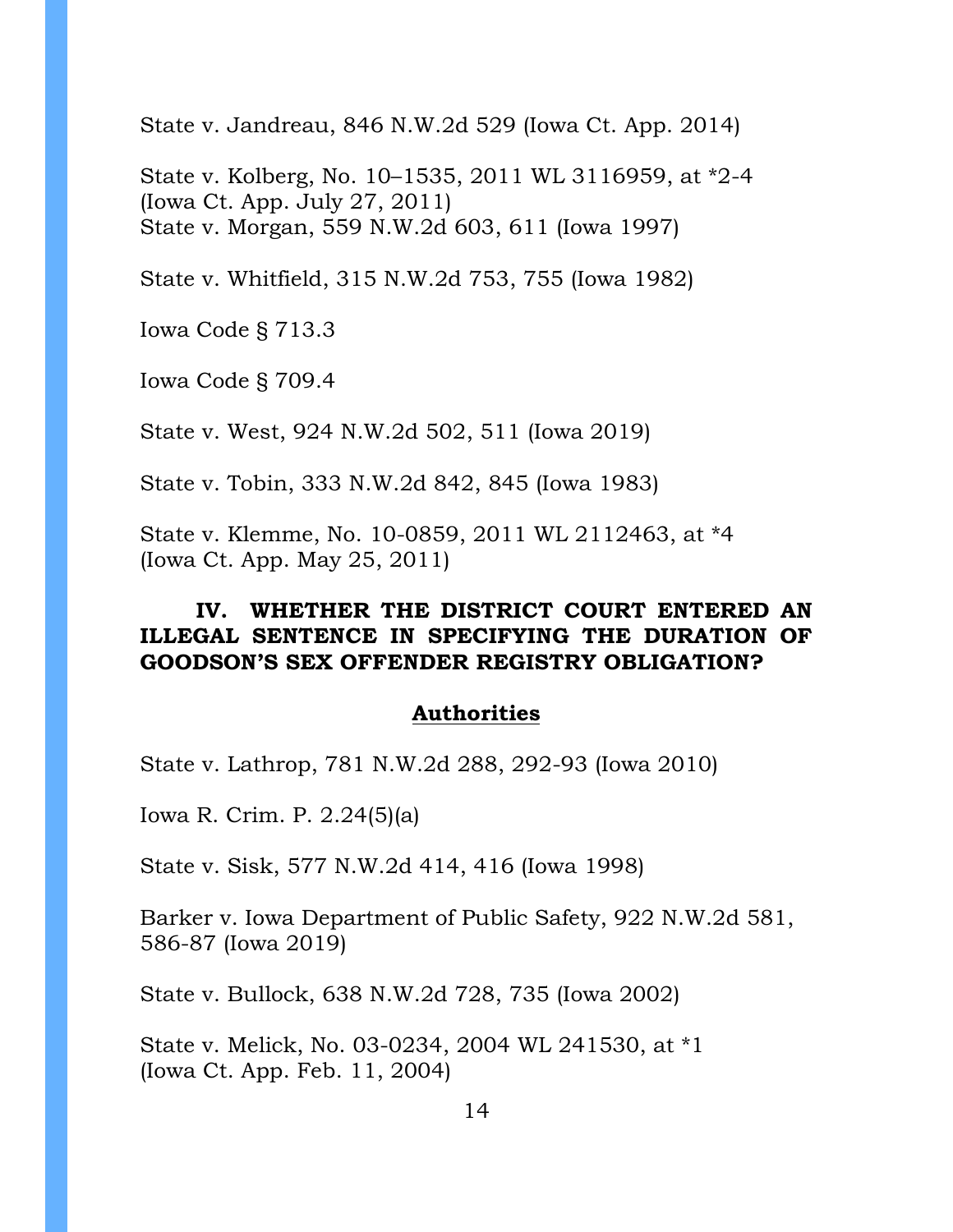State v. Jandreau, 846 N.W.2d 529 (Iowa Ct. App. 2014)

State v. Kolberg, No. 10–1535, 2011 WL 3116959, at \*2-4 (Iowa Ct. App. July 27, 2011) State v. Morgan, 559 N.W.2d 603, 611 (Iowa 1997)

State v. Whitfield, 315 N.W.2d 753, 755 (Iowa 1982)

Iowa Code § 713.3

Iowa Code § 709.4

State v. West, 924 N.W.2d 502, 511 (Iowa 2019)

State v. Tobin, 333 N.W.2d 842, 845 (Iowa 1983)

State v. Klemme, No. 10-0859, 2011 WL 2112463, at \*4 (Iowa Ct. App. May 25, 2011)

#### **IV. WHETHER THE DISTRICT COURT ENTERED AN ILLEGAL SENTENCE IN SPECIFYING THE DURATION OF GOODSON'S SEX OFFENDER REGISTRY OBLIGATION?**

#### **Authorities**

State v. Lathrop, 781 N.W.2d 288, 292-93 (Iowa 2010)

Iowa R. Crim. P. 2.24(5)(a)

State v. Sisk, 577 N.W.2d 414, 416 (Iowa 1998)

Barker v. Iowa Department of Public Safety, 922 N.W.2d 581, 586-87 (Iowa 2019)

State v. Bullock, 638 N.W.2d 728, 735 (Iowa 2002)

State v. Melick, No. 03-0234, 2004 WL 241530, at \*1 (Iowa Ct. App. Feb. 11, 2004)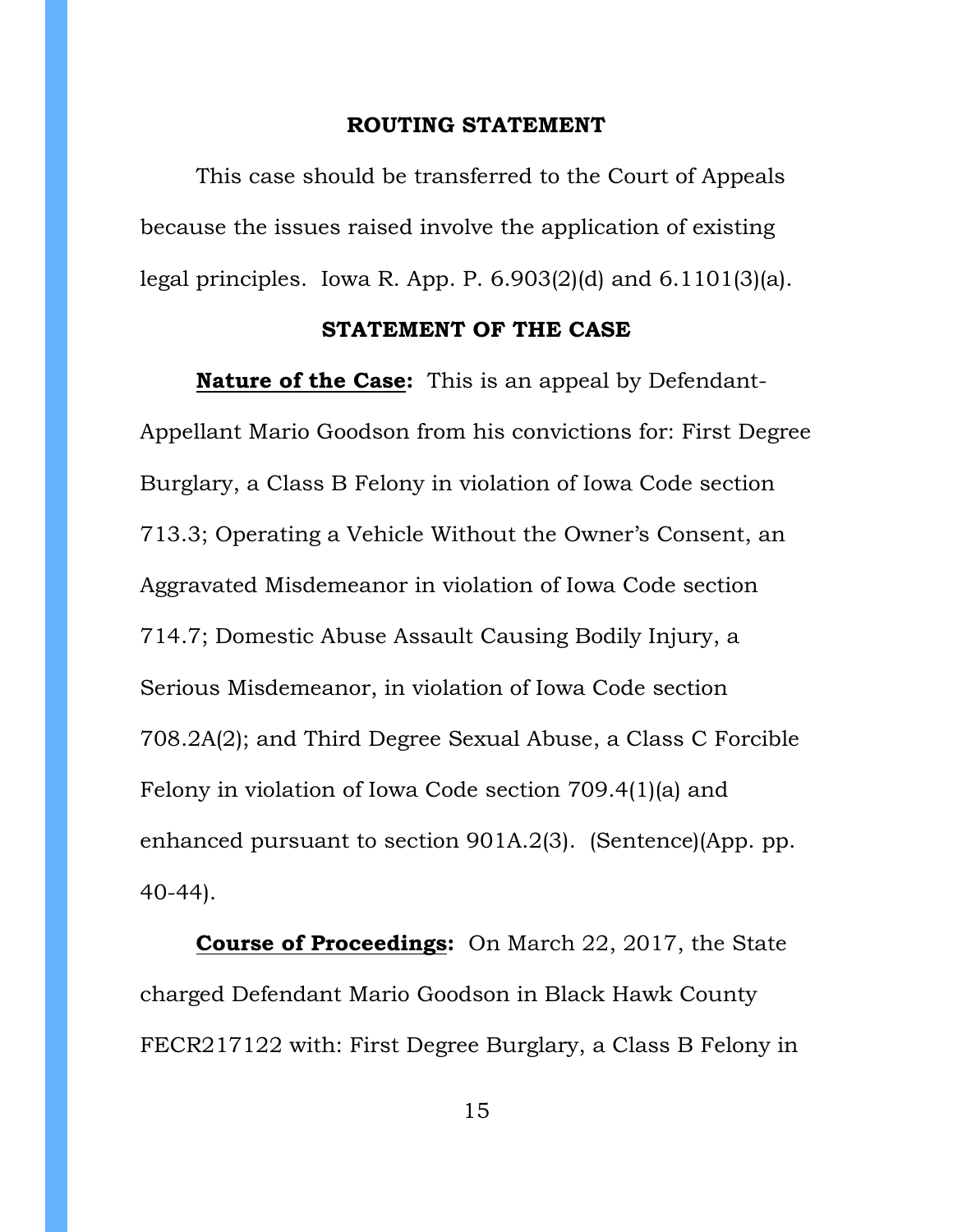#### **ROUTING STATEMENT**

This case should be transferred to the Court of Appeals because the issues raised involve the application of existing legal principles. Iowa R. App. P. 6.903(2)(d) and 6.1101(3)(a).

#### **STATEMENT OF THE CASE**

**Nature of the Case:** This is an appeal by Defendant-Appellant Mario Goodson from his convictions for: First Degree Burglary, a Class B Felony in violation of Iowa Code section 713.3; Operating a Vehicle Without the Owner's Consent, an Aggravated Misdemeanor in violation of Iowa Code section 714.7; Domestic Abuse Assault Causing Bodily Injury, a Serious Misdemeanor, in violation of Iowa Code section 708.2A(2); and Third Degree Sexual Abuse, a Class C Forcible Felony in violation of Iowa Code section 709.4(1)(a) and enhanced pursuant to section 901A.2(3). (Sentence)(App. pp. 40-44).

**Course of Proceedings:** On March 22, 2017, the State charged Defendant Mario Goodson in Black Hawk County FECR217122 with: First Degree Burglary, a Class B Felony in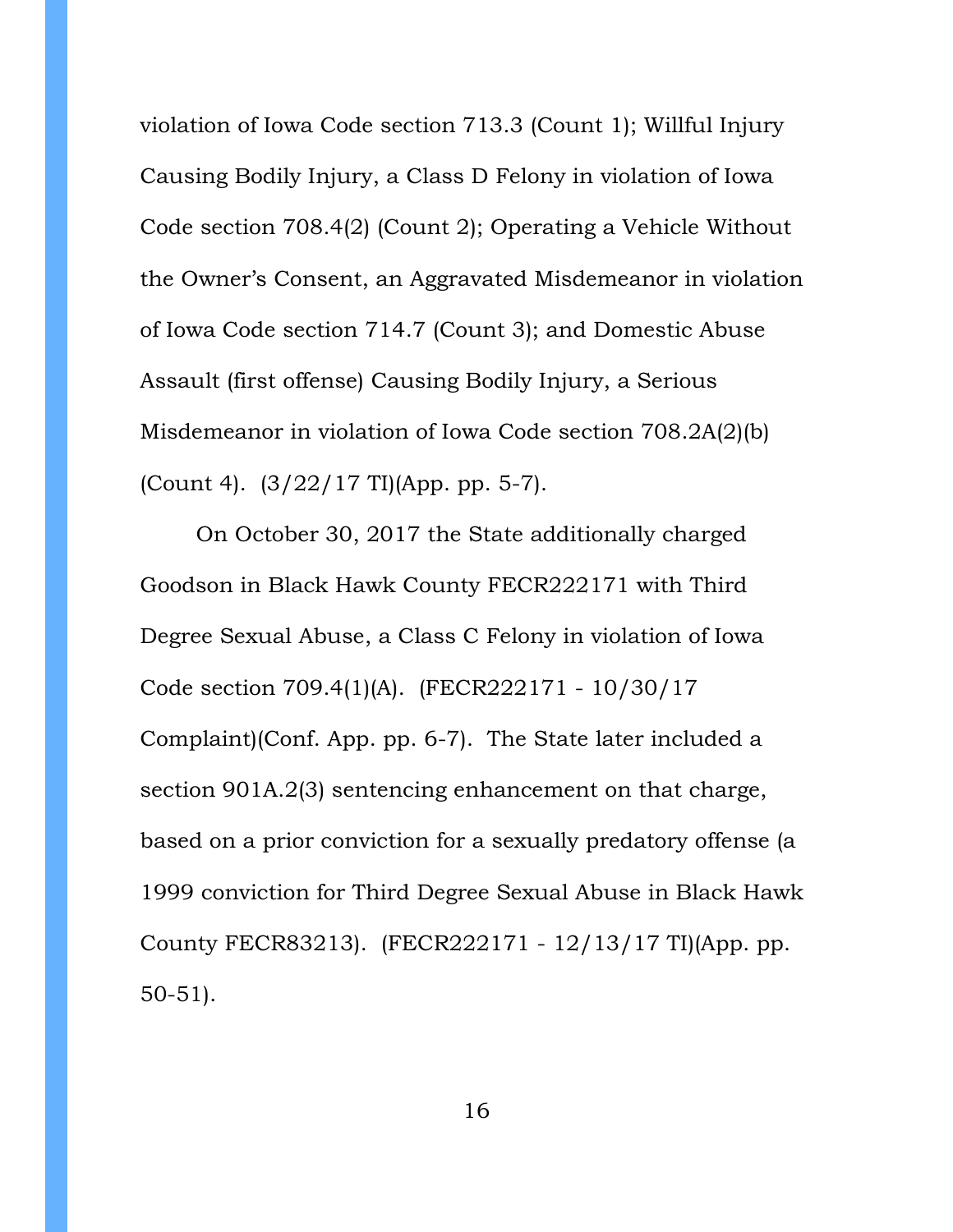violation of Iowa Code section 713.3 (Count 1); Willful Injury Causing Bodily Injury, a Class D Felony in violation of Iowa Code section 708.4(2) (Count 2); Operating a Vehicle Without the Owner's Consent, an Aggravated Misdemeanor in violation of Iowa Code section 714.7 (Count 3); and Domestic Abuse Assault (first offense) Causing Bodily Injury, a Serious Misdemeanor in violation of Iowa Code section 708.2A(2)(b) (Count 4). (3/22/17 TI)(App. pp. 5-7).

On October 30, 2017 the State additionally charged Goodson in Black Hawk County FECR222171 with Third Degree Sexual Abuse, a Class C Felony in violation of Iowa Code section 709.4(1)(A). (FECR222171 - 10/30/17 Complaint)(Conf. App. pp. 6-7). The State later included a section 901A.2(3) sentencing enhancement on that charge, based on a prior conviction for a sexually predatory offense (a 1999 conviction for Third Degree Sexual Abuse in Black Hawk County FECR83213). (FECR222171 - 12/13/17 TI)(App. pp. 50-51).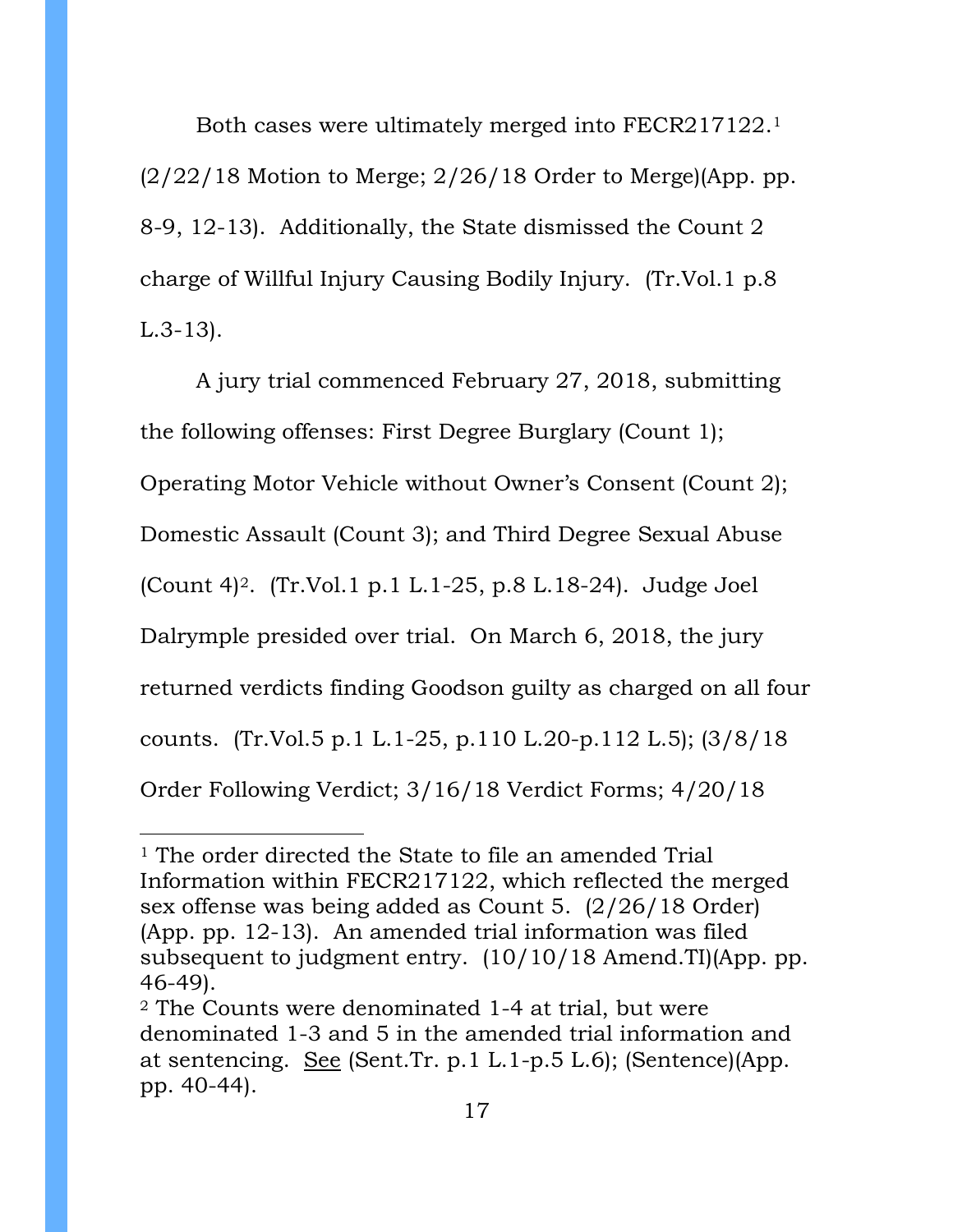Both cases were ultimately merged into FECR217122.[1](#page-16-0)  $(2/22/18$  Motion to Merge;  $2/26/18$  Order to Merge)(App. pp. 8-9, 12-13). Additionally, the State dismissed the Count 2 charge of Willful Injury Causing Bodily Injury. (Tr.Vol.1 p.8 L.3-13).

A jury trial commenced February 27, 2018, submitting the following offenses: First Degree Burglary (Count 1); Operating Motor Vehicle without Owner's Consent (Count 2); Domestic Assault (Count 3); and Third Degree Sexual Abuse (Count 4)[2.](#page-16-1) (Tr.Vol.1 p.1 L.1-25, p.8 L.18-24). Judge Joel Dalrymple presided over trial. On March 6, 2018, the jury returned verdicts finding Goodson guilty as charged on all four counts. (Tr.Vol.5 p.1 L.1-25, p.110 L.20-p.112 L.5); (3/8/18 Order Following Verdict; 3/16/18 Verdict Forms; 4/20/18

 $\overline{a}$ 

<span id="page-16-0"></span><sup>1</sup> The order directed the State to file an amended Trial Information within FECR217122, which reflected the merged sex offense was being added as Count 5. (2/26/18 Order) (App. pp. 12-13). An amended trial information was filed subsequent to judgment entry. (10/10/18 Amend.TI)(App. pp. 46-49).

<span id="page-16-1"></span><sup>2</sup> The Counts were denominated 1-4 at trial, but were denominated 1-3 and 5 in the amended trial information and at sentencing. See (Sent.Tr. p.1 L.1-p.5 L.6); (Sentence)(App. pp. 40-44).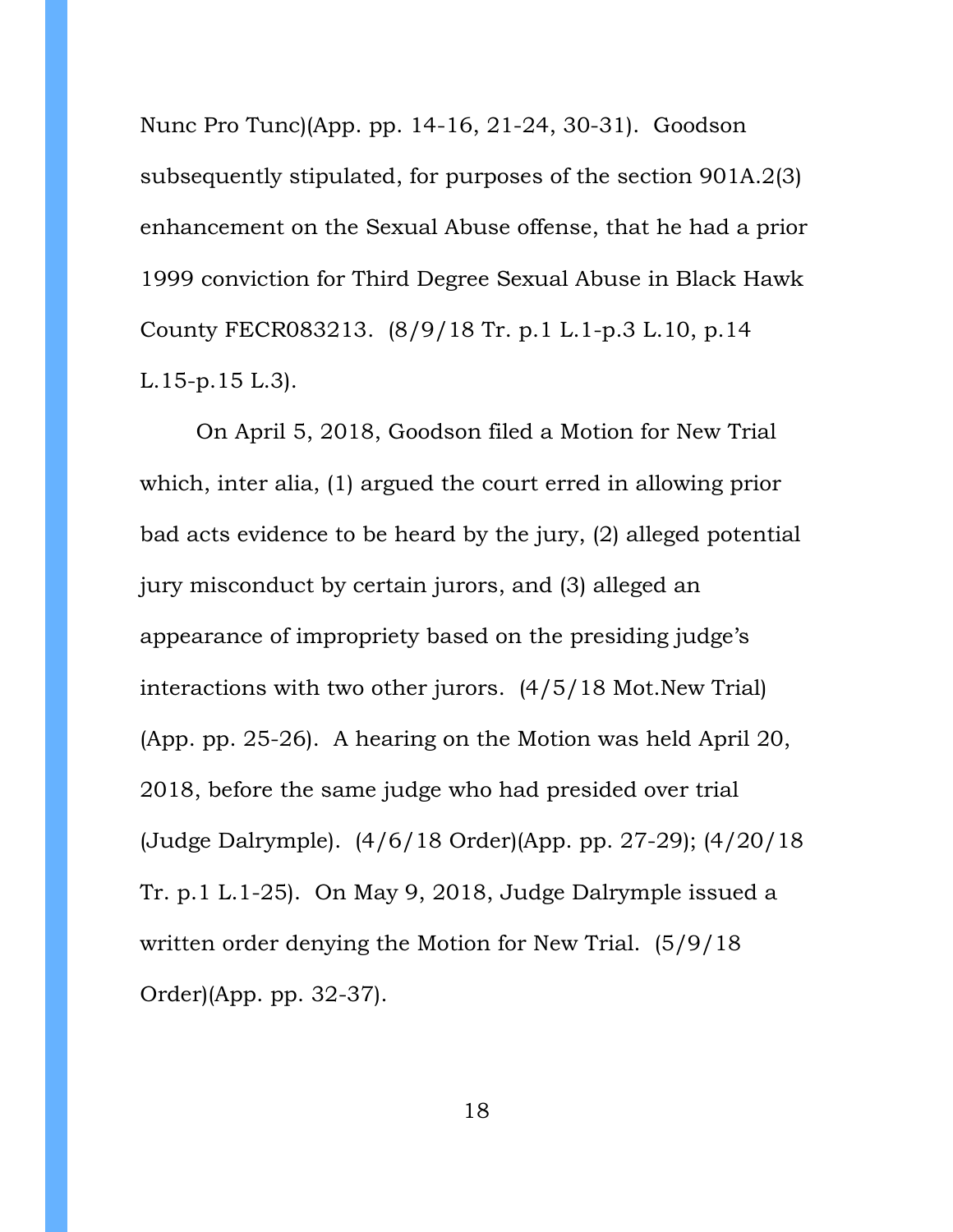Nunc Pro Tunc)(App. pp. 14-16, 21-24, 30-31). Goodson subsequently stipulated, for purposes of the section 901A.2(3) enhancement on the Sexual Abuse offense, that he had a prior 1999 conviction for Third Degree Sexual Abuse in Black Hawk County FECR083213. (8/9/18 Tr. p.1 L.1-p.3 L.10, p.14 L.15-p.15 L.3).

On April 5, 2018, Goodson filed a Motion for New Trial which, inter alia, (1) argued the court erred in allowing prior bad acts evidence to be heard by the jury, (2) alleged potential jury misconduct by certain jurors, and (3) alleged an appearance of impropriety based on the presiding judge's interactions with two other jurors. (4/5/18 Mot.New Trial) (App. pp. 25-26). A hearing on the Motion was held April 20, 2018, before the same judge who had presided over trial (Judge Dalrymple). (4/6/18 Order)(App. pp. 27-29); (4/20/18 Tr. p.1 L.1-25). On May 9, 2018, Judge Dalrymple issued a written order denying the Motion for New Trial. (5/9/18 Order)(App. pp. 32-37).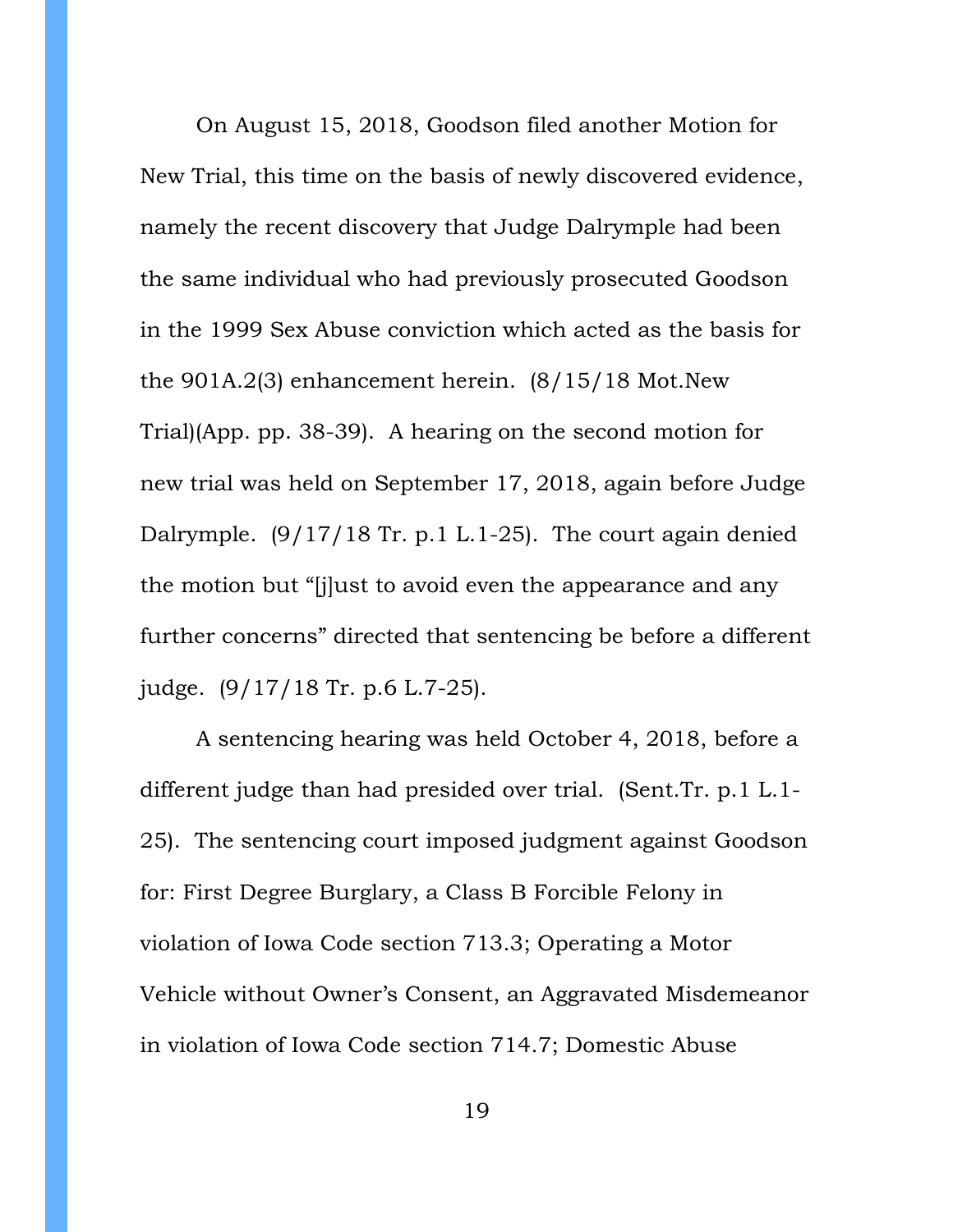On August 15, 2018, Goodson filed another Motion for New Trial, this time on the basis of newly discovered evidence, namely the recent discovery that Judge Dalrymple had been the same individual who had previously prosecuted Goodson in the 1999 Sex Abuse conviction which acted as the basis for the 901A.2(3) enhancement herein. (8/15/18 Mot.New Trial)(App. pp. 38-39). A hearing on the second motion for new trial was held on September 17, 2018, again before Judge Dalrymple.  $(9/17/18$  Tr. p.1 L.1-25). The court again denied the motion but "[j]ust to avoid even the appearance and any further concerns" directed that sentencing be before a different judge. (9/17/18 Tr. p.6 L.7-25).

A sentencing hearing was held October 4, 2018, before a different judge than had presided over trial. (Sent.Tr. p.1 L.1- 25). The sentencing court imposed judgment against Goodson for: First Degree Burglary, a Class B Forcible Felony in violation of Iowa Code section 713.3; Operating a Motor Vehicle without Owner's Consent, an Aggravated Misdemeanor in violation of Iowa Code section 714.7; Domestic Abuse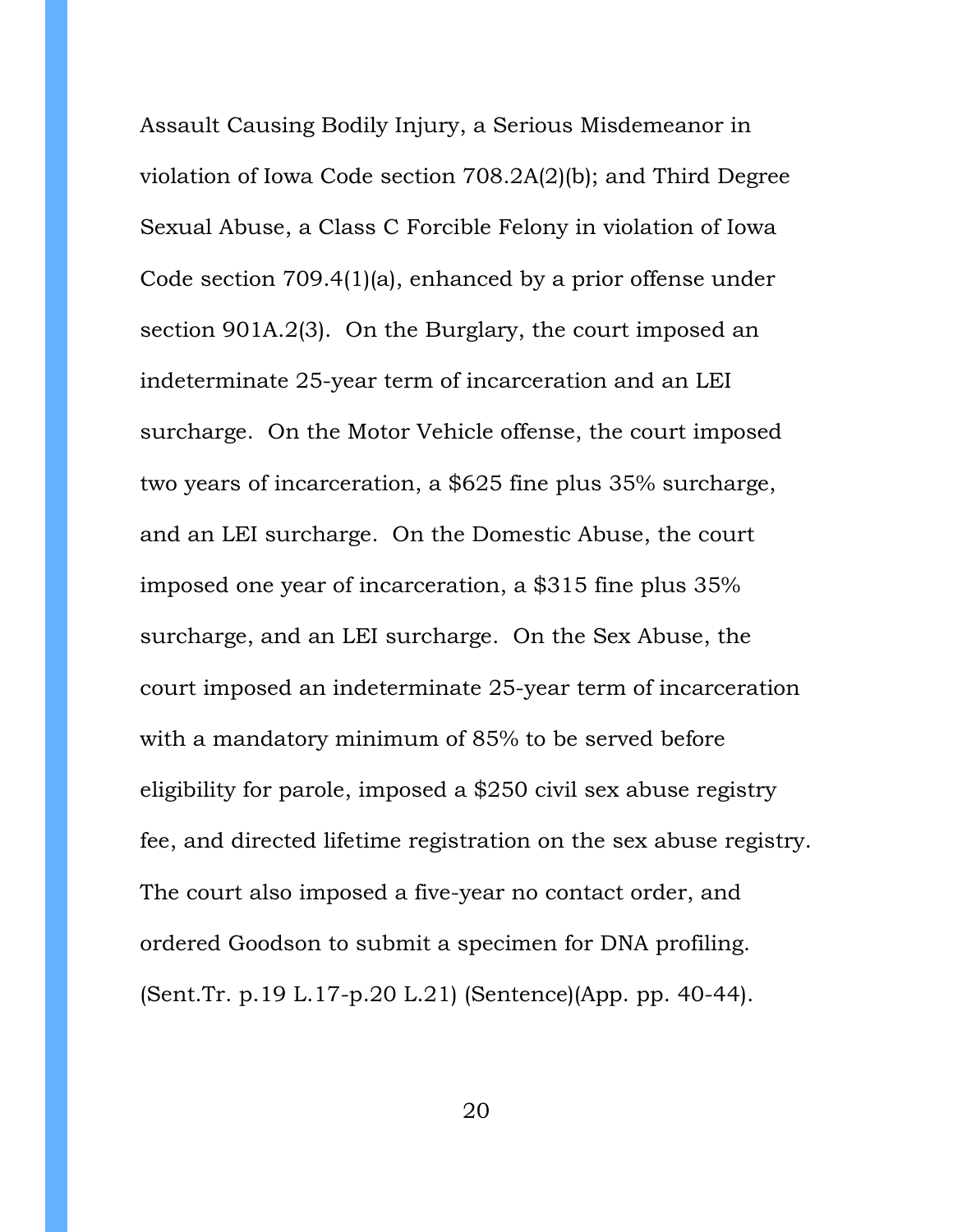Assault Causing Bodily Injury, a Serious Misdemeanor in violation of Iowa Code section 708.2A(2)(b); and Third Degree Sexual Abuse, a Class C Forcible Felony in violation of Iowa Code section 709.4(1)(a), enhanced by a prior offense under section 901A.2(3). On the Burglary, the court imposed an indeterminate 25-year term of incarceration and an LEI surcharge. On the Motor Vehicle offense, the court imposed two years of incarceration, a \$625 fine plus 35% surcharge, and an LEI surcharge. On the Domestic Abuse, the court imposed one year of incarceration, a \$315 fine plus 35% surcharge, and an LEI surcharge. On the Sex Abuse, the court imposed an indeterminate 25-year term of incarceration with a mandatory minimum of 85% to be served before eligibility for parole, imposed a \$250 civil sex abuse registry fee, and directed lifetime registration on the sex abuse registry. The court also imposed a five-year no contact order, and ordered Goodson to submit a specimen for DNA profiling. (Sent.Tr. p.19 L.17-p.20 L.21) (Sentence)(App. pp. 40-44).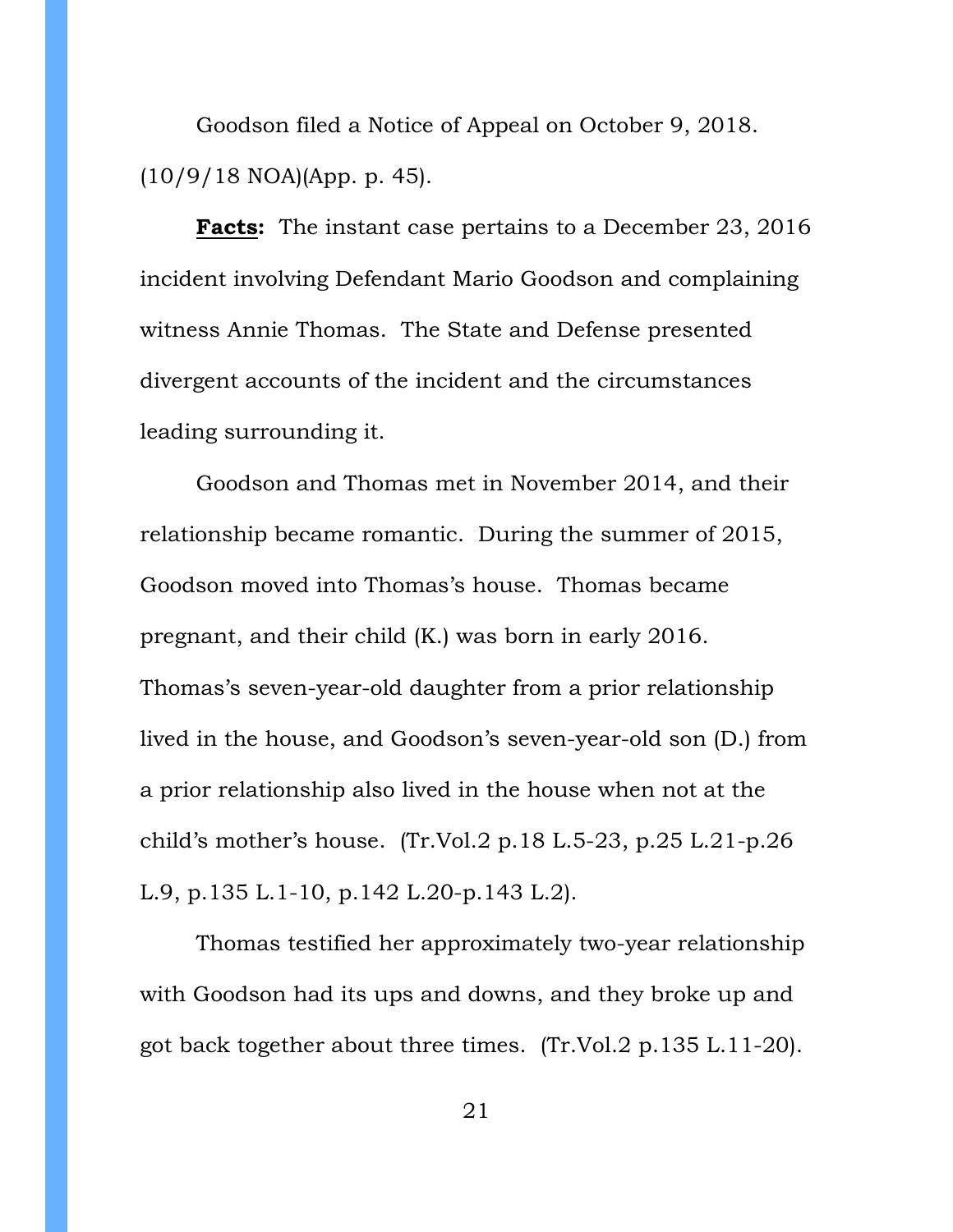Goodson filed a Notice of Appeal on October 9, 2018. (10/9/18 NOA)(App. p. 45).

**Facts:** The instant case pertains to a December 23, 2016 incident involving Defendant Mario Goodson and complaining witness Annie Thomas. The State and Defense presented divergent accounts of the incident and the circumstances leading surrounding it.

Goodson and Thomas met in November 2014, and their relationship became romantic. During the summer of 2015, Goodson moved into Thomas's house. Thomas became pregnant, and their child (K.) was born in early 2016. Thomas's seven-year-old daughter from a prior relationship lived in the house, and Goodson's seven-year-old son (D.) from a prior relationship also lived in the house when not at the child's mother's house. (Tr.Vol.2 p.18 L.5-23, p.25 L.21-p.26 L.9, p.135 L.1-10, p.142 L.20-p.143 L.2).

Thomas testified her approximately two-year relationship with Goodson had its ups and downs, and they broke up and got back together about three times. (Tr.Vol.2 p.135 L.11-20).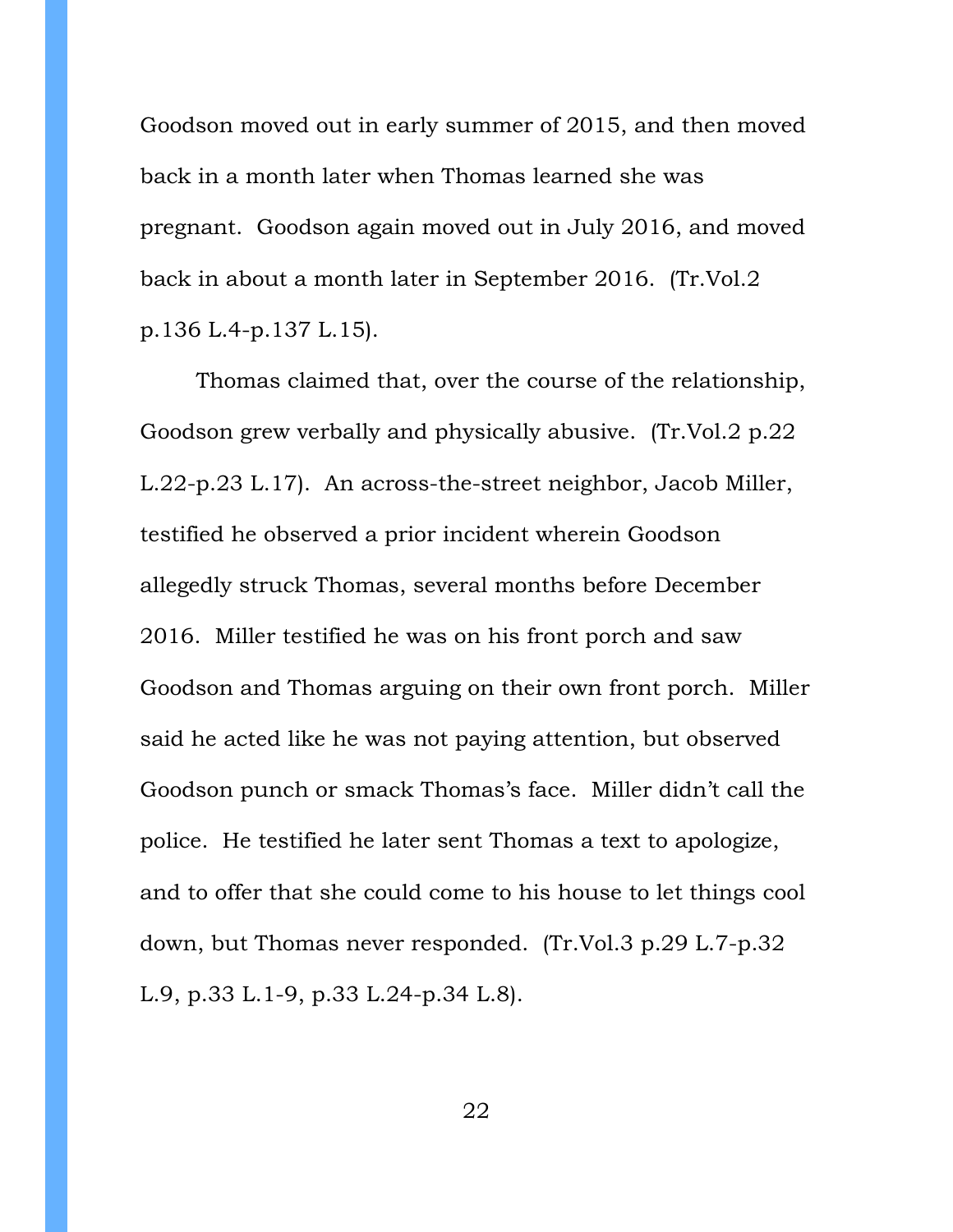Goodson moved out in early summer of 2015, and then moved back in a month later when Thomas learned she was pregnant. Goodson again moved out in July 2016, and moved back in about a month later in September 2016. (Tr.Vol.2 p.136 L.4-p.137 L.15).

Thomas claimed that, over the course of the relationship, Goodson grew verbally and physically abusive. (Tr.Vol.2 p.22 L.22-p.23 L.17). An across-the-street neighbor, Jacob Miller, testified he observed a prior incident wherein Goodson allegedly struck Thomas, several months before December 2016. Miller testified he was on his front porch and saw Goodson and Thomas arguing on their own front porch. Miller said he acted like he was not paying attention, but observed Goodson punch or smack Thomas's face. Miller didn't call the police. He testified he later sent Thomas a text to apologize, and to offer that she could come to his house to let things cool down, but Thomas never responded. (Tr.Vol.3 p.29 L.7-p.32 L.9, p.33 L.1-9, p.33 L.24-p.34 L.8).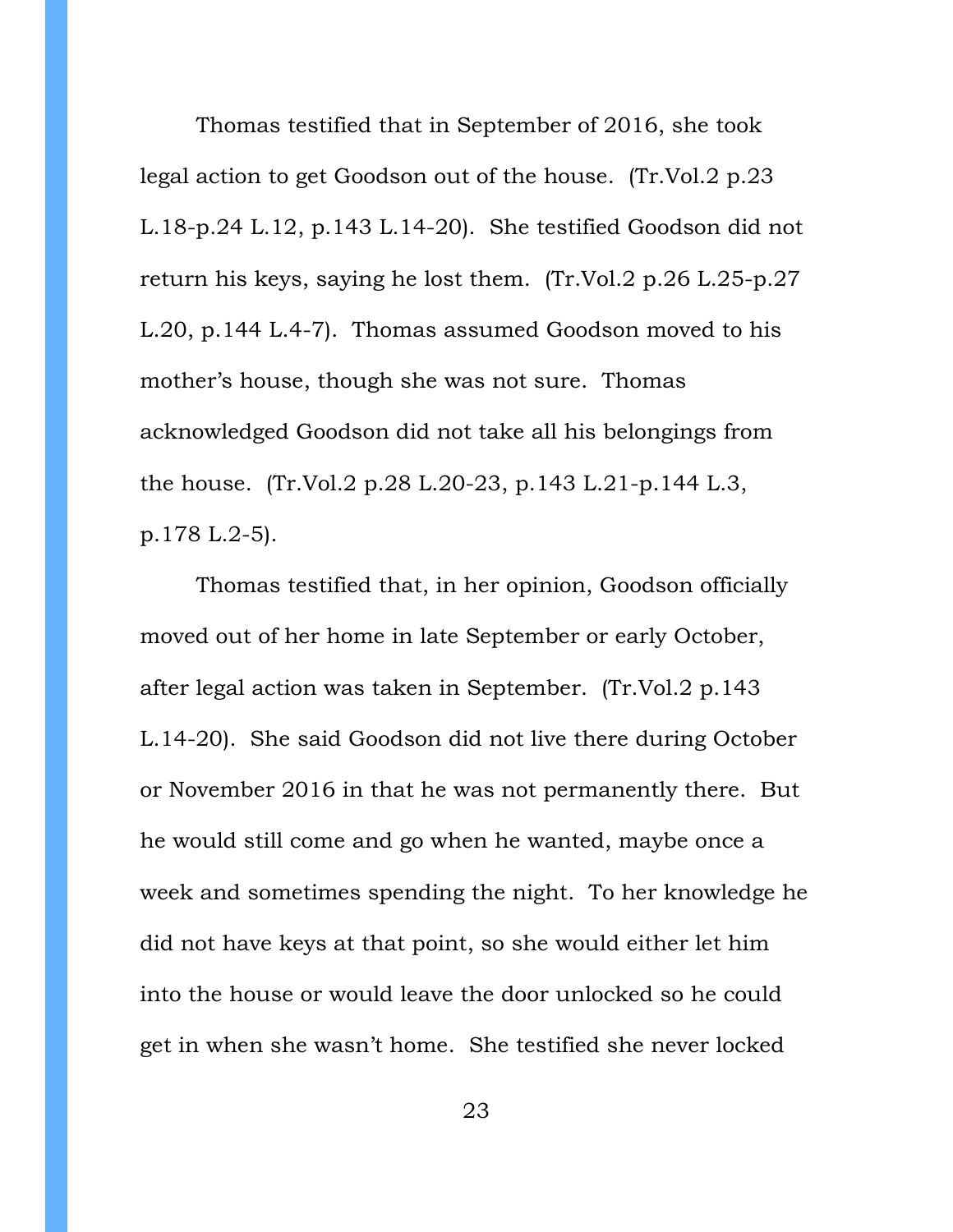Thomas testified that in September of 2016, she took legal action to get Goodson out of the house. (Tr.Vol.2 p.23 L.18-p.24 L.12, p.143 L.14-20). She testified Goodson did not return his keys, saying he lost them. (Tr.Vol.2 p.26 L.25-p.27 L.20, p.144 L.4-7). Thomas assumed Goodson moved to his mother's house, though she was not sure. Thomas acknowledged Goodson did not take all his belongings from the house. (Tr.Vol.2 p.28 L.20-23, p.143 L.21-p.144 L.3, p.178 L.2-5).

Thomas testified that, in her opinion, Goodson officially moved out of her home in late September or early October, after legal action was taken in September. (Tr.Vol.2 p.143 L.14-20). She said Goodson did not live there during October or November 2016 in that he was not permanently there. But he would still come and go when he wanted, maybe once a week and sometimes spending the night. To her knowledge he did not have keys at that point, so she would either let him into the house or would leave the door unlocked so he could get in when she wasn't home. She testified she never locked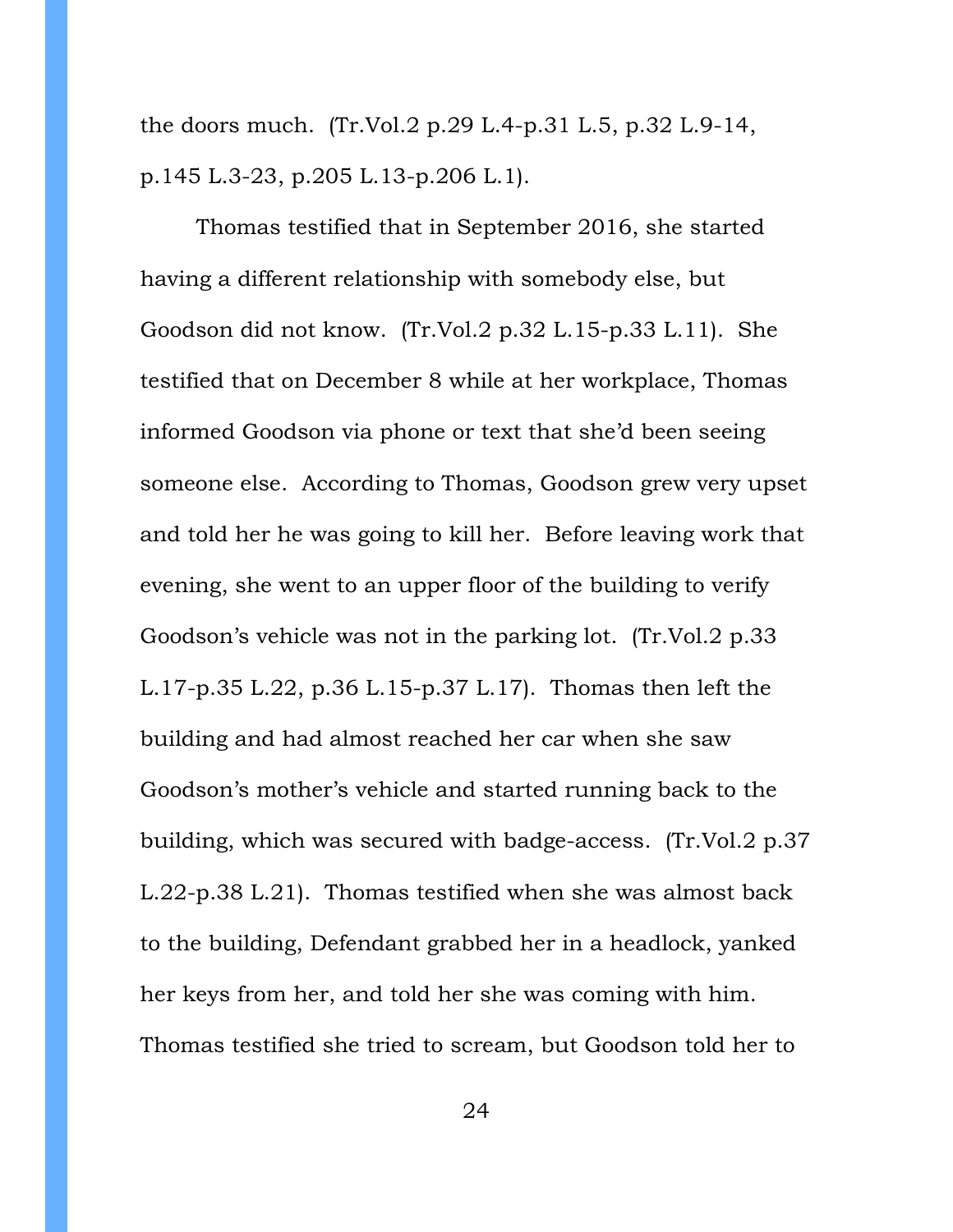the doors much. (Tr.Vol.2 p.29 L.4-p.31 L.5, p.32 L.9-14, p.145 L.3-23, p.205 L.13-p.206 L.1).

Thomas testified that in September 2016, she started having a different relationship with somebody else, but Goodson did not know. (Tr.Vol.2 p.32 L.15-p.33 L.11). She testified that on December 8 while at her workplace, Thomas informed Goodson via phone or text that she'd been seeing someone else. According to Thomas, Goodson grew very upset and told her he was going to kill her. Before leaving work that evening, she went to an upper floor of the building to verify Goodson's vehicle was not in the parking lot. (Tr.Vol.2 p.33 L.17-p.35 L.22, p.36 L.15-p.37 L.17). Thomas then left the building and had almost reached her car when she saw Goodson's mother's vehicle and started running back to the building, which was secured with badge-access. (Tr.Vol.2 p.37 L.22-p.38 L.21). Thomas testified when she was almost back to the building, Defendant grabbed her in a headlock, yanked her keys from her, and told her she was coming with him. Thomas testified she tried to scream, but Goodson told her to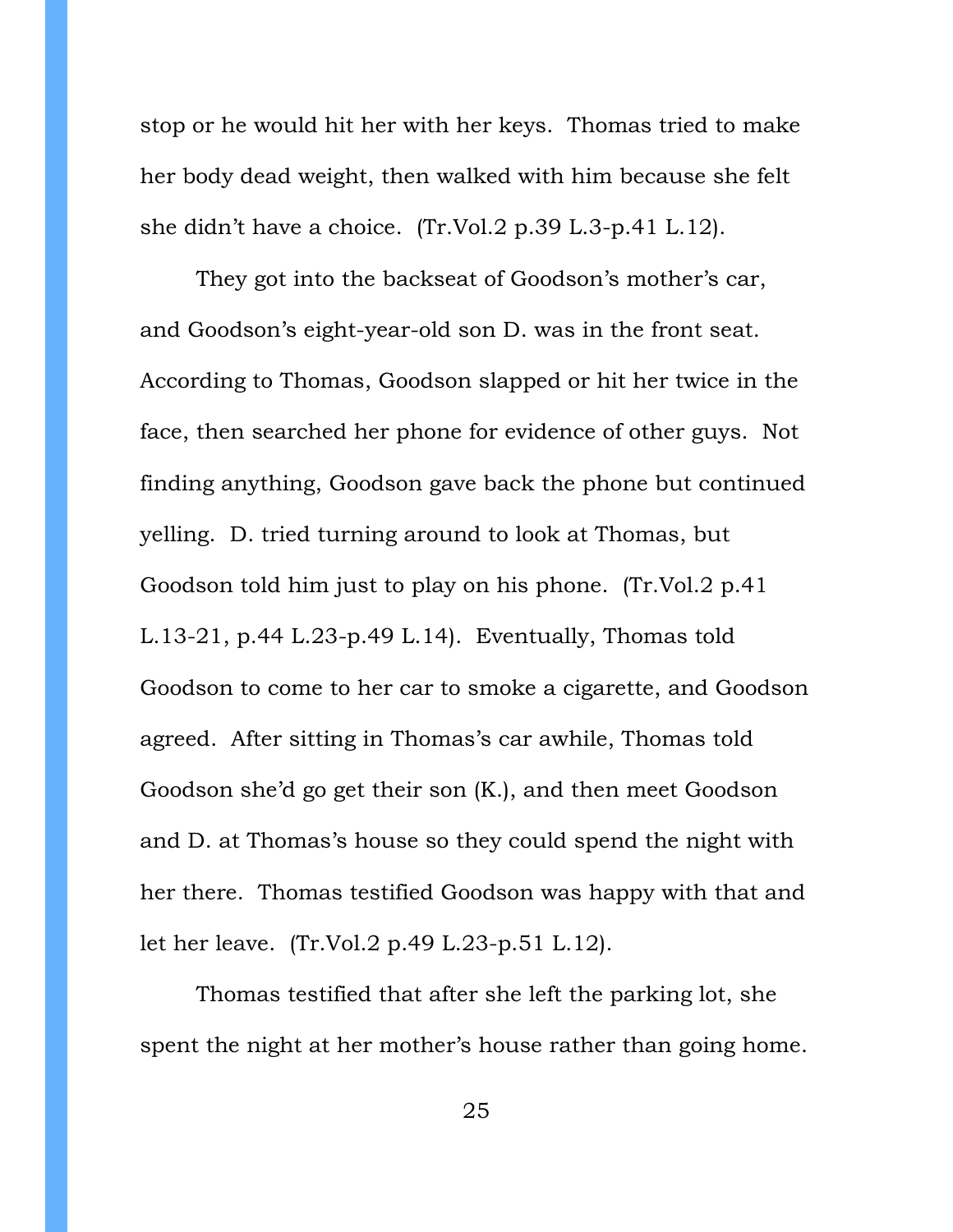stop or he would hit her with her keys. Thomas tried to make her body dead weight, then walked with him because she felt she didn't have a choice. (Tr.Vol.2 p.39 L.3-p.41 L.12).

They got into the backseat of Goodson's mother's car, and Goodson's eight-year-old son D. was in the front seat. According to Thomas, Goodson slapped or hit her twice in the face, then searched her phone for evidence of other guys. Not finding anything, Goodson gave back the phone but continued yelling. D. tried turning around to look at Thomas, but Goodson told him just to play on his phone. (Tr.Vol.2 p.41 L.13-21, p.44 L.23-p.49 L.14). Eventually, Thomas told Goodson to come to her car to smoke a cigarette, and Goodson agreed. After sitting in Thomas's car awhile, Thomas told Goodson she'd go get their son (K.), and then meet Goodson and D. at Thomas's house so they could spend the night with her there. Thomas testified Goodson was happy with that and let her leave. (Tr.Vol.2 p.49 L.23-p.51 L.12).

Thomas testified that after she left the parking lot, she spent the night at her mother's house rather than going home.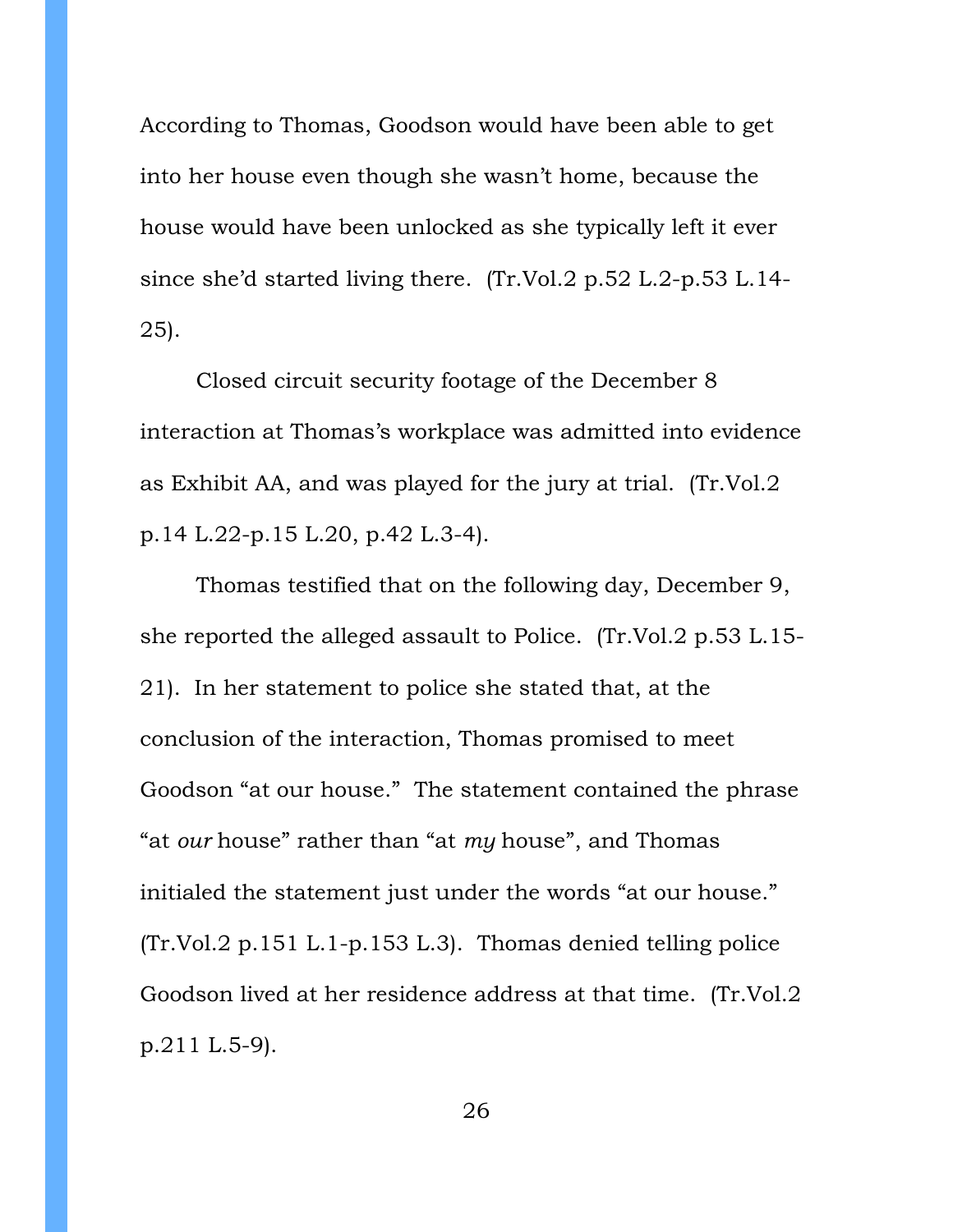According to Thomas, Goodson would have been able to get into her house even though she wasn't home, because the house would have been unlocked as she typically left it ever since she'd started living there. (Tr.Vol.2 p.52 L.2-p.53 L.14- 25).

Closed circuit security footage of the December 8 interaction at Thomas's workplace was admitted into evidence as Exhibit AA, and was played for the jury at trial. (Tr.Vol.2 p.14 L.22-p.15 L.20, p.42 L.3-4).

Thomas testified that on the following day, December 9, she reported the alleged assault to Police. (Tr.Vol.2 p.53 L.15- 21). In her statement to police she stated that, at the conclusion of the interaction, Thomas promised to meet Goodson "at our house." The statement contained the phrase "at *our* house" rather than "at *my* house", and Thomas initialed the statement just under the words "at our house." (Tr.Vol.2 p.151 L.1-p.153 L.3). Thomas denied telling police Goodson lived at her residence address at that time. (Tr.Vol.2 p.211 L.5-9).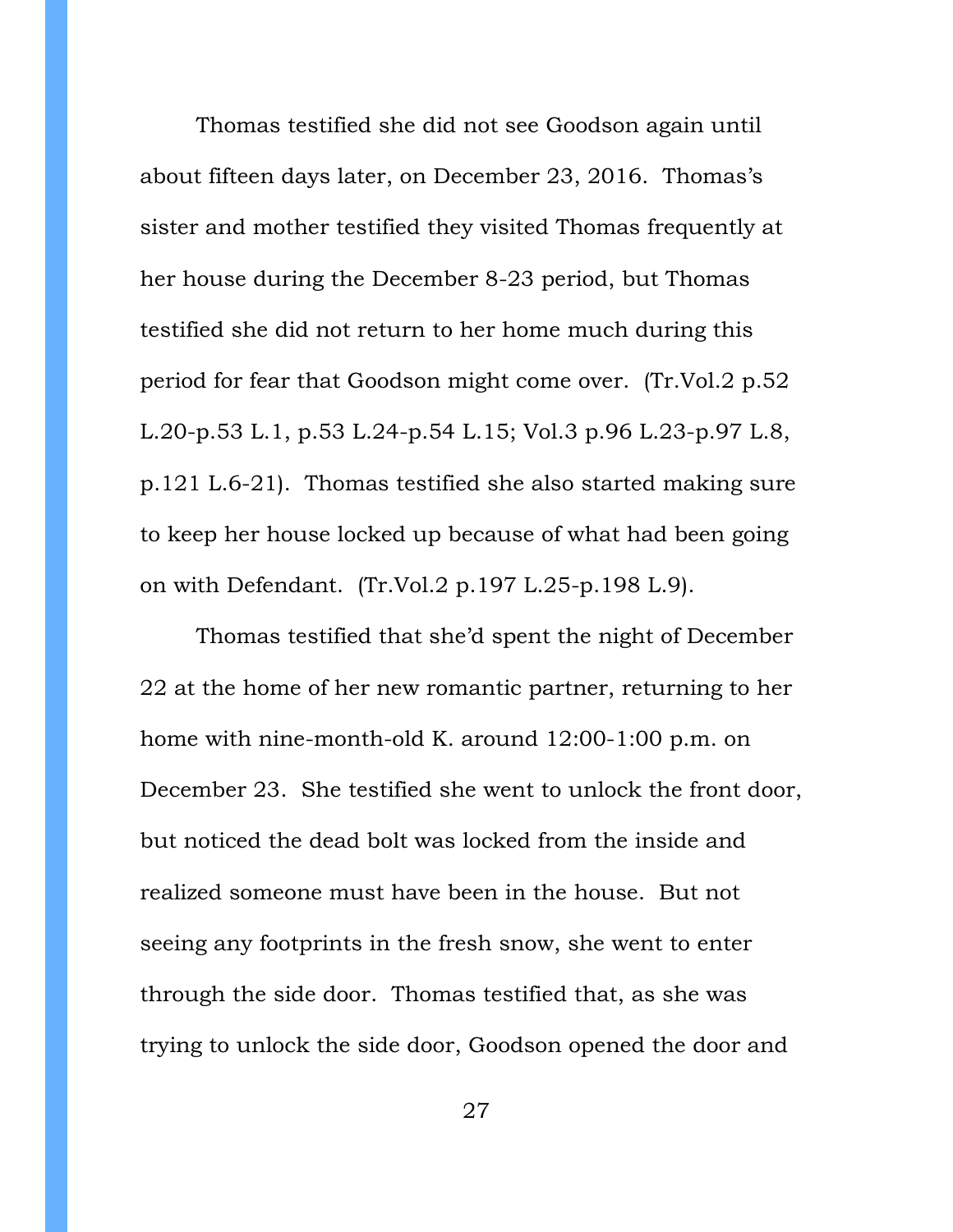Thomas testified she did not see Goodson again until about fifteen days later, on December 23, 2016. Thomas's sister and mother testified they visited Thomas frequently at her house during the December 8-23 period, but Thomas testified she did not return to her home much during this period for fear that Goodson might come over. (Tr.Vol.2 p.52 L.20-p.53 L.1, p.53 L.24-p.54 L.15; Vol.3 p.96 L.23-p.97 L.8, p.121 L.6-21). Thomas testified she also started making sure to keep her house locked up because of what had been going on with Defendant. (Tr.Vol.2 p.197 L.25-p.198 L.9).

Thomas testified that she'd spent the night of December 22 at the home of her new romantic partner, returning to her home with nine-month-old K. around 12:00-1:00 p.m. on December 23. She testified she went to unlock the front door, but noticed the dead bolt was locked from the inside and realized someone must have been in the house. But not seeing any footprints in the fresh snow, she went to enter through the side door. Thomas testified that, as she was trying to unlock the side door, Goodson opened the door and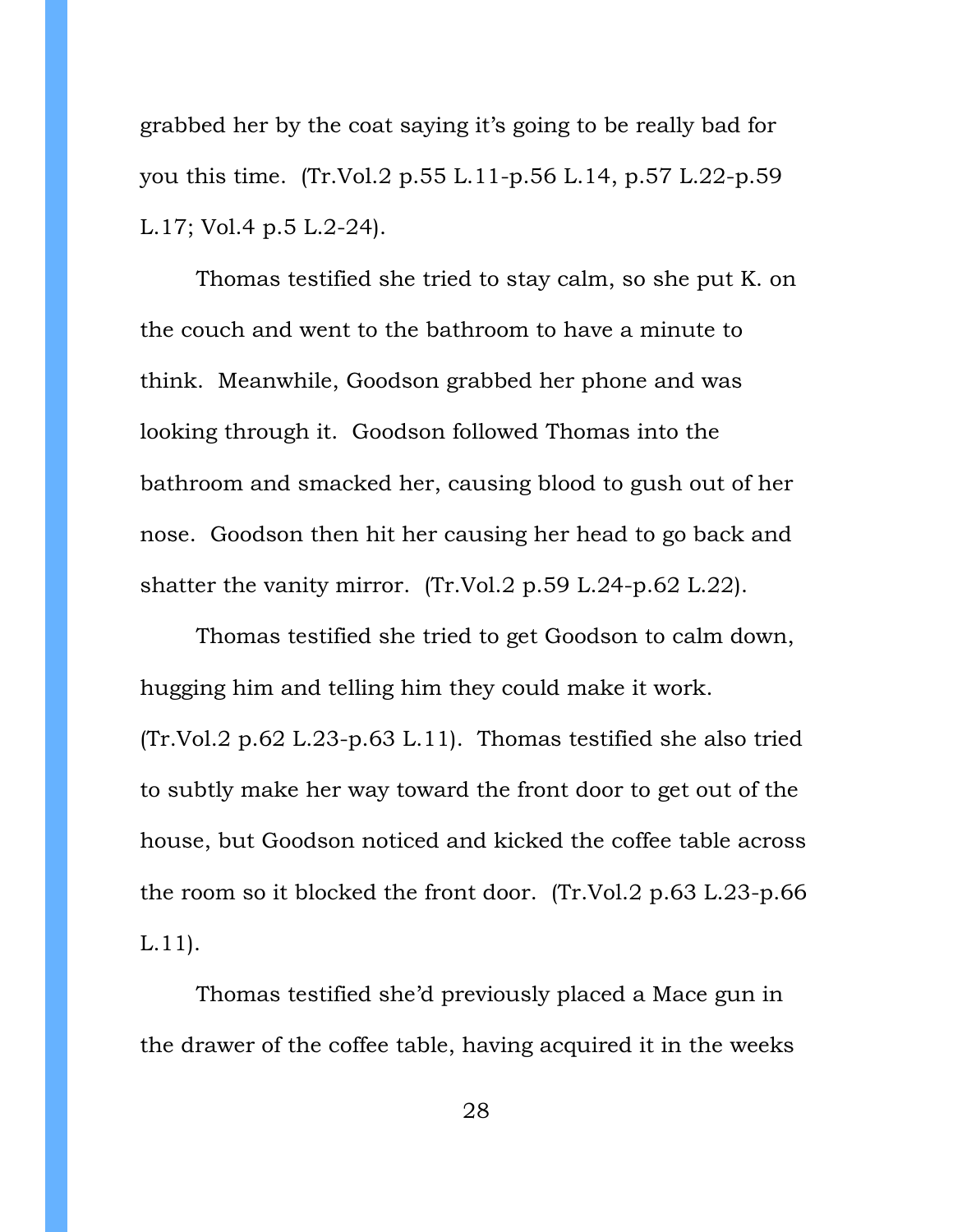grabbed her by the coat saying it's going to be really bad for you this time. (Tr.Vol.2 p.55 L.11-p.56 L.14, p.57 L.22-p.59 L.17; Vol.4 p.5 L.2-24).

Thomas testified she tried to stay calm, so she put K. on the couch and went to the bathroom to have a minute to think. Meanwhile, Goodson grabbed her phone and was looking through it. Goodson followed Thomas into the bathroom and smacked her, causing blood to gush out of her nose. Goodson then hit her causing her head to go back and shatter the vanity mirror. (Tr.Vol.2 p.59 L.24-p.62 L.22).

Thomas testified she tried to get Goodson to calm down, hugging him and telling him they could make it work. (Tr.Vol.2 p.62 L.23-p.63 L.11). Thomas testified she also tried to subtly make her way toward the front door to get out of the house, but Goodson noticed and kicked the coffee table across the room so it blocked the front door. (Tr.Vol.2 p.63 L.23-p.66 L.11).

Thomas testified she'd previously placed a Mace gun in the drawer of the coffee table, having acquired it in the weeks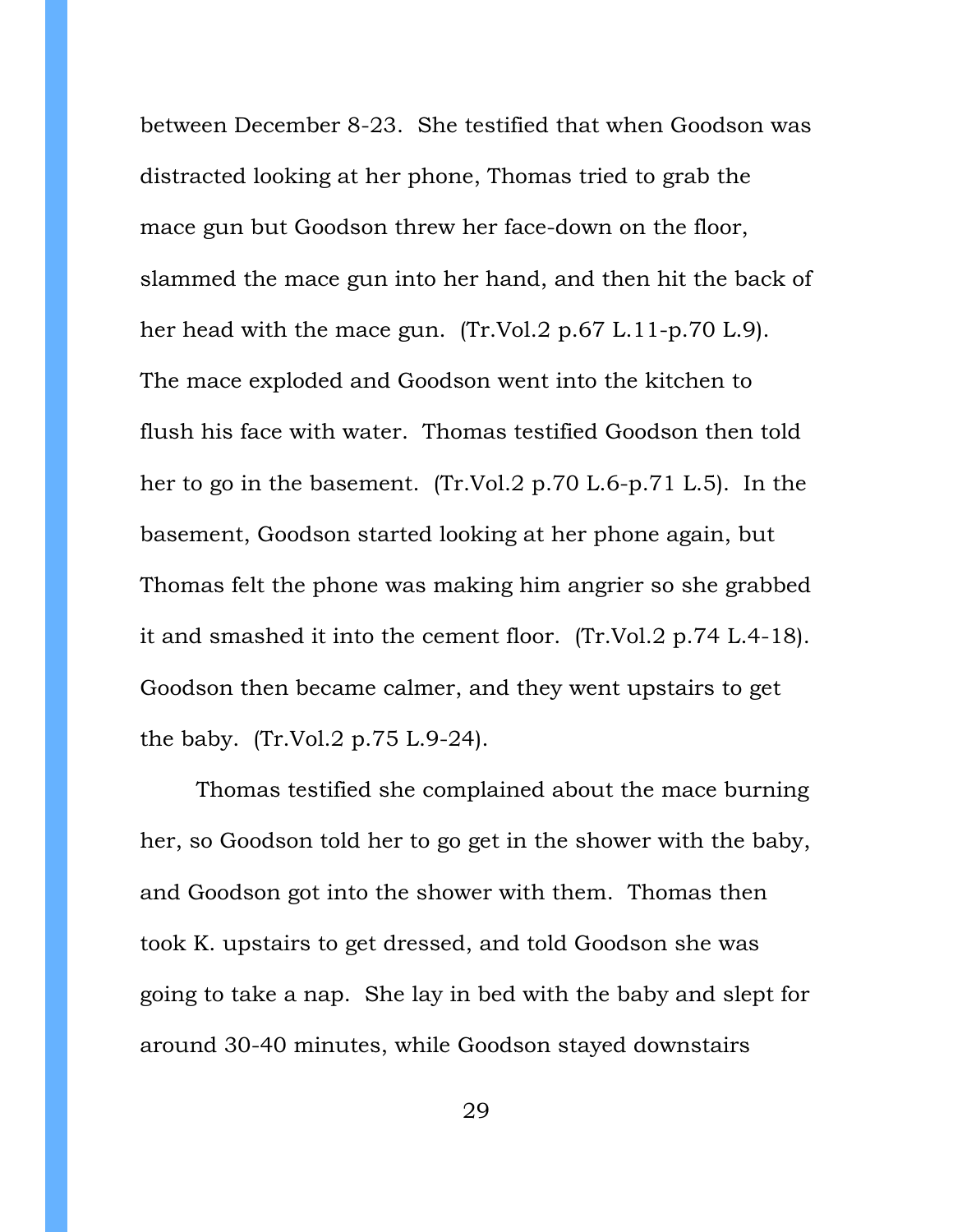between December 8-23. She testified that when Goodson was distracted looking at her phone, Thomas tried to grab the mace gun but Goodson threw her face-down on the floor, slammed the mace gun into her hand, and then hit the back of her head with the mace gun. (Tr.Vol.2 p.67 L.11-p.70 L.9). The mace exploded and Goodson went into the kitchen to flush his face with water. Thomas testified Goodson then told her to go in the basement. (Tr.Vol.2 p.70 L.6-p.71 L.5). In the basement, Goodson started looking at her phone again, but Thomas felt the phone was making him angrier so she grabbed it and smashed it into the cement floor. (Tr.Vol.2 p.74 L.4-18). Goodson then became calmer, and they went upstairs to get the baby. (Tr.Vol.2 p.75 L.9-24).

Thomas testified she complained about the mace burning her, so Goodson told her to go get in the shower with the baby, and Goodson got into the shower with them. Thomas then took K. upstairs to get dressed, and told Goodson she was going to take a nap. She lay in bed with the baby and slept for around 30-40 minutes, while Goodson stayed downstairs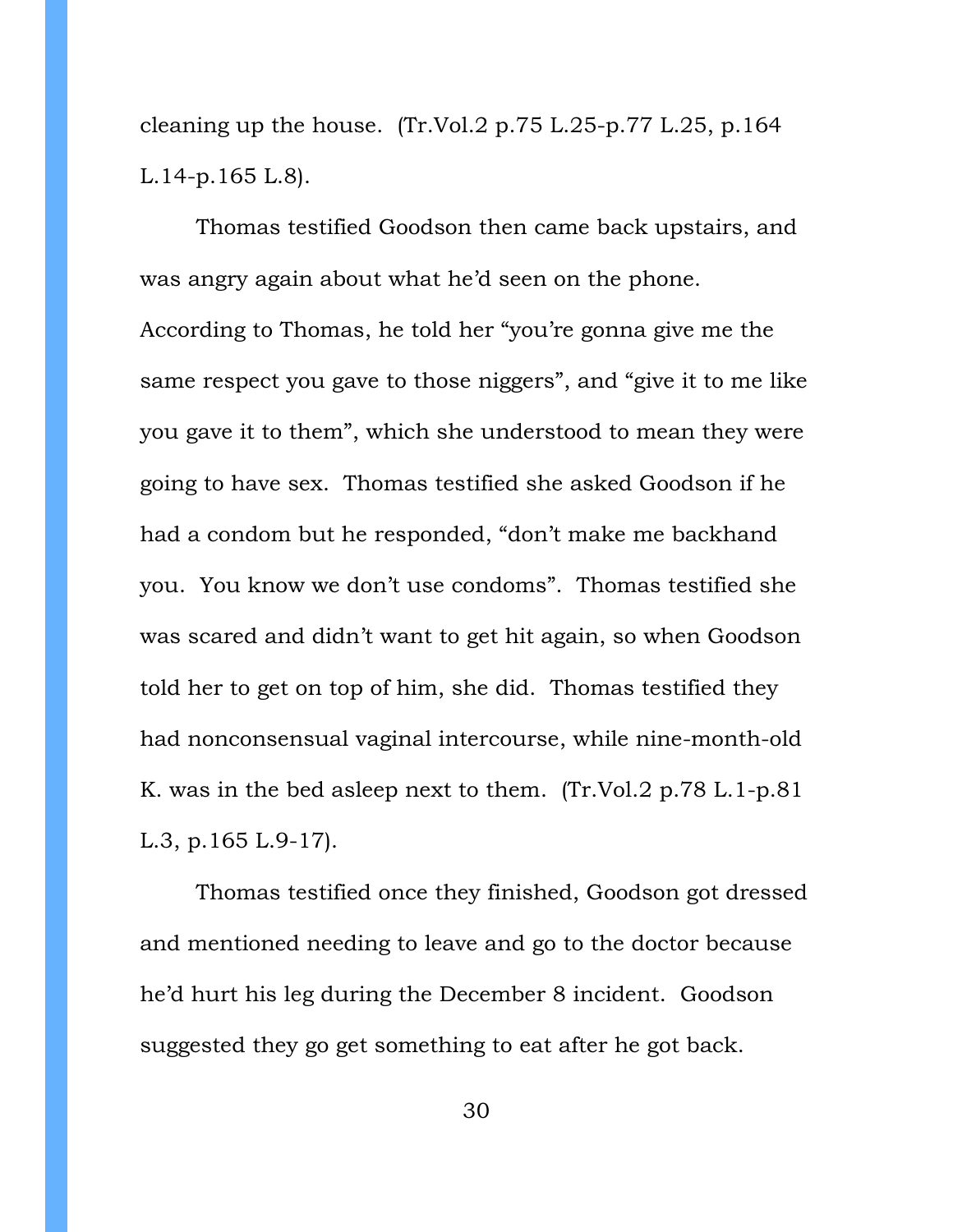cleaning up the house. (Tr.Vol.2 p.75 L.25-p.77 L.25, p.164 L.14-p.165 L.8).

Thomas testified Goodson then came back upstairs, and was angry again about what he'd seen on the phone. According to Thomas, he told her "you're gonna give me the same respect you gave to those niggers", and "give it to me like you gave it to them", which she understood to mean they were going to have sex. Thomas testified she asked Goodson if he had a condom but he responded, "don't make me backhand you. You know we don't use condoms". Thomas testified she was scared and didn't want to get hit again, so when Goodson told her to get on top of him, she did. Thomas testified they had nonconsensual vaginal intercourse, while nine-month-old K. was in the bed asleep next to them. (Tr.Vol.2 p.78 L.1-p.81 L.3, p.165 L.9-17).

Thomas testified once they finished, Goodson got dressed and mentioned needing to leave and go to the doctor because he'd hurt his leg during the December 8 incident. Goodson suggested they go get something to eat after he got back.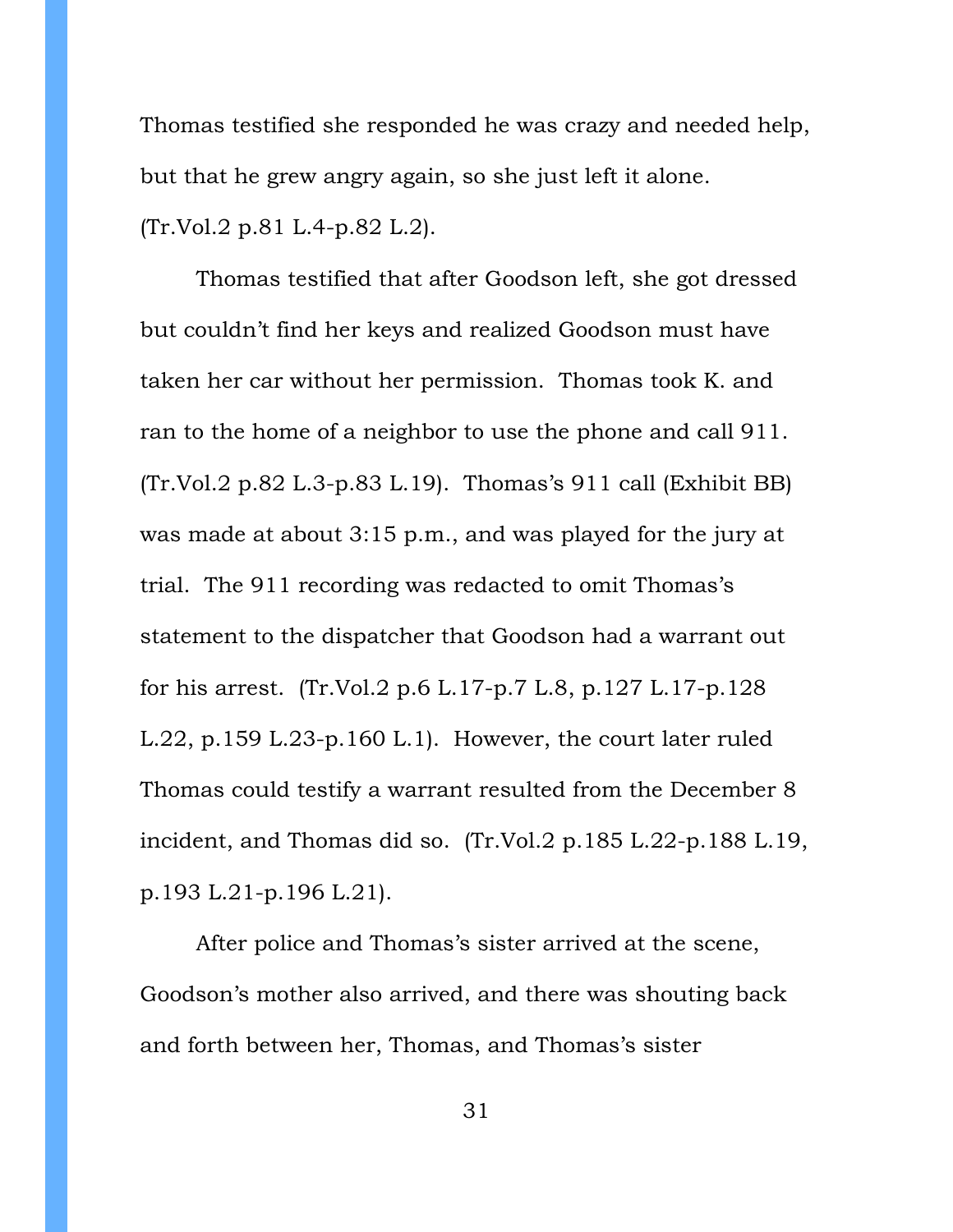Thomas testified she responded he was crazy and needed help, but that he grew angry again, so she just left it alone. (Tr.Vol.2 p.81 L.4-p.82 L.2).

Thomas testified that after Goodson left, she got dressed but couldn't find her keys and realized Goodson must have taken her car without her permission. Thomas took K. and ran to the home of a neighbor to use the phone and call 911. (Tr.Vol.2 p.82 L.3-p.83 L.19). Thomas's 911 call (Exhibit BB) was made at about 3:15 p.m., and was played for the jury at trial. The 911 recording was redacted to omit Thomas's statement to the dispatcher that Goodson had a warrant out for his arrest. (Tr.Vol.2 p.6 L.17-p.7 L.8, p.127 L.17-p.128 L.22, p.159 L.23-p.160 L.1). However, the court later ruled Thomas could testify a warrant resulted from the December 8 incident, and Thomas did so. (Tr.Vol.2 p.185 L.22-p.188 L.19, p.193 L.21-p.196 L.21).

After police and Thomas's sister arrived at the scene, Goodson's mother also arrived, and there was shouting back and forth between her, Thomas, and Thomas's sister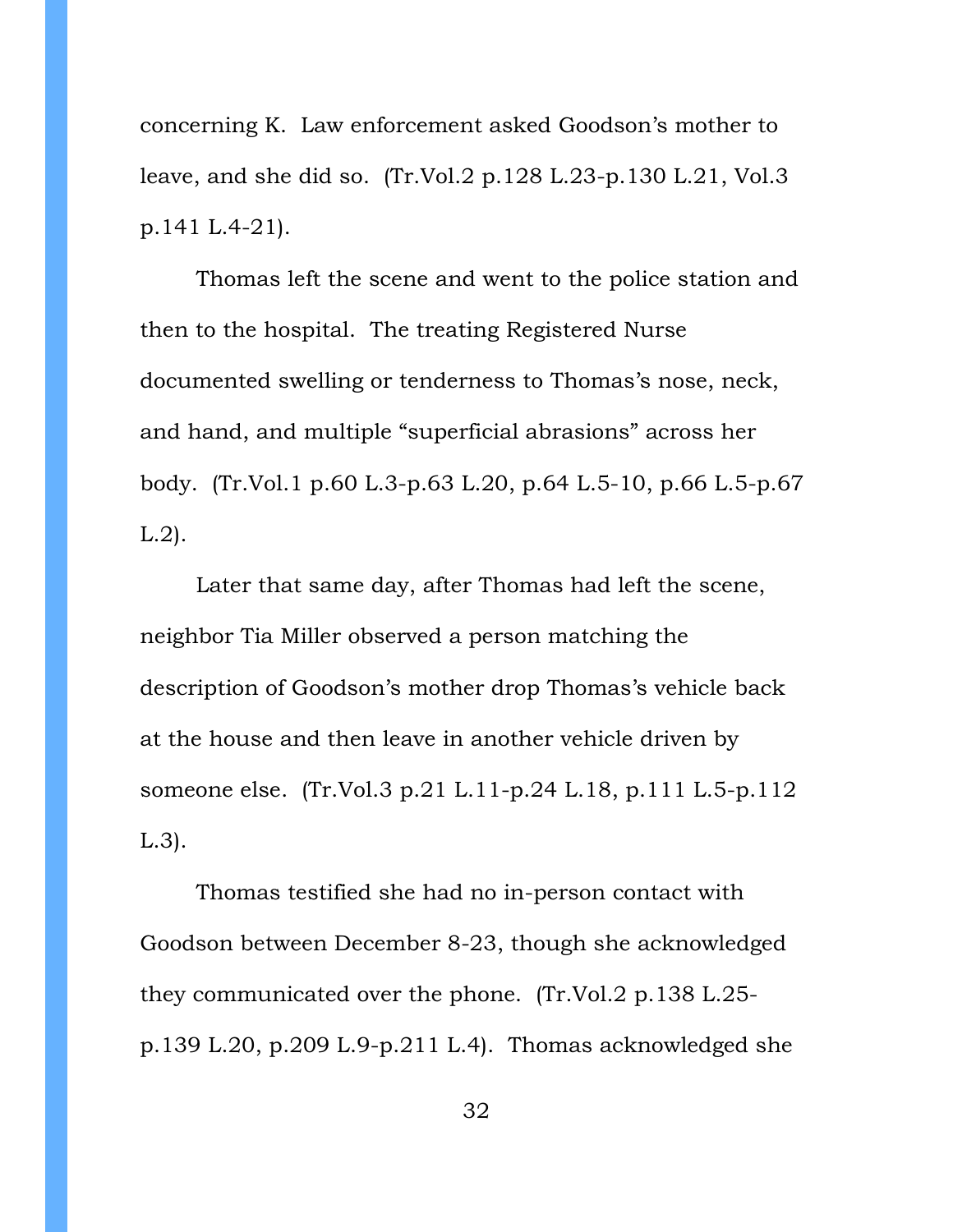concerning K. Law enforcement asked Goodson's mother to leave, and she did so. (Tr.Vol.2 p.128 L.23-p.130 L.21, Vol.3 p.141 L.4-21).

Thomas left the scene and went to the police station and then to the hospital. The treating Registered Nurse documented swelling or tenderness to Thomas's nose, neck, and hand, and multiple "superficial abrasions" across her body. (Tr.Vol.1 p.60 L.3-p.63 L.20, p.64 L.5-10, p.66 L.5-p.67 L.2).

Later that same day, after Thomas had left the scene, neighbor Tia Miller observed a person matching the description of Goodson's mother drop Thomas's vehicle back at the house and then leave in another vehicle driven by someone else. (Tr.Vol.3 p.21 L.11-p.24 L.18, p.111 L.5-p.112 L.3).

Thomas testified she had no in-person contact with Goodson between December 8-23, though she acknowledged they communicated over the phone. (Tr.Vol.2 p.138 L.25 p.139 L.20, p.209 L.9-p.211 L.4). Thomas acknowledged she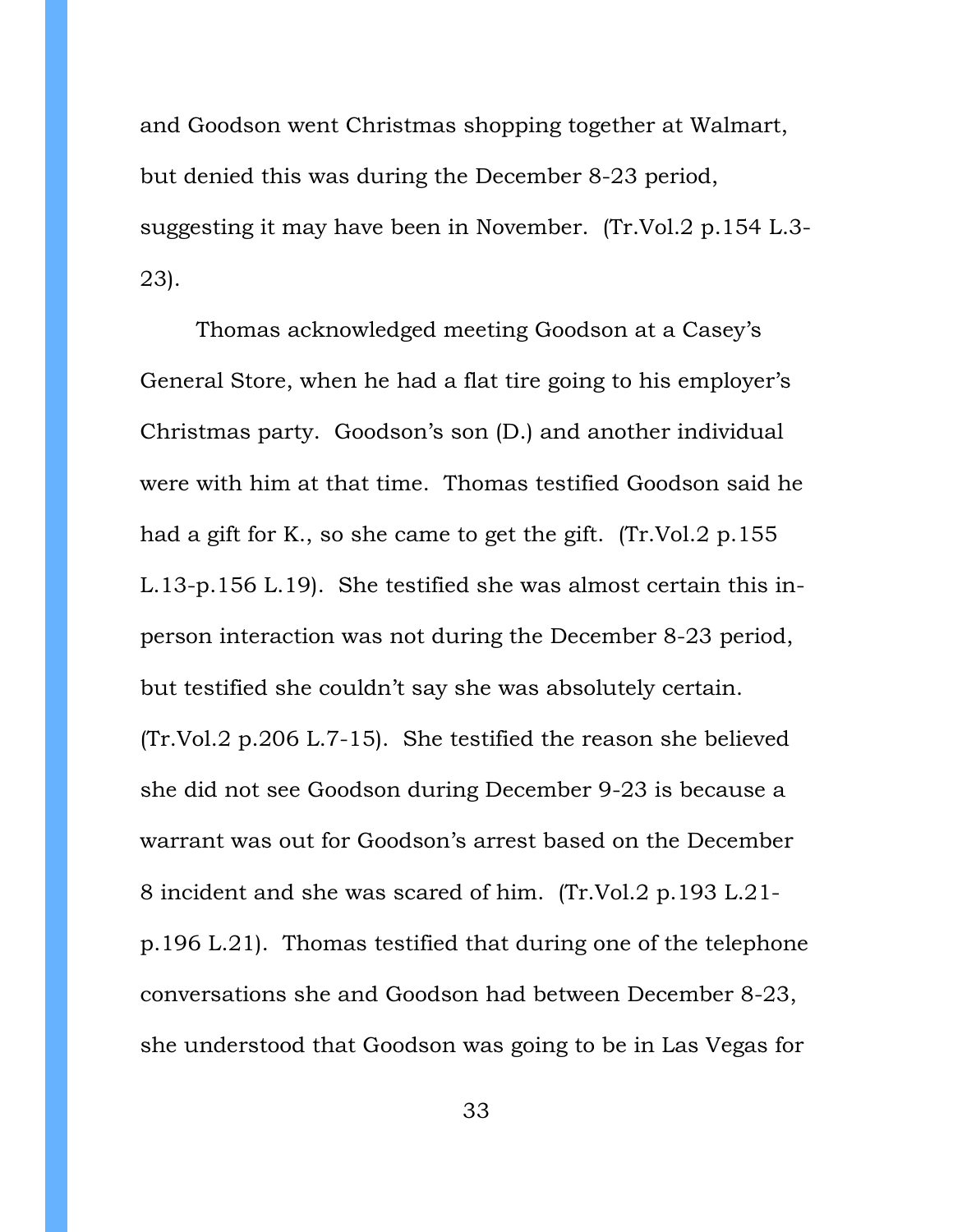and Goodson went Christmas shopping together at Walmart, but denied this was during the December 8-23 period, suggesting it may have been in November. (Tr.Vol.2 p.154 L.3- 23).

Thomas acknowledged meeting Goodson at a Casey's General Store, when he had a flat tire going to his employer's Christmas party. Goodson's son (D.) and another individual were with him at that time. Thomas testified Goodson said he had a gift for K., so she came to get the gift. (Tr.Vol.2 p.155 L.13-p.156 L.19). She testified she was almost certain this inperson interaction was not during the December 8-23 period, but testified she couldn't say she was absolutely certain. (Tr.Vol.2 p.206 L.7-15). She testified the reason she believed she did not see Goodson during December 9-23 is because a warrant was out for Goodson's arrest based on the December 8 incident and she was scared of him. (Tr.Vol.2 p.193 L.21 p.196 L.21). Thomas testified that during one of the telephone conversations she and Goodson had between December 8-23, she understood that Goodson was going to be in Las Vegas for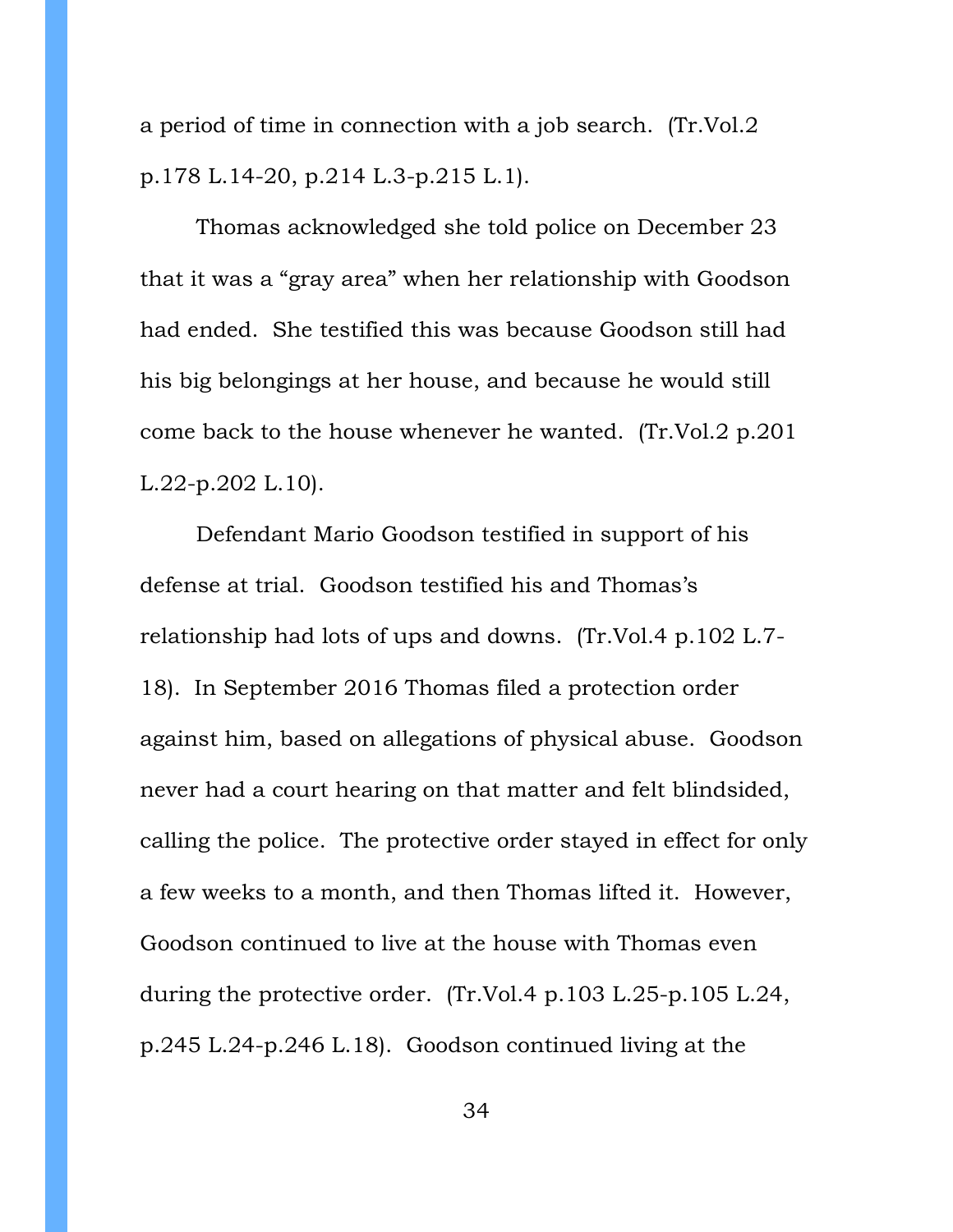a period of time in connection with a job search. (Tr.Vol.2 p.178 L.14-20, p.214 L.3-p.215 L.1).

Thomas acknowledged she told police on December 23 that it was a "gray area" when her relationship with Goodson had ended. She testified this was because Goodson still had his big belongings at her house, and because he would still come back to the house whenever he wanted. (Tr.Vol.2 p.201 L.22-p.202 L.10).

Defendant Mario Goodson testified in support of his defense at trial. Goodson testified his and Thomas's relationship had lots of ups and downs. (Tr.Vol.4 p.102 L.7- 18). In September 2016 Thomas filed a protection order against him, based on allegations of physical abuse. Goodson never had a court hearing on that matter and felt blindsided, calling the police. The protective order stayed in effect for only a few weeks to a month, and then Thomas lifted it. However, Goodson continued to live at the house with Thomas even during the protective order. (Tr.Vol.4 p.103 L.25-p.105 L.24, p.245 L.24-p.246 L.18). Goodson continued living at the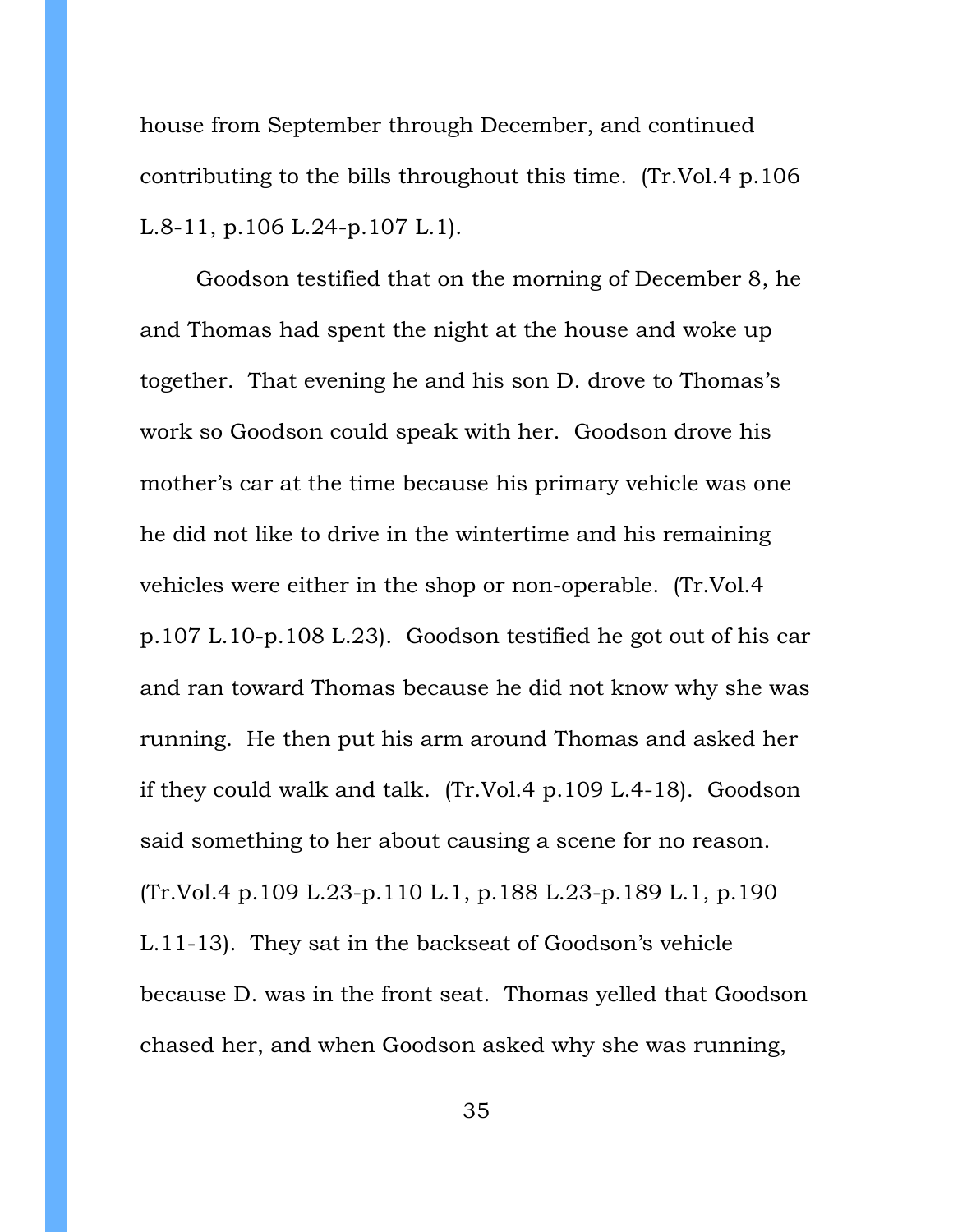house from September through December, and continued contributing to the bills throughout this time. (Tr.Vol.4 p.106 L.8-11, p.106 L.24-p.107 L.1).

Goodson testified that on the morning of December 8, he and Thomas had spent the night at the house and woke up together. That evening he and his son D. drove to Thomas's work so Goodson could speak with her. Goodson drove his mother's car at the time because his primary vehicle was one he did not like to drive in the wintertime and his remaining vehicles were either in the shop or non-operable. (Tr.Vol.4 p.107 L.10-p.108 L.23). Goodson testified he got out of his car and ran toward Thomas because he did not know why she was running. He then put his arm around Thomas and asked her if they could walk and talk. (Tr.Vol.4 p.109 L.4-18). Goodson said something to her about causing a scene for no reason. (Tr.Vol.4 p.109 L.23-p.110 L.1, p.188 L.23-p.189 L.1, p.190 L.11-13). They sat in the backseat of Goodson's vehicle because D. was in the front seat. Thomas yelled that Goodson chased her, and when Goodson asked why she was running,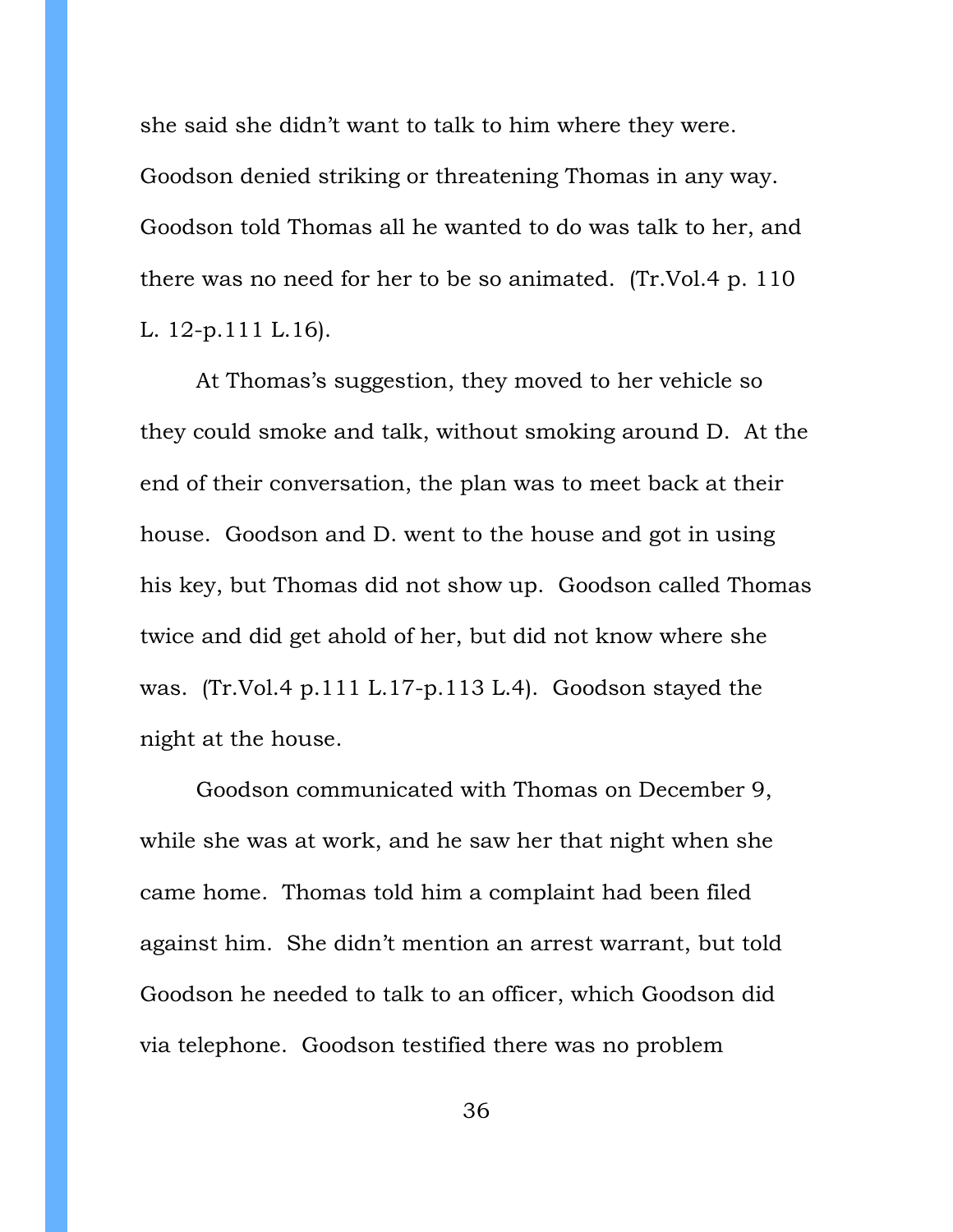she said she didn't want to talk to him where they were. Goodson denied striking or threatening Thomas in any way. Goodson told Thomas all he wanted to do was talk to her, and there was no need for her to be so animated. (Tr.Vol.4 p. 110 L. 12-p.111 L.16).

At Thomas's suggestion, they moved to her vehicle so they could smoke and talk, without smoking around D. At the end of their conversation, the plan was to meet back at their house. Goodson and D. went to the house and got in using his key, but Thomas did not show up. Goodson called Thomas twice and did get ahold of her, but did not know where she was. (Tr.Vol.4 p.111 L.17-p.113 L.4). Goodson stayed the night at the house.

Goodson communicated with Thomas on December 9, while she was at work, and he saw her that night when she came home. Thomas told him a complaint had been filed against him. She didn't mention an arrest warrant, but told Goodson he needed to talk to an officer, which Goodson did via telephone. Goodson testified there was no problem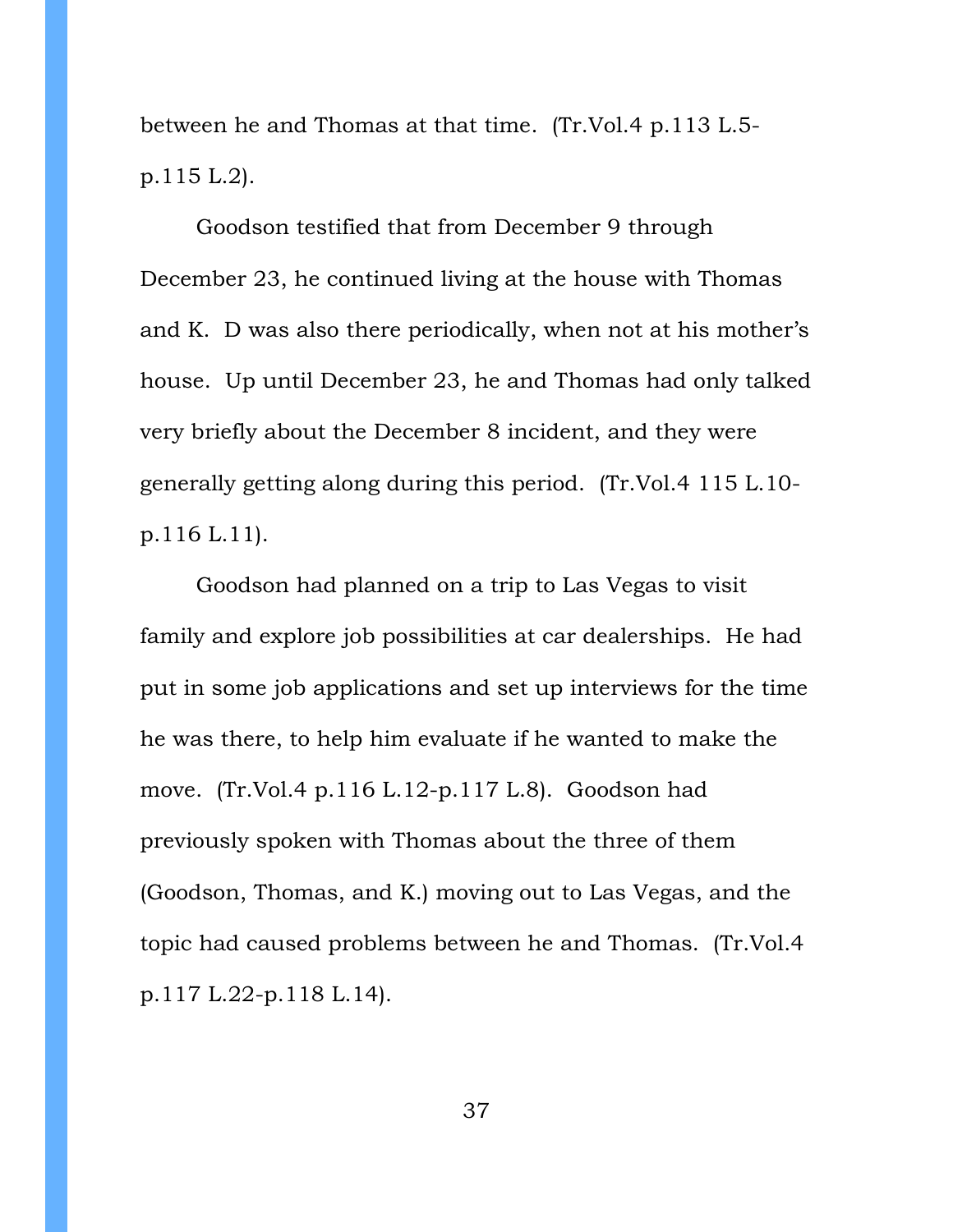between he and Thomas at that time. (Tr.Vol.4 p.113 L.5 p.115 L.2).

Goodson testified that from December 9 through December 23, he continued living at the house with Thomas and K. D was also there periodically, when not at his mother's house. Up until December 23, he and Thomas had only talked very briefly about the December 8 incident, and they were generally getting along during this period. (Tr.Vol.4 115 L.10 p.116 L.11).

Goodson had planned on a trip to Las Vegas to visit family and explore job possibilities at car dealerships. He had put in some job applications and set up interviews for the time he was there, to help him evaluate if he wanted to make the move. (Tr.Vol.4 p.116 L.12-p.117 L.8). Goodson had previously spoken with Thomas about the three of them (Goodson, Thomas, and K.) moving out to Las Vegas, and the topic had caused problems between he and Thomas. (Tr.Vol.4 p.117 L.22-p.118 L.14).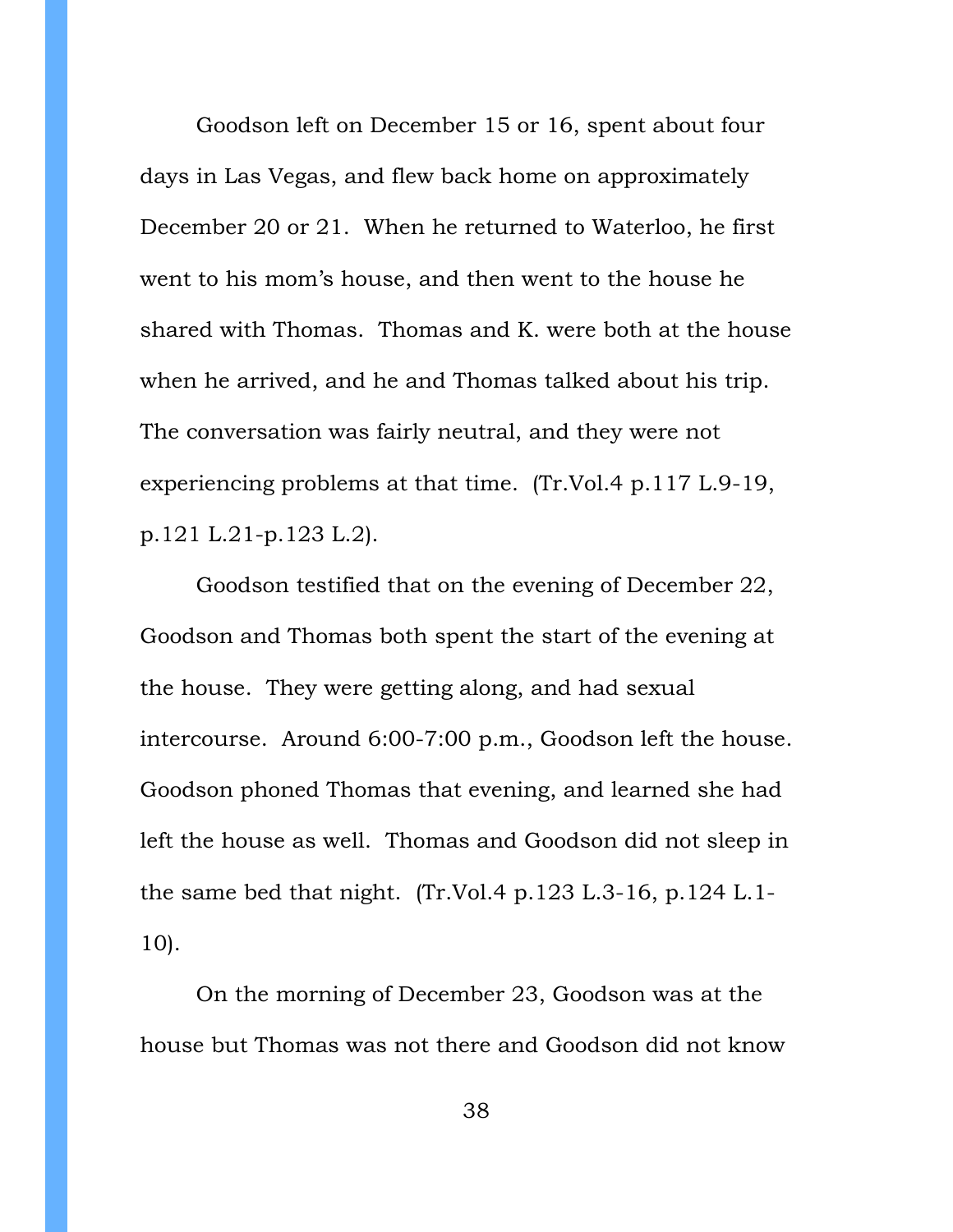Goodson left on December 15 or 16, spent about four days in Las Vegas, and flew back home on approximately December 20 or 21. When he returned to Waterloo, he first went to his mom's house, and then went to the house he shared with Thomas. Thomas and K. were both at the house when he arrived, and he and Thomas talked about his trip. The conversation was fairly neutral, and they were not experiencing problems at that time. (Tr.Vol.4 p.117 L.9-19, p.121 L.21-p.123 L.2).

Goodson testified that on the evening of December 22, Goodson and Thomas both spent the start of the evening at the house. They were getting along, and had sexual intercourse. Around 6:00-7:00 p.m., Goodson left the house. Goodson phoned Thomas that evening, and learned she had left the house as well. Thomas and Goodson did not sleep in the same bed that night. (Tr.Vol.4 p.123 L.3-16, p.124 L.1- 10).

On the morning of December 23, Goodson was at the house but Thomas was not there and Goodson did not know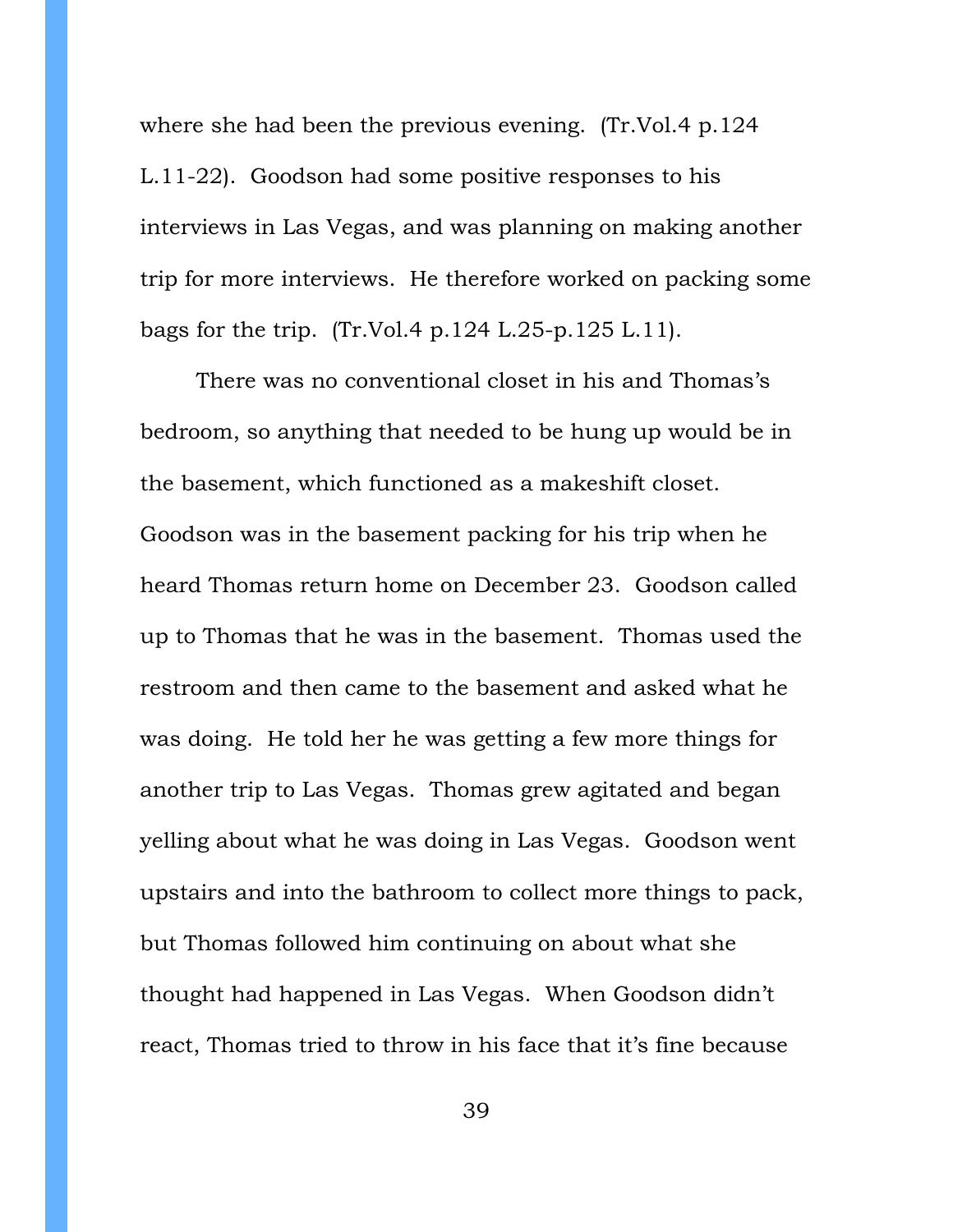where she had been the previous evening. (Tr.Vol.4 p.124 L.11-22). Goodson had some positive responses to his interviews in Las Vegas, and was planning on making another trip for more interviews. He therefore worked on packing some bags for the trip. (Tr.Vol.4 p.124 L.25-p.125 L.11).

There was no conventional closet in his and Thomas's bedroom, so anything that needed to be hung up would be in the basement, which functioned as a makeshift closet. Goodson was in the basement packing for his trip when he heard Thomas return home on December 23. Goodson called up to Thomas that he was in the basement. Thomas used the restroom and then came to the basement and asked what he was doing. He told her he was getting a few more things for another trip to Las Vegas. Thomas grew agitated and began yelling about what he was doing in Las Vegas. Goodson went upstairs and into the bathroom to collect more things to pack, but Thomas followed him continuing on about what she thought had happened in Las Vegas. When Goodson didn't react, Thomas tried to throw in his face that it's fine because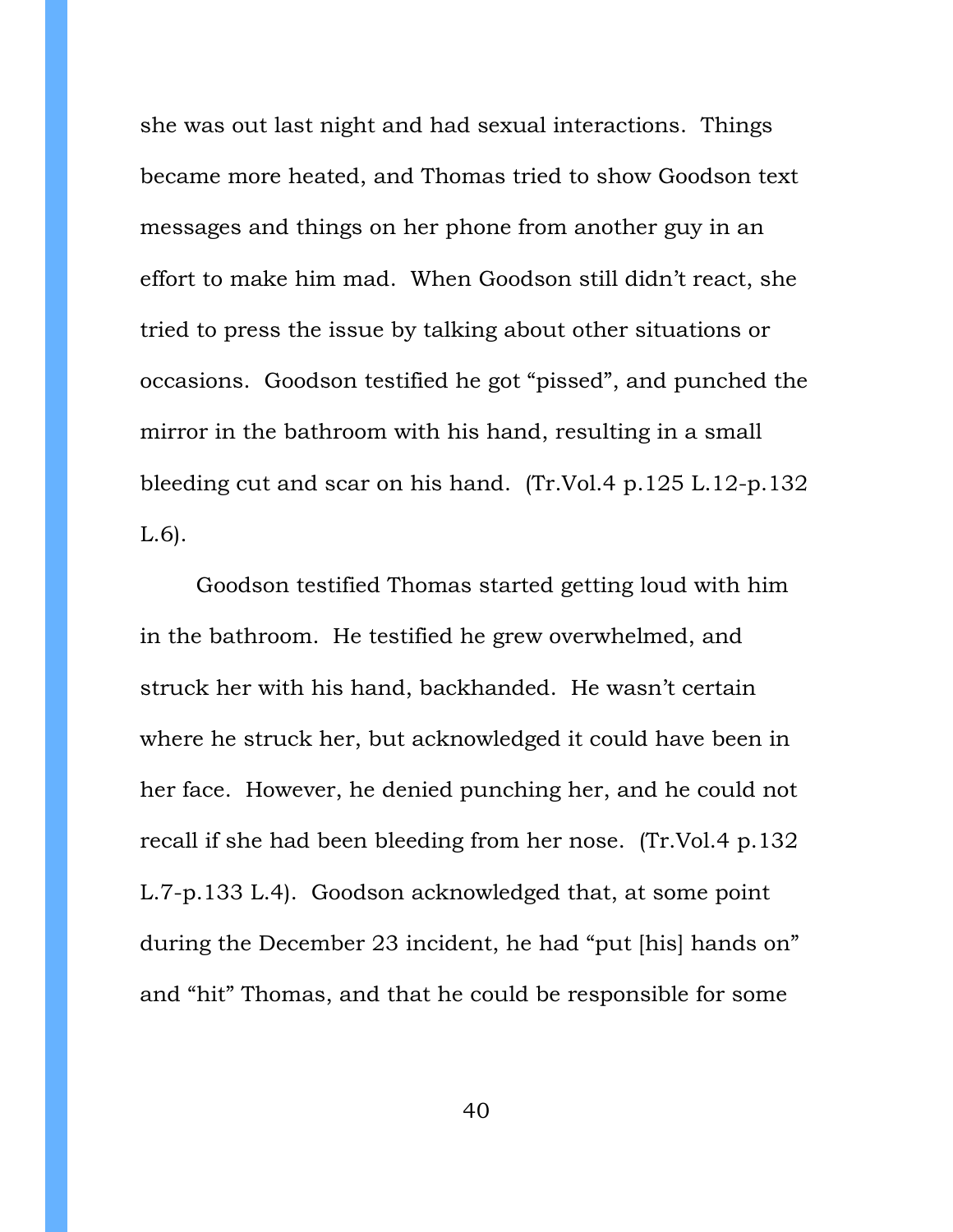she was out last night and had sexual interactions. Things became more heated, and Thomas tried to show Goodson text messages and things on her phone from another guy in an effort to make him mad. When Goodson still didn't react, she tried to press the issue by talking about other situations or occasions. Goodson testified he got "pissed", and punched the mirror in the bathroom with his hand, resulting in a small bleeding cut and scar on his hand. (Tr.Vol.4 p.125 L.12-p.132 L.6).

Goodson testified Thomas started getting loud with him in the bathroom. He testified he grew overwhelmed, and struck her with his hand, backhanded. He wasn't certain where he struck her, but acknowledged it could have been in her face. However, he denied punching her, and he could not recall if she had been bleeding from her nose. (Tr.Vol.4 p.132 L.7-p.133 L.4). Goodson acknowledged that, at some point during the December 23 incident, he had "put [his] hands on" and "hit" Thomas, and that he could be responsible for some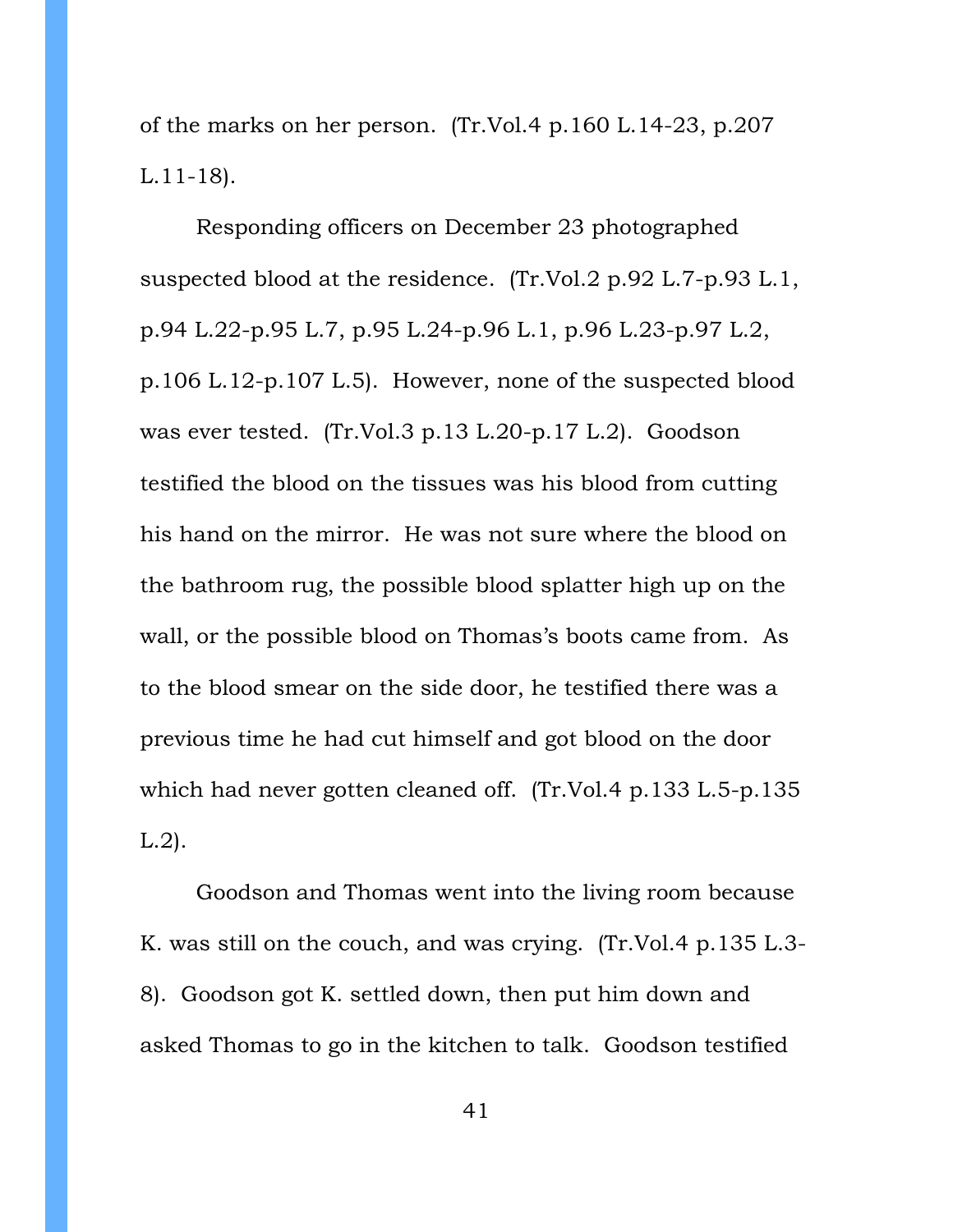of the marks on her person. (Tr.Vol.4 p.160 L.14-23, p.207 L.11-18).

Responding officers on December 23 photographed suspected blood at the residence. (Tr.Vol.2 p.92 L.7-p.93 L.1, p.94 L.22-p.95 L.7, p.95 L.24-p.96 L.1, p.96 L.23-p.97 L.2, p.106 L.12-p.107 L.5). However, none of the suspected blood was ever tested. (Tr.Vol.3 p.13 L.20-p.17 L.2). Goodson testified the blood on the tissues was his blood from cutting his hand on the mirror. He was not sure where the blood on the bathroom rug, the possible blood splatter high up on the wall, or the possible blood on Thomas's boots came from. As to the blood smear on the side door, he testified there was a previous time he had cut himself and got blood on the door which had never gotten cleaned off. (Tr.Vol.4 p.133 L.5-p.135 L.2).

Goodson and Thomas went into the living room because K. was still on the couch, and was crying. (Tr.Vol.4 p.135 L.3- 8). Goodson got K. settled down, then put him down and asked Thomas to go in the kitchen to talk. Goodson testified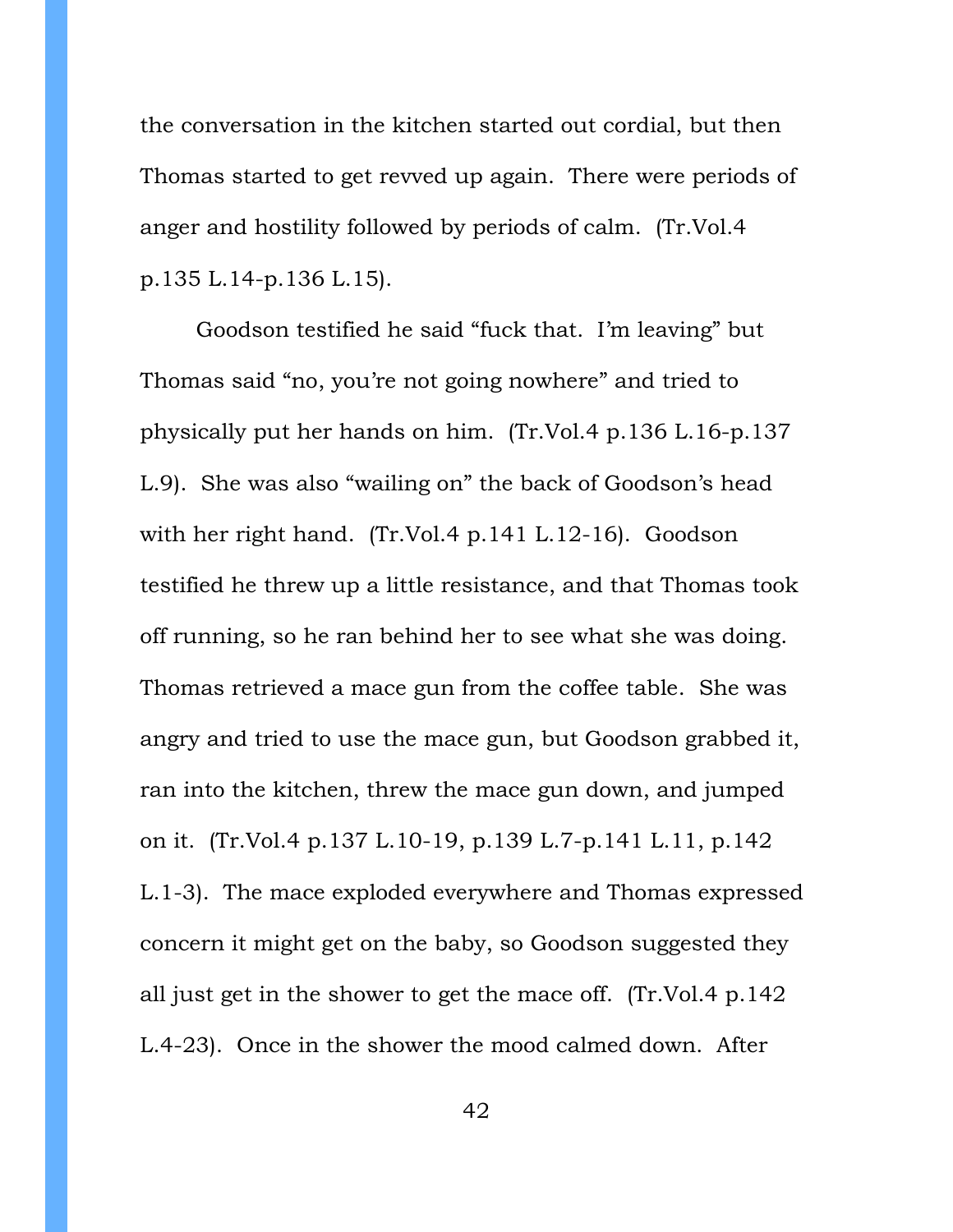the conversation in the kitchen started out cordial, but then Thomas started to get revved up again. There were periods of anger and hostility followed by periods of calm. (Tr.Vol.4 p.135 L.14-p.136 L.15).

Goodson testified he said "fuck that. I'm leaving" but Thomas said "no, you're not going nowhere" and tried to physically put her hands on him. (Tr.Vol.4 p.136 L.16-p.137 L.9). She was also "wailing on" the back of Goodson's head with her right hand. (Tr.Vol.4 p.141 L.12-16). Goodson testified he threw up a little resistance, and that Thomas took off running, so he ran behind her to see what she was doing. Thomas retrieved a mace gun from the coffee table. She was angry and tried to use the mace gun, but Goodson grabbed it, ran into the kitchen, threw the mace gun down, and jumped on it. (Tr.Vol.4 p.137 L.10-19, p.139 L.7-p.141 L.11, p.142 L.1-3). The mace exploded everywhere and Thomas expressed concern it might get on the baby, so Goodson suggested they all just get in the shower to get the mace off. (Tr.Vol.4 p.142 L.4-23). Once in the shower the mood calmed down. After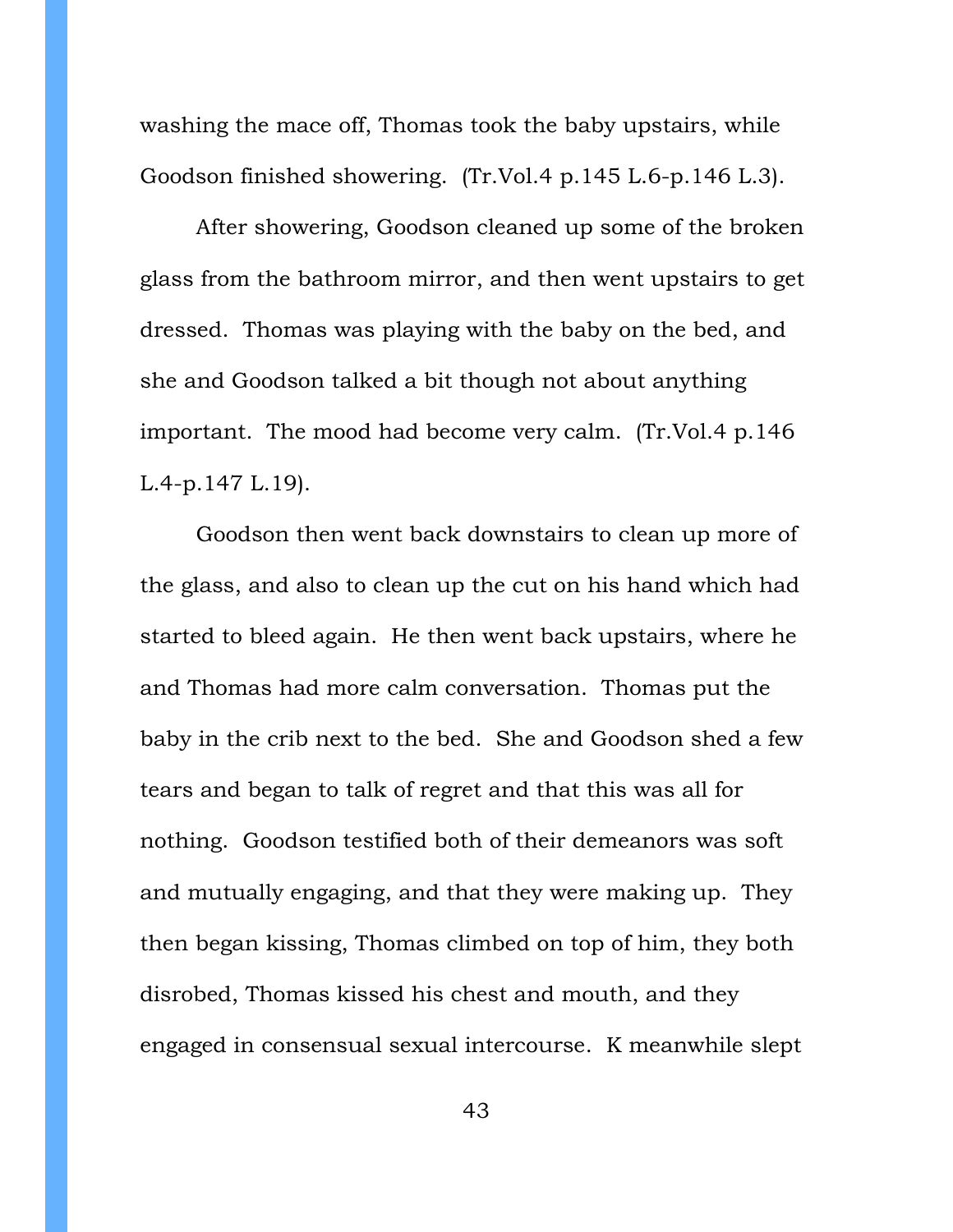washing the mace off, Thomas took the baby upstairs, while Goodson finished showering. (Tr.Vol.4 p.145 L.6-p.146 L.3).

After showering, Goodson cleaned up some of the broken glass from the bathroom mirror, and then went upstairs to get dressed. Thomas was playing with the baby on the bed, and she and Goodson talked a bit though not about anything important. The mood had become very calm. (Tr.Vol.4 p.146 L.4-p.147 L.19).

Goodson then went back downstairs to clean up more of the glass, and also to clean up the cut on his hand which had started to bleed again. He then went back upstairs, where he and Thomas had more calm conversation. Thomas put the baby in the crib next to the bed. She and Goodson shed a few tears and began to talk of regret and that this was all for nothing. Goodson testified both of their demeanors was soft and mutually engaging, and that they were making up. They then began kissing, Thomas climbed on top of him, they both disrobed, Thomas kissed his chest and mouth, and they engaged in consensual sexual intercourse. K meanwhile slept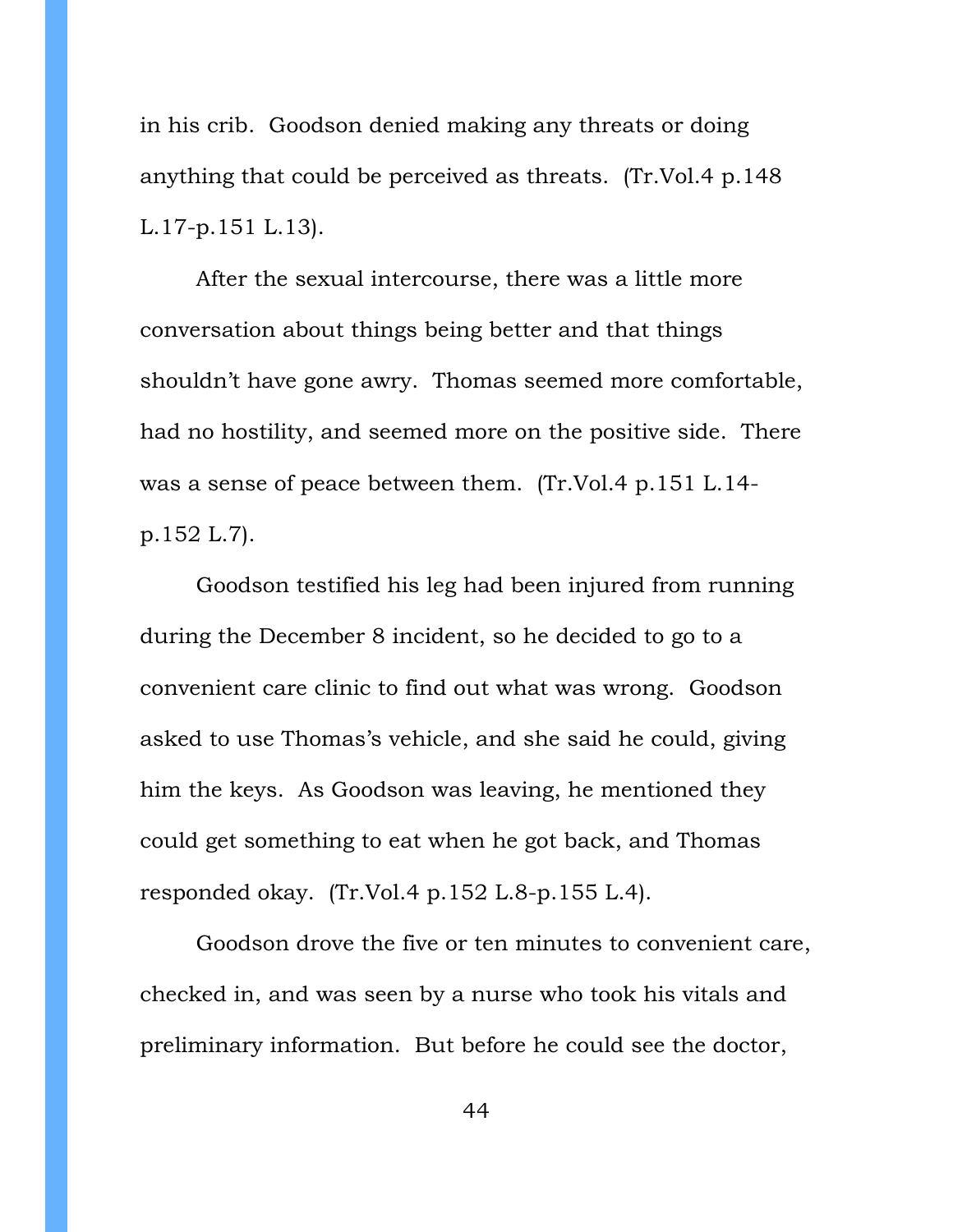in his crib. Goodson denied making any threats or doing anything that could be perceived as threats. (Tr.Vol.4 p.148 L.17-p.151 L.13).

After the sexual intercourse, there was a little more conversation about things being better and that things shouldn't have gone awry. Thomas seemed more comfortable, had no hostility, and seemed more on the positive side. There was a sense of peace between them. (Tr.Vol.4 p.151 L.14 p.152 L.7).

Goodson testified his leg had been injured from running during the December 8 incident, so he decided to go to a convenient care clinic to find out what was wrong. Goodson asked to use Thomas's vehicle, and she said he could, giving him the keys. As Goodson was leaving, he mentioned they could get something to eat when he got back, and Thomas responded okay. (Tr.Vol.4 p.152 L.8-p.155 L.4).

Goodson drove the five or ten minutes to convenient care, checked in, and was seen by a nurse who took his vitals and preliminary information. But before he could see the doctor,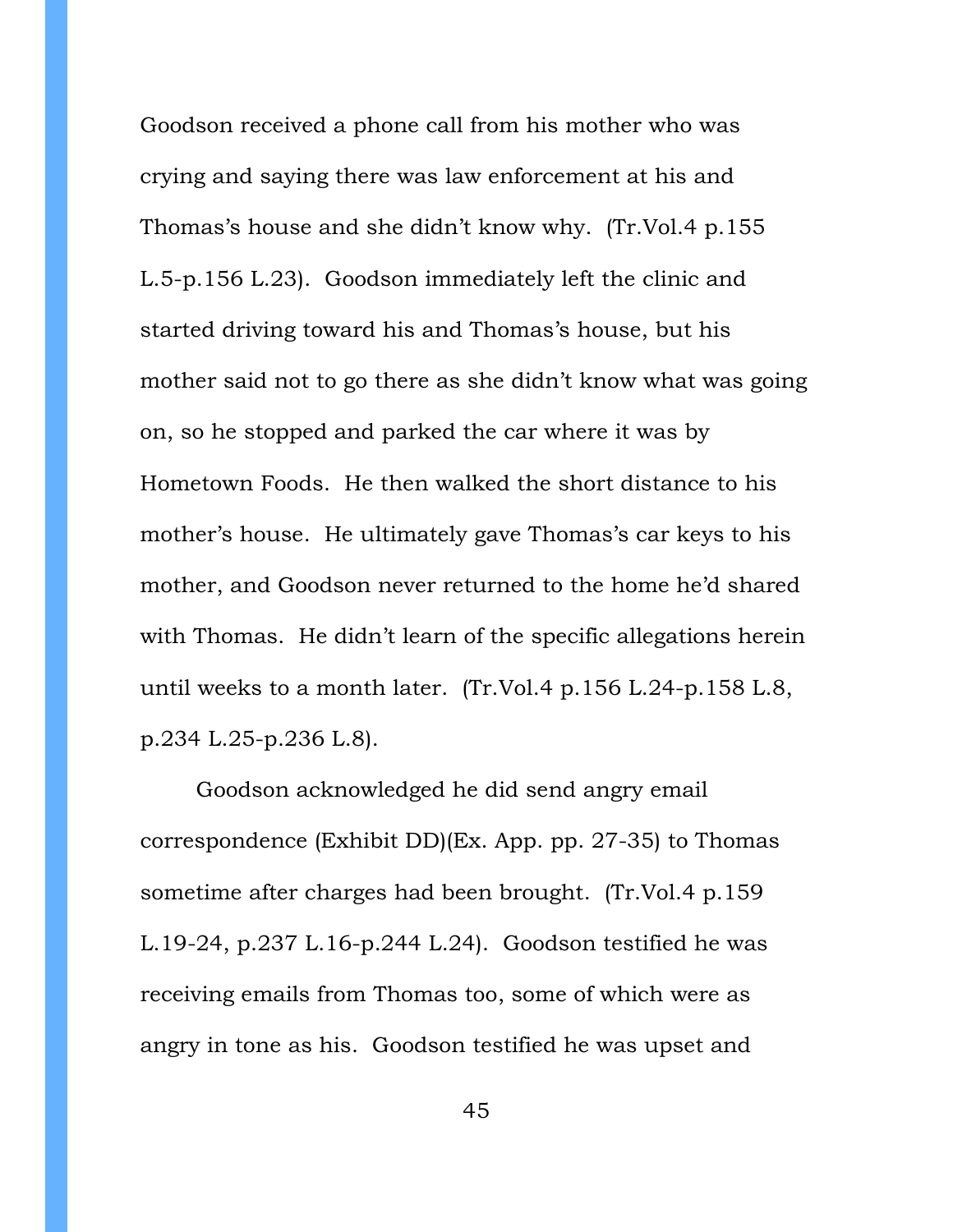Goodson received a phone call from his mother who was crying and saying there was law enforcement at his and Thomas's house and she didn't know why. (Tr.Vol.4 p.155 L.5-p.156 L.23). Goodson immediately left the clinic and started driving toward his and Thomas's house, but his mother said not to go there as she didn't know what was going on, so he stopped and parked the car where it was by Hometown Foods. He then walked the short distance to his mother's house. He ultimately gave Thomas's car keys to his mother, and Goodson never returned to the home he'd shared with Thomas. He didn't learn of the specific allegations herein until weeks to a month later. (Tr.Vol.4 p.156 L.24-p.158 L.8, p.234 L.25-p.236 L.8).

Goodson acknowledged he did send angry email correspondence (Exhibit DD)(Ex. App. pp. 27-35) to Thomas sometime after charges had been brought. (Tr.Vol.4 p.159 L.19-24, p.237 L.16-p.244 L.24). Goodson testified he was receiving emails from Thomas too, some of which were as angry in tone as his. Goodson testified he was upset and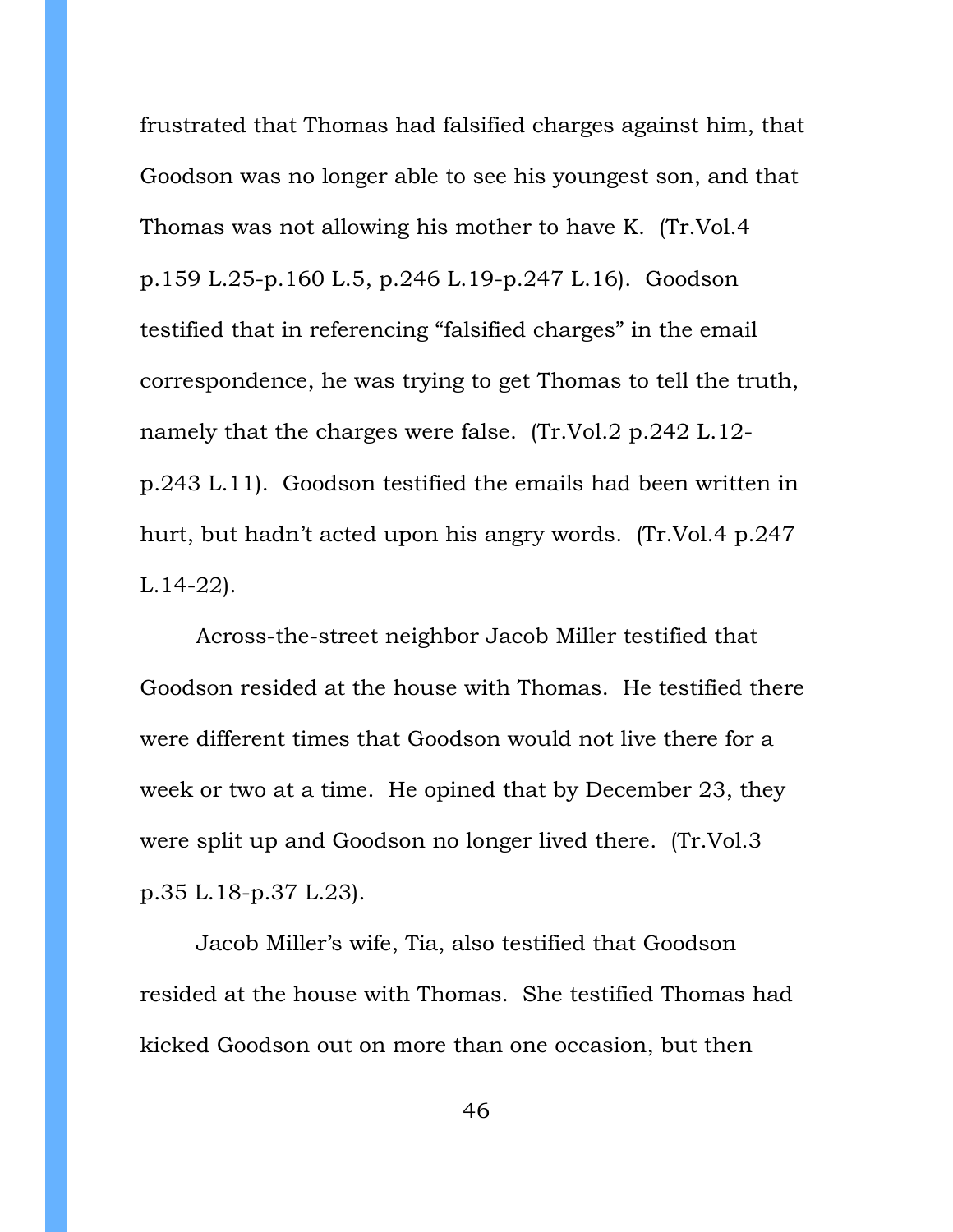frustrated that Thomas had falsified charges against him, that Goodson was no longer able to see his youngest son, and that Thomas was not allowing his mother to have K. (Tr.Vol.4 p.159 L.25-p.160 L.5, p.246 L.19-p.247 L.16). Goodson testified that in referencing "falsified charges" in the email correspondence, he was trying to get Thomas to tell the truth, namely that the charges were false. (Tr.Vol.2 p.242 L.12 p.243 L.11). Goodson testified the emails had been written in hurt, but hadn't acted upon his angry words. (Tr.Vol.4 p.247 L.14-22).

Across-the-street neighbor Jacob Miller testified that Goodson resided at the house with Thomas. He testified there were different times that Goodson would not live there for a week or two at a time. He opined that by December 23, they were split up and Goodson no longer lived there. (Tr.Vol.3 p.35 L.18-p.37 L.23).

Jacob Miller's wife, Tia, also testified that Goodson resided at the house with Thomas. She testified Thomas had kicked Goodson out on more than one occasion, but then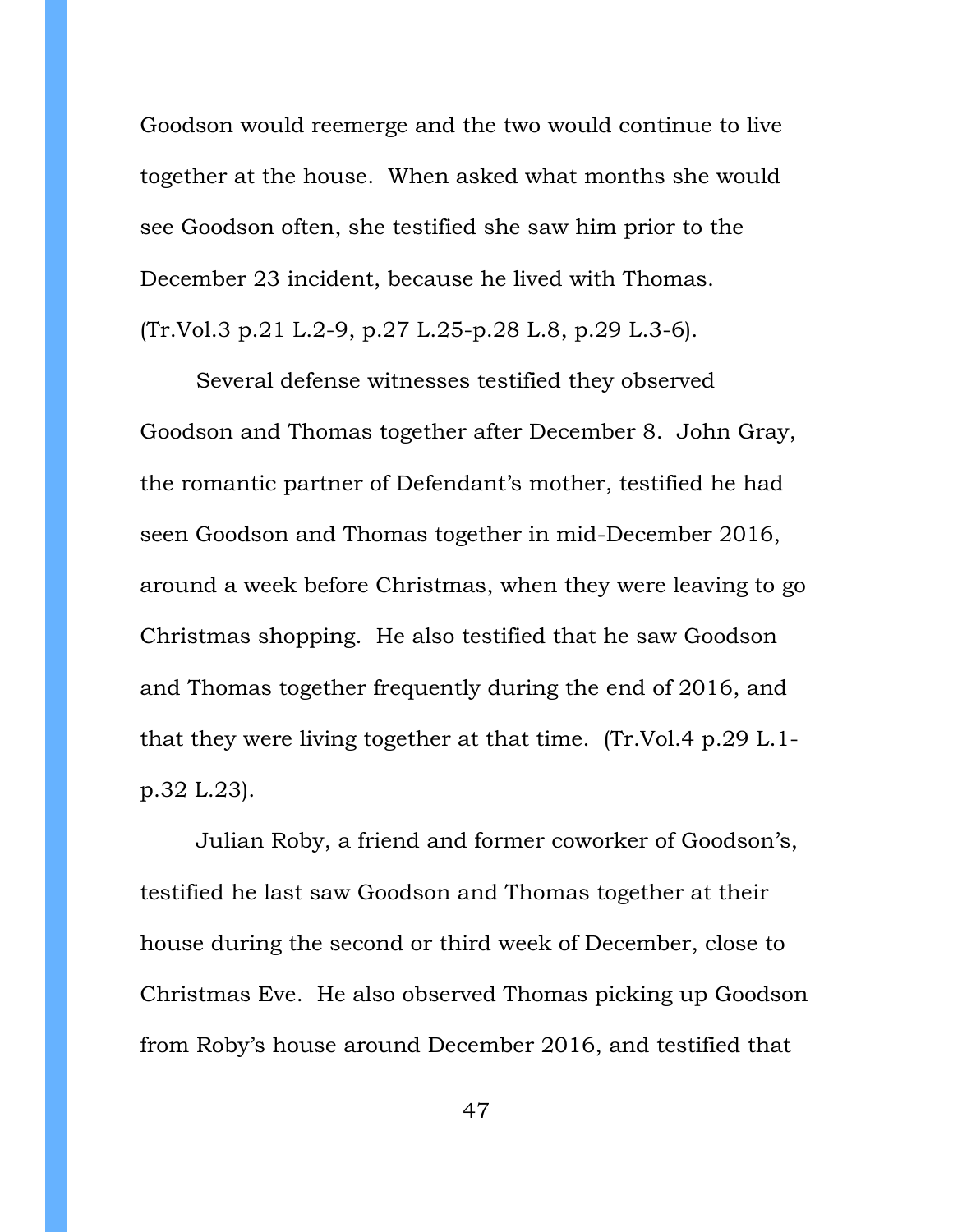Goodson would reemerge and the two would continue to live together at the house. When asked what months she would see Goodson often, she testified she saw him prior to the December 23 incident, because he lived with Thomas. (Tr.Vol.3 p.21 L.2-9, p.27 L.25-p.28 L.8, p.29 L.3-6).

Several defense witnesses testified they observed Goodson and Thomas together after December 8. John Gray, the romantic partner of Defendant's mother, testified he had seen Goodson and Thomas together in mid-December 2016, around a week before Christmas, when they were leaving to go Christmas shopping. He also testified that he saw Goodson and Thomas together frequently during the end of 2016, and that they were living together at that time. (Tr.Vol.4 p.29 L.1 p.32 L.23).

Julian Roby, a friend and former coworker of Goodson's, testified he last saw Goodson and Thomas together at their house during the second or third week of December, close to Christmas Eve. He also observed Thomas picking up Goodson from Roby's house around December 2016, and testified that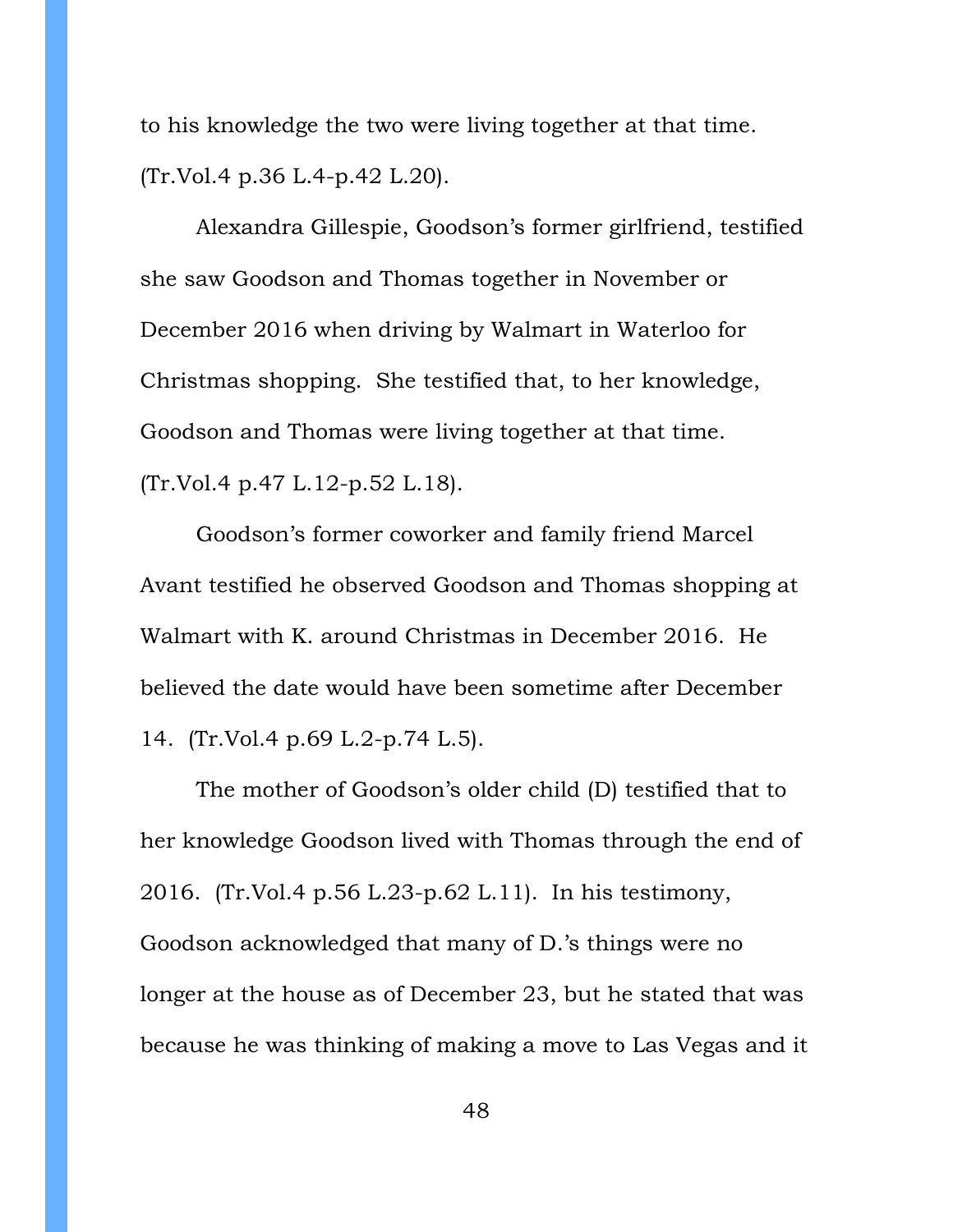to his knowledge the two were living together at that time. (Tr.Vol.4 p.36 L.4-p.42 L.20).

Alexandra Gillespie, Goodson's former girlfriend, testified she saw Goodson and Thomas together in November or December 2016 when driving by Walmart in Waterloo for Christmas shopping. She testified that, to her knowledge, Goodson and Thomas were living together at that time. (Tr.Vol.4 p.47 L.12-p.52 L.18).

Goodson's former coworker and family friend Marcel Avant testified he observed Goodson and Thomas shopping at Walmart with K. around Christmas in December 2016. He believed the date would have been sometime after December 14. (Tr.Vol.4 p.69 L.2-p.74 L.5).

The mother of Goodson's older child (D) testified that to her knowledge Goodson lived with Thomas through the end of 2016. (Tr.Vol.4 p.56 L.23-p.62 L.11). In his testimony, Goodson acknowledged that many of D.'s things were no longer at the house as of December 23, but he stated that was because he was thinking of making a move to Las Vegas and it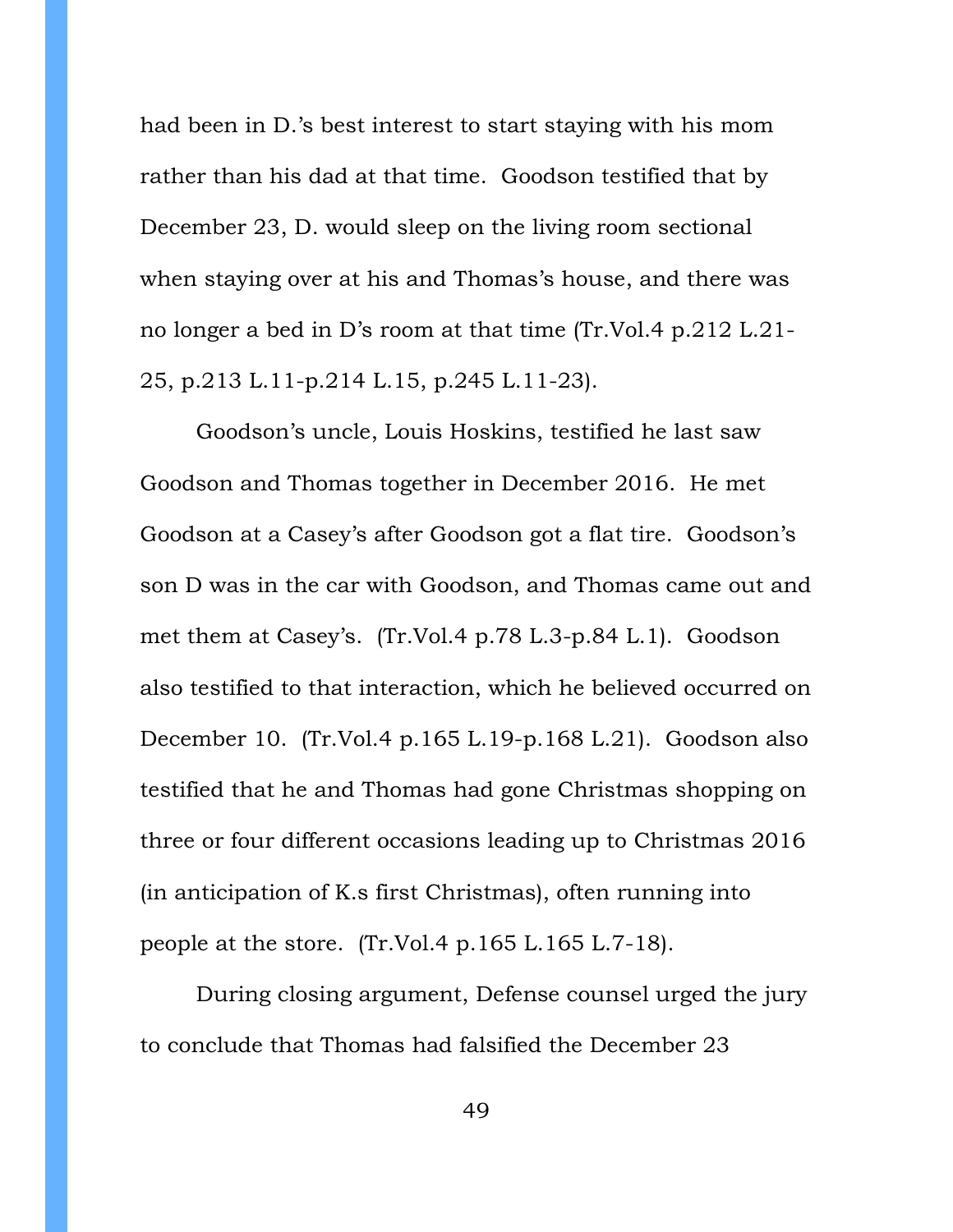had been in D.'s best interest to start staying with his mom rather than his dad at that time. Goodson testified that by December 23, D. would sleep on the living room sectional when staying over at his and Thomas's house, and there was no longer a bed in D's room at that time (Tr.Vol.4 p.212 L.21- 25, p.213 L.11-p.214 L.15, p.245 L.11-23).

Goodson's uncle, Louis Hoskins, testified he last saw Goodson and Thomas together in December 2016. He met Goodson at a Casey's after Goodson got a flat tire. Goodson's son D was in the car with Goodson, and Thomas came out and met them at Casey's. (Tr.Vol.4 p.78 L.3-p.84 L.1). Goodson also testified to that interaction, which he believed occurred on December 10. (Tr.Vol.4 p.165 L.19-p.168 L.21). Goodson also testified that he and Thomas had gone Christmas shopping on three or four different occasions leading up to Christmas 2016 (in anticipation of K.s first Christmas), often running into people at the store. (Tr.Vol.4 p.165 L.165 L.7-18).

During closing argument, Defense counsel urged the jury to conclude that Thomas had falsified the December 23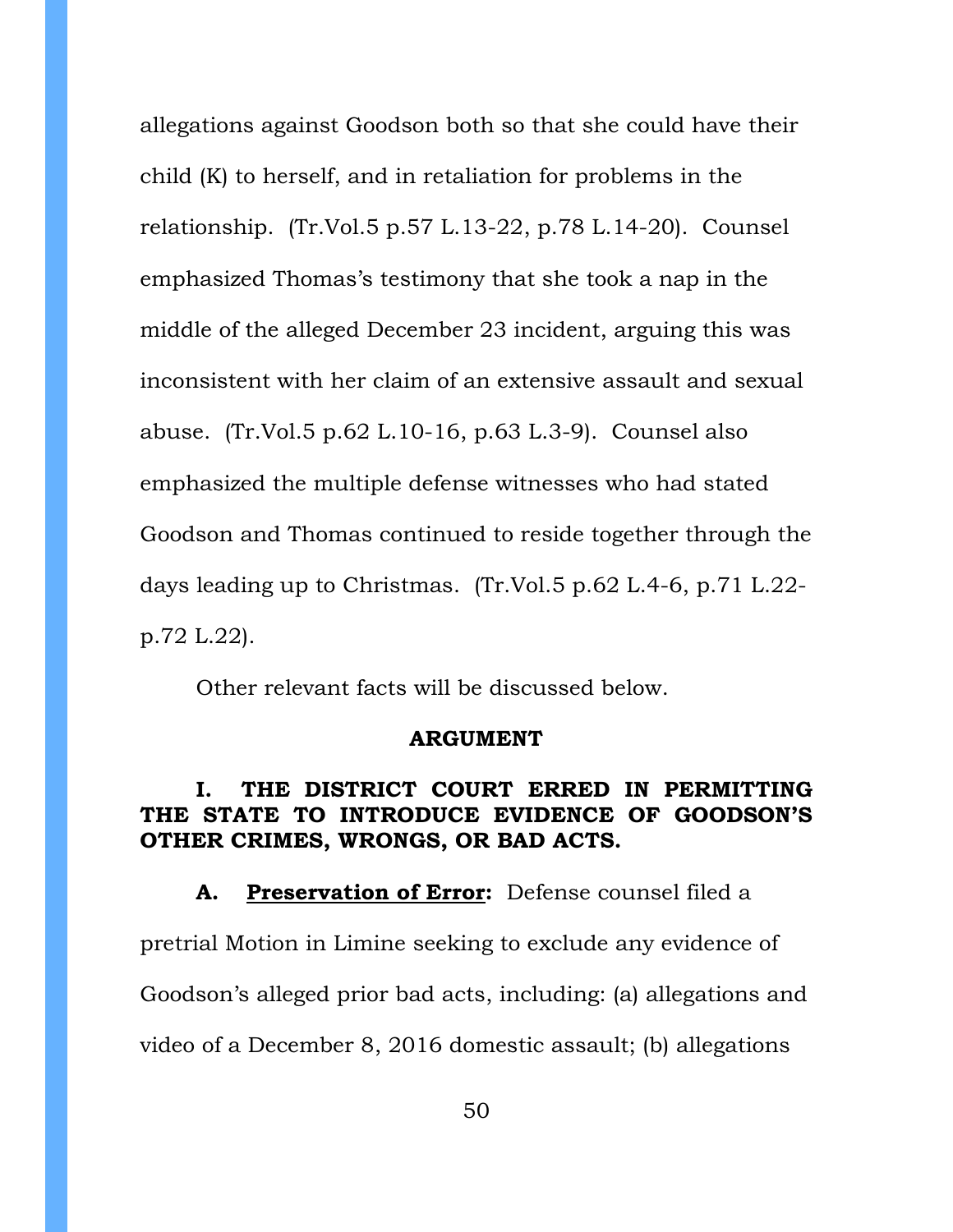allegations against Goodson both so that she could have their child (K) to herself, and in retaliation for problems in the relationship. (Tr.Vol.5 p.57 L.13-22, p.78 L.14-20). Counsel emphasized Thomas's testimony that she took a nap in the middle of the alleged December 23 incident, arguing this was inconsistent with her claim of an extensive assault and sexual abuse. (Tr.Vol.5 p.62 L.10-16, p.63 L.3-9). Counsel also emphasized the multiple defense witnesses who had stated Goodson and Thomas continued to reside together through the days leading up to Christmas. (Tr.Vol.5 p.62 L.4-6, p.71 L.22 p.72 L.22).

Other relevant facts will be discussed below.

## **ARGUMENT**

## **I. THE DISTRICT COURT ERRED IN PERMITTING THE STATE TO INTRODUCE EVIDENCE OF GOODSON'S OTHER CRIMES, WRONGS, OR BAD ACTS.**

**A. Preservation of Error:** Defense counsel filed a pretrial Motion in Limine seeking to exclude any evidence of Goodson's alleged prior bad acts, including: (a) allegations and video of a December 8, 2016 domestic assault; (b) allegations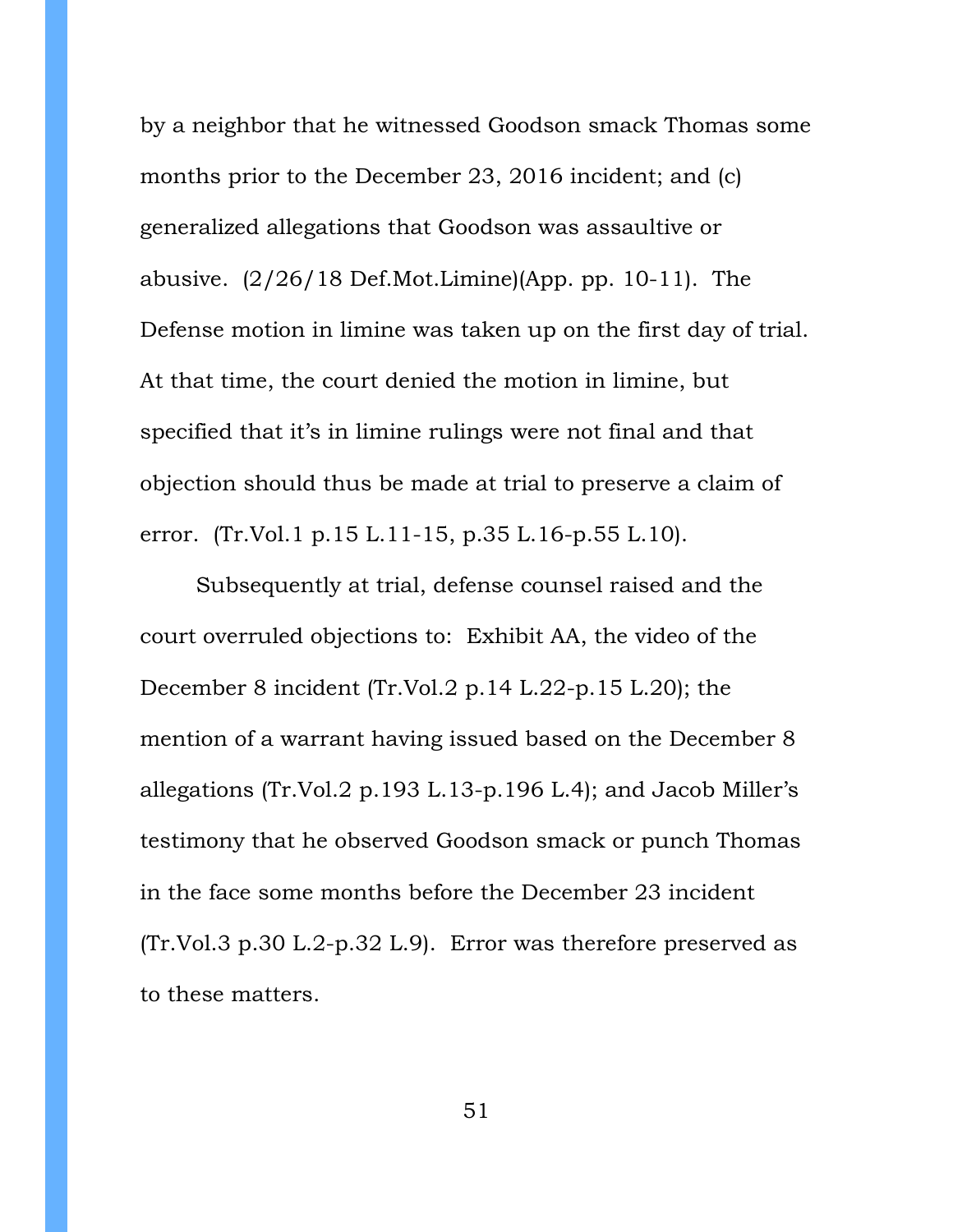by a neighbor that he witnessed Goodson smack Thomas some months prior to the December 23, 2016 incident; and (c) generalized allegations that Goodson was assaultive or abusive.  $(2/26/18 \text{ Def.Mot.Limine})(\text{App. pp. } 10-11)$ . The Defense motion in limine was taken up on the first day of trial. At that time, the court denied the motion in limine, but specified that it's in limine rulings were not final and that objection should thus be made at trial to preserve a claim of error. (Tr.Vol.1 p.15 L.11-15, p.35 L.16-p.55 L.10).

Subsequently at trial, defense counsel raised and the court overruled objections to: Exhibit AA, the video of the December 8 incident (Tr.Vol.2 p.14 L.22-p.15 L.20); the mention of a warrant having issued based on the December 8 allegations (Tr.Vol.2 p.193 L.13-p.196 L.4); and Jacob Miller's testimony that he observed Goodson smack or punch Thomas in the face some months before the December 23 incident (Tr.Vol.3 p.30 L.2-p.32 L.9). Error was therefore preserved as to these matters.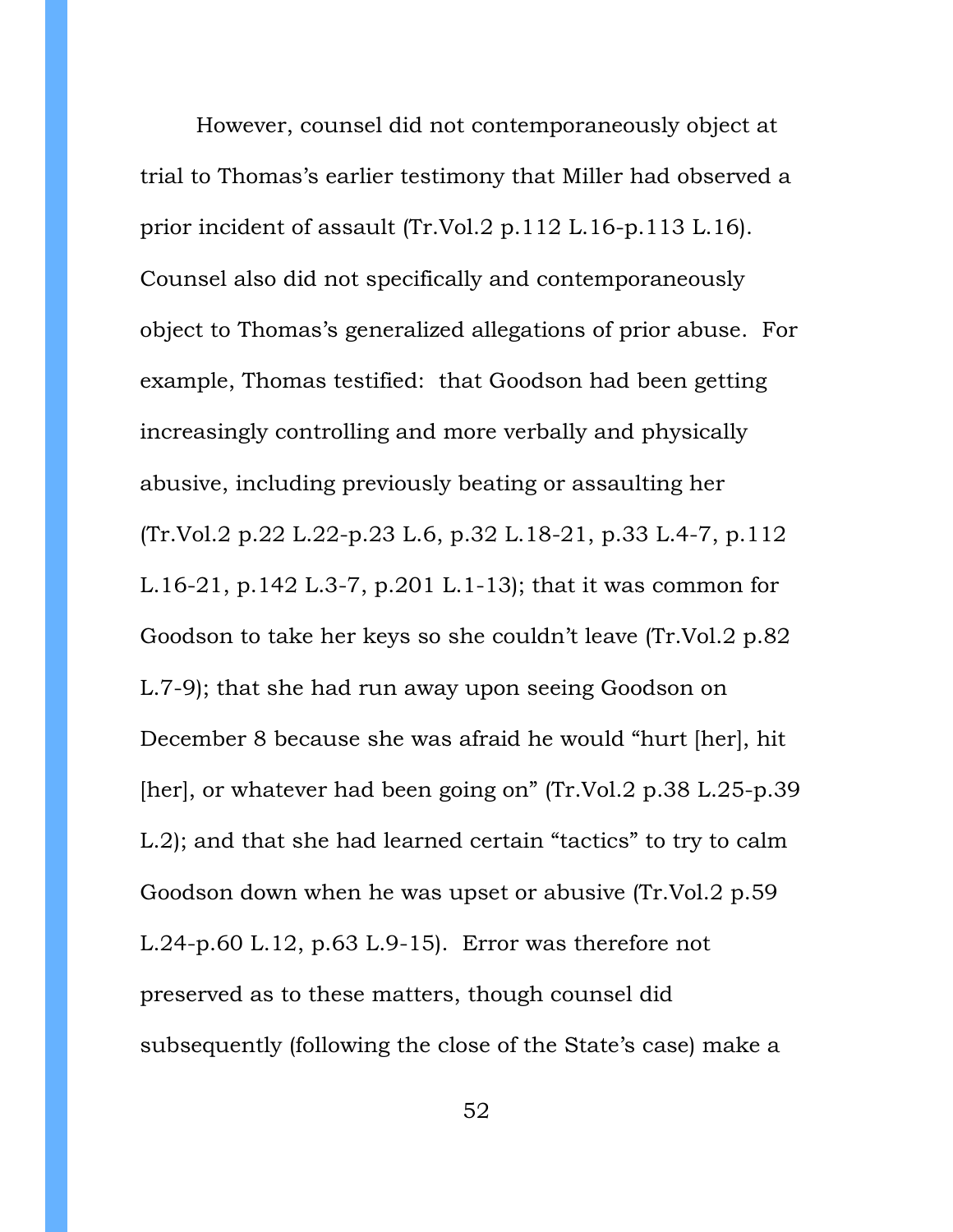However, counsel did not contemporaneously object at trial to Thomas's earlier testimony that Miller had observed a prior incident of assault (Tr.Vol.2 p.112 L.16-p.113 L.16). Counsel also did not specifically and contemporaneously object to Thomas's generalized allegations of prior abuse. For example, Thomas testified: that Goodson had been getting increasingly controlling and more verbally and physically abusive, including previously beating or assaulting her (Tr.Vol.2 p.22 L.22-p.23 L.6, p.32 L.18-21, p.33 L.4-7, p.112 L.16-21, p.142 L.3-7, p.201 L.1-13); that it was common for Goodson to take her keys so she couldn't leave (Tr.Vol.2 p.82 L.7-9); that she had run away upon seeing Goodson on December 8 because she was afraid he would "hurt [her], hit [her], or whatever had been going on" (Tr.Vol.2 p.38 L.25-p.39 L.2); and that she had learned certain "tactics" to try to calm Goodson down when he was upset or abusive (Tr.Vol.2 p.59 L.24-p.60 L.12, p.63 L.9-15). Error was therefore not preserved as to these matters, though counsel did subsequently (following the close of the State's case) make a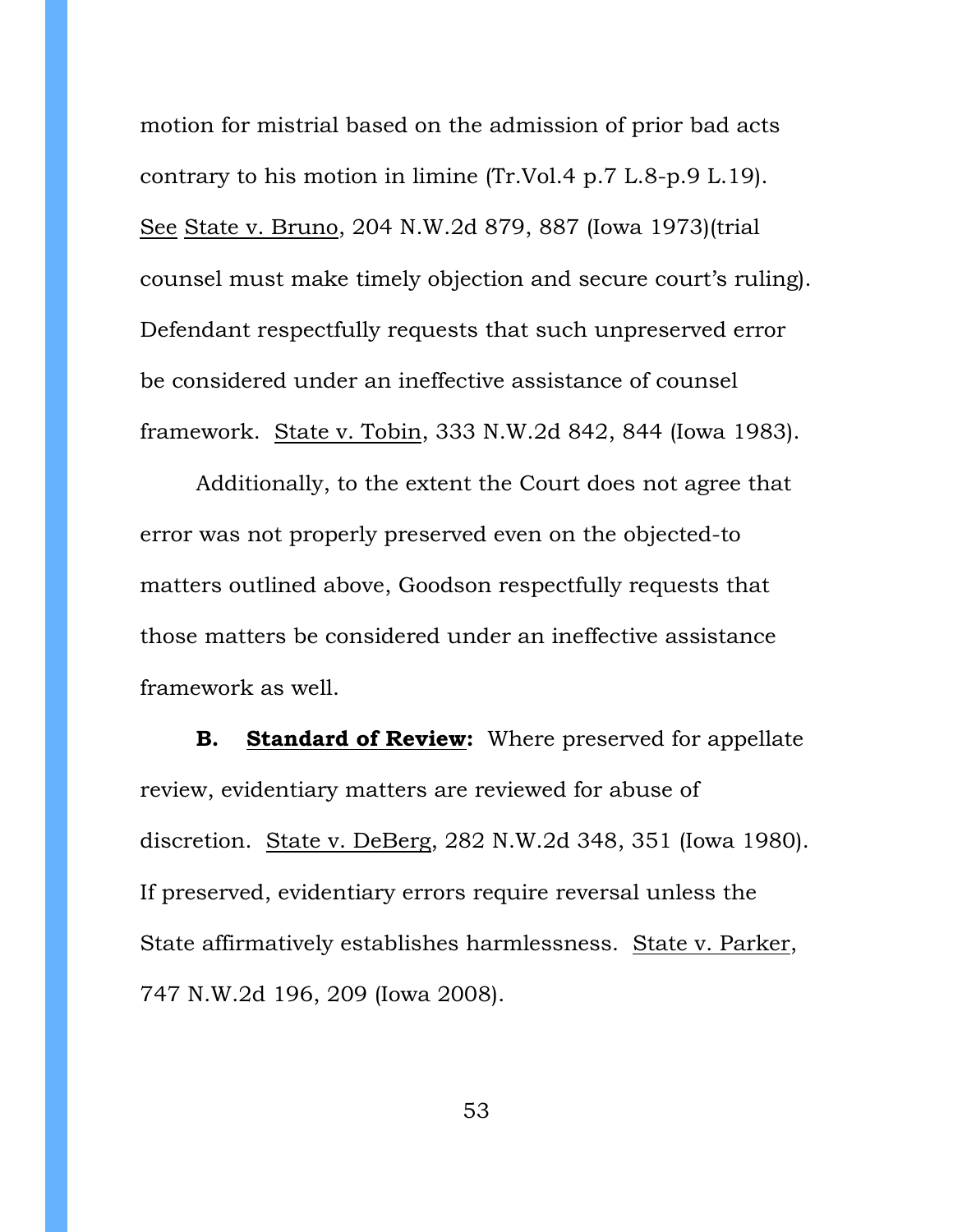motion for mistrial based on the admission of prior bad acts contrary to his motion in limine (Tr.Vol.4 p.7 L.8-p.9 L.19). See State v. Bruno, 204 N.W.2d 879, 887 (Iowa 1973)(trial counsel must make timely objection and secure court's ruling). Defendant respectfully requests that such unpreserved error be considered under an ineffective assistance of counsel framework. State v. Tobin, 333 N.W.2d 842, 844 (Iowa 1983).

Additionally, to the extent the Court does not agree that error was not properly preserved even on the objected-to matters outlined above, Goodson respectfully requests that those matters be considered under an ineffective assistance framework as well.

**B. Standard of Review:** Where preserved for appellate review, evidentiary matters are reviewed for abuse of discretion. State v. DeBerg, 282 N.W.2d 348, 351 (Iowa 1980). If preserved, evidentiary errors require reversal unless the State affirmatively establishes harmlessness. State v. Parker, 747 N.W.2d 196, 209 (Iowa 2008).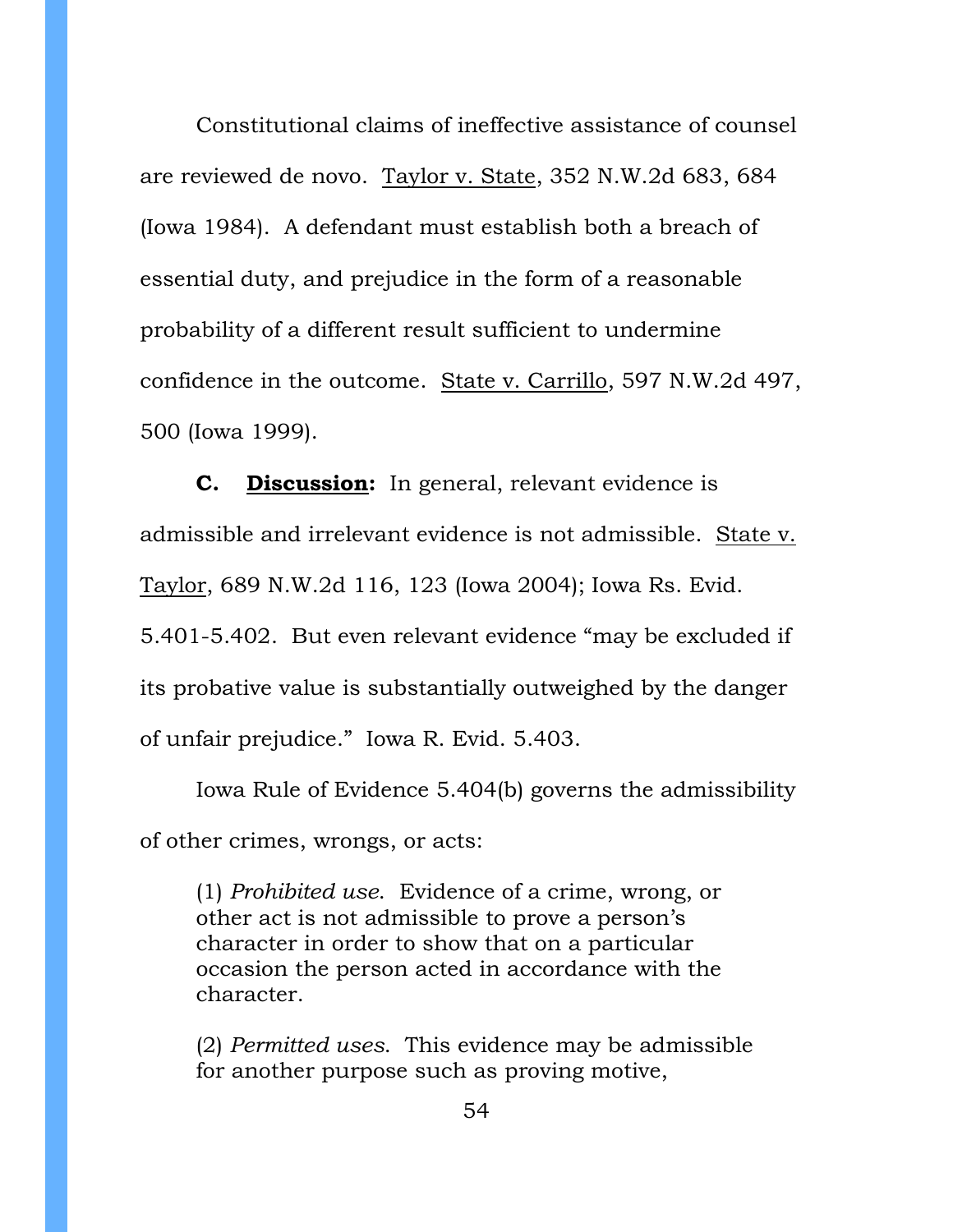Constitutional claims of ineffective assistance of counsel are reviewed de novo. Taylor v. State, 352 N.W.2d 683, 684 (Iowa 1984). A defendant must establish both a breach of essential duty, and prejudice in the form of a reasonable probability of a different result sufficient to undermine confidence in the outcome. State v. Carrillo, 597 N.W.2d 497, 500 (Iowa 1999).

**C. Discussion:** In general, relevant evidence is admissible and irrelevant evidence is not admissible. State v. Taylor, 689 N.W.2d 116, 123 (Iowa 2004); Iowa Rs. Evid. 5.401-5.402. But even relevant evidence "may be excluded if its probative value is substantially outweighed by the danger of unfair prejudice." Iowa R. Evid. 5.403.

Iowa Rule of Evidence 5.404(b) governs the admissibility of other crimes, wrongs, or acts:

(1) *Prohibited use*. Evidence of a crime, wrong, or other act is not admissible to prove a person's character in order to show that on a particular occasion the person acted in accordance with the character.

(2) *Permitted uses*. This evidence may be admissible for another purpose such as proving motive,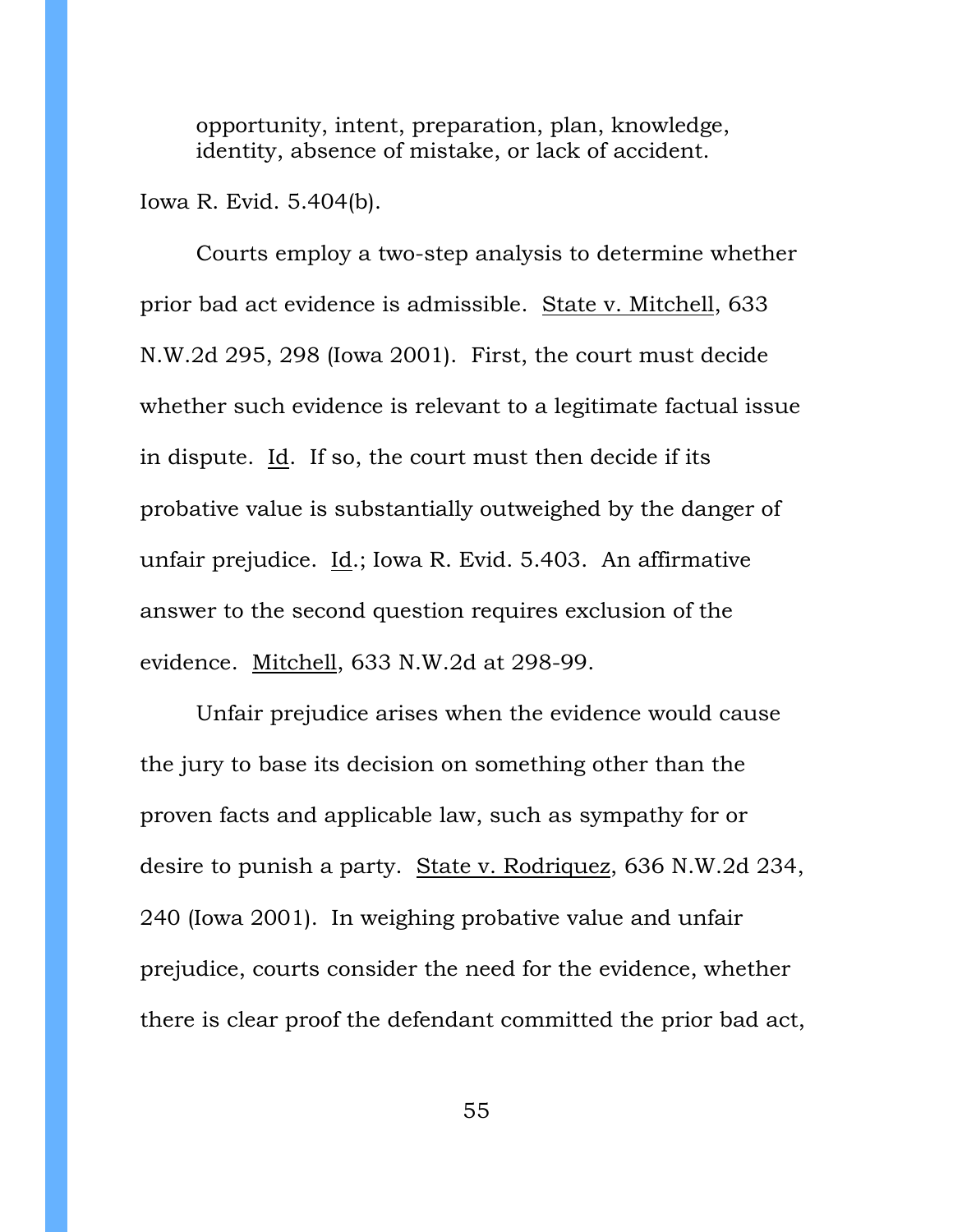opportunity, intent, preparation, plan, knowledge, identity, absence of mistake, or lack of accident.

Iowa R. Evid. 5.404(b).

Courts employ a two-step analysis to determine whether prior bad act evidence is admissible. State v. Mitchell, 633 N.W.2d 295, 298 (Iowa 2001). First, the court must decide whether such evidence is relevant to a legitimate factual issue in dispute. Id. If so, the court must then decide if its probative value is substantially outweighed by the danger of unfair prejudice. Id.; Iowa R. Evid. 5.403. An affirmative answer to the second question requires exclusion of the evidence. Mitchell, 633 N.W.2d at 298-99.

Unfair prejudice arises when the evidence would cause the jury to base its decision on something other than the proven facts and applicable law, such as sympathy for or desire to punish a party. State v. Rodriquez, 636 N.W.2d 234, 240 (Iowa 2001). In weighing probative value and unfair prejudice, courts consider the need for the evidence, whether there is clear proof the defendant committed the prior bad act,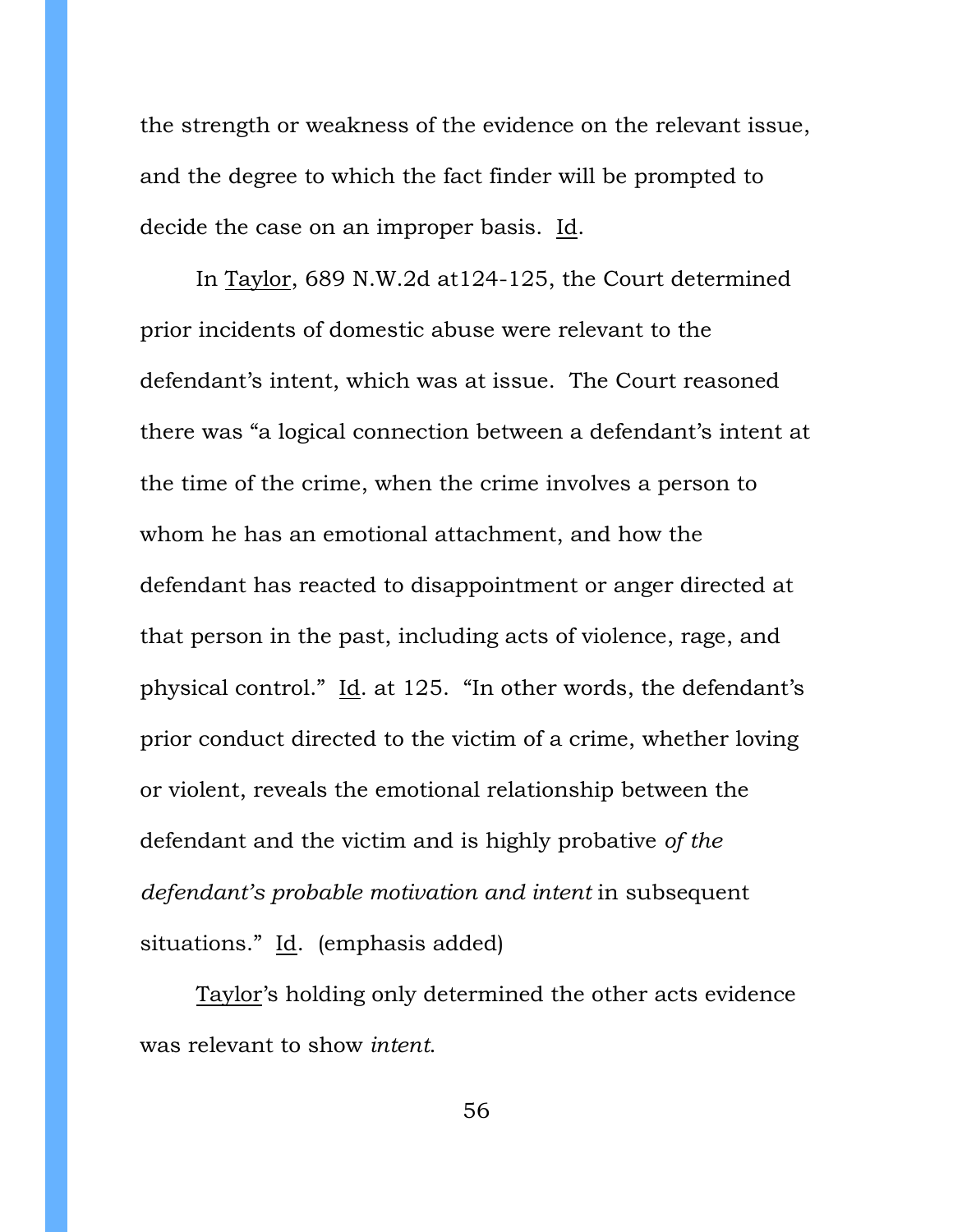the strength or weakness of the evidence on the relevant issue, and the degree to which the fact finder will be prompted to decide the case on an improper basis. Id.

In Taylor, 689 N.W.2d at124-125, the Court determined prior incidents of domestic abuse were relevant to the defendant's intent, which was at issue. The Court reasoned there was "a logical connection between a defendant's intent at the time of the crime, when the crime involves a person to whom he has an emotional attachment, and how the defendant has reacted to disappointment or anger directed at that person in the past, including acts of violence, rage, and physical control." Id. at 125. "In other words, the defendant's prior conduct directed to the victim of a crime, whether loving or violent, reveals the emotional relationship between the defendant and the victim and is highly probative *of the defendant's probable motivation and intent* in subsequent situations." Id. (emphasis added)

Taylor's holding only determined the other acts evidence was relevant to show *intent*.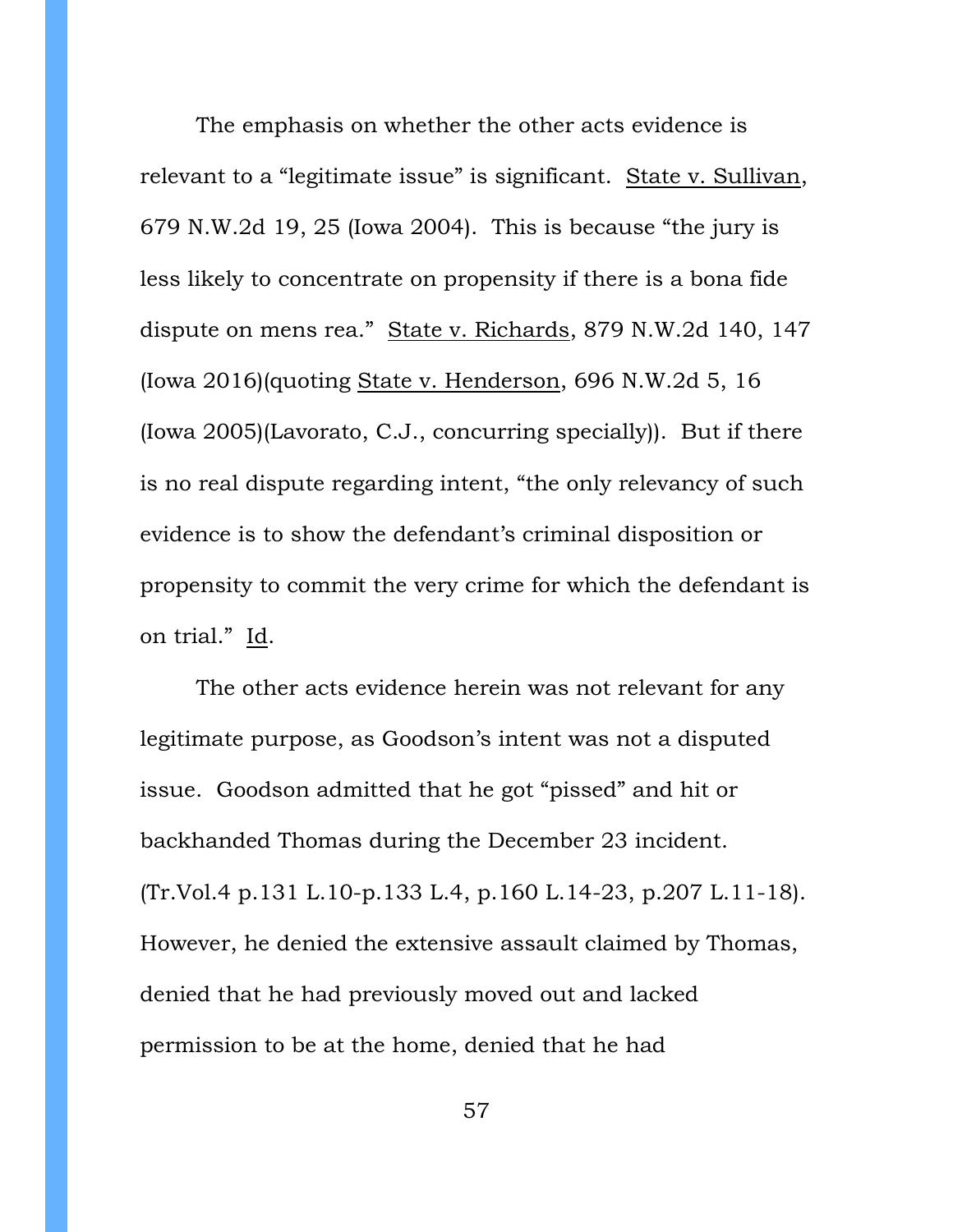The emphasis on whether the other acts evidence is relevant to a "legitimate issue" is significant. State v. Sullivan, 679 N.W.2d 19, 25 (Iowa 2004). This is because "the jury is less likely to concentrate on propensity if there is a bona fide dispute on mens rea." State v. Richards, 879 N.W.2d 140, 147 (Iowa 2016)(quoting State v. Henderson, 696 N.W.2d 5, 16 (Iowa 2005)(Lavorato, C.J., concurring specially)). But if there is no real dispute regarding intent, "the only relevancy of such evidence is to show the defendant's criminal disposition or propensity to commit the very crime for which the defendant is on trial." Id.

The other acts evidence herein was not relevant for any legitimate purpose, as Goodson's intent was not a disputed issue. Goodson admitted that he got "pissed" and hit or backhanded Thomas during the December 23 incident. (Tr.Vol.4 p.131 L.10-p.133 L.4, p.160 L.14-23, p.207 L.11-18). However, he denied the extensive assault claimed by Thomas, denied that he had previously moved out and lacked permission to be at the home, denied that he had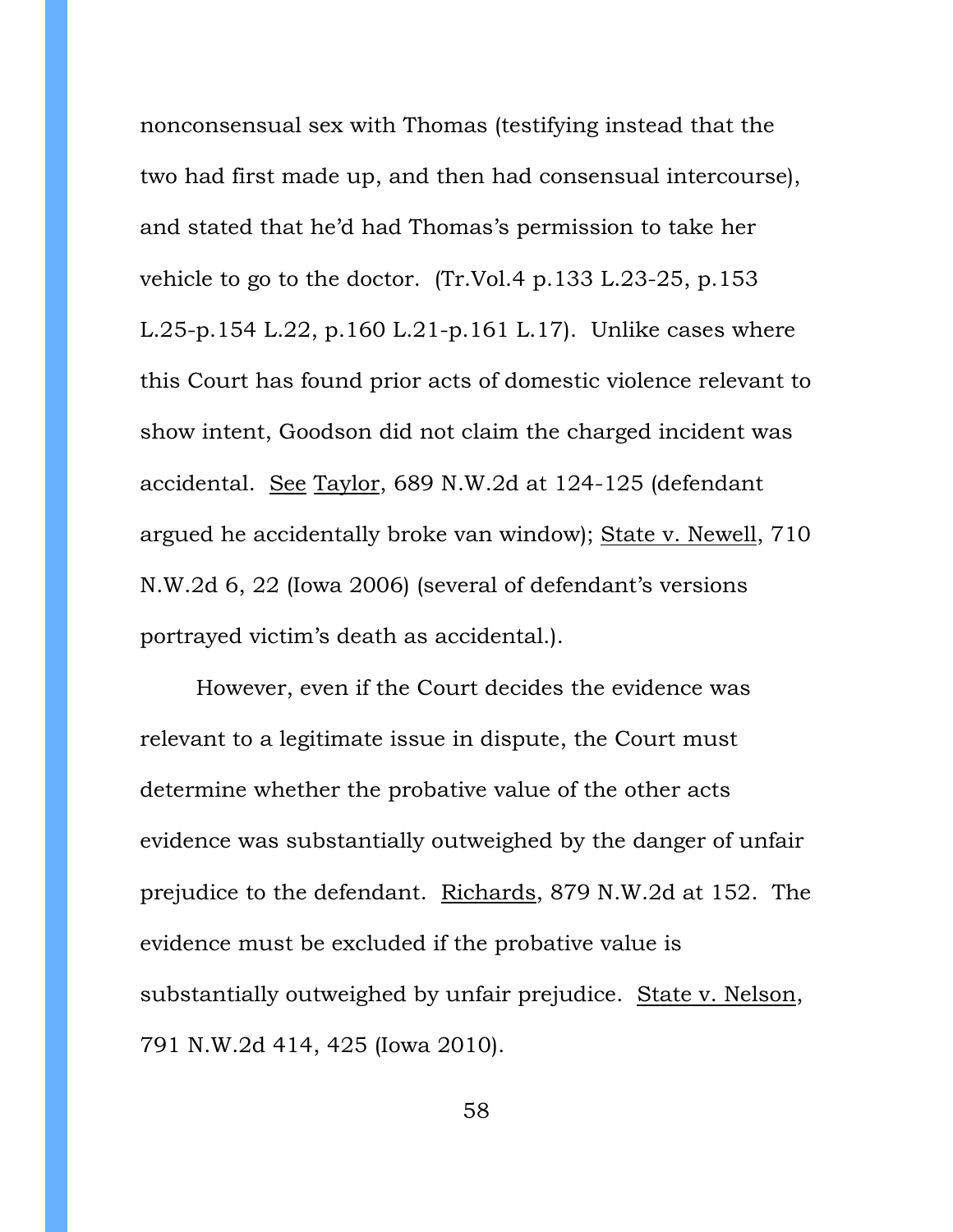nonconsensual sex with Thomas (testifying instead that the two had first made up, and then had consensual intercourse), and stated that he'd had Thomas's permission to take her vehicle to go to the doctor. (Tr.Vol.4 p.133 L.23-25, p.153 L.25-p.154 L.22, p.160 L.21-p.161 L.17). Unlike cases where this Court has found prior acts of domestic violence relevant to show intent, Goodson did not claim the charged incident was accidental. See Taylor, 689 N.W.2d at 124-125 (defendant argued he accidentally broke van window); State v. Newell, 710 N.W.2d 6, 22 (Iowa 2006) (several of defendant's versions portrayed victim's death as accidental.).

However, even if the Court decides the evidence was relevant to a legitimate issue in dispute, the Court must determine whether the probative value of the other acts evidence was substantially outweighed by the danger of unfair prejudice to the defendant. Richards, 879 N.W.2d at 152. The evidence must be excluded if the probative value is substantially outweighed by unfair prejudice. State v. Nelson, 791 N.W.2d 414, 425 (Iowa 2010).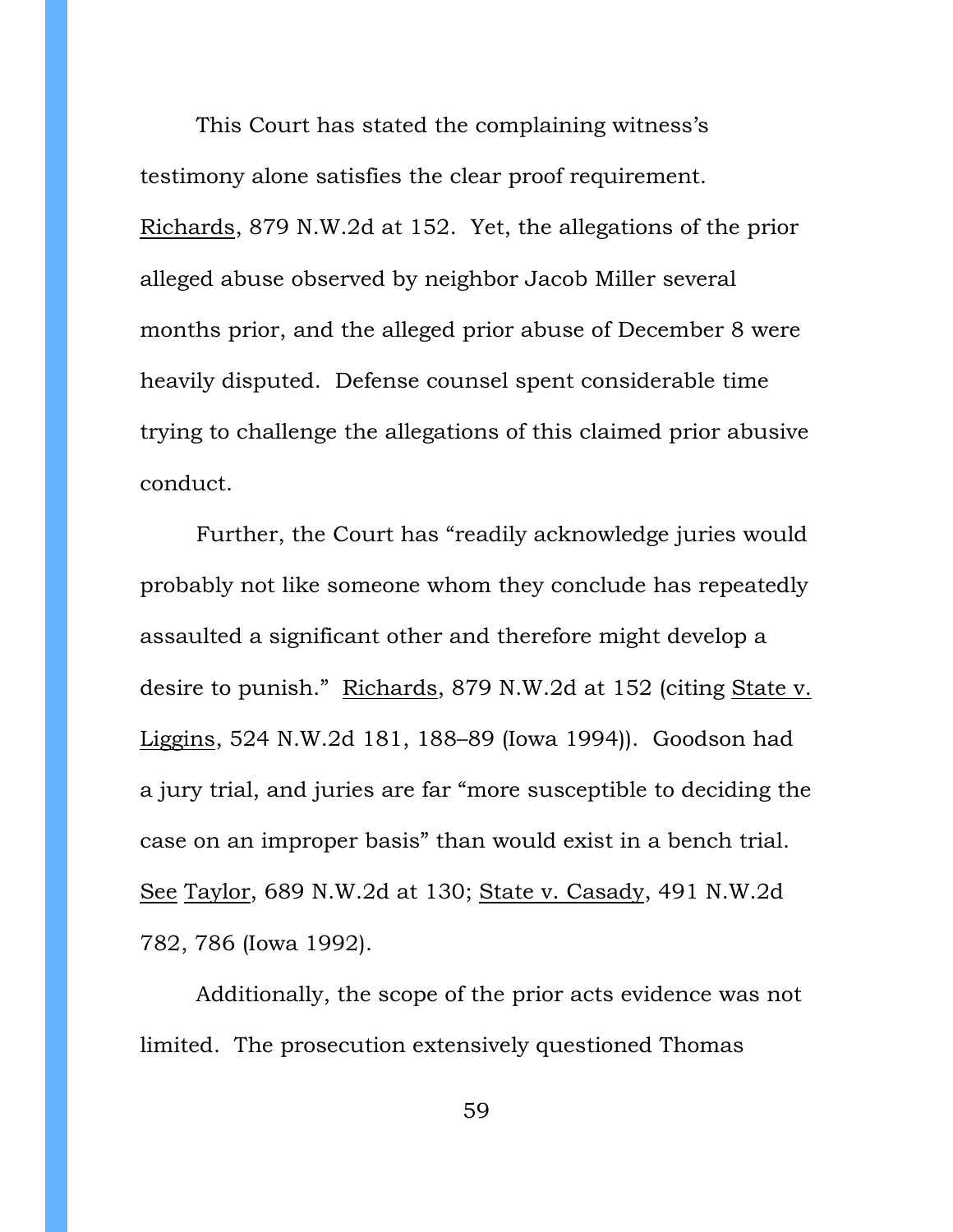This Court has stated the complaining witness's testimony alone satisfies the clear proof requirement. Richards, 879 N.W.2d at 152. Yet, the allegations of the prior alleged abuse observed by neighbor Jacob Miller several months prior, and the alleged prior abuse of December 8 were heavily disputed. Defense counsel spent considerable time trying to challenge the allegations of this claimed prior abusive conduct.

Further, the Court has "readily acknowledge juries would probably not like someone whom they conclude has repeatedly assaulted a significant other and therefore might develop a desire to punish." Richards, 879 N.W.2d at 152 (citing State v. Liggins, 524 N.W.2d 181, 188–89 (Iowa 1994)). Goodson had a jury trial, and juries are far "more susceptible to deciding the case on an improper basis" than would exist in a bench trial. See Taylor, 689 N.W.2d at 130; State v. Casady, 491 N.W.2d 782, 786 (Iowa 1992).

Additionally, the scope of the prior acts evidence was not limited. The prosecution extensively questioned Thomas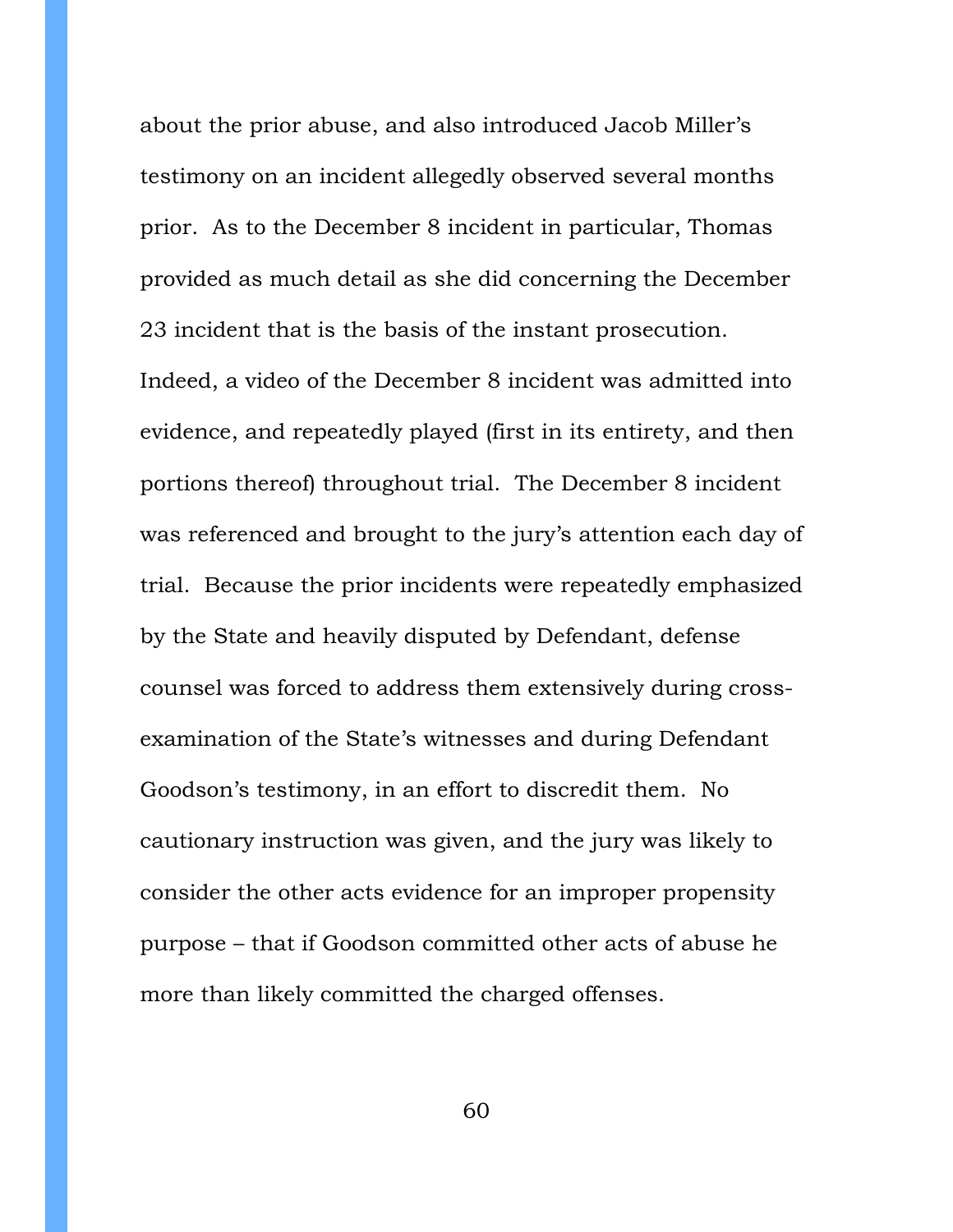about the prior abuse, and also introduced Jacob Miller's testimony on an incident allegedly observed several months prior. As to the December 8 incident in particular, Thomas provided as much detail as she did concerning the December 23 incident that is the basis of the instant prosecution. Indeed, a video of the December 8 incident was admitted into evidence, and repeatedly played (first in its entirety, and then portions thereof) throughout trial. The December 8 incident was referenced and brought to the jury's attention each day of trial. Because the prior incidents were repeatedly emphasized by the State and heavily disputed by Defendant, defense counsel was forced to address them extensively during crossexamination of the State's witnesses and during Defendant Goodson's testimony, in an effort to discredit them. No cautionary instruction was given, and the jury was likely to consider the other acts evidence for an improper propensity purpose – that if Goodson committed other acts of abuse he more than likely committed the charged offenses.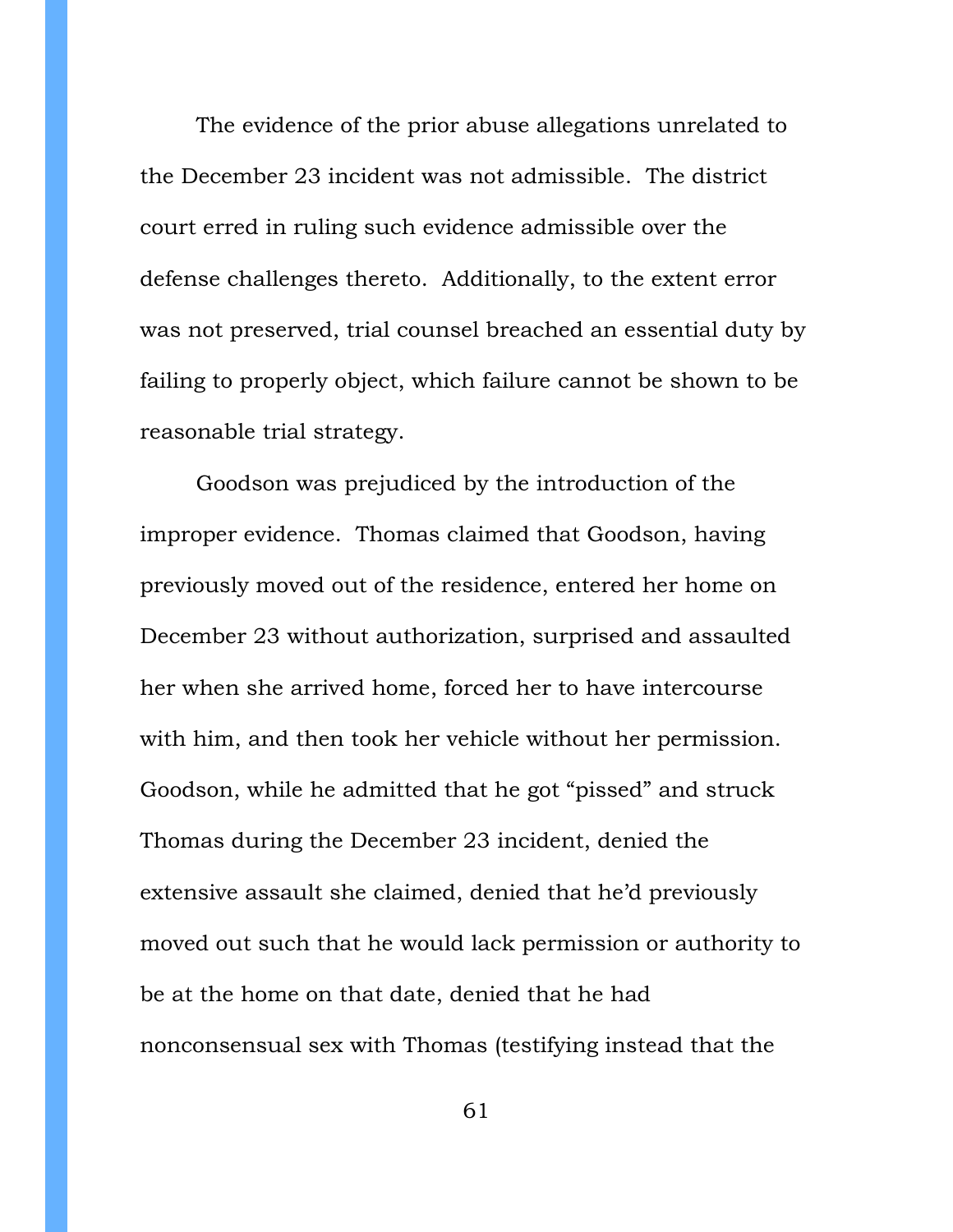The evidence of the prior abuse allegations unrelated to the December 23 incident was not admissible. The district court erred in ruling such evidence admissible over the defense challenges thereto. Additionally, to the extent error was not preserved, trial counsel breached an essential duty by failing to properly object, which failure cannot be shown to be reasonable trial strategy.

Goodson was prejudiced by the introduction of the improper evidence. Thomas claimed that Goodson, having previously moved out of the residence, entered her home on December 23 without authorization, surprised and assaulted her when she arrived home, forced her to have intercourse with him, and then took her vehicle without her permission. Goodson, while he admitted that he got "pissed" and struck Thomas during the December 23 incident, denied the extensive assault she claimed, denied that he'd previously moved out such that he would lack permission or authority to be at the home on that date, denied that he had nonconsensual sex with Thomas (testifying instead that the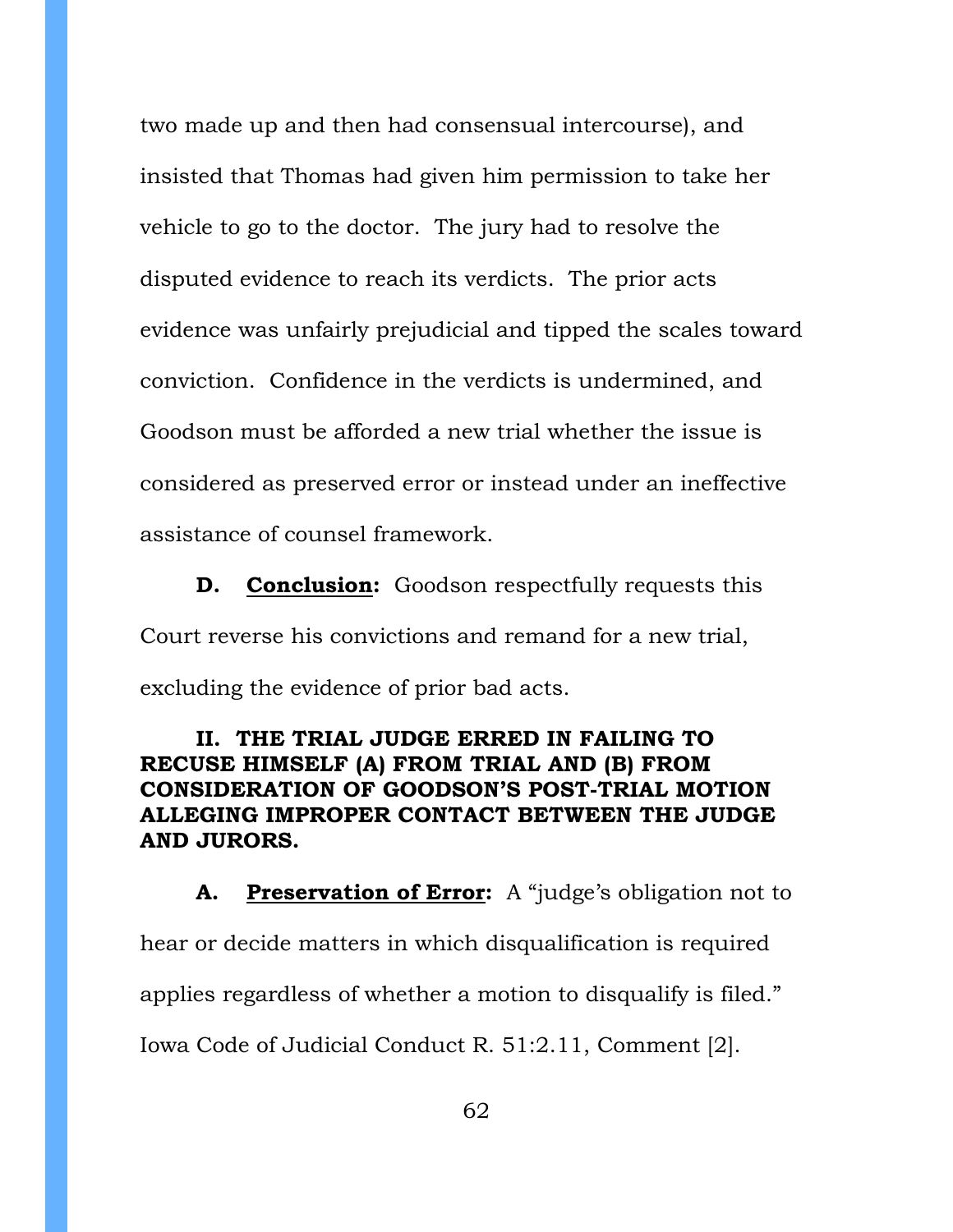two made up and then had consensual intercourse), and insisted that Thomas had given him permission to take her vehicle to go to the doctor. The jury had to resolve the disputed evidence to reach its verdicts. The prior acts evidence was unfairly prejudicial and tipped the scales toward conviction. Confidence in the verdicts is undermined, and Goodson must be afforded a new trial whether the issue is considered as preserved error or instead under an ineffective assistance of counsel framework.

**D. Conclusion:** Goodson respectfully requests this Court reverse his convictions and remand for a new trial, excluding the evidence of prior bad acts.

## **II. THE TRIAL JUDGE ERRED IN FAILING TO RECUSE HIMSELF (A) FROM TRIAL AND (B) FROM CONSIDERATION OF GOODSON'S POST-TRIAL MOTION ALLEGING IMPROPER CONTACT BETWEEN THE JUDGE AND JURORS.**

**A. Preservation of Error:** A "judge's obligation not to hear or decide matters in which disqualification is required applies regardless of whether a motion to disqualify is filed." Iowa Code of Judicial Conduct R. 51:2.11, Comment [2].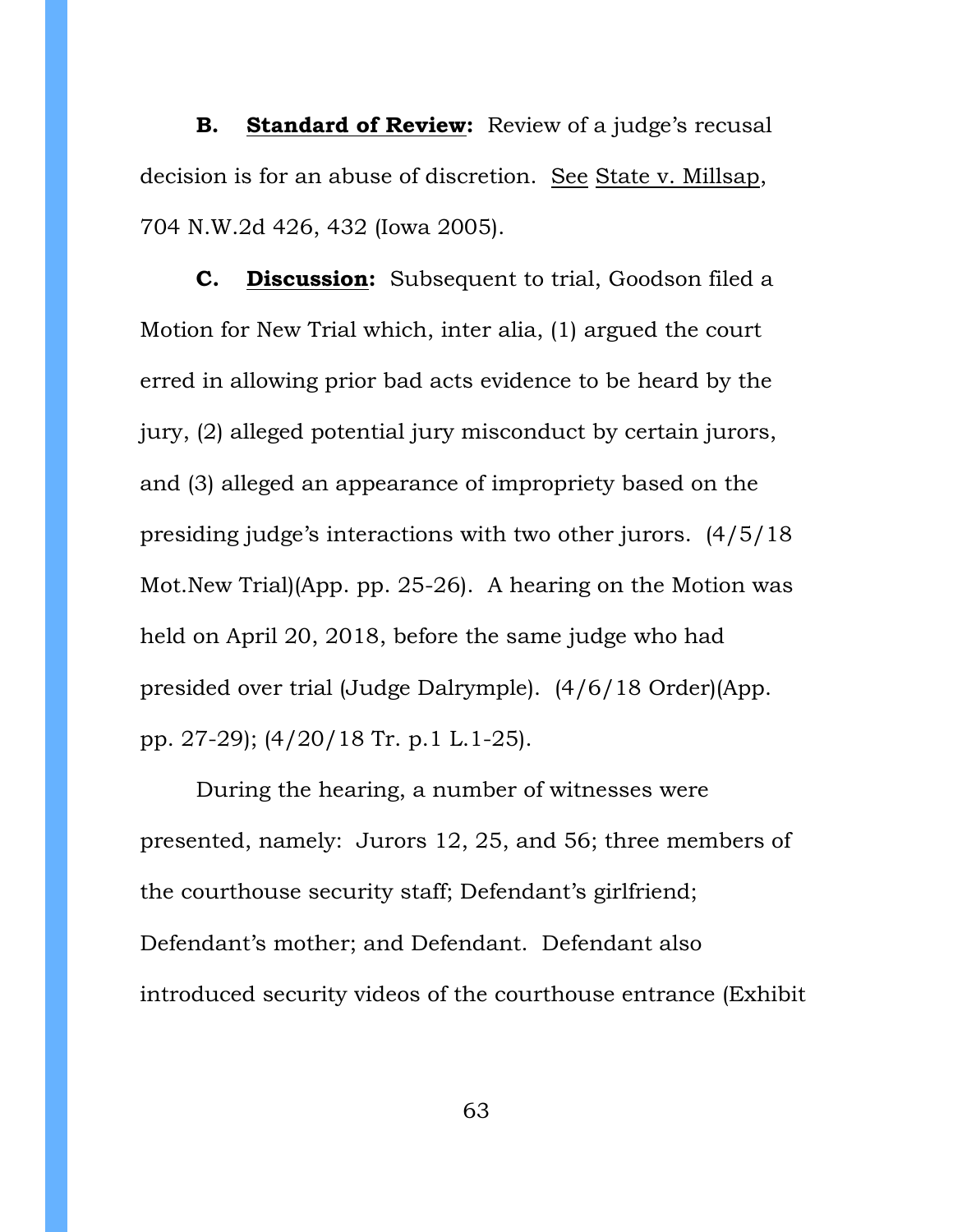**B. Standard of Review:** Review of a judge's recusal decision is for an abuse of discretion. See State v. Millsap, 704 N.W.2d 426, 432 (Iowa 2005).

**C. Discussion:** Subsequent to trial, Goodson filed a Motion for New Trial which, inter alia, (1) argued the court erred in allowing prior bad acts evidence to be heard by the jury, (2) alleged potential jury misconduct by certain jurors, and (3) alleged an appearance of impropriety based on the presiding judge's interactions with two other jurors. (4/5/18 Mot.New Trial)(App. pp. 25-26). A hearing on the Motion was held on April 20, 2018, before the same judge who had presided over trial (Judge Dalrymple). (4/6/18 Order)(App. pp. 27-29); (4/20/18 Tr. p.1 L.1-25).

During the hearing, a number of witnesses were presented, namely: Jurors 12, 25, and 56; three members of the courthouse security staff; Defendant's girlfriend; Defendant's mother; and Defendant. Defendant also introduced security videos of the courthouse entrance (Exhibit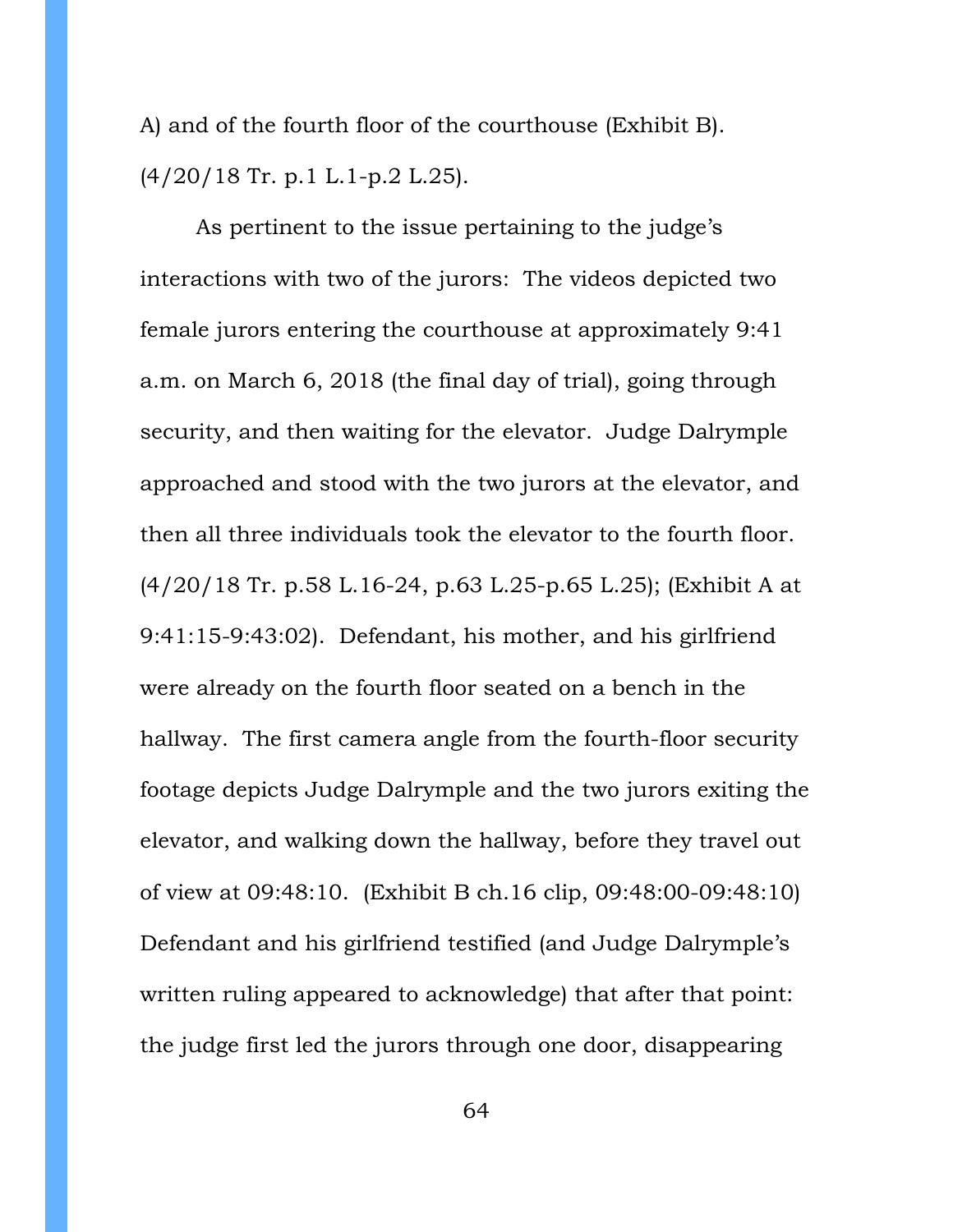A) and of the fourth floor of the courthouse (Exhibit B). (4/20/18 Tr. p.1 L.1-p.2 L.25).

As pertinent to the issue pertaining to the judge's interactions with two of the jurors: The videos depicted two female jurors entering the courthouse at approximately 9:41 a.m. on March 6, 2018 (the final day of trial), going through security, and then waiting for the elevator. Judge Dalrymple approached and stood with the two jurors at the elevator, and then all three individuals took the elevator to the fourth floor. (4/20/18 Tr. p.58 L.16-24, p.63 L.25-p.65 L.25); (Exhibit A at 9:41:15-9:43:02). Defendant, his mother, and his girlfriend were already on the fourth floor seated on a bench in the hallway. The first camera angle from the fourth-floor security footage depicts Judge Dalrymple and the two jurors exiting the elevator, and walking down the hallway, before they travel out of view at 09:48:10. (Exhibit B ch.16 clip, 09:48:00-09:48:10) Defendant and his girlfriend testified (and Judge Dalrymple's written ruling appeared to acknowledge) that after that point: the judge first led the jurors through one door, disappearing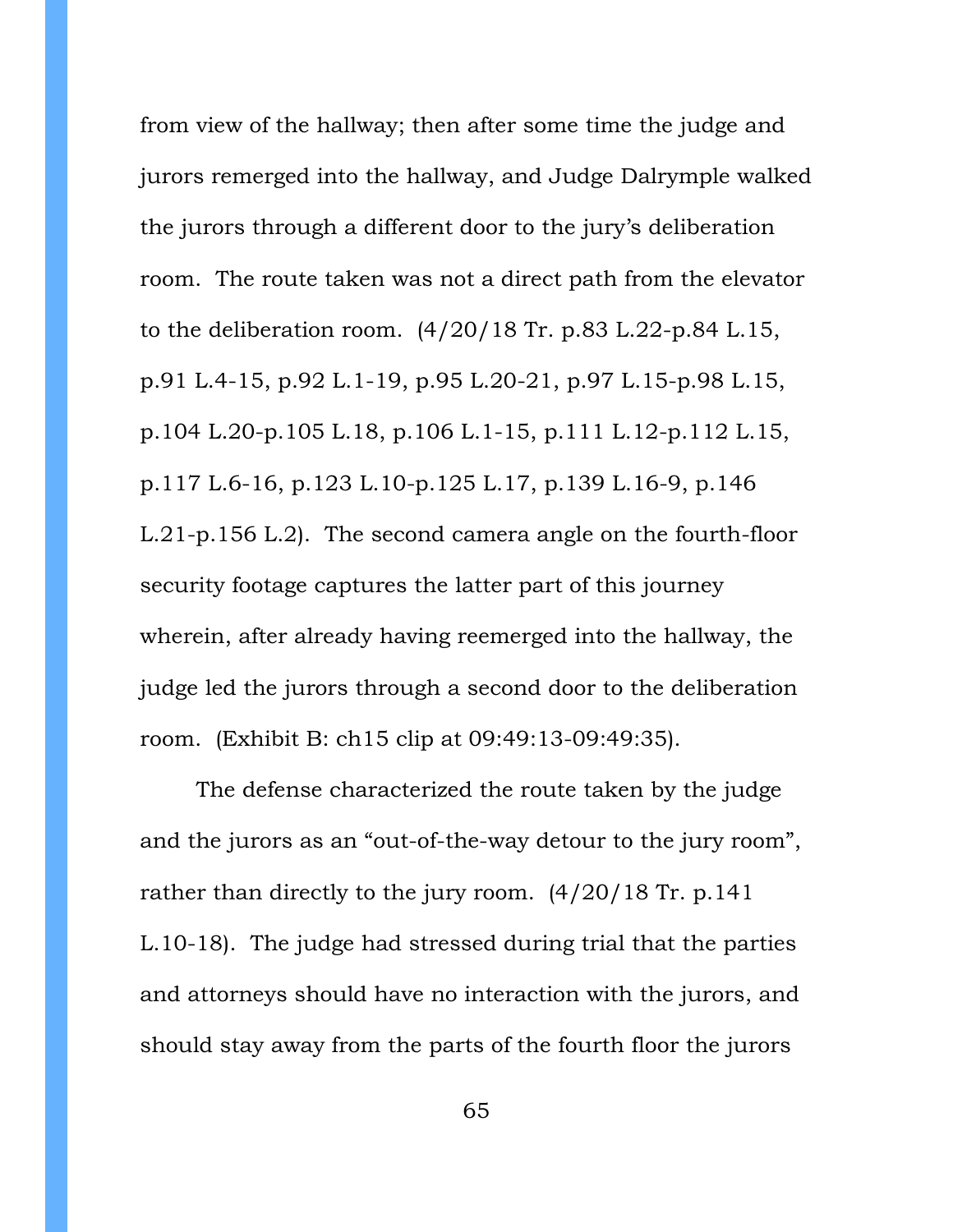from view of the hallway; then after some time the judge and jurors remerged into the hallway, and Judge Dalrymple walked the jurors through a different door to the jury's deliberation room. The route taken was not a direct path from the elevator to the deliberation room. (4/20/18 Tr. p.83 L.22-p.84 L.15, p.91 L.4-15, p.92 L.1-19, p.95 L.20-21, p.97 L.15-p.98 L.15, p.104 L.20-p.105 L.18, p.106 L.1-15, p.111 L.12-p.112 L.15, p.117 L.6-16, p.123 L.10-p.125 L.17, p.139 L.16-9, p.146 L.21-p.156 L.2). The second camera angle on the fourth-floor security footage captures the latter part of this journey wherein, after already having reemerged into the hallway, the judge led the jurors through a second door to the deliberation room. (Exhibit B: ch15 clip at 09:49:13-09:49:35).

The defense characterized the route taken by the judge and the jurors as an "out-of-the-way detour to the jury room", rather than directly to the jury room. (4/20/18 Tr. p.141 L.10-18). The judge had stressed during trial that the parties and attorneys should have no interaction with the jurors, and should stay away from the parts of the fourth floor the jurors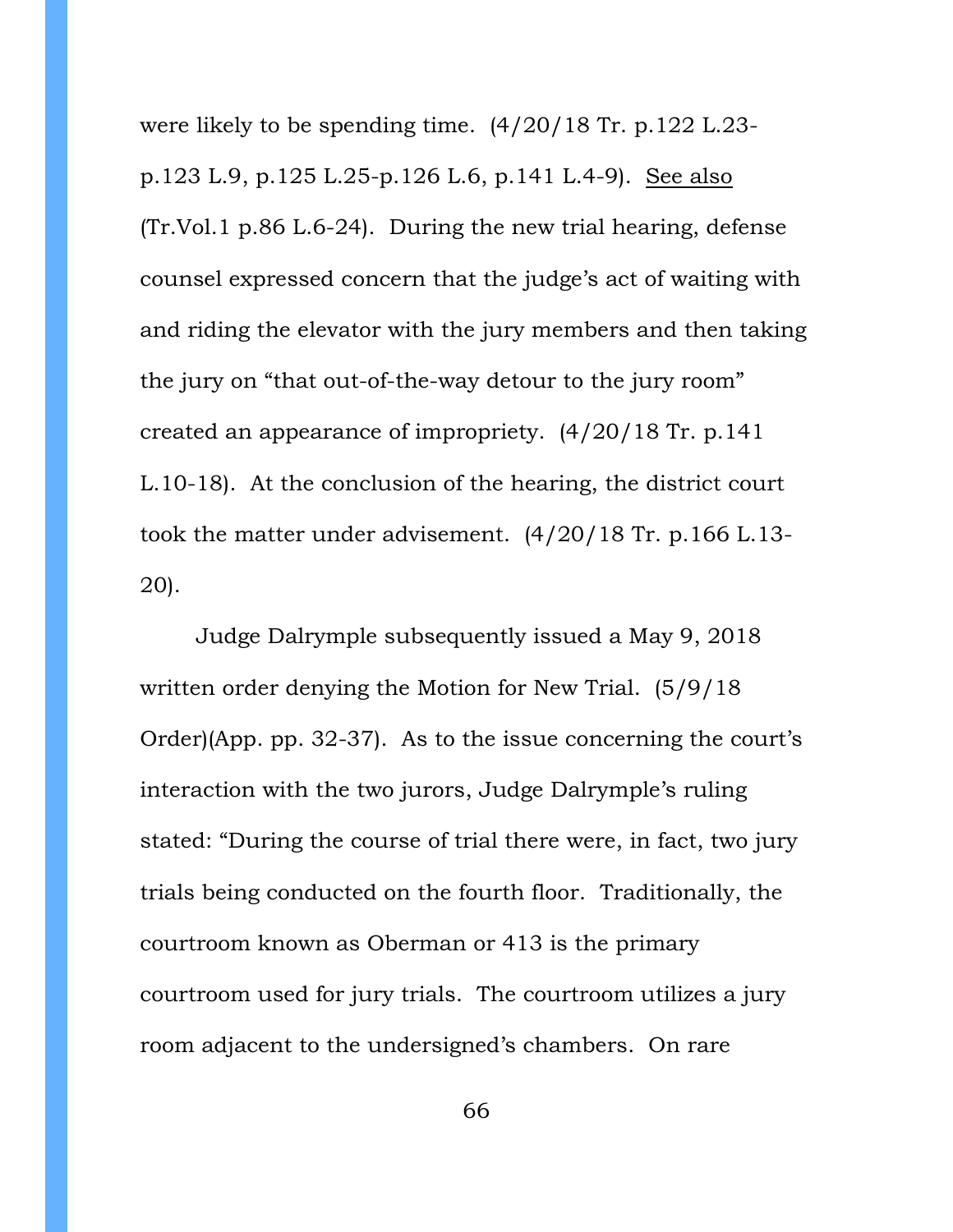were likely to be spending time. (4/20/18 Tr. p.122 L.23 p.123 L.9, p.125 L.25-p.126 L.6, p.141 L.4-9). See also (Tr.Vol.1 p.86 L.6-24). During the new trial hearing, defense counsel expressed concern that the judge's act of waiting with and riding the elevator with the jury members and then taking the jury on "that out-of-the-way detour to the jury room" created an appearance of impropriety. (4/20/18 Tr. p.141 L.10-18). At the conclusion of the hearing, the district court took the matter under advisement. (4/20/18 Tr. p.166 L.13- 20).

Judge Dalrymple subsequently issued a May 9, 2018 written order denying the Motion for New Trial. (5/9/18 Order)(App. pp. 32-37). As to the issue concerning the court's interaction with the two jurors, Judge Dalrymple's ruling stated: "During the course of trial there were, in fact, two jury trials being conducted on the fourth floor. Traditionally, the courtroom known as Oberman or 413 is the primary courtroom used for jury trials. The courtroom utilizes a jury room adjacent to the undersigned's chambers. On rare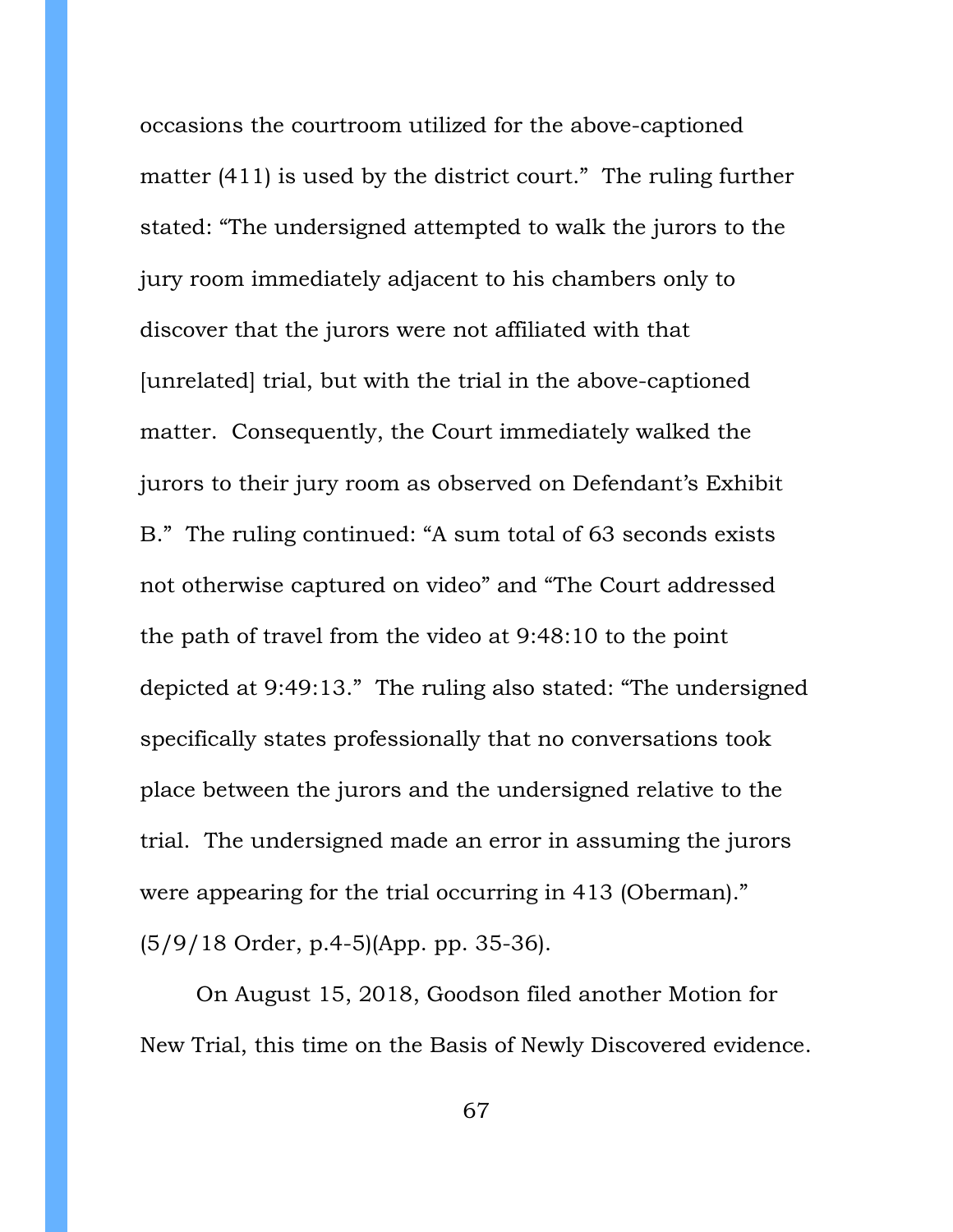occasions the courtroom utilized for the above-captioned matter (411) is used by the district court." The ruling further stated: "The undersigned attempted to walk the jurors to the jury room immediately adjacent to his chambers only to discover that the jurors were not affiliated with that [unrelated] trial, but with the trial in the above-captioned matter. Consequently, the Court immediately walked the jurors to their jury room as observed on Defendant's Exhibit B." The ruling continued: "A sum total of 63 seconds exists not otherwise captured on video" and "The Court addressed the path of travel from the video at 9:48:10 to the point depicted at 9:49:13." The ruling also stated: "The undersigned specifically states professionally that no conversations took place between the jurors and the undersigned relative to the trial. The undersigned made an error in assuming the jurors were appearing for the trial occurring in 413 (Oberman)." (5/9/18 Order, p.4-5)(App. pp. 35-36).

On August 15, 2018, Goodson filed another Motion for New Trial, this time on the Basis of Newly Discovered evidence.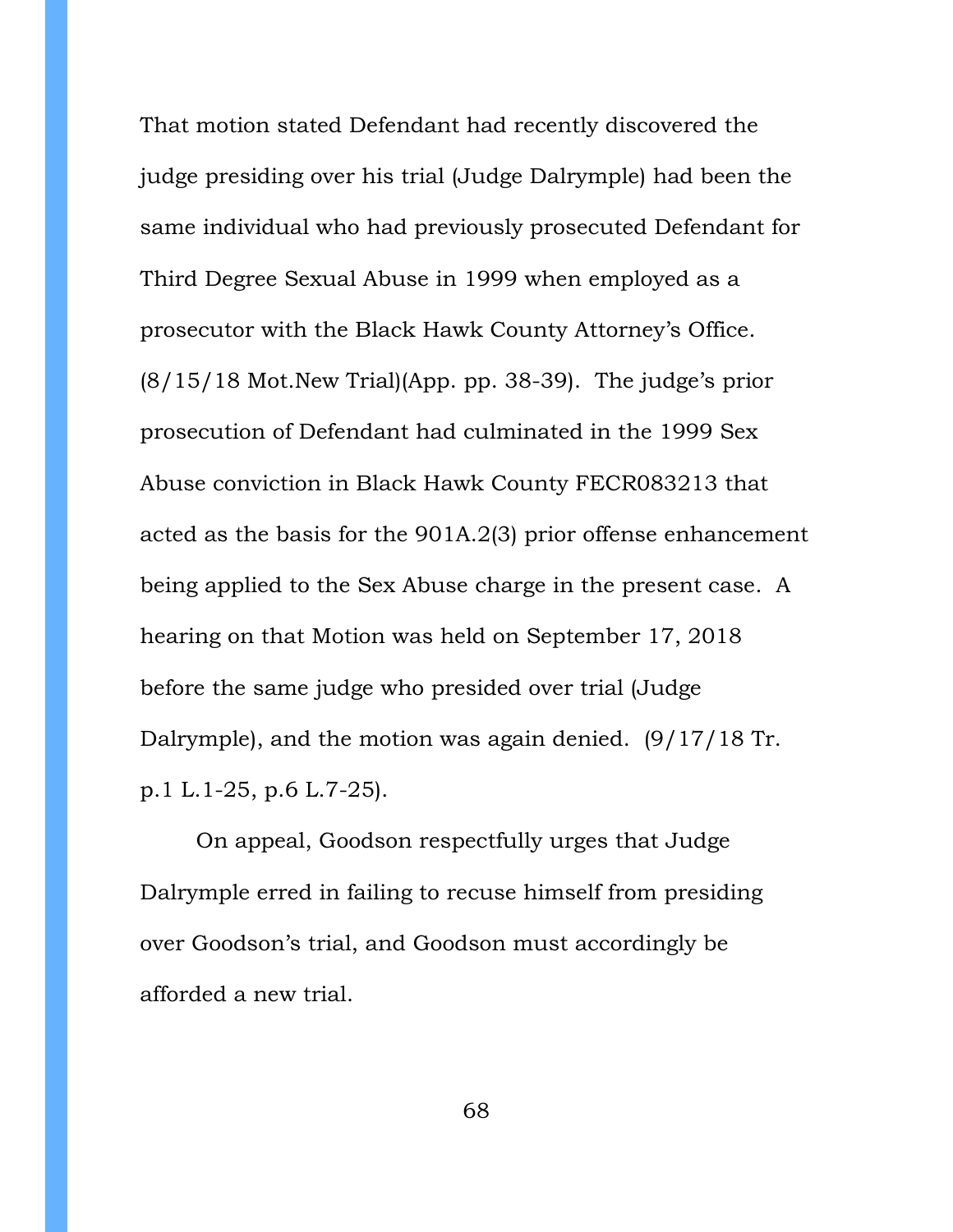That motion stated Defendant had recently discovered the judge presiding over his trial (Judge Dalrymple) had been the same individual who had previously prosecuted Defendant for Third Degree Sexual Abuse in 1999 when employed as a prosecutor with the Black Hawk County Attorney's Office.  $(8/15/18$  Mot. New Trial)(App. pp. 38-39). The judge's prior prosecution of Defendant had culminated in the 1999 Sex Abuse conviction in Black Hawk County FECR083213 that acted as the basis for the 901A.2(3) prior offense enhancement being applied to the Sex Abuse charge in the present case. A hearing on that Motion was held on September 17, 2018 before the same judge who presided over trial (Judge Dalrymple), and the motion was again denied. (9/17/18 Tr. p.1 L.1-25, p.6 L.7-25).

On appeal, Goodson respectfully urges that Judge Dalrymple erred in failing to recuse himself from presiding over Goodson's trial, and Goodson must accordingly be afforded a new trial.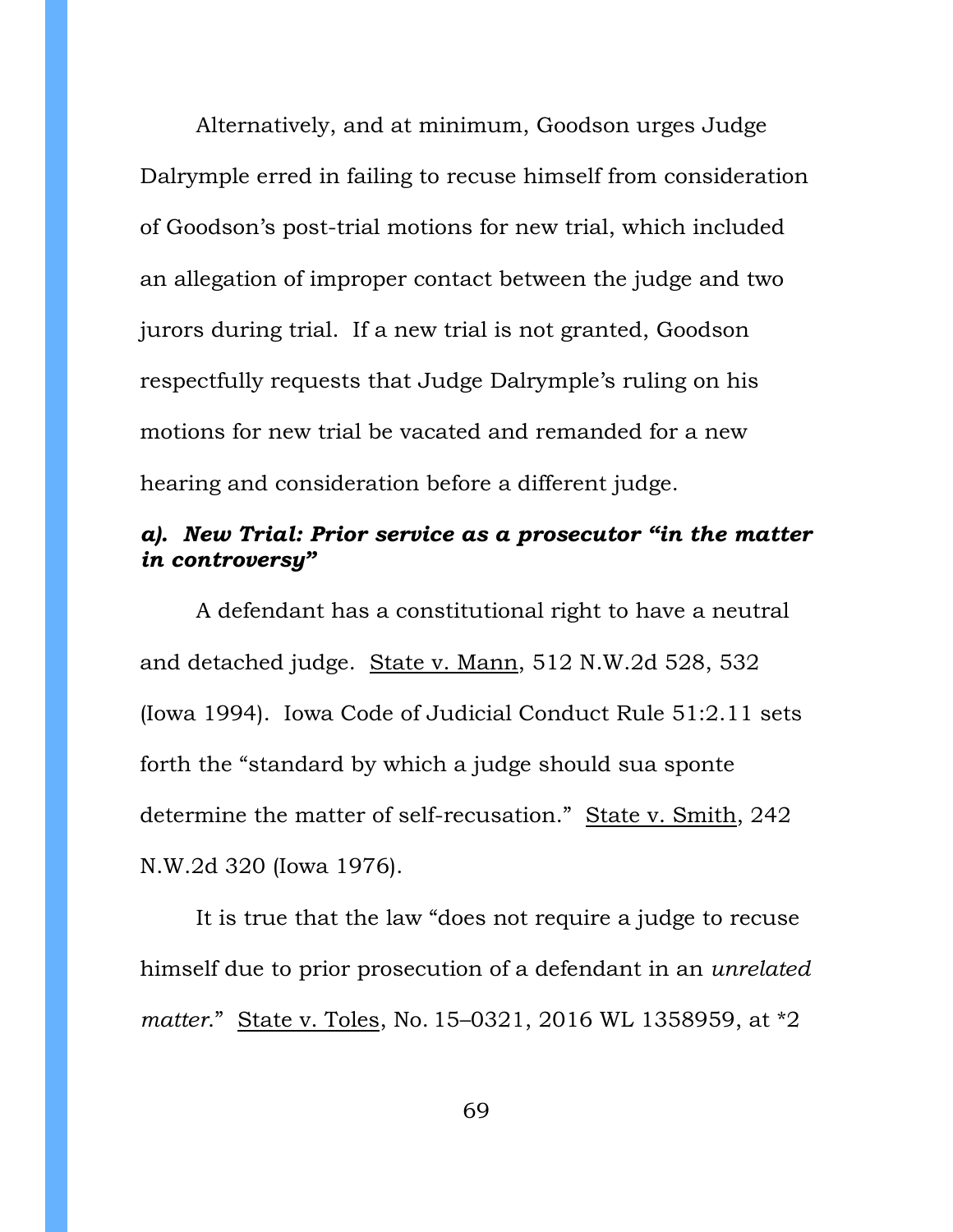Alternatively, and at minimum, Goodson urges Judge Dalrymple erred in failing to recuse himself from consideration of Goodson's post-trial motions for new trial, which included an allegation of improper contact between the judge and two jurors during trial. If a new trial is not granted, Goodson respectfully requests that Judge Dalrymple's ruling on his motions for new trial be vacated and remanded for a new hearing and consideration before a different judge.

## *a). New Trial: Prior service as a prosecutor "in the matter in controversy"*

A defendant has a constitutional right to have a neutral and detached judge. State v. Mann, 512 N.W.2d 528, 532 (Iowa 1994). Iowa Code of Judicial Conduct Rule 51:2.11 sets forth the "standard by which a judge should sua sponte determine the matter of self-recusation." State v. Smith, 242 N.W.2d 320 (Iowa 1976).

It is true that the law "does not require a judge to recuse himself due to prior prosecution of a defendant in an *unrelated matter*." State v. Toles, No. 15–0321, 2016 WL 1358959, at \*2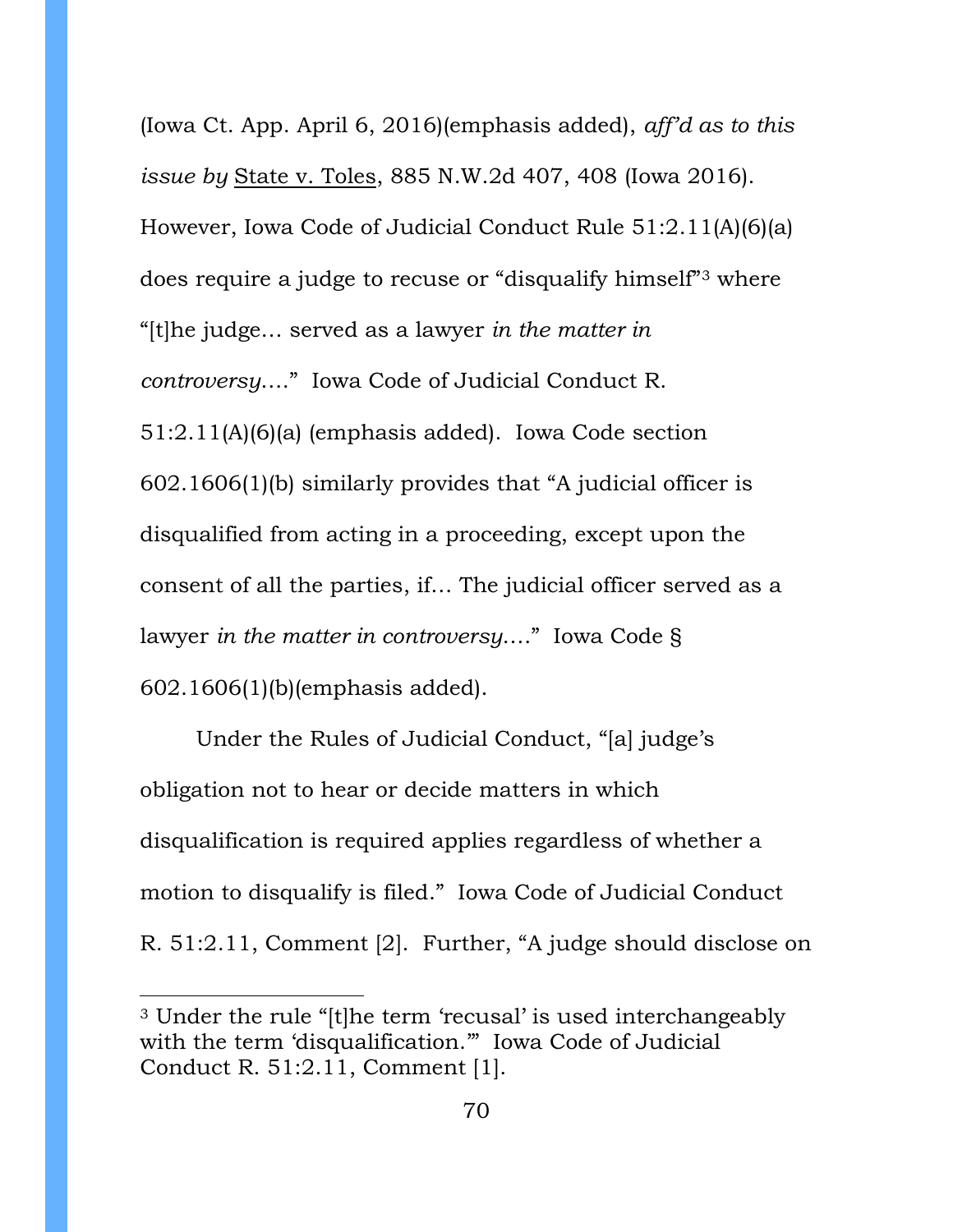(Iowa Ct. App. April 6, 2016)(emphasis added), *aff'd as to this issue by* State v. Toles, 885 N.W.2d 407, 408 (Iowa 2016). However, Iowa Code of Judicial Conduct Rule 51:2.11(A)(6)(a) does require a judge to recuse or "disqualify himself"[3](#page-69-0) where "[t]he judge… served as a lawyer *in the matter in controversy*…." Iowa Code of Judicial Conduct R. 51:2.11(A)(6)(a) (emphasis added). Iowa Code section 602.1606(1)(b) similarly provides that "A judicial officer is disqualified from acting in a proceeding, except upon the consent of all the parties, if… The judicial officer served as a lawyer *in the matter in controversy*…." Iowa Code § 602.1606(1)(b)(emphasis added).

Under the Rules of Judicial Conduct, "[a] judge's obligation not to hear or decide matters in which disqualification is required applies regardless of whether a motion to disqualify is filed." Iowa Code of Judicial Conduct R. 51:2.11, Comment [2]. Further, "A judge should disclose on

 $\overline{a}$ 

<span id="page-69-0"></span><sup>3</sup> Under the rule "[t]he term 'recusal' is used interchangeably with the term 'disqualification." Iowa Code of Judicial Conduct R. 51:2.11, Comment [1].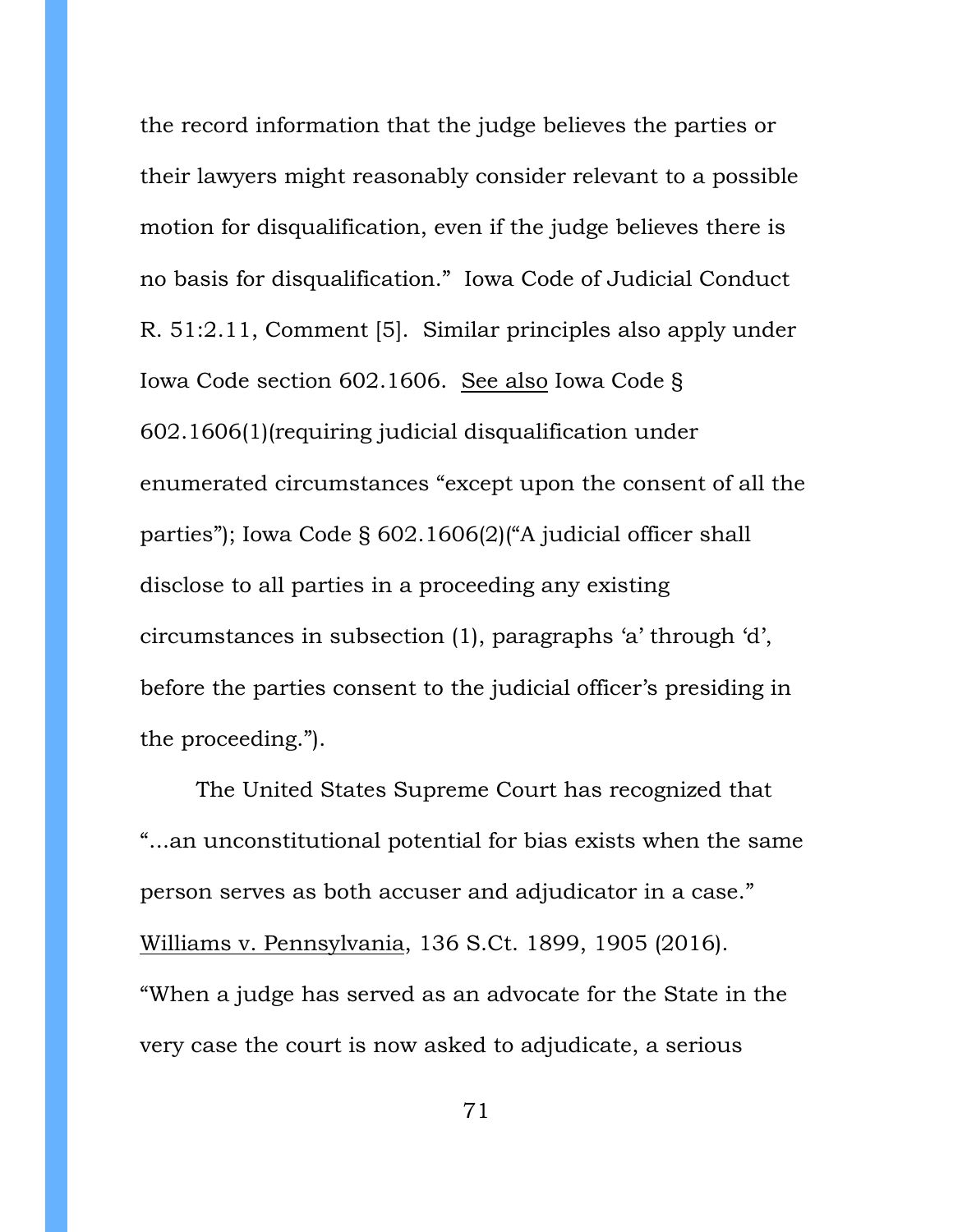the record information that the judge believes the parties or their lawyers might reasonably consider relevant to a possible motion for disqualification, even if the judge believes there is no basis for disqualification." Iowa Code of Judicial Conduct R. 51:2.11, Comment [5]. Similar principles also apply under Iowa Code section 602.1606. See also Iowa Code § 602.1606(1)(requiring judicial disqualification under enumerated circumstances "except upon the consent of all the parties"); Iowa Code § 602.1606(2)("A judicial officer shall disclose to all parties in a proceeding any existing circumstances in subsection (1), paragraphs 'a' through 'd', before the parties consent to the judicial officer's presiding in the proceeding.").

The United States Supreme Court has recognized that "...an unconstitutional potential for bias exists when the same person serves as both accuser and adjudicator in a case." Williams v. Pennsylvania, 136 S.Ct. 1899, 1905 (2016). "When a judge has served as an advocate for the State in the very case the court is now asked to adjudicate, a serious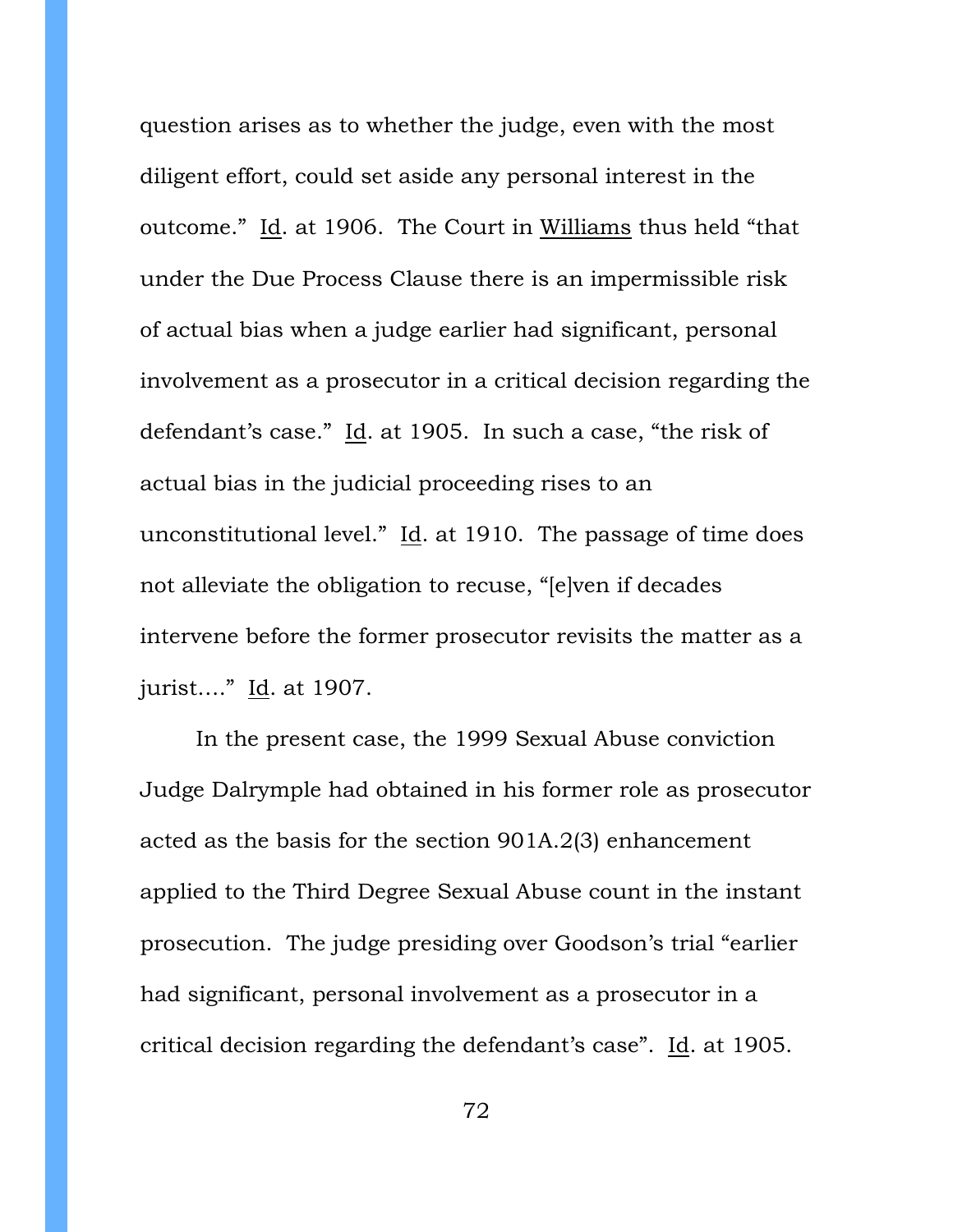question arises as to whether the judge, even with the most diligent effort, could set aside any personal interest in the outcome." Id. at 1906. The Court in Williams thus held "that under the Due Process Clause there is an impermissible risk of actual bias when a judge earlier had significant, personal involvement as a prosecutor in a critical decision regarding the defendant's case." Id. at 1905. In such a case, "the risk of actual bias in the judicial proceeding rises to an unconstitutional level." Id. at 1910. The passage of time does not alleviate the obligation to recuse, "[e]ven if decades intervene before the former prosecutor revisits the matter as a jurist…." Id. at 1907.

In the present case, the 1999 Sexual Abuse conviction Judge Dalrymple had obtained in his former role as prosecutor acted as the basis for the section 901A.2(3) enhancement applied to the Third Degree Sexual Abuse count in the instant prosecution. The judge presiding over Goodson's trial "earlier had significant, personal involvement as a prosecutor in a critical decision regarding the defendant's case". Id. at 1905.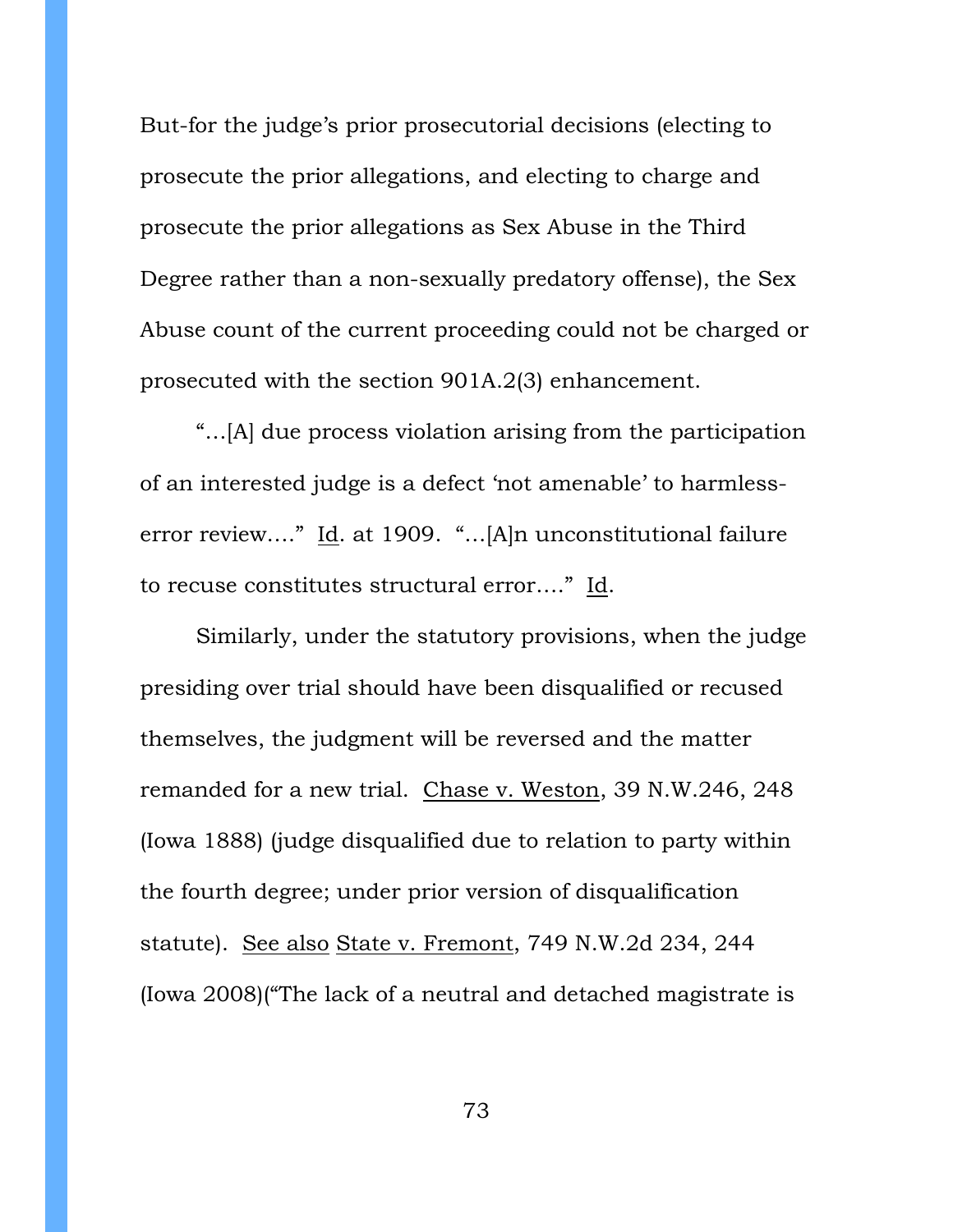But-for the judge's prior prosecutorial decisions (electing to prosecute the prior allegations, and electing to charge and prosecute the prior allegations as Sex Abuse in the Third Degree rather than a non-sexually predatory offense), the Sex Abuse count of the current proceeding could not be charged or prosecuted with the section 901A.2(3) enhancement.

"…[A] due process violation arising from the participation of an interested judge is a defect 'not amenable' to harmlesserror review…." Id. at 1909. "…[A]n unconstitutional failure to recuse constitutes structural error…." Id.

Similarly, under the statutory provisions, when the judge presiding over trial should have been disqualified or recused themselves, the judgment will be reversed and the matter remanded for a new trial. Chase v. Weston, 39 N.W.246, 248 (Iowa 1888) (judge disqualified due to relation to party within the fourth degree; under prior version of disqualification statute). See also State v. Fremont, 749 N.W.2d 234, 244 (Iowa 2008)("The lack of a neutral and detached magistrate is

73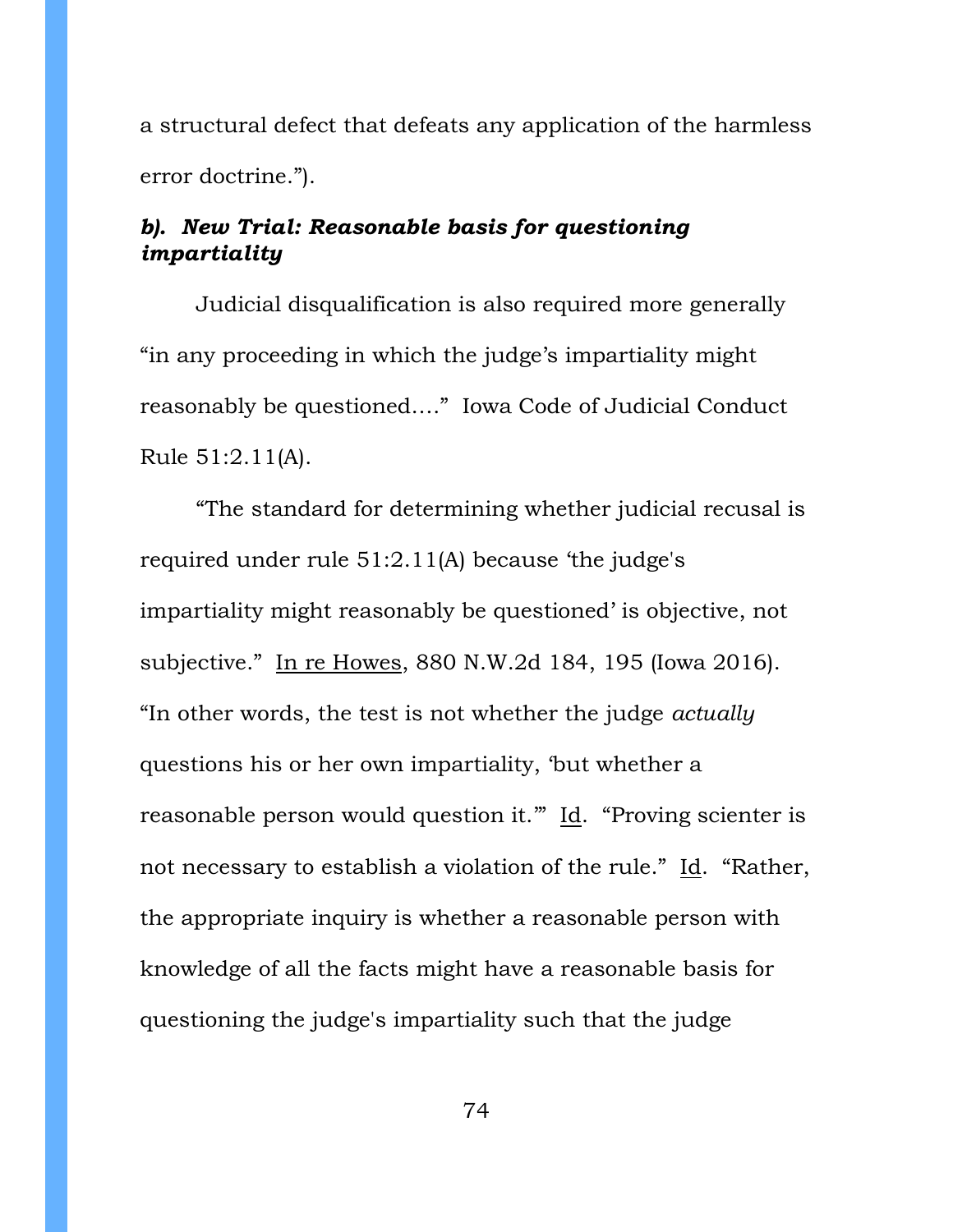a structural defect that defeats any application of the harmless error doctrine.").

# *b). New Trial: Reasonable basis for questioning impartiality*

Judicial disqualification is also required more generally "in any proceeding in which the judge's impartiality might reasonably be questioned…." Iowa Code of Judicial Conduct Rule 51:2.11(A).

"The standard for determining whether judicial recusal is required under rule 51:2.11(A) because 'the judge's impartiality might reasonably be questioned' is objective, not subjective." In re Howes, 880 N.W.2d 184, 195 (Iowa 2016). "In other words, the test is not whether the judge *actually* questions his or her own impartiality, 'but whether a reasonable person would question it.'" Id. "Proving scienter is not necessary to establish a violation of the rule." Id. "Rather, the appropriate inquiry is whether a reasonable person with knowledge of all the facts might have a reasonable basis for questioning the judge's impartiality such that the judge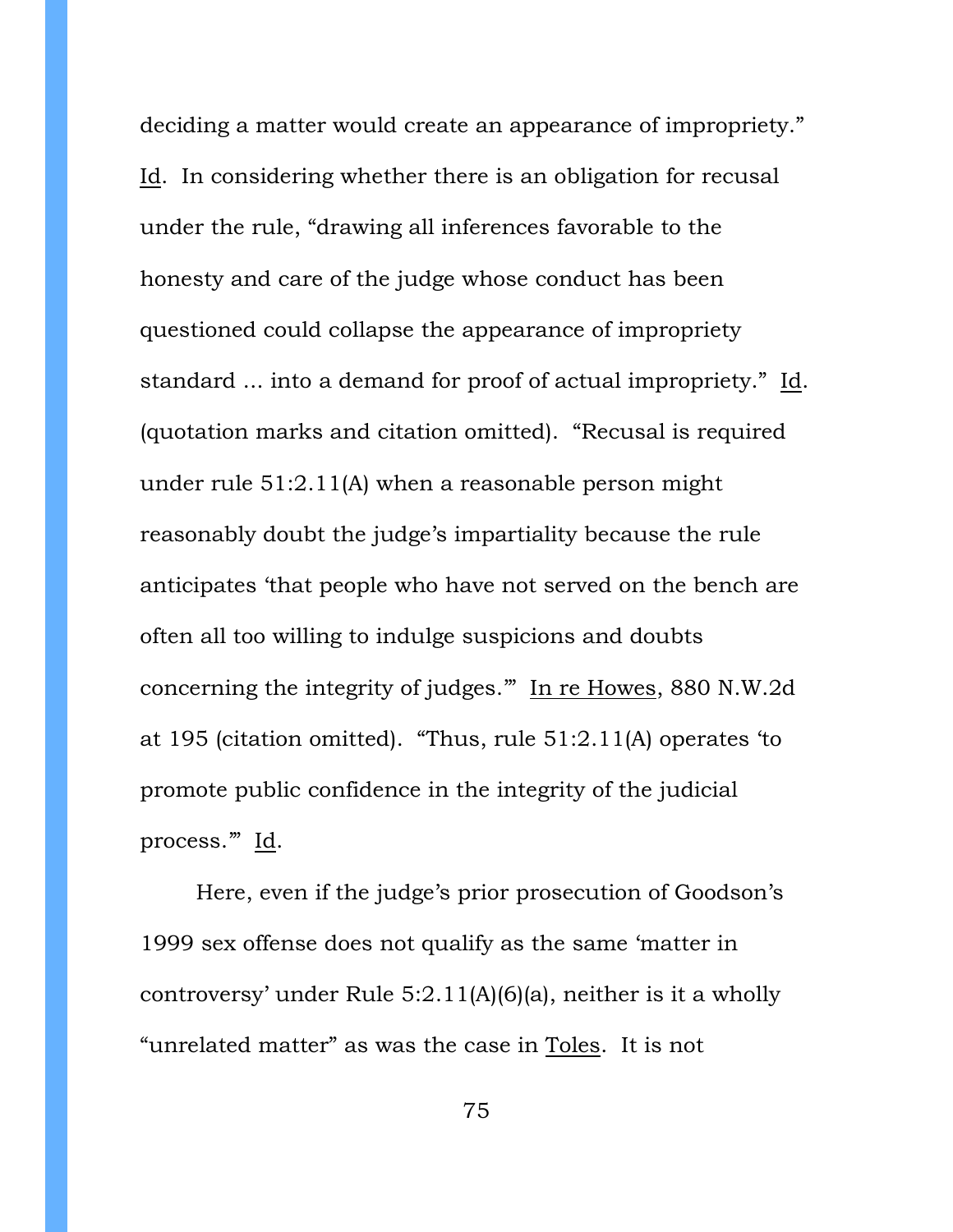deciding a matter would create an appearance of impropriety." Id. In considering whether there is an obligation for recusal under the rule, "drawing all inferences favorable to the honesty and care of the judge whose conduct has been questioned could collapse the appearance of impropriety standard ... into a demand for proof of actual impropriety." Id. (quotation marks and citation omitted). "Recusal is required under rule 51:2.11(A) when a reasonable person might reasonably doubt the judge's impartiality because the rule anticipates 'that people who have not served on the bench are often all too willing to indulge suspicions and doubts concerning the integrity of judges.'" In re Howes, 880 N.W.2d at 195 (citation omitted). "Thus, rule 51:2.11(A) operates 'to promote public confidence in the integrity of the judicial process.'" Id.

Here, even if the judge's prior prosecution of Goodson's 1999 sex offense does not qualify as the same 'matter in controversy' under Rule 5:2.11(A)(6)(a), neither is it a wholly "unrelated matter" as was the case in Toles. It is not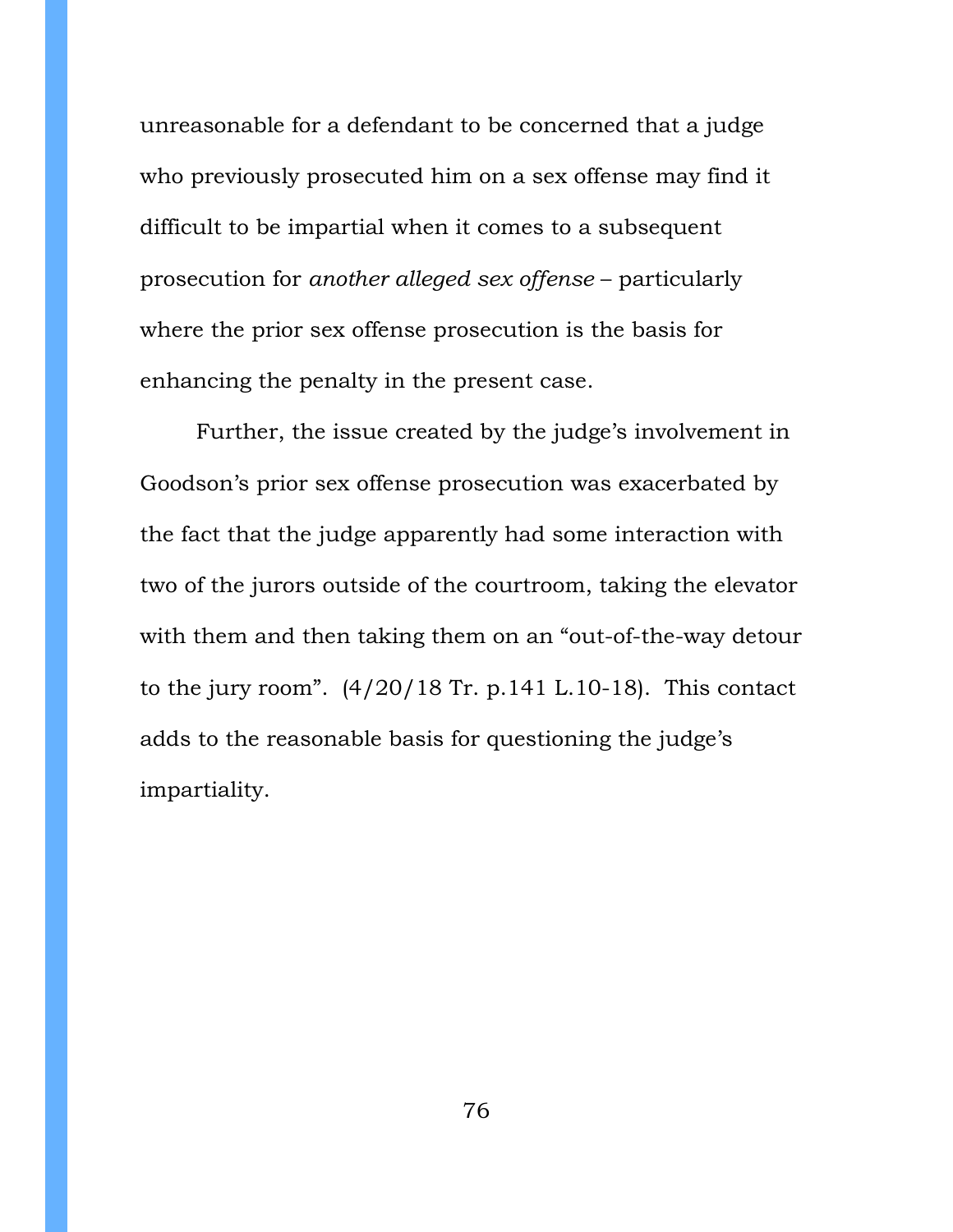unreasonable for a defendant to be concerned that a judge who previously prosecuted him on a sex offense may find it difficult to be impartial when it comes to a subsequent prosecution for *another alleged sex offense* – particularly where the prior sex offense prosecution is the basis for enhancing the penalty in the present case.

Further, the issue created by the judge's involvement in Goodson's prior sex offense prosecution was exacerbated by the fact that the judge apparently had some interaction with two of the jurors outside of the courtroom, taking the elevator with them and then taking them on an "out-of-the-way detour to the jury room".  $(4/20/18 \text{ Tr. p.}141 \text{ L}.10-18)$ . This contact adds to the reasonable basis for questioning the judge's impartiality.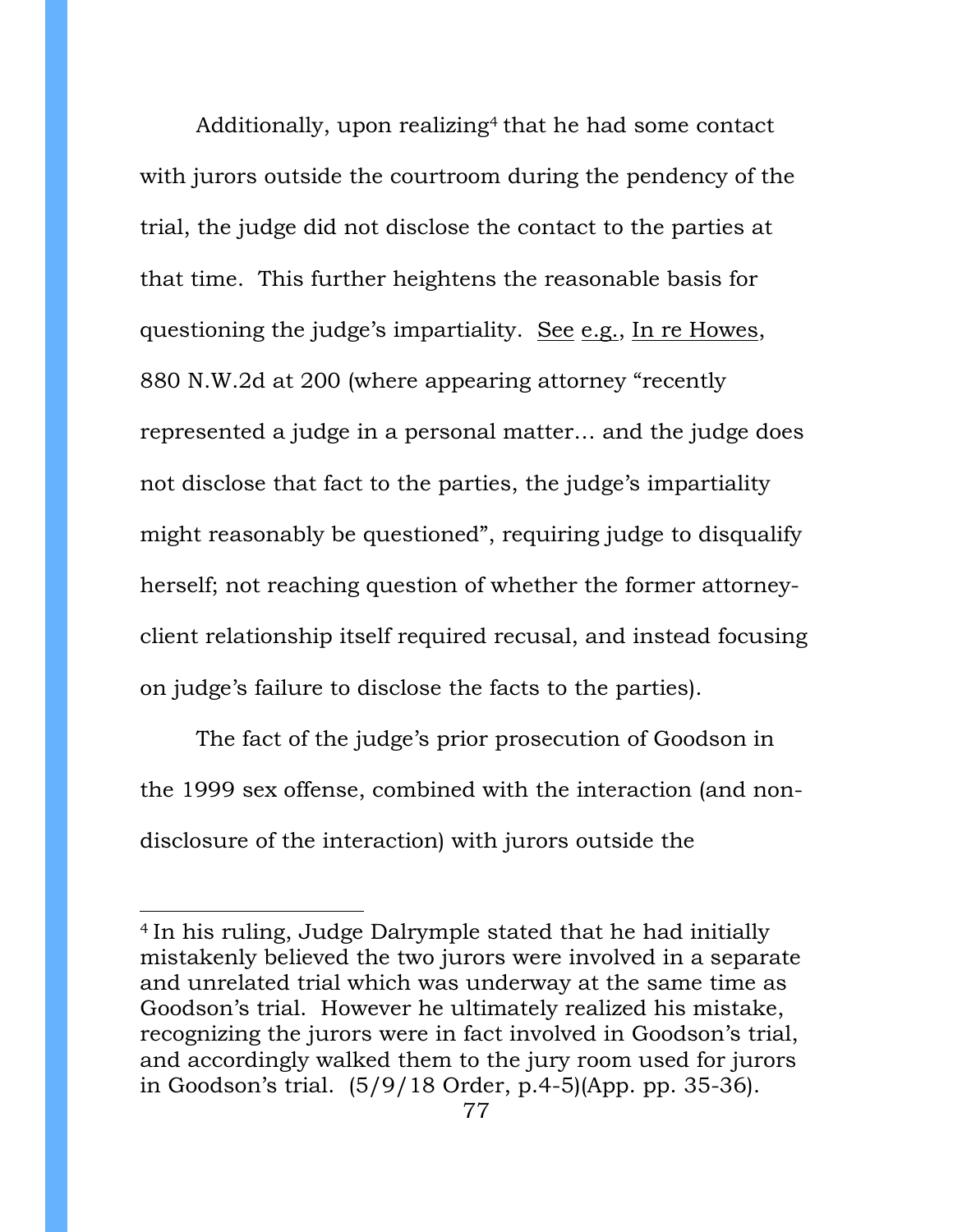Additionally, upon realizing<sup>[4](#page-76-0)</sup> that he had some contact with jurors outside the courtroom during the pendency of the trial, the judge did not disclose the contact to the parties at that time. This further heightens the reasonable basis for questioning the judge's impartiality. See e.g., In re Howes, 880 N.W.2d at 200 (where appearing attorney "recently represented a judge in a personal matter… and the judge does not disclose that fact to the parties, the judge's impartiality might reasonably be questioned", requiring judge to disqualify herself; not reaching question of whether the former attorneyclient relationship itself required recusal, and instead focusing on judge's failure to disclose the facts to the parties).

The fact of the judge's prior prosecution of Goodson in the 1999 sex offense, combined with the interaction (and nondisclosure of the interaction) with jurors outside the

 $\overline{a}$ 

<span id="page-76-0"></span><sup>4</sup> In his ruling, Judge Dalrymple stated that he had initially mistakenly believed the two jurors were involved in a separate and unrelated trial which was underway at the same time as Goodson's trial. However he ultimately realized his mistake, recognizing the jurors were in fact involved in Goodson's trial, and accordingly walked them to the jury room used for jurors in Goodson's trial. (5/9/18 Order, p.4-5)(App. pp. 35-36).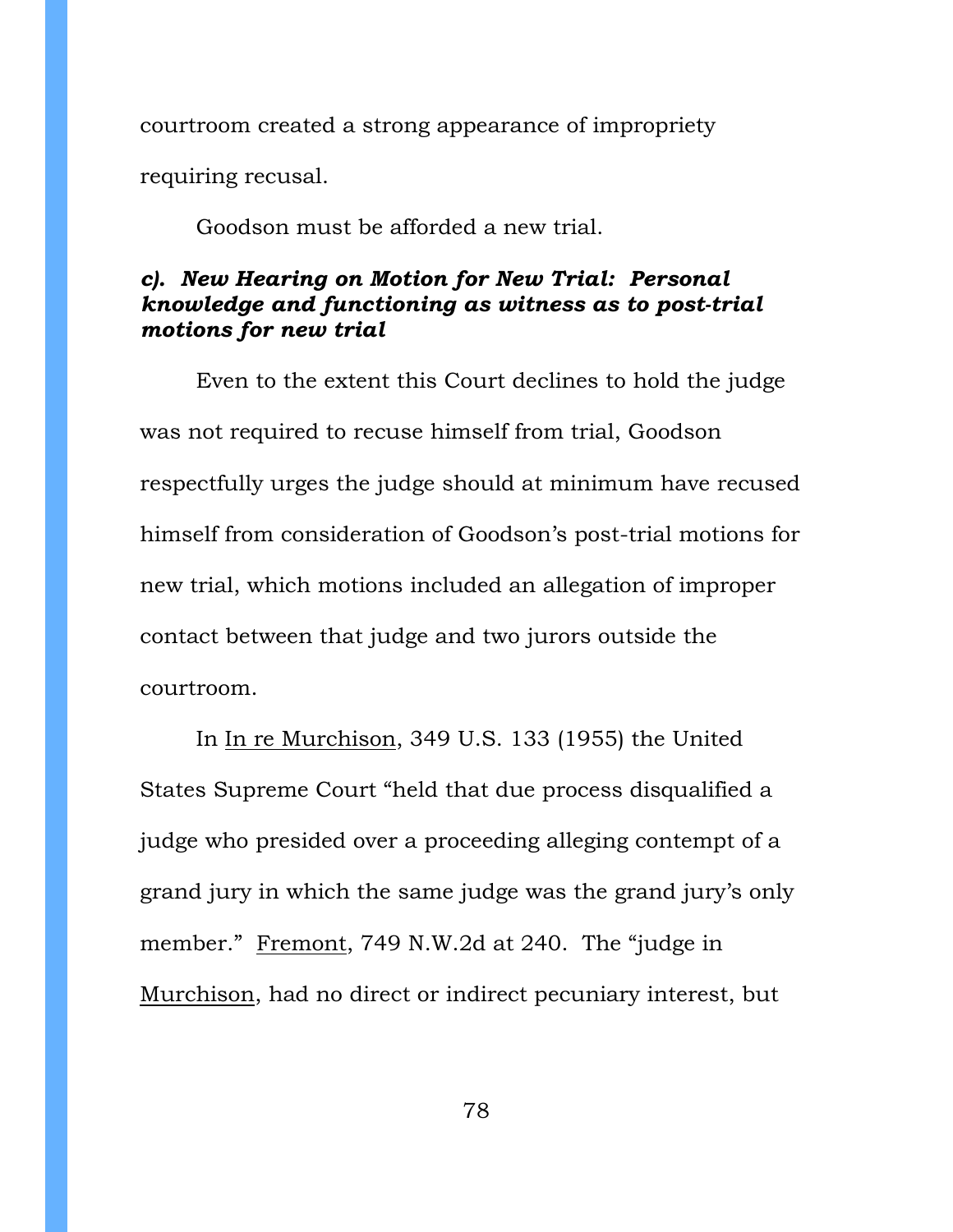courtroom created a strong appearance of impropriety

requiring recusal.

Goodson must be afforded a new trial.

## *c). New Hearing on Motion for New Trial: Personal knowledge and functioning as witness as to post-trial motions for new trial*

Even to the extent this Court declines to hold the judge was not required to recuse himself from trial, Goodson respectfully urges the judge should at minimum have recused himself from consideration of Goodson's post-trial motions for new trial, which motions included an allegation of improper contact between that judge and two jurors outside the courtroom.

In In re Murchison, 349 U.S. 133 (1955) the United States Supreme Court "held that due process disqualified a judge who presided over a proceeding alleging contempt of a grand jury in which the same judge was the grand jury's only member." Fremont, 749 N.W.2d at 240. The "judge in Murchison, had no direct or indirect pecuniary interest, but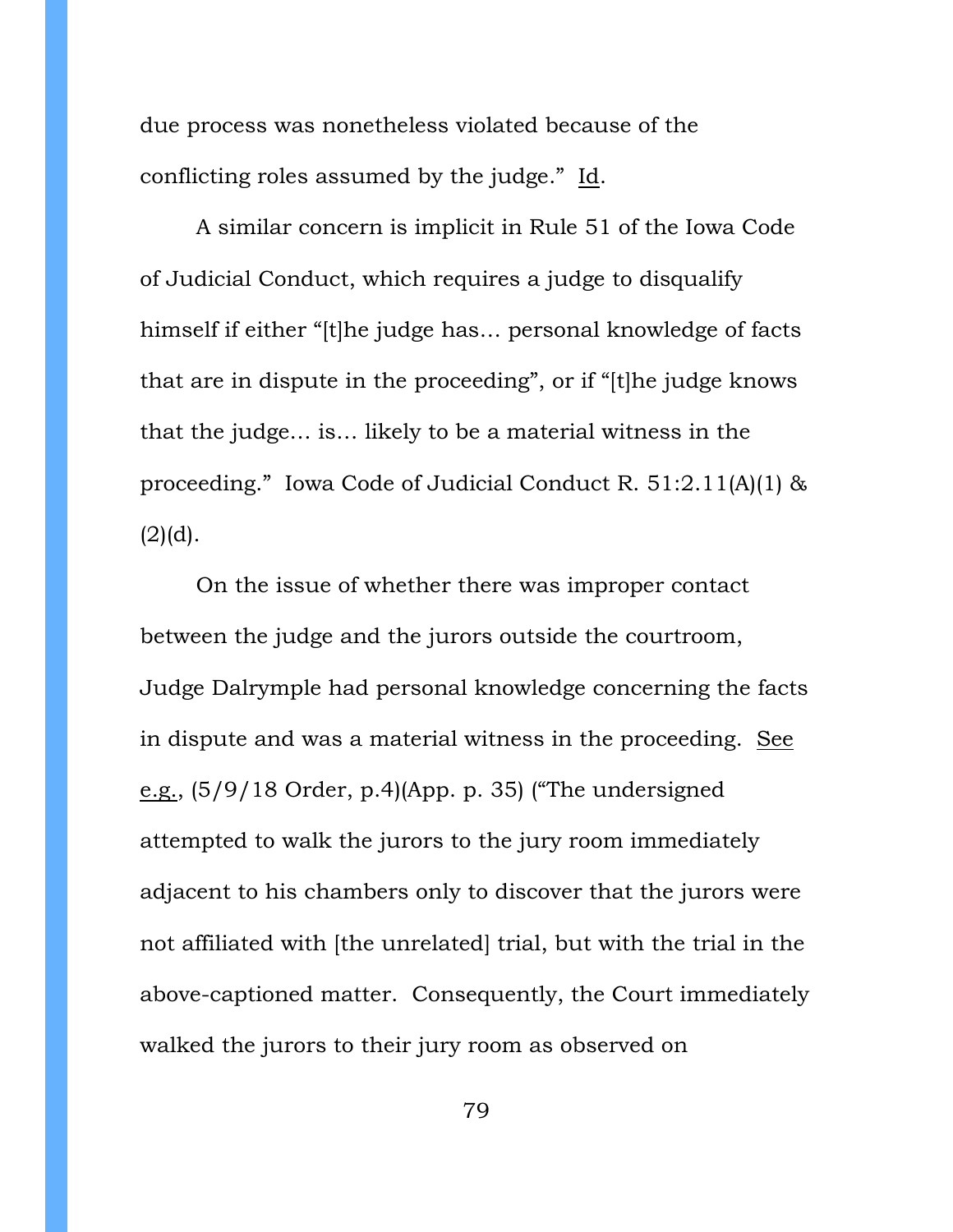due process was nonetheless violated because of the conflicting roles assumed by the judge." Id.

A similar concern is implicit in Rule 51 of the Iowa Code of Judicial Conduct, which requires a judge to disqualify himself if either "[t]he judge has... personal knowledge of facts that are in dispute in the proceeding", or if "[t]he judge knows that the judge… is… likely to be a material witness in the proceeding." Iowa Code of Judicial Conduct R. 51:2.11(A)(1) &  $(2)(d)$ .

On the issue of whether there was improper contact between the judge and the jurors outside the courtroom, Judge Dalrymple had personal knowledge concerning the facts in dispute and was a material witness in the proceeding. See e.g., (5/9/18 Order, p.4)(App. p. 35) ("The undersigned attempted to walk the jurors to the jury room immediately adjacent to his chambers only to discover that the jurors were not affiliated with [the unrelated] trial, but with the trial in the above-captioned matter. Consequently, the Court immediately walked the jurors to their jury room as observed on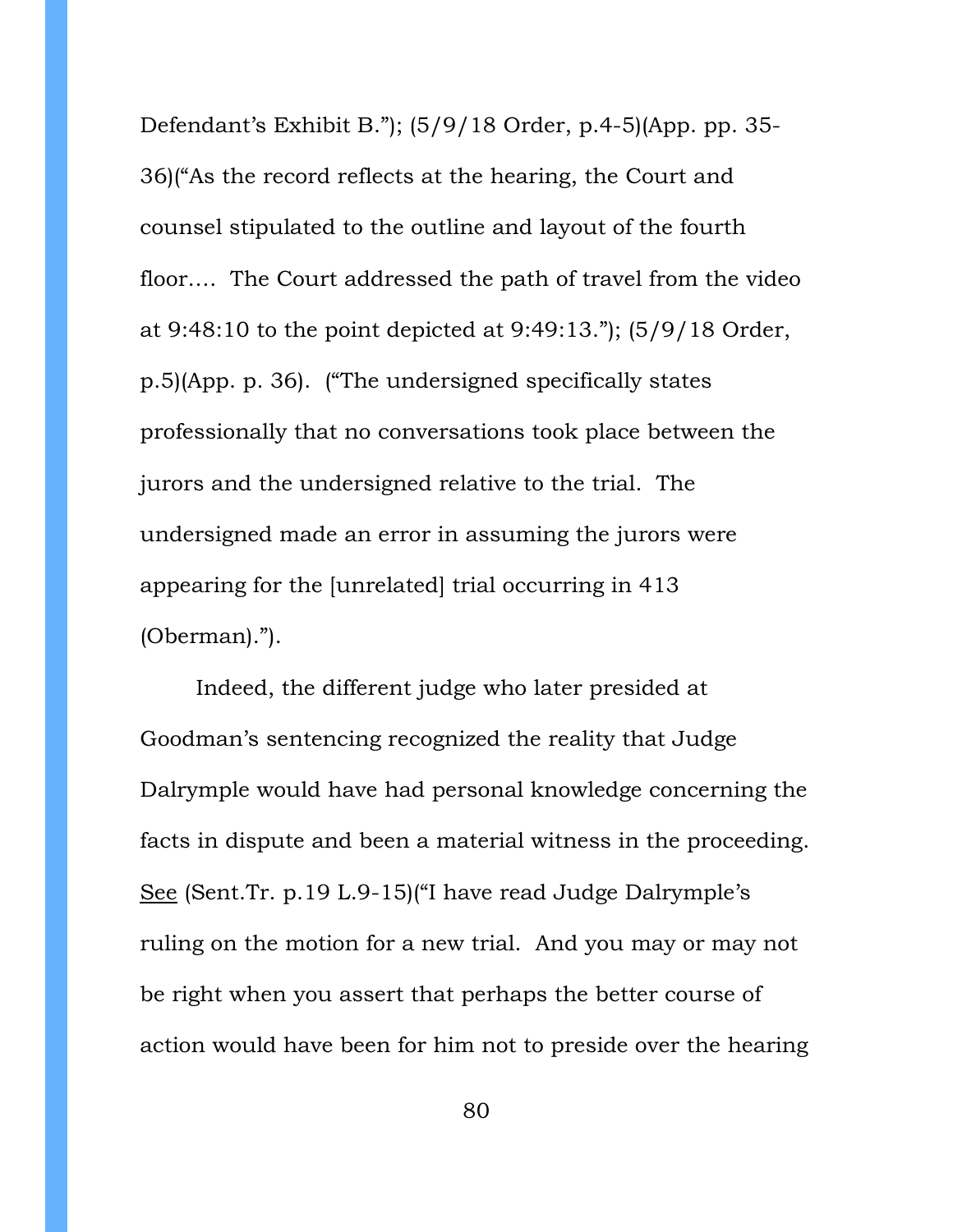Defendant's Exhibit B."); (5/9/18 Order, p.4-5)(App. pp. 35- 36)("As the record reflects at the hearing, the Court and counsel stipulated to the outline and layout of the fourth floor…. The Court addressed the path of travel from the video at 9:48:10 to the point depicted at 9:49:13."); (5/9/18 Order, p.5)(App. p. 36). ("The undersigned specifically states professionally that no conversations took place between the jurors and the undersigned relative to the trial. The undersigned made an error in assuming the jurors were appearing for the [unrelated] trial occurring in 413 (Oberman).").

Indeed, the different judge who later presided at Goodman's sentencing recognized the reality that Judge Dalrymple would have had personal knowledge concerning the facts in dispute and been a material witness in the proceeding. See (Sent.Tr. p.19 L.9-15)("I have read Judge Dalrymple's ruling on the motion for a new trial. And you may or may not be right when you assert that perhaps the better course of action would have been for him not to preside over the hearing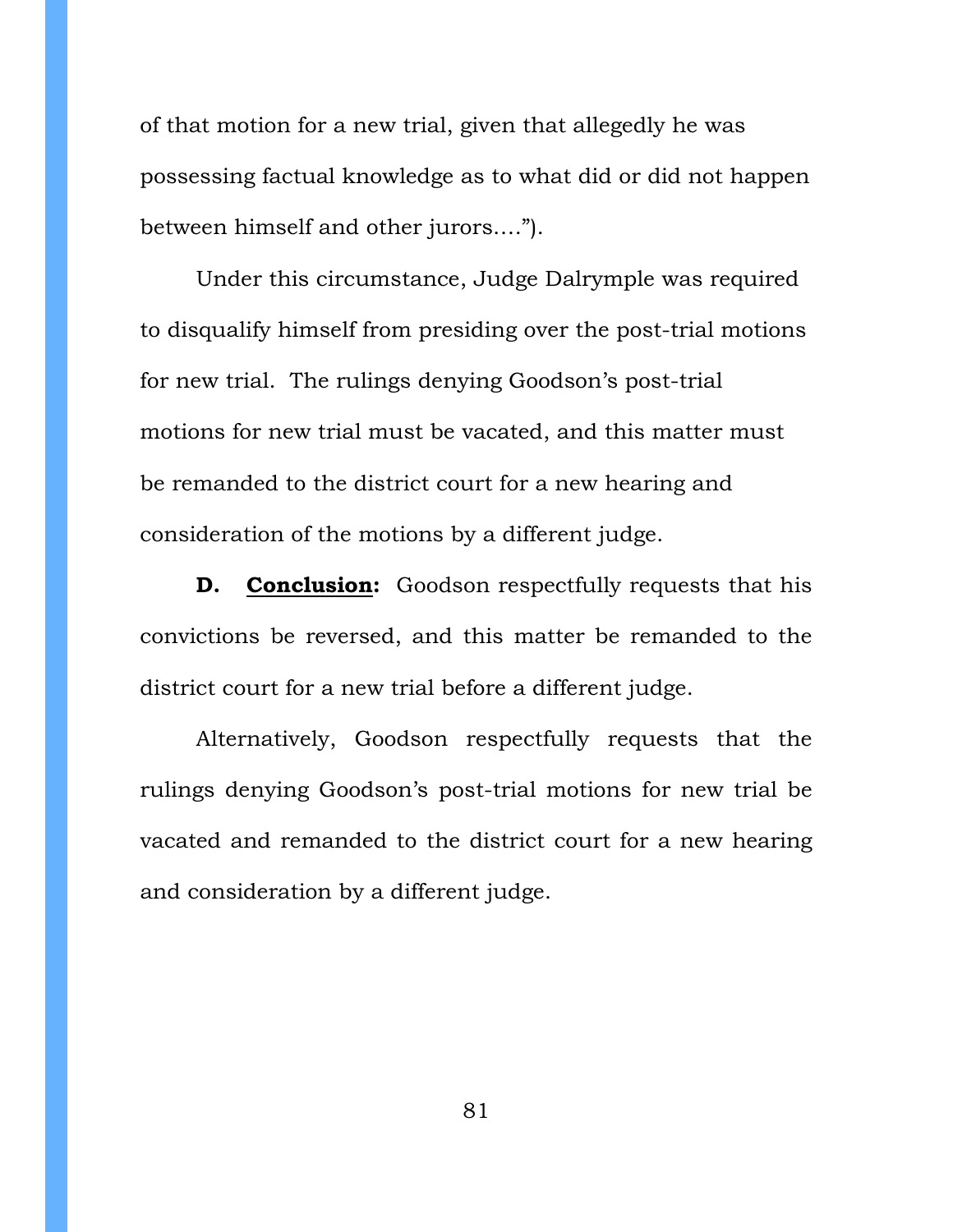of that motion for a new trial, given that allegedly he was possessing factual knowledge as to what did or did not happen between himself and other jurors….").

Under this circumstance, Judge Dalrymple was required to disqualify himself from presiding over the post-trial motions for new trial. The rulings denying Goodson's post-trial motions for new trial must be vacated, and this matter must be remanded to the district court for a new hearing and consideration of the motions by a different judge.

**D. Conclusion:** Goodson respectfully requests that his convictions be reversed, and this matter be remanded to the district court for a new trial before a different judge.

Alternatively, Goodson respectfully requests that the rulings denying Goodson's post-trial motions for new trial be vacated and remanded to the district court for a new hearing and consideration by a different judge.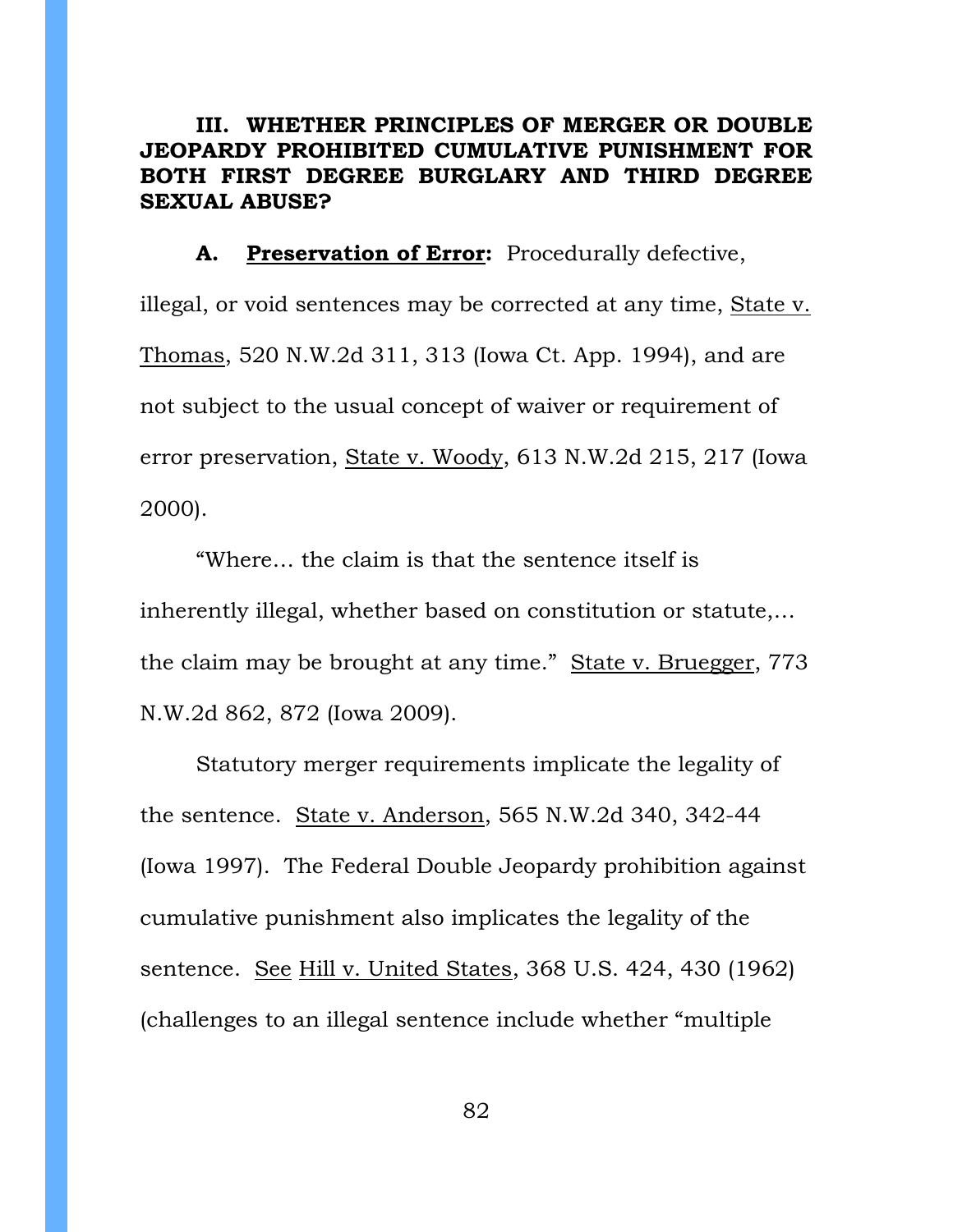**III. WHETHER PRINCIPLES OF MERGER OR DOUBLE JEOPARDY PROHIBITED CUMULATIVE PUNISHMENT FOR BOTH FIRST DEGREE BURGLARY AND THIRD DEGREE SEXUAL ABUSE?**

**A. Preservation of Error:** Procedurally defective, illegal, or void sentences may be corrected at any time, State v. Thomas, 520 N.W.2d 311, 313 (Iowa Ct. App. 1994), and are not subject to the usual concept of waiver or requirement of error preservation, State v. Woody, 613 N.W.2d 215, 217 (Iowa 2000).

"Where… the claim is that the sentence itself is inherently illegal, whether based on constitution or statute,… the claim may be brought at any time." State v. Bruegger, 773 N.W.2d 862, 872 (Iowa 2009).

Statutory merger requirements implicate the legality of the sentence. State v. Anderson, 565 N.W.2d 340, 342-44 (Iowa 1997). The Federal Double Jeopardy prohibition against cumulative punishment also implicates the legality of the sentence. See Hill v. United States, 368 U.S. 424, 430 (1962) (challenges to an illegal sentence include whether "multiple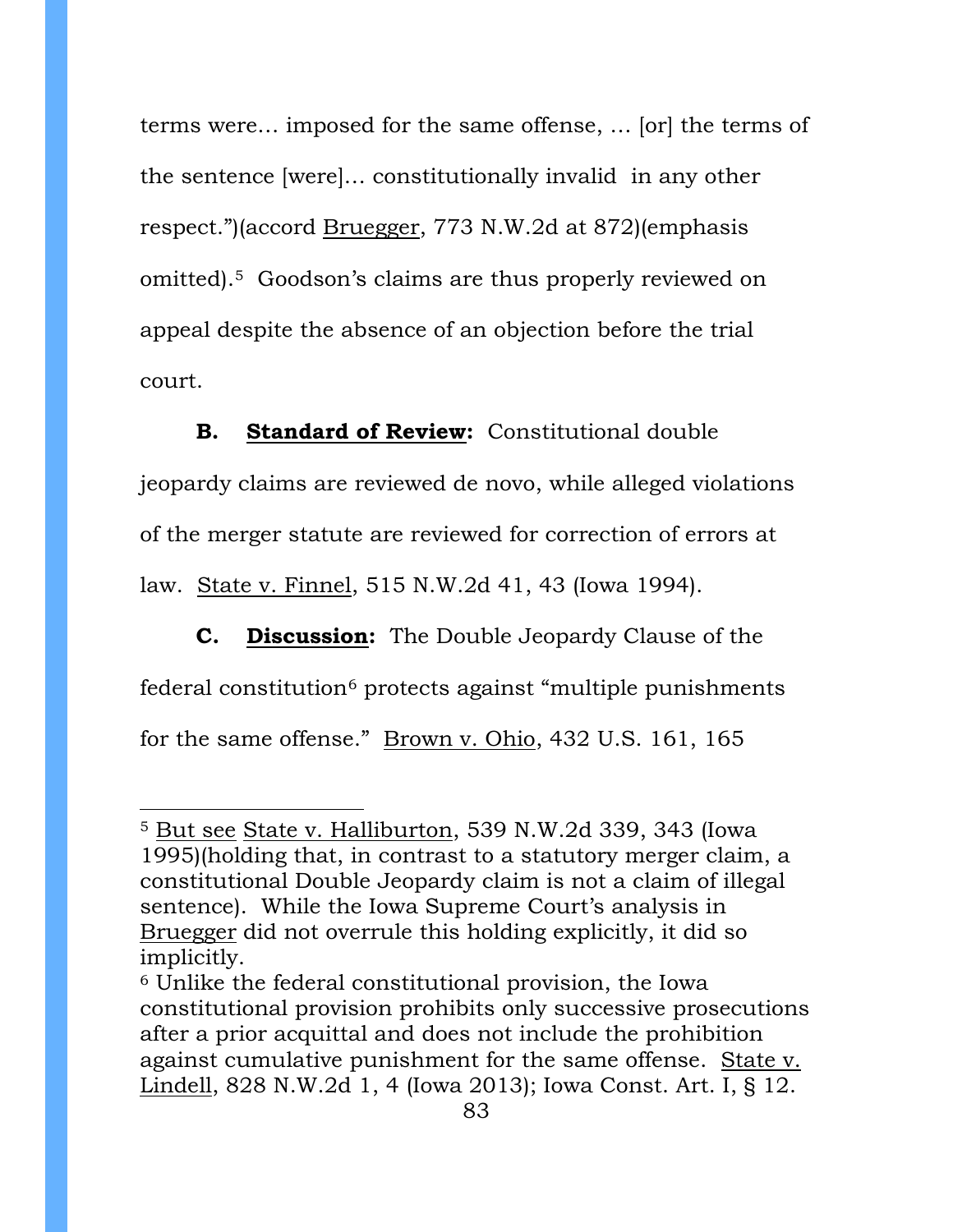terms were… imposed for the same offense, … [or] the terms of the sentence [were]… constitutionally invalid in any other respect.")(accord Bruegger, 773 N.W.2d at 872)(emphasis omitted).[5](#page-82-0) Goodson's claims are thus properly reviewed on appeal despite the absence of an objection before the trial court.

**B. Standard of Review:** Constitutional double jeopardy claims are reviewed de novo, while alleged violations of the merger statute are reviewed for correction of errors at law. State v. Finnel, 515 N.W.2d 41, 43 (Iowa 1994).

**C. Discussion:** The Double Jeopardy Clause of the federal constitution<sup>[6](#page-82-1)</sup> protects against "multiple punishments" for the same offense." Brown v. Ohio, 432 U.S. 161, 165

 $\overline{a}$ 

<span id="page-82-0"></span><sup>5</sup> But see State v. Halliburton, 539 N.W.2d 339, 343 (Iowa 1995)(holding that, in contrast to a statutory merger claim, a constitutional Double Jeopardy claim is not a claim of illegal sentence). While the Iowa Supreme Court's analysis in Bruegger did not overrule this holding explicitly, it did so implicitly.

<span id="page-82-1"></span><sup>6</sup> Unlike the federal constitutional provision, the Iowa constitutional provision prohibits only successive prosecutions after a prior acquittal and does not include the prohibition against cumulative punishment for the same offense. State v. Lindell, 828 N.W.2d 1, 4 (Iowa 2013); Iowa Const. Art. I, § 12.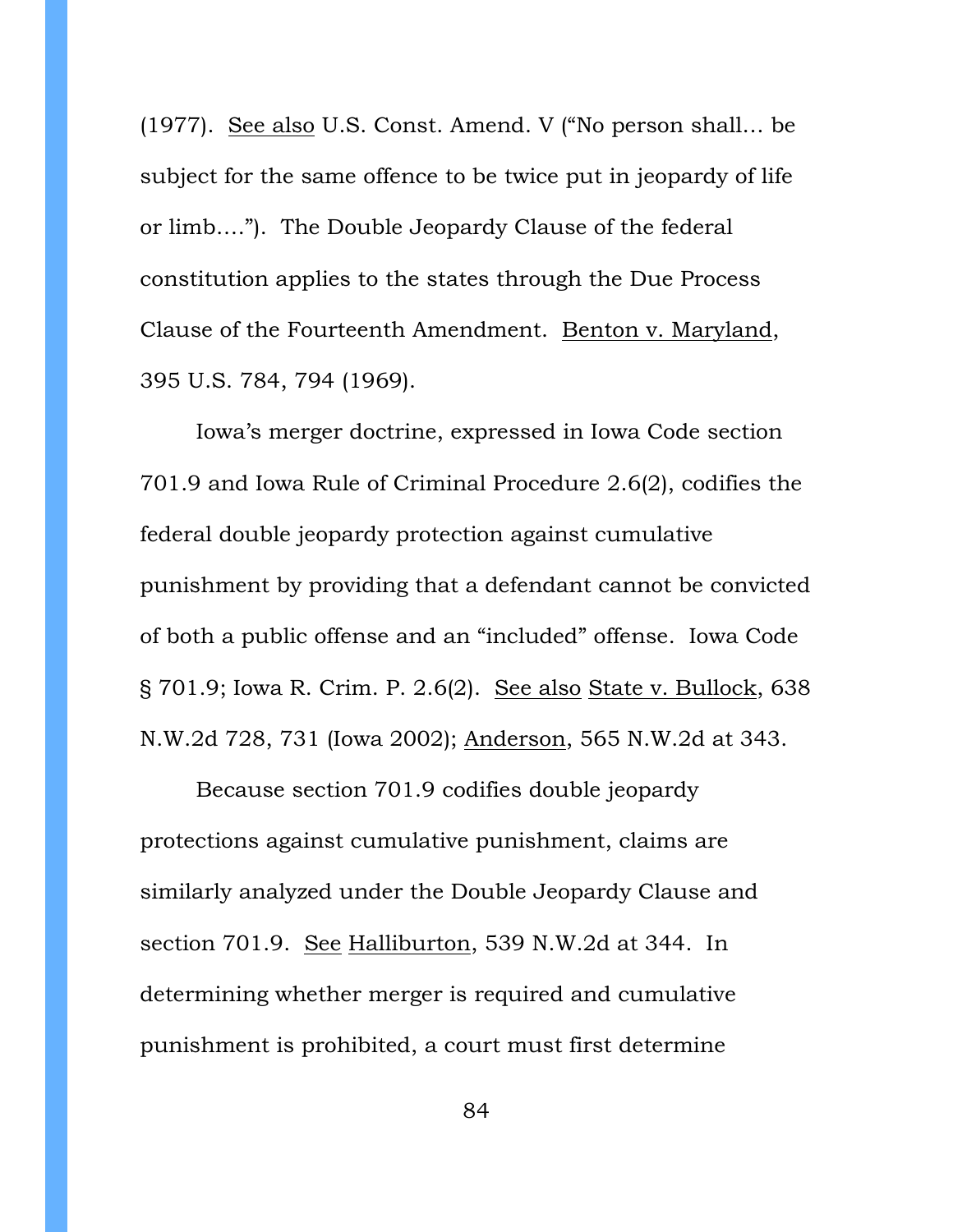(1977). See also U.S. Const. Amend. V ("No person shall… be subject for the same offence to be twice put in jeopardy of life or limb…."). The Double Jeopardy Clause of the federal constitution applies to the states through the Due Process Clause of the Fourteenth Amendment. Benton v. Maryland, 395 U.S. 784, 794 (1969).

Iowa's merger doctrine, expressed in Iowa Code section 701.9 and Iowa Rule of Criminal Procedure 2.6(2), codifies the federal double jeopardy protection against cumulative punishment by providing that a defendant cannot be convicted of both a public offense and an "included" offense. Iowa Code § 701.9; Iowa R. Crim. P. 2.6(2). See also State v. Bullock, 638 N.W.2d 728, 731 (Iowa 2002); Anderson, 565 N.W.2d at 343.

Because section 701.9 codifies double jeopardy protections against cumulative punishment, claims are similarly analyzed under the Double Jeopardy Clause and section 701.9. See Halliburton, 539 N.W.2d at 344. In determining whether merger is required and cumulative punishment is prohibited, a court must first determine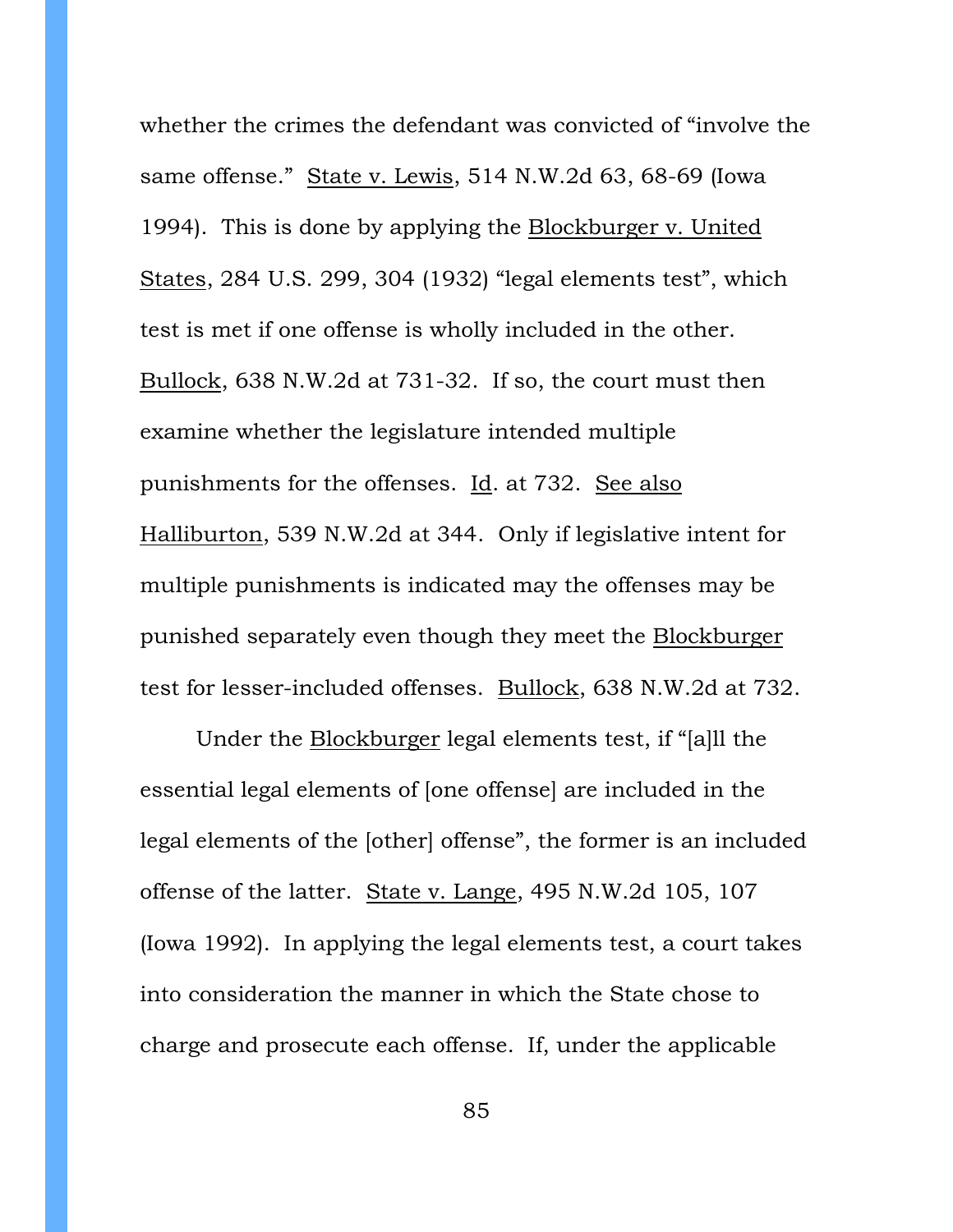whether the crimes the defendant was convicted of "involve the same offense." State v. Lewis, 514 N.W.2d 63, 68-69 (Iowa 1994). This is done by applying the Blockburger v. United States, 284 U.S. 299, 304 (1932) "legal elements test", which test is met if one offense is wholly included in the other. Bullock, 638 N.W.2d at 731-32. If so, the court must then examine whether the legislature intended multiple punishments for the offenses. Id. at 732. See also Halliburton, 539 N.W.2d at 344. Only if legislative intent for multiple punishments is indicated may the offenses may be punished separately even though they meet the Blockburger test for lesser-included offenses. Bullock, 638 N.W.2d at 732.

Under the Blockburger legal elements test, if "[a]ll the essential legal elements of [one offense] are included in the legal elements of the [other] offense", the former is an included offense of the latter. State v. Lange, 495 N.W.2d 105, 107 (Iowa 1992). In applying the legal elements test, a court takes into consideration the manner in which the State chose to charge and prosecute each offense. If, under the applicable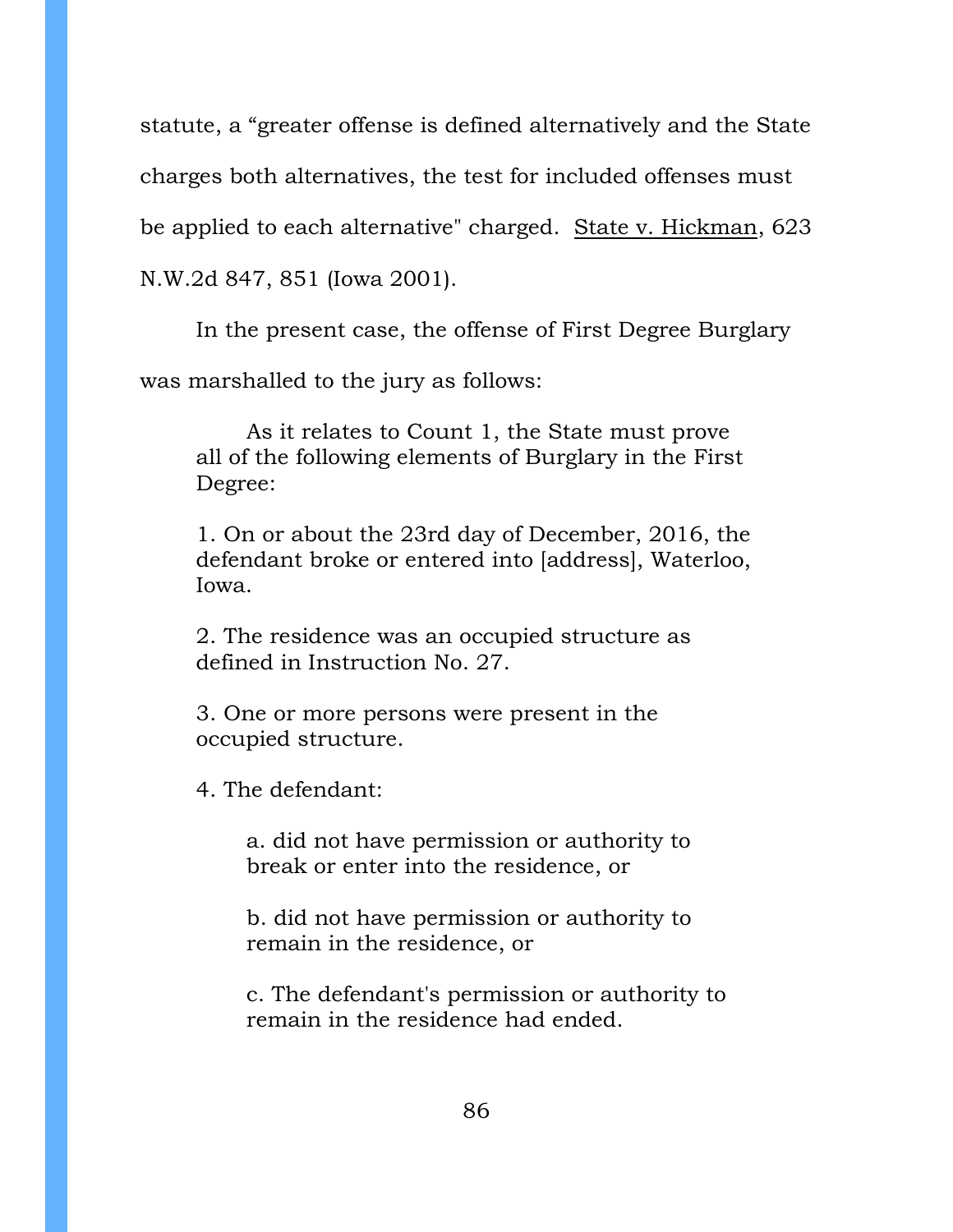statute, a "greater offense is defined alternatively and the State charges both alternatives, the test for included offenses must be applied to each alternative" charged. State v. Hickman, 623 N.W.2d 847, 851 (Iowa 2001).

In the present case, the offense of First Degree Burglary

was marshalled to the jury as follows:

As it relates to Count 1, the State must prove all of the following elements of Burglary in the First Degree:

1. On or about the 23rd day of December, 2016, the defendant broke or entered into [address], Waterloo, Iowa.

2. The residence was an occupied structure as defined in Instruction No. 27.

3. One or more persons were present in the occupied structure.

4. The defendant:

a. did not have permission or authority to break or enter into the residence, or

b. did not have permission or authority to remain in the residence, or

c. The defendant's permission or authority to remain in the residence had ended.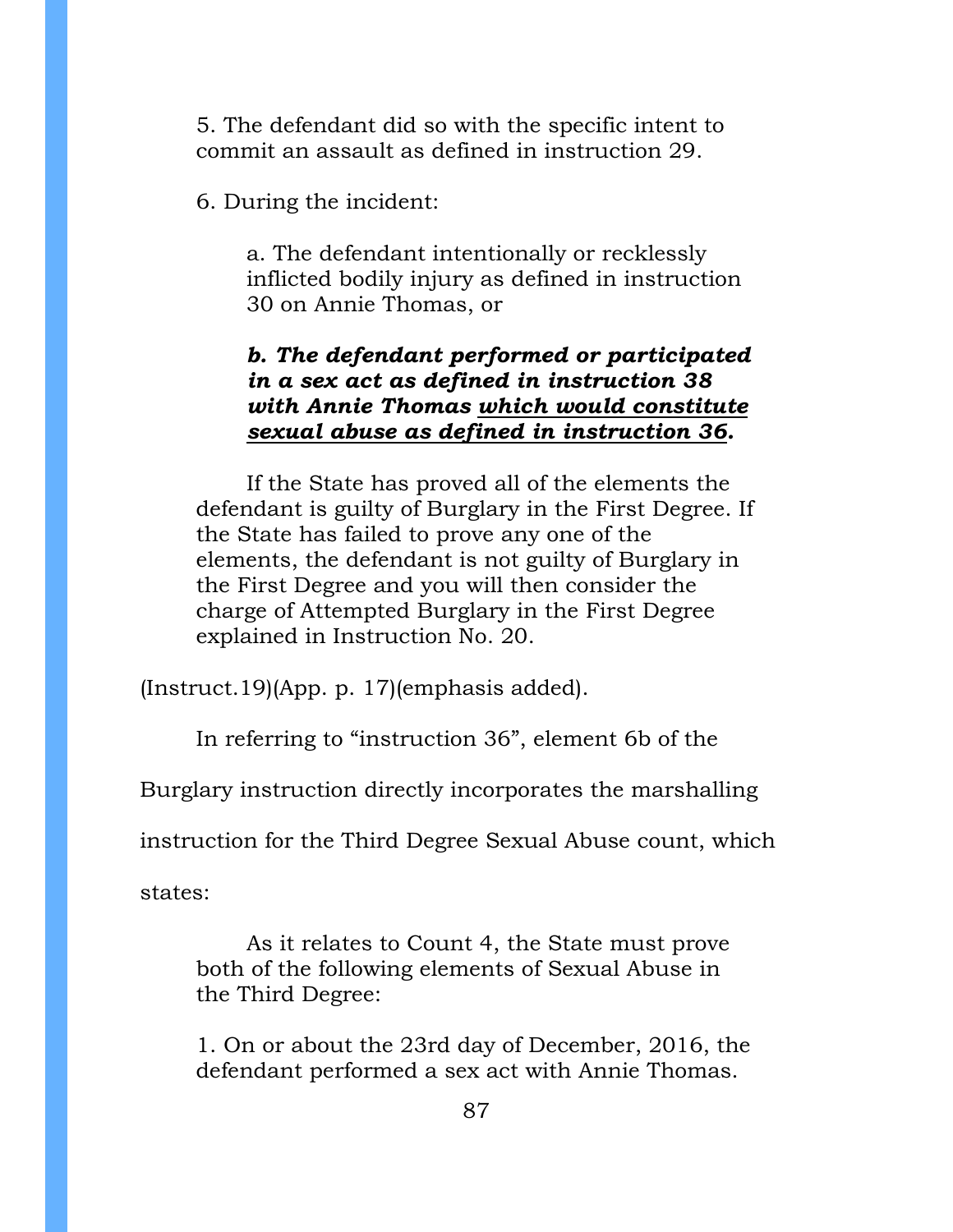5. The defendant did so with the specific intent to commit an assault as defined in instruction 29.

6. During the incident:

a. The defendant intentionally or recklessly inflicted bodily injury as defined in instruction 30 on Annie Thomas, or

# *b. The defendant performed or participated in a sex act as defined in instruction 38 with Annie Thomas which would constitute sexual abuse as defined in instruction 36.*

If the State has proved all of the elements the defendant is guilty of Burglary in the First Degree. If the State has failed to prove any one of the elements, the defendant is not guilty of Burglary in the First Degree and you will then consider the charge of Attempted Burglary in the First Degree explained in Instruction No. 20.

(Instruct.19)(App. p. 17)(emphasis added).

In referring to "instruction 36", element 6b of the

Burglary instruction directly incorporates the marshalling

instruction for the Third Degree Sexual Abuse count, which

states:

As it relates to Count 4, the State must prove both of the following elements of Sexual Abuse in the Third Degree:

1. On or about the 23rd day of December, 2016, the defendant performed a sex act with Annie Thomas.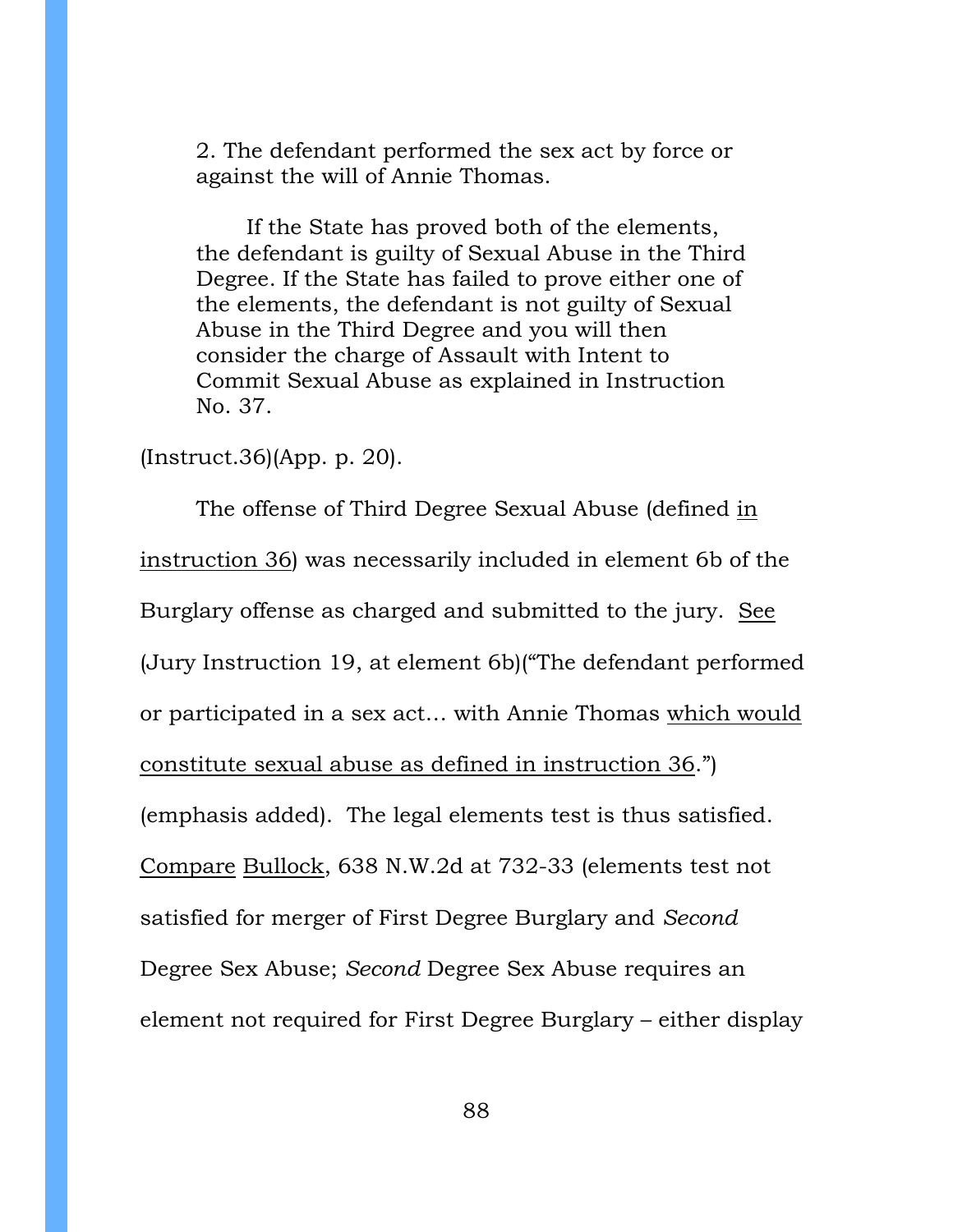2. The defendant performed the sex act by force or against the will of Annie Thomas.

If the State has proved both of the elements, the defendant is guilty of Sexual Abuse in the Third Degree. If the State has failed to prove either one of the elements, the defendant is not guilty of Sexual Abuse in the Third Degree and you will then consider the charge of Assault with Intent to Commit Sexual Abuse as explained in Instruction No. 37.

#### (Instruct.36)(App. p. 20).

The offense of Third Degree Sexual Abuse (defined in instruction 36) was necessarily included in element 6b of the Burglary offense as charged and submitted to the jury. See (Jury Instruction 19, at element 6b)("The defendant performed or participated in a sex act… with Annie Thomas which would constitute sexual abuse as defined in instruction 36.") (emphasis added). The legal elements test is thus satisfied. Compare Bullock, 638 N.W.2d at 732-33 (elements test not satisfied for merger of First Degree Burglary and *Second* Degree Sex Abuse; *Second* Degree Sex Abuse requires an element not required for First Degree Burglary – either display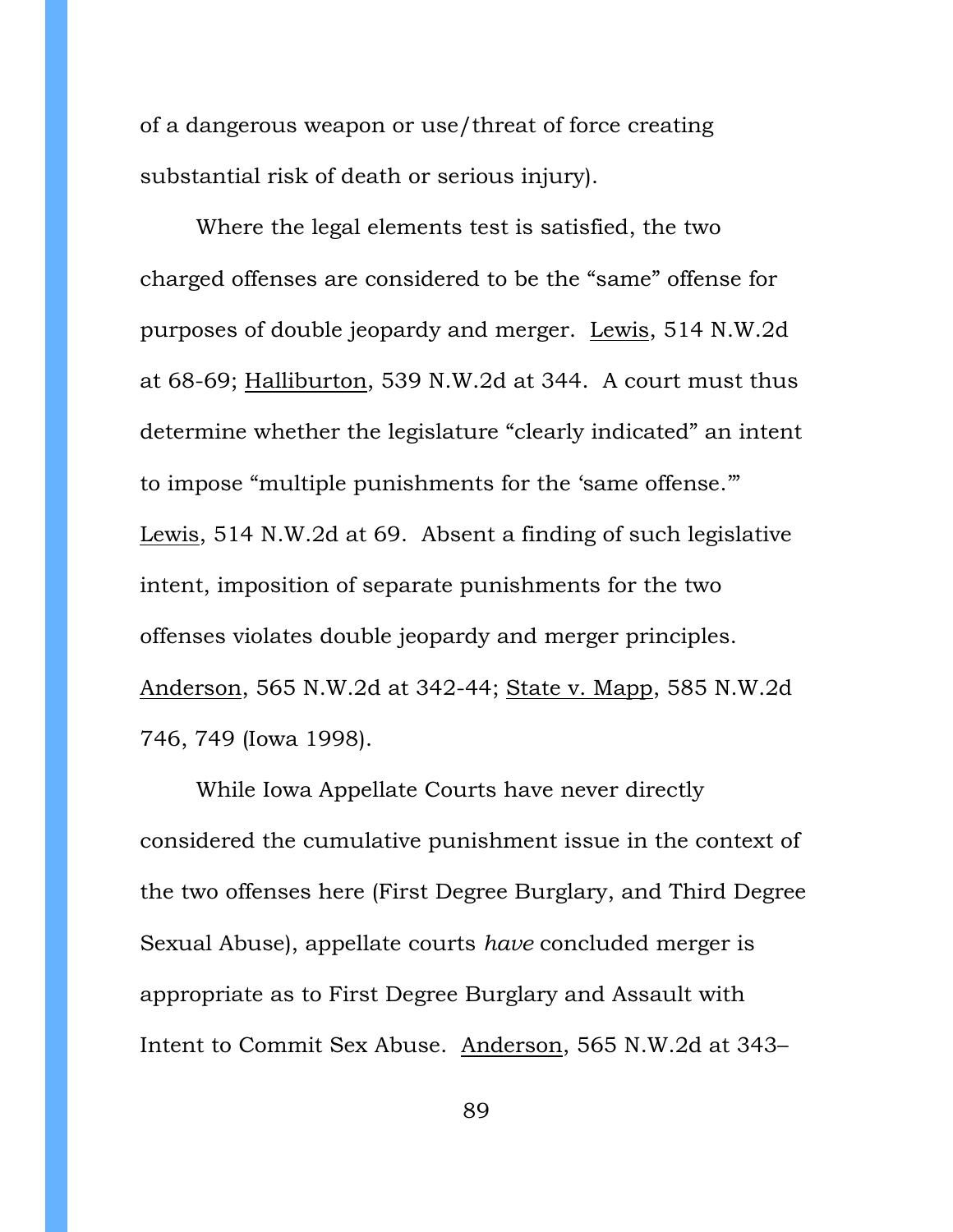of a dangerous weapon or use/threat of force creating substantial risk of death or serious injury).

Where the legal elements test is satisfied, the two charged offenses are considered to be the "same" offense for purposes of double jeopardy and merger. Lewis, 514 N.W.2d at 68-69; Halliburton, 539 N.W.2d at 344. A court must thus determine whether the legislature "clearly indicated" an intent to impose "multiple punishments for the 'same offense.'" Lewis, 514 N.W.2d at 69. Absent a finding of such legislative intent, imposition of separate punishments for the two offenses violates double jeopardy and merger principles. Anderson, 565 N.W.2d at 342-44; State v. Mapp, 585 N.W.2d 746, 749 (Iowa 1998).

While Iowa Appellate Courts have never directly considered the cumulative punishment issue in the context of the two offenses here (First Degree Burglary, and Third Degree Sexual Abuse), appellate courts *have* concluded merger is appropriate as to First Degree Burglary and Assault with Intent to Commit Sex Abuse. Anderson, 565 N.W.2d at 343–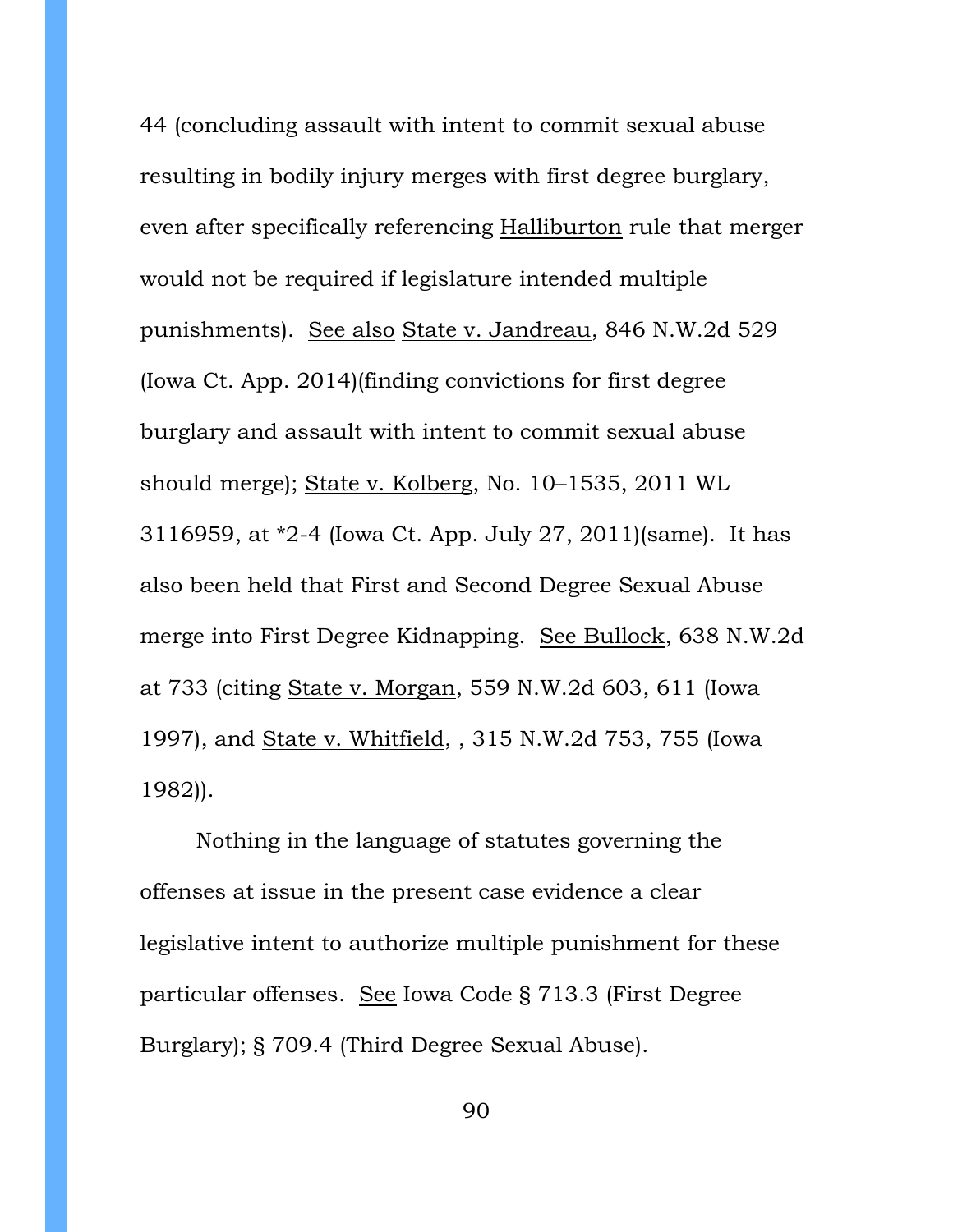44 (concluding assault with intent to commit sexual abuse resulting in bodily injury merges with first degree burglary, even after specifically referencing Halliburton rule that merger would not be required if legislature intended multiple punishments). See also State v. Jandreau, 846 N.W.2d 529 (Iowa Ct. App. 2014)(finding convictions for first degree burglary and assault with intent to commit sexual abuse should merge); State v. Kolberg, No. 10–1535, 2011 WL 3116959, at \*2-4 (Iowa Ct. App. July 27, 2011)(same). It has also been held that First and Second Degree Sexual Abuse merge into First Degree Kidnapping. See Bullock, 638 N.W.2d at 733 (citing State v. Morgan, 559 N.W.2d 603, 611 (Iowa 1997), and State v. Whitfield, , 315 N.W.2d 753, 755 (Iowa 1982)).

Nothing in the language of statutes governing the offenses at issue in the present case evidence a clear legislative intent to authorize multiple punishment for these particular offenses. See Iowa Code § 713.3 (First Degree Burglary); § 709.4 (Third Degree Sexual Abuse).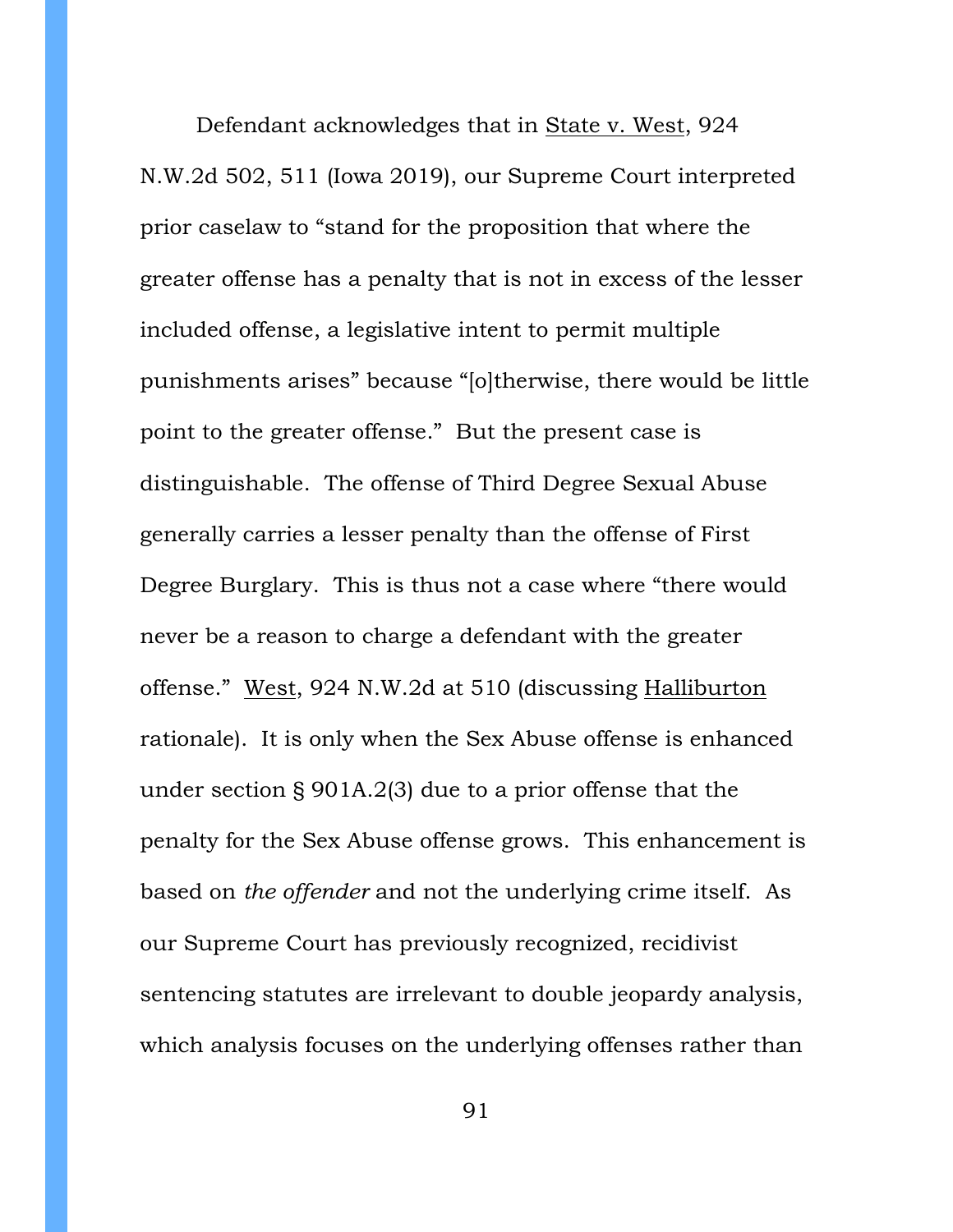Defendant acknowledges that in State v. West, 924 N.W.2d 502, 511 (Iowa 2019), our Supreme Court interpreted prior caselaw to "stand for the proposition that where the greater offense has a penalty that is not in excess of the lesser included offense, a legislative intent to permit multiple punishments arises" because "[o]therwise, there would be little point to the greater offense." But the present case is distinguishable. The offense of Third Degree Sexual Abuse generally carries a lesser penalty than the offense of First Degree Burglary. This is thus not a case where "there would never be a reason to charge a defendant with the greater offense." West, 924 N.W.2d at 510 (discussing Halliburton rationale). It is only when the Sex Abuse offense is enhanced under section § 901A.2(3) due to a prior offense that the penalty for the Sex Abuse offense grows. This enhancement is based on *the offender* and not the underlying crime itself. As our Supreme Court has previously recognized, recidivist sentencing statutes are irrelevant to double jeopardy analysis, which analysis focuses on the underlying offenses rather than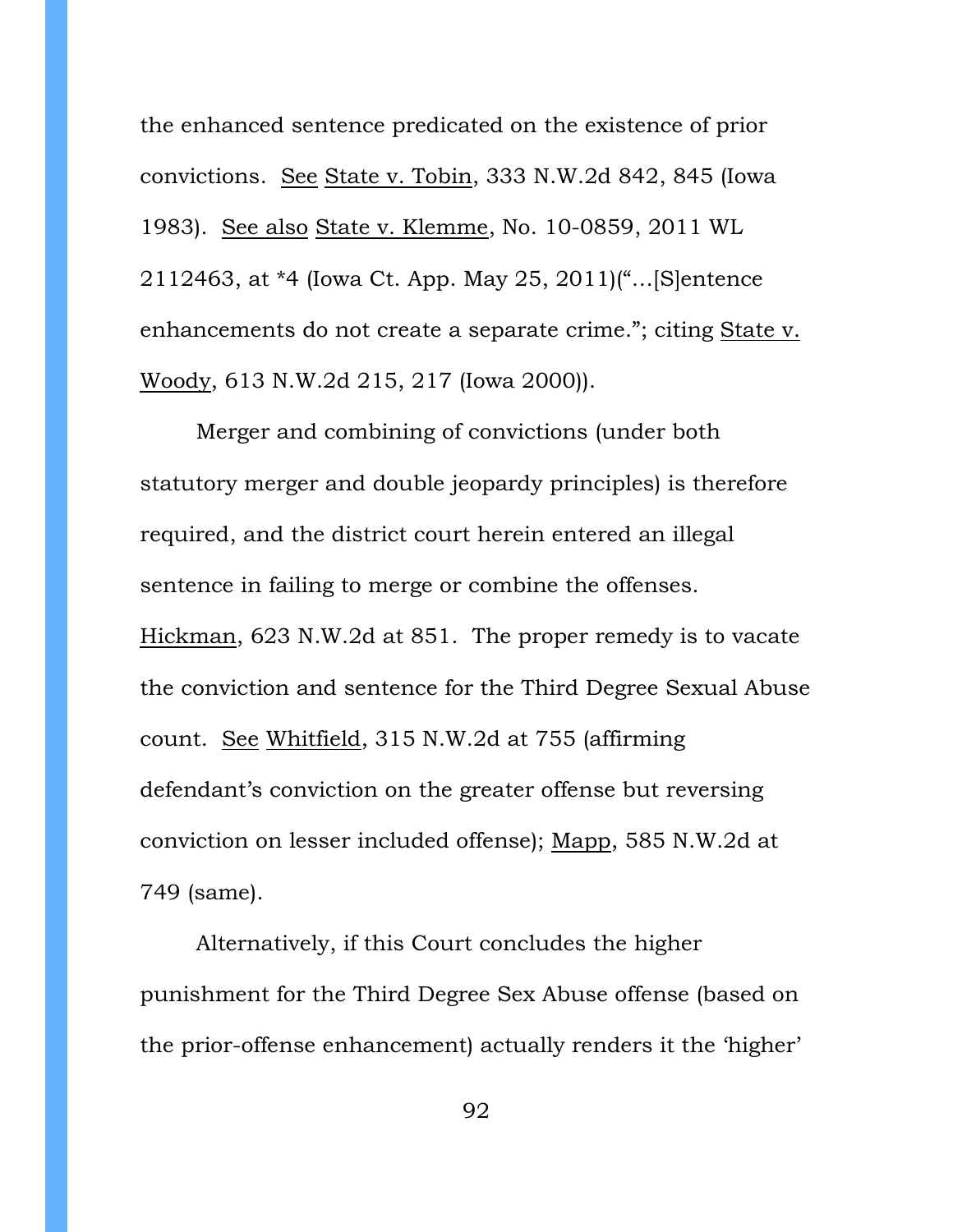the enhanced sentence predicated on the existence of prior convictions. See State v. Tobin, 333 N.W.2d 842, 845 (Iowa 1983). See also State v. Klemme, No. 10-0859, 2011 WL 2112463, at \*4 (Iowa Ct. App. May 25, 2011)("…[S]entence enhancements do not create a separate crime."; citing State v. Woody, 613 N.W.2d 215, 217 (Iowa 2000)).

Merger and combining of convictions (under both statutory merger and double jeopardy principles) is therefore required, and the district court herein entered an illegal sentence in failing to merge or combine the offenses. Hickman, 623 N.W.2d at 851. The proper remedy is to vacate the conviction and sentence for the Third Degree Sexual Abuse count. See Whitfield, 315 N.W.2d at 755 (affirming defendant's conviction on the greater offense but reversing conviction on lesser included offense); Mapp, 585 N.W.2d at 749 (same).

Alternatively, if this Court concludes the higher punishment for the Third Degree Sex Abuse offense (based on the prior-offense enhancement) actually renders it the 'higher'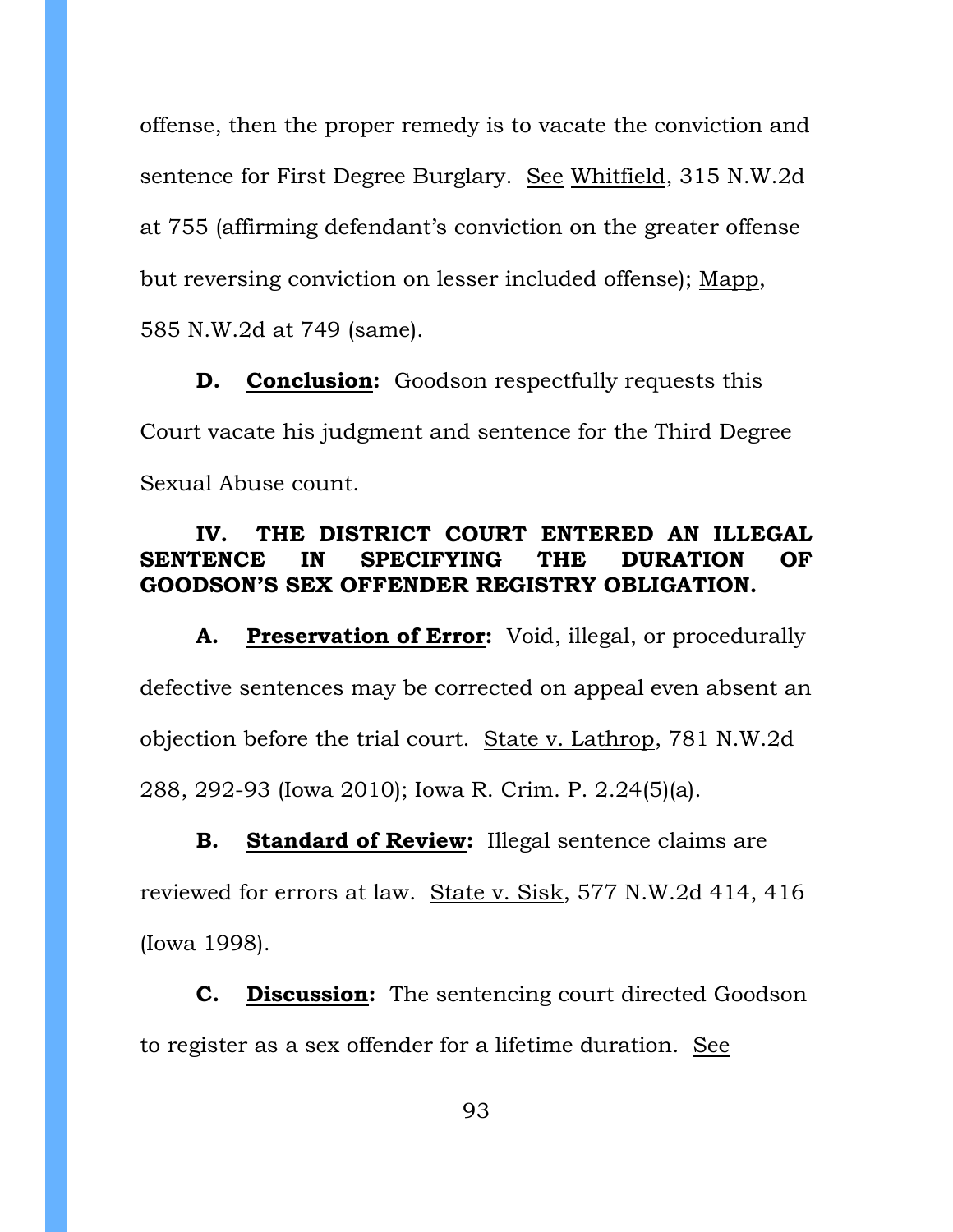offense, then the proper remedy is to vacate the conviction and sentence for First Degree Burglary. See Whitfield, 315 N.W.2d at 755 (affirming defendant's conviction on the greater offense but reversing conviction on lesser included offense); Mapp, 585 N.W.2d at 749 (same).

**D. Conclusion:** Goodson respectfully requests this Court vacate his judgment and sentence for the Third Degree Sexual Abuse count.

## **IV. THE DISTRICT COURT ENTERED AN ILLEGAL SENTENCE IN SPECIFYING THE DURATION OF GOODSON'S SEX OFFENDER REGISTRY OBLIGATION.**

**A. Preservation of Error:** Void, illegal, or procedurally defective sentences may be corrected on appeal even absent an objection before the trial court. State v. Lathrop, 781 N.W.2d 288, 292-93 (Iowa 2010); Iowa R. Crim. P. 2.24(5)(a).

**B. Standard of Review:** Illegal sentence claims are reviewed for errors at law. State v. Sisk, 577 N.W.2d 414, 416 (Iowa 1998).

**C. Discussion:** The sentencing court directed Goodson to register as a sex offender for a lifetime duration. See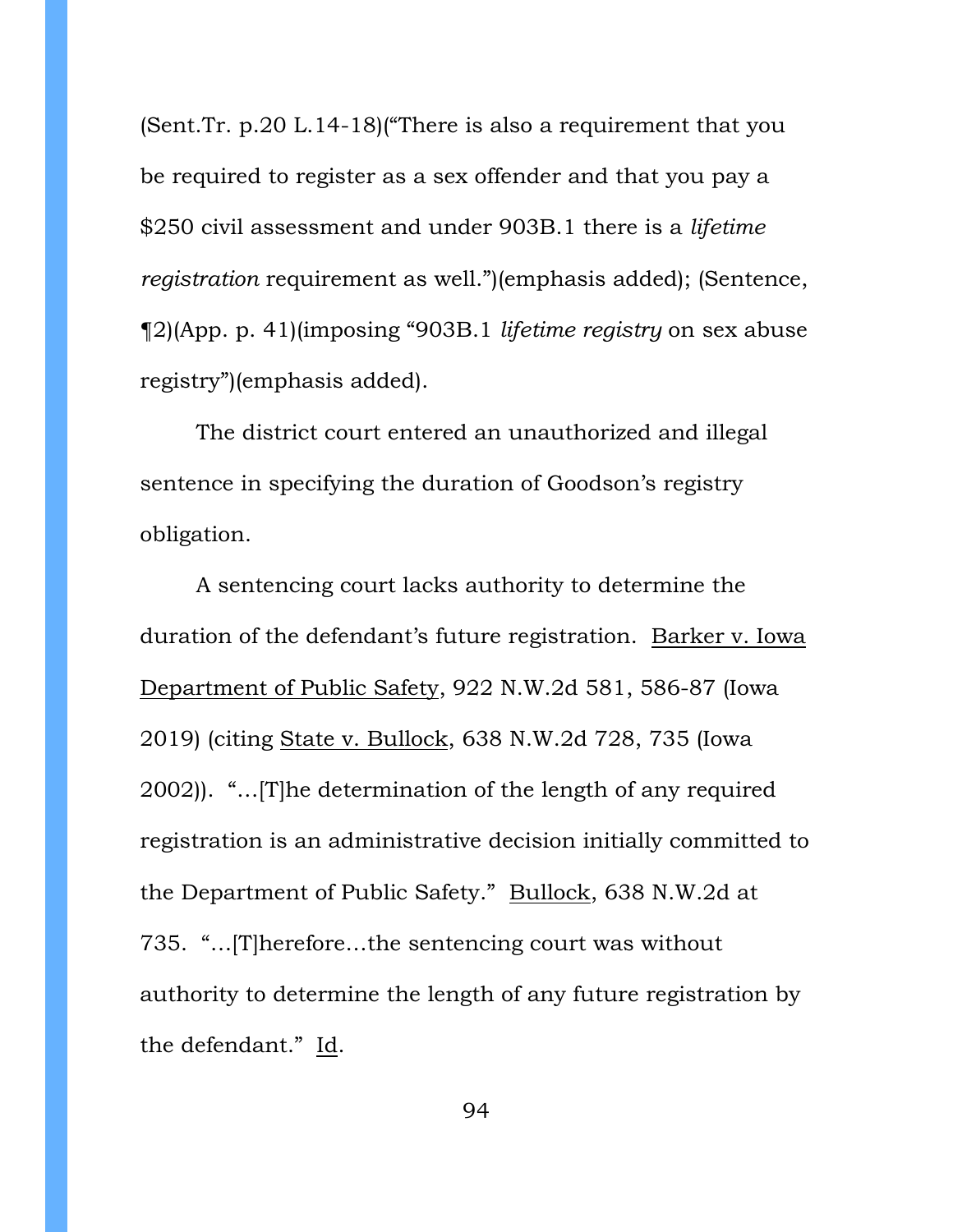(Sent.Tr. p.20 L.14-18)("There is also a requirement that you be required to register as a sex offender and that you pay a \$250 civil assessment and under 903B.1 there is a *lifetime registration* requirement as well.")(emphasis added); (Sentence, ¶2)(App. p. 41)(imposing "903B.1 *lifetime registry* on sex abuse registry")(emphasis added).

The district court entered an unauthorized and illegal sentence in specifying the duration of Goodson's registry obligation.

A sentencing court lacks authority to determine the duration of the defendant's future registration. Barker v. Iowa Department of Public Safety, 922 N.W.2d 581, 586-87 (Iowa 2019) (citing State v. Bullock, 638 N.W.2d 728, 735 (Iowa 2002)). "…[T]he determination of the length of any required registration is an administrative decision initially committed to the Department of Public Safety." Bullock, 638 N.W.2d at 735. "…[T]herefore…the sentencing court was without authority to determine the length of any future registration by the defendant." Id.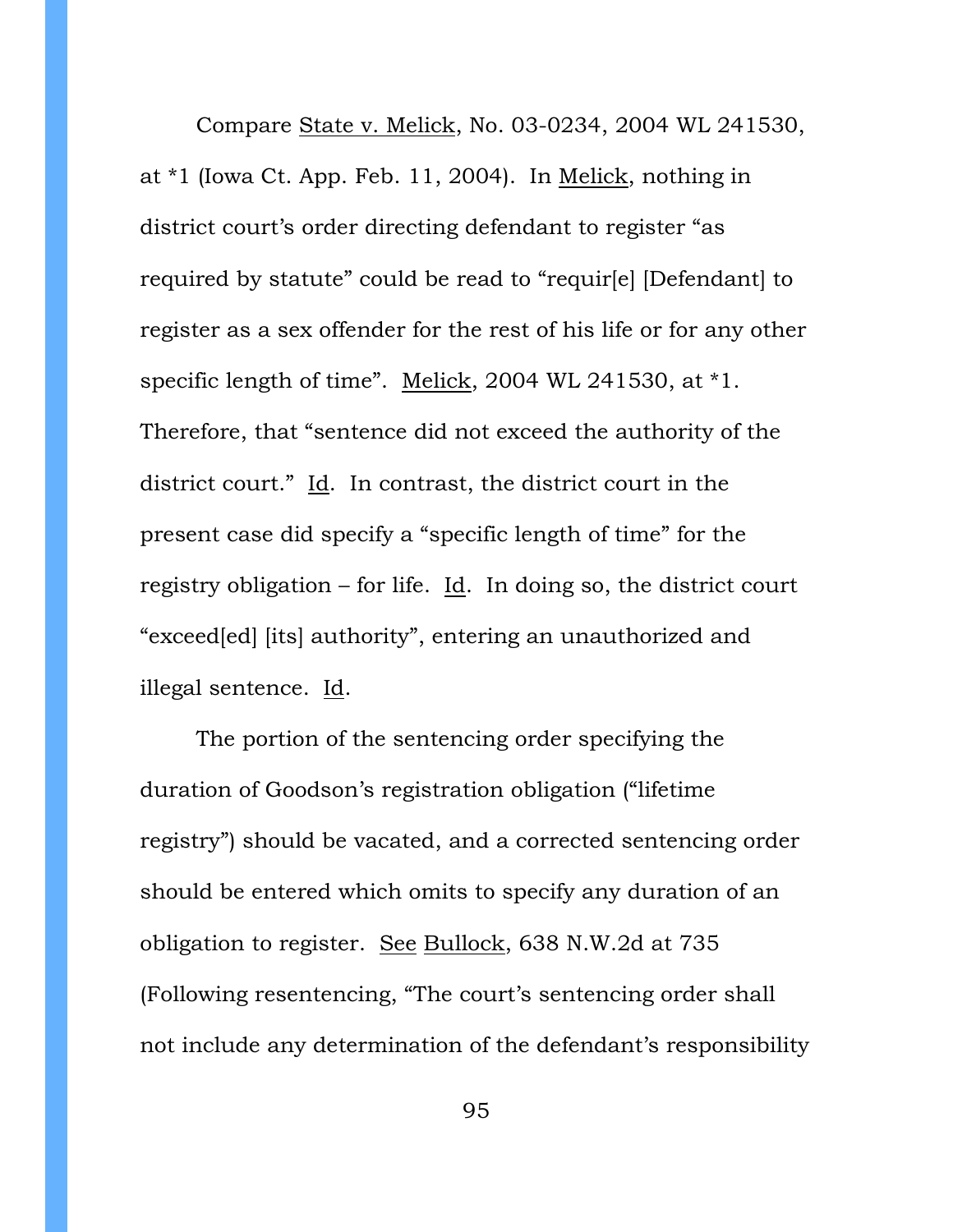Compare State v. Melick, No. 03-0234, 2004 WL 241530, at \*1 (Iowa Ct. App. Feb. 11, 2004). In Melick, nothing in district court's order directing defendant to register "as required by statute" could be read to "requir[e] [Defendant] to register as a sex offender for the rest of his life or for any other specific length of time". Melick, 2004 WL 241530, at \*1. Therefore, that "sentence did not exceed the authority of the district court." Id. In contrast, the district court in the present case did specify a "specific length of time" for the registry obligation – for life. Id. In doing so, the district court "exceed[ed] [its] authority", entering an unauthorized and illegal sentence. Id.

The portion of the sentencing order specifying the duration of Goodson's registration obligation ("lifetime registry") should be vacated, and a corrected sentencing order should be entered which omits to specify any duration of an obligation to register. See Bullock, 638 N.W.2d at 735 (Following resentencing, "The court's sentencing order shall not include any determination of the defendant's responsibility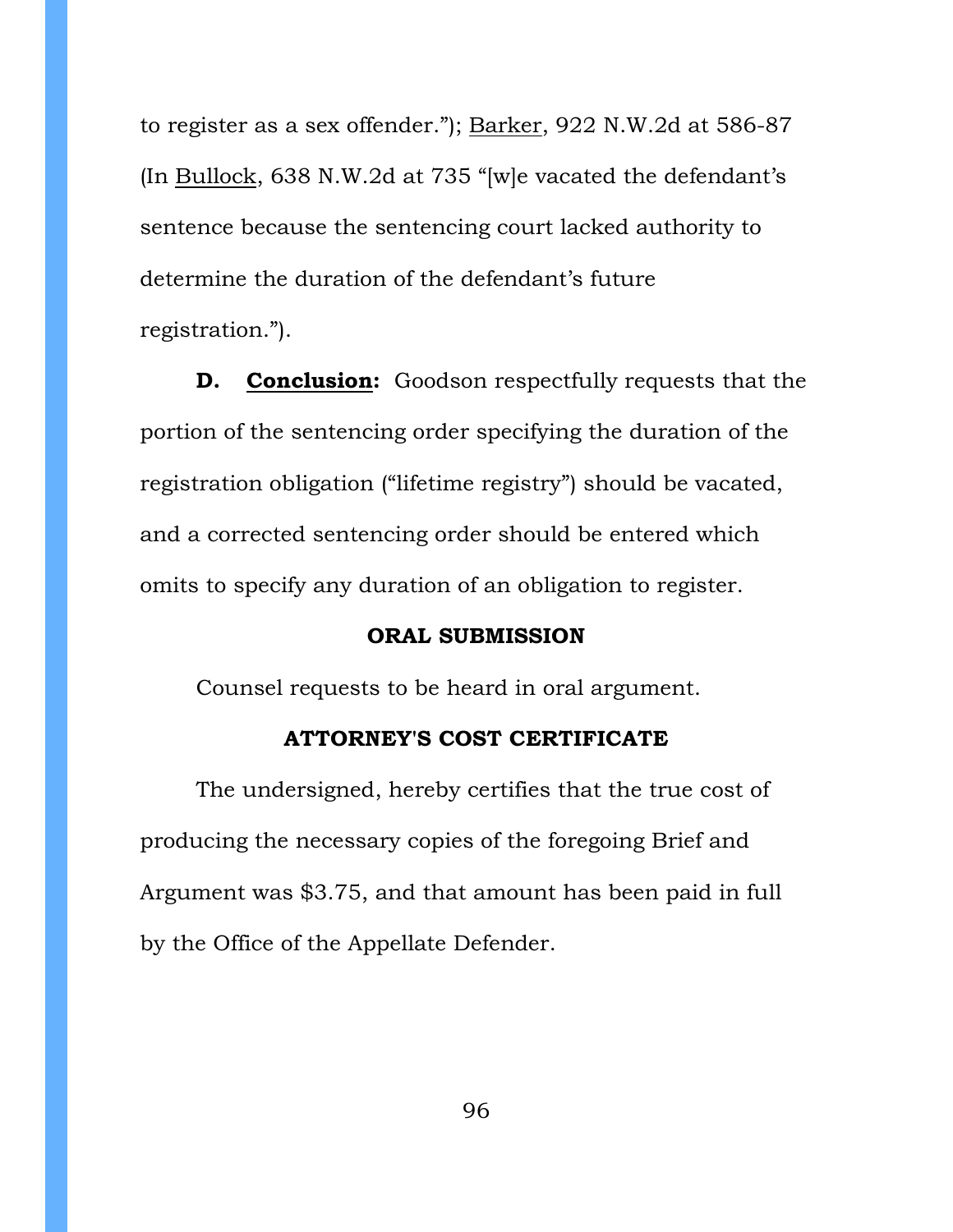to register as a sex offender."); Barker, 922 N.W.2d at 586-87 (In Bullock, 638 N.W.2d at 735 "[w]e vacated the defendant's sentence because the sentencing court lacked authority to determine the duration of the defendant's future registration.").

**D. Conclusion:** Goodson respectfully requests that the portion of the sentencing order specifying the duration of the registration obligation ("lifetime registry") should be vacated, and a corrected sentencing order should be entered which omits to specify any duration of an obligation to register.

#### **ORAL SUBMISSION**

Counsel requests to be heard in oral argument.

#### **ATTORNEY'S COST CERTIFICATE**

The undersigned, hereby certifies that the true cost of producing the necessary copies of the foregoing Brief and Argument was \$3.75, and that amount has been paid in full by the Office of the Appellate Defender.